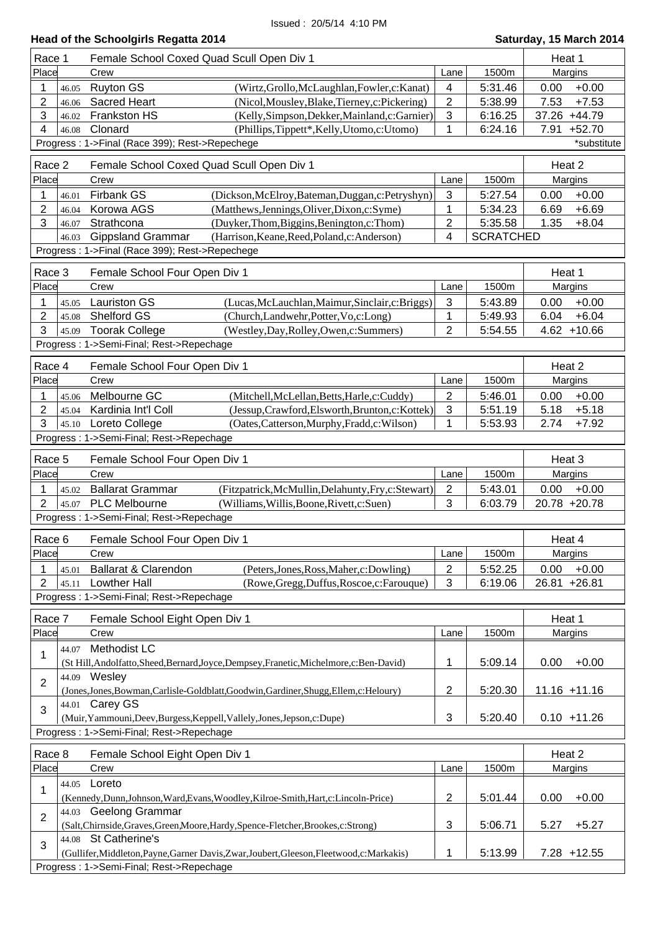| Head of the Schoolgirls Regatta 2014<br>Saturday, 15 March 2014 |       |                                                                                            |                         |                  |                  |  |  |
|-----------------------------------------------------------------|-------|--------------------------------------------------------------------------------------------|-------------------------|------------------|------------------|--|--|
| Race 1                                                          |       | Female School Coxed Quad Scull Open Div 1                                                  |                         |                  |                  |  |  |
| Place                                                           |       | Crew                                                                                       | Lane                    | 1500m            | Margins          |  |  |
| 1                                                               | 46.05 | <b>Ruyton GS</b><br>(Wirtz, Grollo, McLaughlan, Fowler, c: Kanat)                          | 4                       | 5:31.46          | 0.00<br>$+0.00$  |  |  |
| $\overline{2}$                                                  | 46.06 | <b>Sacred Heart</b><br>(Nicol, Mousley, Blake, Tierney, c: Pickering)                      | $\overline{2}$          | 5:38.99          | 7.53<br>$+7.53$  |  |  |
| 3                                                               | 46.02 | Frankston HS<br>(Kelly, Simpson, Dekker, Mainland, c: Garnier)                             | $\mathbf{3}$            | 6:16.25          | 37.26 +44.79     |  |  |
| $\overline{4}$                                                  | 46.08 | Clonard<br>(Phillips,Tippett*,Kelly,Utomo,c:Utomo)                                         | 1                       | 6:24.16          | 7.91<br>$+52.70$ |  |  |
|                                                                 |       | Progress: 1->Final (Race 399); Rest->Repechege                                             |                         |                  | *substitute      |  |  |
| Race 2                                                          |       | Female School Coxed Quad Scull Open Div 1                                                  |                         |                  | Heat 2           |  |  |
| Place                                                           |       | Crew                                                                                       | Lane                    | 1500m            | Margins          |  |  |
| 1                                                               | 46.01 | Firbank GS<br>(Dickson, McElroy, Bateman, Duggan, c: Petryshyn)                            | $\mathbf{3}$            | 5:27.54          | 0.00<br>$+0.00$  |  |  |
| $\overline{2}$                                                  | 46.04 | Korowa AGS<br>(Matthews, Jennings, Oliver, Dixon, c: Syme)                                 | 1                       | 5:34.23          | $+6.69$<br>6.69  |  |  |
| 3                                                               | 46.07 | Strathcona<br>(Duyker, Thom, Biggins, Benington, c: Thom)                                  | $\overline{\mathbf{c}}$ | 5:35.58          | 1.35<br>$+8.04$  |  |  |
|                                                                 | 46.03 | <b>Gippsland Grammar</b><br>(Harrison, Keane, Reed, Poland, c: Anderson)                   | 4                       | <b>SCRATCHED</b> |                  |  |  |
|                                                                 |       | Progress: 1->Final (Race 399); Rest->Repechege                                             |                         |                  |                  |  |  |
| Race 3                                                          |       | Female School Four Open Div 1                                                              |                         |                  | Heat 1           |  |  |
| Place                                                           |       | Crew                                                                                       | Lane                    | 1500m            | Margins          |  |  |
| 1                                                               | 45.05 | <b>Lauriston GS</b><br>(Lucas, McLauchlan, Maimur, Sinclair, c: Briggs)                    | $\mathbf{3}$            | 5:43.89          | 0.00<br>$+0.00$  |  |  |
| 2                                                               | 45.08 | Shelford GS<br>(Church,Landwehr,Potter,Vo,c:Long)                                          | 1                       | 5:49.93          | $+6.04$<br>6.04  |  |  |
| 3                                                               | 45.09 | <b>Toorak College</b><br>(Westley, Day, Rolley, Owen, c: Summers)                          | $\overline{2}$          | 5:54.55          | $4.62 + 10.66$   |  |  |
|                                                                 |       | Progress: 1->Semi-Final; Rest->Repechage                                                   |                         |                  |                  |  |  |
| Race 4                                                          |       | Female School Four Open Div 1                                                              |                         |                  | Heat 2           |  |  |
| Place                                                           |       | Crew                                                                                       | Lane                    | 1500m            | Margins          |  |  |
| 1                                                               | 45.06 | Melbourne GC<br>(Mitchell, McLellan, Betts, Harle, c: Cuddy)                               | $\overline{2}$          | 5:46.01          | $+0.00$<br>0.00  |  |  |
| $\overline{2}$                                                  | 45.04 | Kardinia Int'l Coll<br>(Jessup, Crawford, Elsworth, Brunton, c: Kottek)                    | 3                       | 5:51.19          | 5.18<br>$+5.18$  |  |  |
| 3                                                               | 45.10 | Loreto College<br>(Oates, Catterson, Murphy, Fradd, c: Wilson)                             | 1                       | 5:53.93          | 2.74<br>$+7.92$  |  |  |
|                                                                 |       | Progress: 1->Semi-Final; Rest->Repechage                                                   |                         |                  |                  |  |  |
|                                                                 |       |                                                                                            |                         |                  |                  |  |  |
| Race 5                                                          |       | Female School Four Open Div 1                                                              |                         |                  | Heat 3           |  |  |
| Place                                                           |       | Crew                                                                                       | Lane                    | 1500m            | Margins          |  |  |
| 1                                                               | 45.02 | <b>Ballarat Grammar</b><br>(Fitzpatrick, McMullin, Delahunty, Fry, c: Stewart)             | $\boldsymbol{2}$        | 5:43.01          | $+0.00$<br>0.00  |  |  |
| $\overline{2}$                                                  | 45.07 | <b>PLC Melbourne</b><br>(Williams, Willis, Boone, Rivett, c: Suen)                         | 3                       | 6:03.79          | 20.78 +20.78     |  |  |
|                                                                 |       | Progress: 1->Semi-Final; Rest->Repechage                                                   |                         |                  |                  |  |  |
| Race 6                                                          |       | Female School Four Open Div 1                                                              |                         |                  | Heat 4           |  |  |
| Place                                                           |       | Crew                                                                                       | Lane                    | 1500m            | Margins          |  |  |
| 1                                                               | 45.01 | Ballarat & Clarendon<br>(Peters, Jones, Ross, Maher, c: Dowling)                           | $\overline{2}$          | 5:52.25          | 0.00<br>$+0.00$  |  |  |
| 2                                                               | 45.11 | <b>Lowther Hall</b><br>(Rowe, Gregg, Duffus, Roscoe, c: Farouque)                          | 3                       | 6:19.06          | 26.81 +26.81     |  |  |
|                                                                 |       | Progress: 1->Semi-Final; Rest->Repechage                                                   |                         |                  |                  |  |  |
| Race 7                                                          |       | Female School Eight Open Div 1                                                             |                         |                  | Heat 1           |  |  |
| Place                                                           |       | Crew                                                                                       | Lane                    | 1500m            | Margins          |  |  |
|                                                                 | 44.07 | Methodist LC                                                                               |                         |                  |                  |  |  |
| 1                                                               |       | (St Hill, Andolfatto, Sheed, Bernard, Joyce, Dempsey, Franetic, Michelmore, c: Ben-David)  | 1                       | 5:09.14          | 0.00<br>$+0.00$  |  |  |
| $\overline{2}$                                                  |       | 44.09 Wesley                                                                               |                         |                  |                  |  |  |
|                                                                 |       | (Jones,Jones,Bowman,Carlisle-Goldblatt,Goodwin,Gardiner,Shugg,Ellem,c:Heloury)             | $\sqrt{2}$              | 5:20.30          | $11.16 + 11.16$  |  |  |
| 3                                                               |       | 44.01 Carey GS                                                                             |                         |                  |                  |  |  |
|                                                                 |       | (Muir, Yammouni, Deev, Burgess, Keppell, Vallely, Jones, Jepson, c: Dupe)                  | 3                       | 5:20.40          | $0.10 + 11.26$   |  |  |
|                                                                 |       | Progress: 1->Semi-Final; Rest->Repechage                                                   |                         |                  |                  |  |  |
| Race 8                                                          |       | Female School Eight Open Div 1                                                             |                         |                  | Heat 2           |  |  |
| Place                                                           |       | Crew                                                                                       | Lane                    | 1500m            | Margins          |  |  |
| 1                                                               | 44.05 | Loreto                                                                                     |                         |                  |                  |  |  |
|                                                                 |       | (Kennedy, Dunn, Johnson, Ward, Evans, Woodley, Kilroe-Smith, Hart, c: Lincoln-Price)       | $\overline{2}$          | 5:01.44          | 0.00<br>$+0.00$  |  |  |
| $\overline{2}$                                                  |       | 44.03 Geelong Grammar                                                                      |                         |                  |                  |  |  |
|                                                                 |       | (Salt, Chirnside, Graves, Green, Moore, Hardy, Spence-Fletcher, Brookes, c: Strong)        | $\mathbf{3}$            | 5:06.71          | 5.27<br>$+5.27$  |  |  |
| 3                                                               |       | 44.08 St Catherine's                                                                       |                         |                  |                  |  |  |
|                                                                 |       | (Gullifer, Middleton, Payne, Garner Davis, Zwar, Joubert, Gleeson, Fleetwood, c: Markakis) | 1                       | 5:13.99          | $7.28 + 12.55$   |  |  |
|                                                                 |       | Progress: 1->Semi-Final; Rest->Repechage                                                   |                         |                  |                  |  |  |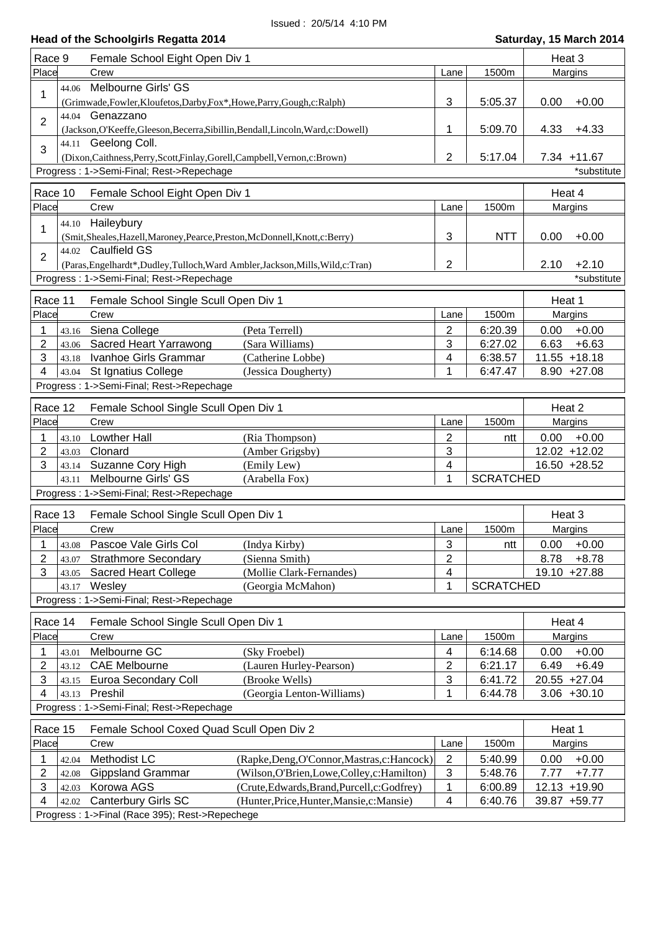| Race 9                   | Female School Eight Open Div 1                                                     |                                              |                |                    | Heat 3       |                 |
|--------------------------|------------------------------------------------------------------------------------|----------------------------------------------|----------------|--------------------|--------------|-----------------|
| Place                    | Crew                                                                               |                                              | Lane           | 1500m              |              | Margins         |
| 44.06<br>1               | Melbourne Girls' GS                                                                |                                              |                |                    |              |                 |
|                          | (Grimwade, Fowler, Kloufetos, Darby, Fox*, Howe, Parry, Gough, c: Ralph)           |                                              | 3              | 5:05.37            | 0.00         | $+0.00$         |
| 44.04<br>$\overline{2}$  | Genazzano                                                                          |                                              |                |                    |              |                 |
|                          | (Jackson, O'Keeffe, Gleeson, Becerra, Sibillin, Bendall, Lincoln, Ward, c: Dowell) |                                              | 1              | 5:09.70            | 4.33         | $+4.33$         |
| 3                        | 44.11 Geelong Coll.                                                                |                                              |                |                    |              |                 |
|                          | (Dixon, Caithness, Perry, Scott, Finlay, Gorell, Campbell, Vernon, c: Brown)       |                                              | $\overline{2}$ | 5:17.04            |              | 7.34 +11.67     |
|                          | Progress: 1->Semi-Final; Rest->Repechage                                           |                                              |                |                    |              | *substitute     |
| Race 10                  | Female School Eight Open Div 1                                                     |                                              |                |                    | Heat 4       |                 |
| Place                    | Crew                                                                               |                                              | Lane           | 1500m              |              | Margins         |
|                          | 44.10 Haileybury                                                                   |                                              |                |                    |              |                 |
| 1                        | (Smit,Sheales,Hazell,Maroney,Pearce,Preston,McDonnell,Knott,c:Berry)               |                                              | 3              | <b>NTT</b>         | 0.00         | $+0.00$         |
| $\overline{2}$           | 44.02 Caulfield GS                                                                 |                                              |                |                    |              |                 |
|                          | (Paras, Engelhardt*, Dudley, Tulloch, Ward Ambler, Jackson, Mills, Wild, c: Tran)  |                                              | 2              |                    | 2.10         | $+2.10$         |
|                          | Progress: 1->Semi-Final; Rest->Repechage                                           |                                              |                |                    |              | *substitute     |
| Race 11                  | Female School Single Scull Open Div 1                                              |                                              |                |                    | Heat 1       |                 |
| Place                    | Crew                                                                               |                                              | Lane           | 1500m              |              | Margins         |
|                          |                                                                                    |                                              |                |                    |              | $+0.00$         |
| 1<br>43.16<br>2<br>43.06 | Siena College<br>(Peta Terrell)<br>Sacred Heart Yarrawong<br>(Sara Williams)       |                                              | 2<br>3         | 6:20.39<br>6:27.02 | 0.00<br>6.63 | $+6.63$         |
| 3<br>43.18               | Ivanhoe Girls Grammar<br>(Catherine Lobbe)                                         |                                              | 4              | 6:38.57            |              | $11.55 + 18.18$ |
| 4<br>43.04               | St Ignatius College<br>(Jessica Dougherty)                                         |                                              | 1              | 6:47.47            |              | $8.90 +27.08$   |
|                          | Progress: 1->Semi-Final; Rest->Repechage                                           |                                              |                |                    |              |                 |
|                          |                                                                                    |                                              |                |                    |              |                 |
| Race 12                  | Female School Single Scull Open Div 1                                              |                                              |                |                    | Heat 2       |                 |
| Place                    | Crew                                                                               |                                              | Lane           | 1500m              |              | Margins         |
| 1<br>43.10               | <b>Lowther Hall</b><br>(Ria Thompson)                                              |                                              | $\overline{2}$ | ntt                | 0.00         | $+0.00$         |
| 2<br>43.03               | Clonard<br>(Amber Grigsby)                                                         |                                              | 3              |                    |              | 12.02 +12.02    |
| 3<br>43.14               | Suzanne Cory High<br>(Emily Lew)                                                   |                                              | 4              |                    |              | 16.50 +28.52    |
| 43.11                    | Melbourne Girls' GS<br>(Arabella Fox)                                              |                                              | 1              | <b>SCRATCHED</b>   |              |                 |
|                          | Progress: 1->Semi-Final; Rest->Repechage                                           |                                              |                |                    |              |                 |
| Race 13                  | Female School Single Scull Open Div 1                                              |                                              |                |                    | Heat 3       |                 |
| Place                    | Crew                                                                               |                                              | Lane           | 1500m              |              | Margins         |
| 1                        | 43.08 Pascoe Vale Girls Col<br>(Indya Kirby)                                       |                                              | 3              | ntt                |              | $0.00 + 0.00$   |
| 2<br>43.07               | <b>Strathmore Secondary</b><br>(Sienna Smith)                                      |                                              | $\overline{2}$ |                    | 8.78         | $+8.78$         |
| 3<br>43.05               | <b>Sacred Heart College</b><br>(Mollie Clark-Fernandes)                            |                                              | 4              |                    |              | 19.10 +27.88    |
| 43.17                    | Wesley<br>(Georgia McMahon)                                                        |                                              | 1              | <b>SCRATCHED</b>   |              |                 |
|                          | Progress: 1->Semi-Final; Rest->Repechage                                           |                                              |                |                    |              |                 |
| Race 14                  | Female School Single Scull Open Div 1                                              |                                              |                |                    | Heat 4       |                 |
| Place                    | Crew                                                                               |                                              | Lane           | 1500m              |              | Margins         |
|                          | Melbourne GC<br>(Sky Froebel)                                                      |                                              | 4              | 6:14.68            | 0.00         | $+0.00$         |
| 43.01<br>2<br>43.12      | <b>CAE Melbourne</b><br>(Lauren Hurley-Pearson)                                    |                                              | 2              | 6:21.17            | 6.49         | $+6.49$         |
| 3<br>43.15               | Euroa Secondary Coll<br>(Brooke Wells)                                             |                                              | 3              | 6:41.72            |              | 20.55 +27.04    |
| 4<br>43.13               | Preshil<br>(Georgia Lenton-Williams)                                               |                                              | 1              | 6:44.78            |              | $3.06 + 30.10$  |
|                          | Progress: 1->Semi-Final; Rest->Repechage                                           |                                              |                |                    |              |                 |
|                          |                                                                                    |                                              |                |                    |              |                 |
| Race 15                  | Female School Coxed Quad Scull Open Div 2                                          |                                              |                |                    | Heat 1       |                 |
| Place                    | Crew                                                                               |                                              | Lane           | 1500m              |              | Margins         |
| 1<br>42.04               | Methodist LC                                                                       | (Rapke, Deng, O'Connor, Mastras, c: Hancock) | $\overline{2}$ | 5:40.99            | 0.00         | $+0.00$         |
| 2<br>42.08               | <b>Gippsland Grammar</b>                                                           | (Wilson, O'Brien, Lowe, Colley, c: Hamilton) | $\sqrt{3}$     | 5:48.76            | 7.77         | $+7.77$         |
| 3<br>42.03               | Korowa AGS                                                                         | (Crute, Edwards, Brand, Purcell, c: Godfrey) | 1              | 6:00.89            |              | 12.13 +19.90    |
| 4<br>42.02               | <b>Canterbury Girls SC</b>                                                         | (Hunter, Price, Hunter, Mansie, c: Mansie)   | 4              | 6:40.76            |              | 39.87 +59.77    |
|                          | Progress: 1->Final (Race 395); Rest->Repechege                                     |                                              |                |                    |              |                 |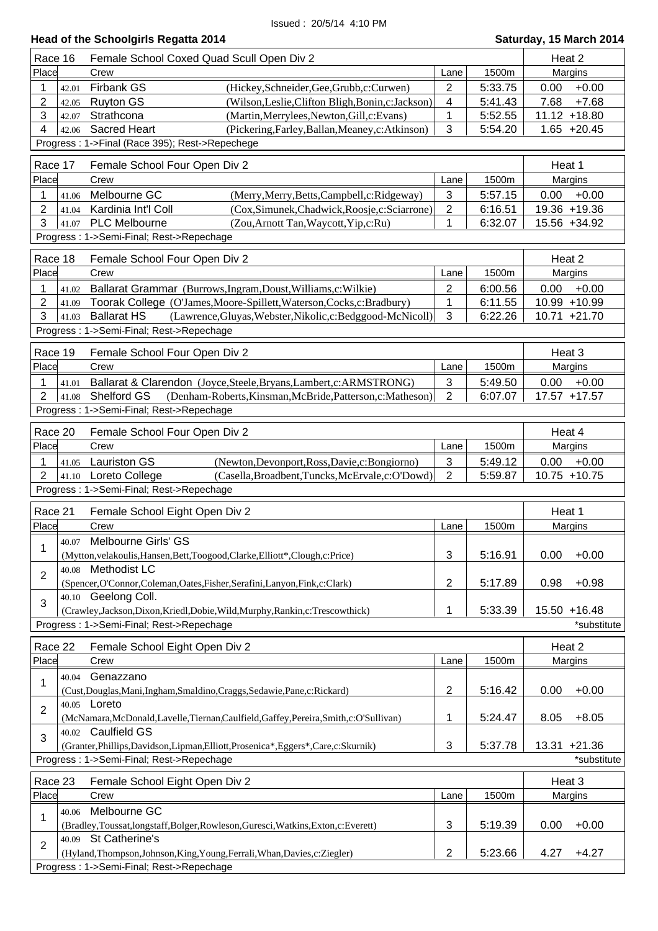| Head of the Schoolgirls Regatta 2014<br>Saturday, 15 March 2014 |                |                                                                                                                                              |                              |                    |                                    |  |
|-----------------------------------------------------------------|----------------|----------------------------------------------------------------------------------------------------------------------------------------------|------------------------------|--------------------|------------------------------------|--|
| Race 16                                                         |                | Female School Coxed Quad Scull Open Div 2                                                                                                    |                              |                    | Heat 2                             |  |
| Place                                                           |                | Crew                                                                                                                                         | Lane                         | 1500m              | Margins                            |  |
| 1                                                               | 42.01          | Firbank GS<br>(Hickey, Schneider, Gee, Grubb, c: Curwen)                                                                                     | $\overline{2}$               | 5:33.75            | 0.00<br>$+0.00$                    |  |
| $\overline{2}$                                                  | 42.05          | <b>Ruyton GS</b><br>(Wilson, Leslie, Clifton Bligh, Bonin, c: Jackson)                                                                       | 4                            | 5:41.43            | 7.68<br>$+7.68$                    |  |
| 3                                                               | 42.07          | Strathcona<br>(Martin, Merrylees, Newton, Gill, c: Evans)                                                                                    | 1                            | 5:52.55            | $11.12 + 18.80$                    |  |
| 4                                                               | 42.06          | <b>Sacred Heart</b><br>(Pickering, Farley, Ballan, Meaney, c: Atkinson)                                                                      | 3                            | 5:54.20            | $1.65 +20.45$                      |  |
|                                                                 |                | Progress: 1->Final (Race 395); Rest->Repechege                                                                                               |                              |                    |                                    |  |
| Race 17                                                         |                | Female School Four Open Div 2                                                                                                                |                              |                    | Heat 1                             |  |
| Place                                                           |                | Crew                                                                                                                                         | Lane                         | 1500m              | Margins                            |  |
| 1                                                               | 41.06          | Melbourne GC<br>(Merry, Merry, Betts, Campbell, c: Ridgeway)                                                                                 | $\mathbf{3}$                 | 5:57.15            | 0.00<br>$+0.00$                    |  |
| $\overline{2}$                                                  | 41.04          | Kardinia Int'l Coll<br>(Cox,Simunek,Chadwick,Roosje,c:Sciarrone)                                                                             | $\sqrt{2}$                   | 6:16.51            | 19.36 +19.36                       |  |
| 3                                                               | 41.07          | <b>PLC Melbourne</b><br>(Zou, Arnott Tan, Waycott, Yip, c: Ru)                                                                               | 1                            | 6:32.07            | 15.56 +34.92                       |  |
|                                                                 |                | Progress: 1->Semi-Final; Rest->Repechage                                                                                                     |                              |                    |                                    |  |
| Race 18                                                         |                | Female School Four Open Div 2                                                                                                                |                              |                    | Heat 2                             |  |
| Place                                                           |                | Crew                                                                                                                                         | Lane                         | 1500m              | Margins                            |  |
| 1                                                               | 41.02          | Ballarat Grammar (Burrows, Ingram, Doust, Williams, c: Wilkie)                                                                               | $\overline{2}$               | 6:00.56            | 0.00<br>$+0.00$                    |  |
| $\overline{2}$                                                  | 41.09          | Toorak College (O'James, Moore-Spillett, Waterson, Cocks, c: Bradbury)                                                                       | 1                            | 6:11.55            | 10.99 +10.99                       |  |
| 3                                                               | 41.03          | <b>Ballarat HS</b><br>(Lawrence, Gluyas, Webster, Nikolic, c: Bedggood-McNicoll)                                                             | 3                            | 6:22.26            | $10.71 + 21.70$                    |  |
|                                                                 |                | Progress: 1->Semi-Final; Rest->Repechage                                                                                                     |                              |                    |                                    |  |
| Race 19                                                         |                | Female School Four Open Div 2                                                                                                                |                              |                    | Heat 3                             |  |
| Place                                                           |                | Crew                                                                                                                                         | Lane                         | 1500m              | Margins                            |  |
| 1                                                               | 41.01          | Ballarat & Clarendon (Joyce, Steele, Bryans, Lambert, c: ARMSTRONG)                                                                          | $\sqrt{3}$                   | 5:49.50            | 0.00<br>$+0.00$                    |  |
| 2                                                               | 41.08          | Shelford GS<br>(Denham-Roberts, Kinsman, McBride, Patterson, c: Matheson)                                                                    | $\overline{2}$               | 6:07.07            | 17.57 +17.57                       |  |
|                                                                 |                | Progress: 1->Semi-Final; Rest->Repechage                                                                                                     |                              |                    |                                    |  |
|                                                                 |                |                                                                                                                                              |                              |                    |                                    |  |
| Race 20<br>Place                                                |                | Female School Four Open Div 2<br>Crew                                                                                                        |                              | 1500m              | Heat 4<br>Margins                  |  |
|                                                                 |                |                                                                                                                                              | Lane                         |                    |                                    |  |
| 1<br>2                                                          | 41.05<br>41.10 | <b>Lauriston GS</b><br>(Newton, Devonport, Ross, Davie, c: Bongiorno)<br>Loreto College<br>(Casella, Broadbent, Tuncks, McErvale, c: O'Dowd) | $\sqrt{3}$<br>$\overline{2}$ | 5:49.12<br>5:59.87 | $+0.00$<br>0.00<br>$10.75 + 10.75$ |  |
|                                                                 |                | Progress: 1->Semi-Final; Rest->Repechage                                                                                                     |                              |                    |                                    |  |
|                                                                 |                |                                                                                                                                              |                              |                    |                                    |  |
| Race 21                                                         |                | Female School Eight Open Div 2                                                                                                               |                              |                    | Heat 1                             |  |
| Place                                                           |                | Crew                                                                                                                                         | Lane                         | 1500m              | Margins                            |  |
| $\mathbf{1}$                                                    | 40.07          | Melbourne Girls' GS                                                                                                                          |                              |                    |                                    |  |
|                                                                 | 40.08          | (Mytton, velakoulis, Hansen, Bett, Toogood, Clarke, Elliott*, Clough, c: Price)<br>Methodist LC                                              | 3                            | 5:16.91            | 0.00<br>$+0.00$                    |  |
| $\overline{2}$                                                  |                | (Spencer, O'Connor, Coleman, Oates, Fisher, Serafini, Lanyon, Fink, c: Clark)                                                                | $\overline{2}$               | 5:17.89            | $+0.98$<br>0.98                    |  |
|                                                                 |                | 40.10 Geelong Coll.                                                                                                                          |                              |                    |                                    |  |
| 3                                                               |                | (Crawley,Jackson,Dixon,Kriedl,Dobie,Wild,Murphy,Rankin,c:Trescowthick)                                                                       | 1                            | 5:33.39            | 15.50 +16.48                       |  |
|                                                                 |                | Progress: 1->Semi-Final; Rest->Repechage                                                                                                     |                              |                    | *substitute                        |  |
|                                                                 |                |                                                                                                                                              |                              |                    |                                    |  |
| Race 22<br>Place                                                |                | Female School Eight Open Div 2<br>Crew                                                                                                       | Lane                         | 1500m              | Heat 2<br>Margins                  |  |
|                                                                 |                | Genazzano                                                                                                                                    |                              |                    |                                    |  |
| 1                                                               | 40.04          | (Cust, Douglas, Mani, Ingham, Smaldino, Craggs, Sedawie, Pane, c: Rickard)                                                                   | $\overline{2}$               | 5:16.42            | 0.00<br>$+0.00$                    |  |
|                                                                 |                | 40.05 Loreto                                                                                                                                 |                              |                    |                                    |  |
| 2                                                               |                | (McNamara, McDonald, Lavelle, Tiernan, Caulfield, Gaffey, Pereira, Smith, c: O'Sullivan)                                                     | 1                            | 5:24.47            | 8.05<br>$+8.05$                    |  |
|                                                                 |                | 40.02 Caulfield GS                                                                                                                           |                              |                    |                                    |  |
| 3                                                               |                | (Granter, Phillips, Davidson, Lipman, Elliott, Prosenica*, Eggers*, Care, c: Skurnik)                                                        | 3                            | 5:37.78            | 13.31 +21.36                       |  |
|                                                                 |                | Progress: 1->Semi-Final; Rest->Repechage                                                                                                     |                              |                    | *substitute                        |  |
| Race 23                                                         |                | Female School Eight Open Div 2                                                                                                               |                              |                    | Heat 3                             |  |
| Place                                                           |                | Crew                                                                                                                                         | Lane                         | 1500m              | Margins                            |  |
|                                                                 | 40.06          | Melbourne GC                                                                                                                                 |                              |                    |                                    |  |
| 1                                                               |                | (Bradley,Toussat,longstaff,Bolger,Rowleson,Guresci,Watkins,Exton,c:Everett)                                                                  | $\mathbf{3}$                 | 5:19.39            | 0.00<br>$+0.00$                    |  |
|                                                                 |                | 40.09 St Catherine's                                                                                                                         |                              |                    |                                    |  |
| $\overline{2}$                                                  |                | (Hyland, Thompson, Johnson, King, Young, Ferrali, Whan, Davies, c: Ziegler)                                                                  | $\overline{2}$               | 5:23.66            | 4.27<br>$+4.27$                    |  |
|                                                                 |                | Progress: 1->Semi-Final; Rest->Repechage                                                                                                     |                              |                    |                                    |  |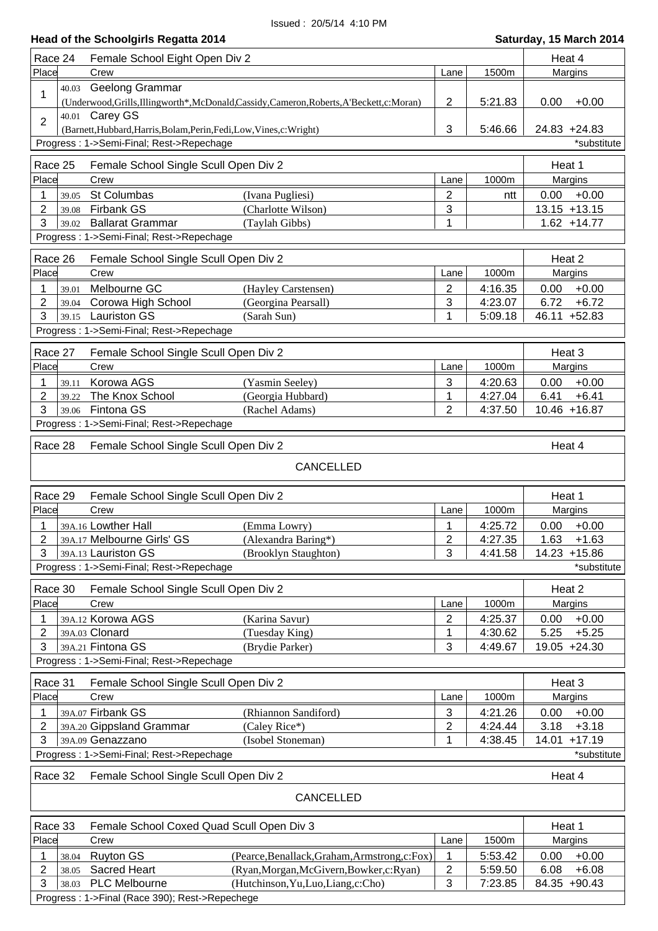| Place<br>1500m<br>Crew<br>Margins<br>Lane<br>Geelong Grammar<br>40.03<br>1<br>5:21.83<br>$+0.00$<br>(Underwood, Grills, Illingworth*, McDonald, Cassidy, Cameron, Roberts, A'Beckett, c: Moran)<br>2<br>0.00<br>40.01 Carey GS<br>$\overline{2}$<br>3<br>5:46.66<br>24.83 +24.83<br>(Barnett, Hubbard, Harris, Bolam, Perin, Fedi, Low, Vines, c: Wright)<br>Progress: 1->Semi-Final; Rest->Repechage<br>*substitute<br>Race 25<br>Female School Single Scull Open Div 2<br>Heat 1<br>Place<br>1000m<br>Margins<br>Crew<br>Lane<br>St Columbas<br>$+0.00$<br>1<br>2<br>0.00<br>(Ivana Pugliesi)<br>39.05<br>ntt<br>$\overline{2}$<br>Firbank GS<br>3<br>$13.15 + 13.15$<br>(Charlotte Wilson)<br>39.08<br>3<br><b>Ballarat Grammar</b><br>$1.62 + 14.77$<br>(Taylah Gibbs)<br>1<br>39.02<br>Progress: 1->Semi-Final; Rest->Repechage<br>Race 26<br>Female School Single Scull Open Div 2<br>Heat 2<br>Place<br>1000m<br>Margins<br>Crew<br>Lane<br>Melbourne GC<br>$\overline{2}$<br>4:16.35<br>$+0.00$<br>(Hayley Carstensen)<br>0.00<br>1<br>39.01<br>$\overline{2}$<br>Corowa High School<br>$+6.72$<br>(Georgina Pearsall)<br>3<br>4:23.07<br>6.72<br>39.04<br>3<br>39.15 Lauriston GS<br>46.11 +52.83<br>1<br>5:09.18<br>(Sarah Sun)<br>Progress: 1->Semi-Final; Rest->Repechage<br>Heat 3<br>Race 27<br>Female School Single Scull Open Div 2<br>Place<br>Crew<br>1000m<br>Margins<br>Lane<br>Korowa AGS<br>3<br>4:20.63<br>0.00<br>$+0.00$<br>1<br>(Yasmin Seeley)<br>39.11<br>$\overline{2}$<br>The Knox School<br>4:27.04<br>6.41<br>$+6.41$<br>(Georgia Hubbard)<br>1<br>39.22<br>3<br>Fintona GS<br>$\overline{2}$<br>4:37.50<br>10.46 +16.87<br>(Rachel Adams)<br>39.06<br>Progress: 1->Semi-Final; Rest->Repechage<br>Race 28<br>Heat 4<br>Female School Single Scull Open Div 2<br>CANCELLED<br>Race 29<br>Female School Single Scull Open Div 2<br>Heat 1<br>Place<br>1000m<br>Crew<br>Lane<br>Margins<br>39A.16 Lowther Hall<br>4:25.72<br>$+0.00$<br>1<br>(Emma Lowry)<br>0.00<br>1<br>2<br>2<br>4:27.35<br>39A.17 Melbourne Girls' GS<br>1.63<br>$+1.63$<br>(Alexandra Baring*)<br>3<br>3<br>39A.13 Lauriston GS<br>(Brooklyn Staughton)<br>4:41.58<br>14.23 +15.86<br>Progress: 1->Semi-Final; Rest->Repechage<br>*substitute<br>Race 30<br>Female School Single Scull Open Div 2<br>Heat 2<br>Place<br>Crew<br>1000m<br>Lane<br>Margins<br>39A.12 Korowa AGS<br>2<br>4:25.37<br>$+0.00$<br>1<br>(Karina Savur)<br>0.00<br>39A.03 Clonard<br>4:30.62<br>5.25<br>$+5.25$<br>2<br>(Tuesday King)<br>1<br>3<br>39A.21 Fintona GS<br>3<br>4:49.67<br>19.05 +24.30<br>(Brydie Parker)<br>Progress: 1->Semi-Final; Rest->Repechage<br>Race 31<br>Female School Single Scull Open Div 2<br>Heat 3<br>Place<br>Crew<br>1000m<br>Margins<br>Lane<br>39A.07 Firbank GS<br>4:21.26<br>1<br>(Rhiannon Sandiford)<br>3<br>$+0.00$<br>0.00<br>39A.20 Gippsland Grammar<br>(Caley Rice*)<br>2<br>4:24.44<br>3.18<br>$+3.18$<br>2<br>39A.09 Genazzano<br>(Isobel Stoneman)<br>4:38.45<br>14.01<br>$+17.19$<br>3<br>1<br>Progress: 1->Semi-Final; Rest->Repechage<br>*substitute<br>Race 32<br>Female School Single Scull Open Div 2<br>Heat 4<br>CANCELLED<br>Female School Coxed Quad Scull Open Div 3<br>Race 33<br>Heat 1<br>Place<br>1500m<br>Crew<br>Margins<br>Lane<br><b>Ruyton GS</b><br>$+0.00$<br>(Pearce, Benallack, Graham, Armstrong, c: Fox)<br>5:53.42<br>0.00<br>1<br>38.04<br>1<br><b>Sacred Heart</b><br>$+6.08$<br>2<br>$\overline{\mathbf{c}}$<br>6.08<br>(Ryan, Morgan, McGivern, Bowker, c: Ryan)<br>5:59.50<br>38.05<br>3<br>PLC Melbourne<br>3<br>7:23.85<br>84.35 +90.43<br>(Hutchinson, Yu, Luo, Liang, c: Cho)<br>38.03<br>Progress: 1->Final (Race 390); Rest->Repechege | Race 24 | Female School Eight Open Div 2 |  | Heat 4 |  |
|---------------------------------------------------------------------------------------------------------------------------------------------------------------------------------------------------------------------------------------------------------------------------------------------------------------------------------------------------------------------------------------------------------------------------------------------------------------------------------------------------------------------------------------------------------------------------------------------------------------------------------------------------------------------------------------------------------------------------------------------------------------------------------------------------------------------------------------------------------------------------------------------------------------------------------------------------------------------------------------------------------------------------------------------------------------------------------------------------------------------------------------------------------------------------------------------------------------------------------------------------------------------------------------------------------------------------------------------------------------------------------------------------------------------------------------------------------------------------------------------------------------------------------------------------------------------------------------------------------------------------------------------------------------------------------------------------------------------------------------------------------------------------------------------------------------------------------------------------------------------------------------------------------------------------------------------------------------------------------------------------------------------------------------------------------------------------------------------------------------------------------------------------------------------------------------------------------------------------------------------------------------------------------------------------------------------------------------------------------------------------------------------------------------------------------------------------------------------------------------------------------------------------------------------------------------------------------------------------------------------------------------------------------------------------------------------------------------------------------------------------------------------------------------------------------------------------------------------------------------------------------------------------------------------------------------------------------------------------------------------------------------------------------------------------------------------------------------------------------------------------------------------------------------------------------------------------------------------------------------------------------------------------------------------------------------------------------------------------------------------------------------------------------------------------------------------------------------------------------------------------------------------------------------------------------------------------------------------------------------------------------------------------------------------------------------------------------|---------|--------------------------------|--|--------|--|
|                                                                                                                                                                                                                                                                                                                                                                                                                                                                                                                                                                                                                                                                                                                                                                                                                                                                                                                                                                                                                                                                                                                                                                                                                                                                                                                                                                                                                                                                                                                                                                                                                                                                                                                                                                                                                                                                                                                                                                                                                                                                                                                                                                                                                                                                                                                                                                                                                                                                                                                                                                                                                                                                                                                                                                                                                                                                                                                                                                                                                                                                                                                                                                                                                                                                                                                                                                                                                                                                                                                                                                                                                                                                                                         |         |                                |  |        |  |
|                                                                                                                                                                                                                                                                                                                                                                                                                                                                                                                                                                                                                                                                                                                                                                                                                                                                                                                                                                                                                                                                                                                                                                                                                                                                                                                                                                                                                                                                                                                                                                                                                                                                                                                                                                                                                                                                                                                                                                                                                                                                                                                                                                                                                                                                                                                                                                                                                                                                                                                                                                                                                                                                                                                                                                                                                                                                                                                                                                                                                                                                                                                                                                                                                                                                                                                                                                                                                                                                                                                                                                                                                                                                                                         |         |                                |  |        |  |
|                                                                                                                                                                                                                                                                                                                                                                                                                                                                                                                                                                                                                                                                                                                                                                                                                                                                                                                                                                                                                                                                                                                                                                                                                                                                                                                                                                                                                                                                                                                                                                                                                                                                                                                                                                                                                                                                                                                                                                                                                                                                                                                                                                                                                                                                                                                                                                                                                                                                                                                                                                                                                                                                                                                                                                                                                                                                                                                                                                                                                                                                                                                                                                                                                                                                                                                                                                                                                                                                                                                                                                                                                                                                                                         |         |                                |  |        |  |
|                                                                                                                                                                                                                                                                                                                                                                                                                                                                                                                                                                                                                                                                                                                                                                                                                                                                                                                                                                                                                                                                                                                                                                                                                                                                                                                                                                                                                                                                                                                                                                                                                                                                                                                                                                                                                                                                                                                                                                                                                                                                                                                                                                                                                                                                                                                                                                                                                                                                                                                                                                                                                                                                                                                                                                                                                                                                                                                                                                                                                                                                                                                                                                                                                                                                                                                                                                                                                                                                                                                                                                                                                                                                                                         |         |                                |  |        |  |
|                                                                                                                                                                                                                                                                                                                                                                                                                                                                                                                                                                                                                                                                                                                                                                                                                                                                                                                                                                                                                                                                                                                                                                                                                                                                                                                                                                                                                                                                                                                                                                                                                                                                                                                                                                                                                                                                                                                                                                                                                                                                                                                                                                                                                                                                                                                                                                                                                                                                                                                                                                                                                                                                                                                                                                                                                                                                                                                                                                                                                                                                                                                                                                                                                                                                                                                                                                                                                                                                                                                                                                                                                                                                                                         |         |                                |  |        |  |
|                                                                                                                                                                                                                                                                                                                                                                                                                                                                                                                                                                                                                                                                                                                                                                                                                                                                                                                                                                                                                                                                                                                                                                                                                                                                                                                                                                                                                                                                                                                                                                                                                                                                                                                                                                                                                                                                                                                                                                                                                                                                                                                                                                                                                                                                                                                                                                                                                                                                                                                                                                                                                                                                                                                                                                                                                                                                                                                                                                                                                                                                                                                                                                                                                                                                                                                                                                                                                                                                                                                                                                                                                                                                                                         |         |                                |  |        |  |
|                                                                                                                                                                                                                                                                                                                                                                                                                                                                                                                                                                                                                                                                                                                                                                                                                                                                                                                                                                                                                                                                                                                                                                                                                                                                                                                                                                                                                                                                                                                                                                                                                                                                                                                                                                                                                                                                                                                                                                                                                                                                                                                                                                                                                                                                                                                                                                                                                                                                                                                                                                                                                                                                                                                                                                                                                                                                                                                                                                                                                                                                                                                                                                                                                                                                                                                                                                                                                                                                                                                                                                                                                                                                                                         |         |                                |  |        |  |
|                                                                                                                                                                                                                                                                                                                                                                                                                                                                                                                                                                                                                                                                                                                                                                                                                                                                                                                                                                                                                                                                                                                                                                                                                                                                                                                                                                                                                                                                                                                                                                                                                                                                                                                                                                                                                                                                                                                                                                                                                                                                                                                                                                                                                                                                                                                                                                                                                                                                                                                                                                                                                                                                                                                                                                                                                                                                                                                                                                                                                                                                                                                                                                                                                                                                                                                                                                                                                                                                                                                                                                                                                                                                                                         |         |                                |  |        |  |
|                                                                                                                                                                                                                                                                                                                                                                                                                                                                                                                                                                                                                                                                                                                                                                                                                                                                                                                                                                                                                                                                                                                                                                                                                                                                                                                                                                                                                                                                                                                                                                                                                                                                                                                                                                                                                                                                                                                                                                                                                                                                                                                                                                                                                                                                                                                                                                                                                                                                                                                                                                                                                                                                                                                                                                                                                                                                                                                                                                                                                                                                                                                                                                                                                                                                                                                                                                                                                                                                                                                                                                                                                                                                                                         |         |                                |  |        |  |
|                                                                                                                                                                                                                                                                                                                                                                                                                                                                                                                                                                                                                                                                                                                                                                                                                                                                                                                                                                                                                                                                                                                                                                                                                                                                                                                                                                                                                                                                                                                                                                                                                                                                                                                                                                                                                                                                                                                                                                                                                                                                                                                                                                                                                                                                                                                                                                                                                                                                                                                                                                                                                                                                                                                                                                                                                                                                                                                                                                                                                                                                                                                                                                                                                                                                                                                                                                                                                                                                                                                                                                                                                                                                                                         |         |                                |  |        |  |
|                                                                                                                                                                                                                                                                                                                                                                                                                                                                                                                                                                                                                                                                                                                                                                                                                                                                                                                                                                                                                                                                                                                                                                                                                                                                                                                                                                                                                                                                                                                                                                                                                                                                                                                                                                                                                                                                                                                                                                                                                                                                                                                                                                                                                                                                                                                                                                                                                                                                                                                                                                                                                                                                                                                                                                                                                                                                                                                                                                                                                                                                                                                                                                                                                                                                                                                                                                                                                                                                                                                                                                                                                                                                                                         |         |                                |  |        |  |
|                                                                                                                                                                                                                                                                                                                                                                                                                                                                                                                                                                                                                                                                                                                                                                                                                                                                                                                                                                                                                                                                                                                                                                                                                                                                                                                                                                                                                                                                                                                                                                                                                                                                                                                                                                                                                                                                                                                                                                                                                                                                                                                                                                                                                                                                                                                                                                                                                                                                                                                                                                                                                                                                                                                                                                                                                                                                                                                                                                                                                                                                                                                                                                                                                                                                                                                                                                                                                                                                                                                                                                                                                                                                                                         |         |                                |  |        |  |
|                                                                                                                                                                                                                                                                                                                                                                                                                                                                                                                                                                                                                                                                                                                                                                                                                                                                                                                                                                                                                                                                                                                                                                                                                                                                                                                                                                                                                                                                                                                                                                                                                                                                                                                                                                                                                                                                                                                                                                                                                                                                                                                                                                                                                                                                                                                                                                                                                                                                                                                                                                                                                                                                                                                                                                                                                                                                                                                                                                                                                                                                                                                                                                                                                                                                                                                                                                                                                                                                                                                                                                                                                                                                                                         |         |                                |  |        |  |
|                                                                                                                                                                                                                                                                                                                                                                                                                                                                                                                                                                                                                                                                                                                                                                                                                                                                                                                                                                                                                                                                                                                                                                                                                                                                                                                                                                                                                                                                                                                                                                                                                                                                                                                                                                                                                                                                                                                                                                                                                                                                                                                                                                                                                                                                                                                                                                                                                                                                                                                                                                                                                                                                                                                                                                                                                                                                                                                                                                                                                                                                                                                                                                                                                                                                                                                                                                                                                                                                                                                                                                                                                                                                                                         |         |                                |  |        |  |
|                                                                                                                                                                                                                                                                                                                                                                                                                                                                                                                                                                                                                                                                                                                                                                                                                                                                                                                                                                                                                                                                                                                                                                                                                                                                                                                                                                                                                                                                                                                                                                                                                                                                                                                                                                                                                                                                                                                                                                                                                                                                                                                                                                                                                                                                                                                                                                                                                                                                                                                                                                                                                                                                                                                                                                                                                                                                                                                                                                                                                                                                                                                                                                                                                                                                                                                                                                                                                                                                                                                                                                                                                                                                                                         |         |                                |  |        |  |
|                                                                                                                                                                                                                                                                                                                                                                                                                                                                                                                                                                                                                                                                                                                                                                                                                                                                                                                                                                                                                                                                                                                                                                                                                                                                                                                                                                                                                                                                                                                                                                                                                                                                                                                                                                                                                                                                                                                                                                                                                                                                                                                                                                                                                                                                                                                                                                                                                                                                                                                                                                                                                                                                                                                                                                                                                                                                                                                                                                                                                                                                                                                                                                                                                                                                                                                                                                                                                                                                                                                                                                                                                                                                                                         |         |                                |  |        |  |
|                                                                                                                                                                                                                                                                                                                                                                                                                                                                                                                                                                                                                                                                                                                                                                                                                                                                                                                                                                                                                                                                                                                                                                                                                                                                                                                                                                                                                                                                                                                                                                                                                                                                                                                                                                                                                                                                                                                                                                                                                                                                                                                                                                                                                                                                                                                                                                                                                                                                                                                                                                                                                                                                                                                                                                                                                                                                                                                                                                                                                                                                                                                                                                                                                                                                                                                                                                                                                                                                                                                                                                                                                                                                                                         |         |                                |  |        |  |
|                                                                                                                                                                                                                                                                                                                                                                                                                                                                                                                                                                                                                                                                                                                                                                                                                                                                                                                                                                                                                                                                                                                                                                                                                                                                                                                                                                                                                                                                                                                                                                                                                                                                                                                                                                                                                                                                                                                                                                                                                                                                                                                                                                                                                                                                                                                                                                                                                                                                                                                                                                                                                                                                                                                                                                                                                                                                                                                                                                                                                                                                                                                                                                                                                                                                                                                                                                                                                                                                                                                                                                                                                                                                                                         |         |                                |  |        |  |
|                                                                                                                                                                                                                                                                                                                                                                                                                                                                                                                                                                                                                                                                                                                                                                                                                                                                                                                                                                                                                                                                                                                                                                                                                                                                                                                                                                                                                                                                                                                                                                                                                                                                                                                                                                                                                                                                                                                                                                                                                                                                                                                                                                                                                                                                                                                                                                                                                                                                                                                                                                                                                                                                                                                                                                                                                                                                                                                                                                                                                                                                                                                                                                                                                                                                                                                                                                                                                                                                                                                                                                                                                                                                                                         |         |                                |  |        |  |
|                                                                                                                                                                                                                                                                                                                                                                                                                                                                                                                                                                                                                                                                                                                                                                                                                                                                                                                                                                                                                                                                                                                                                                                                                                                                                                                                                                                                                                                                                                                                                                                                                                                                                                                                                                                                                                                                                                                                                                                                                                                                                                                                                                                                                                                                                                                                                                                                                                                                                                                                                                                                                                                                                                                                                                                                                                                                                                                                                                                                                                                                                                                                                                                                                                                                                                                                                                                                                                                                                                                                                                                                                                                                                                         |         |                                |  |        |  |
|                                                                                                                                                                                                                                                                                                                                                                                                                                                                                                                                                                                                                                                                                                                                                                                                                                                                                                                                                                                                                                                                                                                                                                                                                                                                                                                                                                                                                                                                                                                                                                                                                                                                                                                                                                                                                                                                                                                                                                                                                                                                                                                                                                                                                                                                                                                                                                                                                                                                                                                                                                                                                                                                                                                                                                                                                                                                                                                                                                                                                                                                                                                                                                                                                                                                                                                                                                                                                                                                                                                                                                                                                                                                                                         |         |                                |  |        |  |
|                                                                                                                                                                                                                                                                                                                                                                                                                                                                                                                                                                                                                                                                                                                                                                                                                                                                                                                                                                                                                                                                                                                                                                                                                                                                                                                                                                                                                                                                                                                                                                                                                                                                                                                                                                                                                                                                                                                                                                                                                                                                                                                                                                                                                                                                                                                                                                                                                                                                                                                                                                                                                                                                                                                                                                                                                                                                                                                                                                                                                                                                                                                                                                                                                                                                                                                                                                                                                                                                                                                                                                                                                                                                                                         |         |                                |  |        |  |
|                                                                                                                                                                                                                                                                                                                                                                                                                                                                                                                                                                                                                                                                                                                                                                                                                                                                                                                                                                                                                                                                                                                                                                                                                                                                                                                                                                                                                                                                                                                                                                                                                                                                                                                                                                                                                                                                                                                                                                                                                                                                                                                                                                                                                                                                                                                                                                                                                                                                                                                                                                                                                                                                                                                                                                                                                                                                                                                                                                                                                                                                                                                                                                                                                                                                                                                                                                                                                                                                                                                                                                                                                                                                                                         |         |                                |  |        |  |
|                                                                                                                                                                                                                                                                                                                                                                                                                                                                                                                                                                                                                                                                                                                                                                                                                                                                                                                                                                                                                                                                                                                                                                                                                                                                                                                                                                                                                                                                                                                                                                                                                                                                                                                                                                                                                                                                                                                                                                                                                                                                                                                                                                                                                                                                                                                                                                                                                                                                                                                                                                                                                                                                                                                                                                                                                                                                                                                                                                                                                                                                                                                                                                                                                                                                                                                                                                                                                                                                                                                                                                                                                                                                                                         |         |                                |  |        |  |
|                                                                                                                                                                                                                                                                                                                                                                                                                                                                                                                                                                                                                                                                                                                                                                                                                                                                                                                                                                                                                                                                                                                                                                                                                                                                                                                                                                                                                                                                                                                                                                                                                                                                                                                                                                                                                                                                                                                                                                                                                                                                                                                                                                                                                                                                                                                                                                                                                                                                                                                                                                                                                                                                                                                                                                                                                                                                                                                                                                                                                                                                                                                                                                                                                                                                                                                                                                                                                                                                                                                                                                                                                                                                                                         |         |                                |  |        |  |
|                                                                                                                                                                                                                                                                                                                                                                                                                                                                                                                                                                                                                                                                                                                                                                                                                                                                                                                                                                                                                                                                                                                                                                                                                                                                                                                                                                                                                                                                                                                                                                                                                                                                                                                                                                                                                                                                                                                                                                                                                                                                                                                                                                                                                                                                                                                                                                                                                                                                                                                                                                                                                                                                                                                                                                                                                                                                                                                                                                                                                                                                                                                                                                                                                                                                                                                                                                                                                                                                                                                                                                                                                                                                                                         |         |                                |  |        |  |
|                                                                                                                                                                                                                                                                                                                                                                                                                                                                                                                                                                                                                                                                                                                                                                                                                                                                                                                                                                                                                                                                                                                                                                                                                                                                                                                                                                                                                                                                                                                                                                                                                                                                                                                                                                                                                                                                                                                                                                                                                                                                                                                                                                                                                                                                                                                                                                                                                                                                                                                                                                                                                                                                                                                                                                                                                                                                                                                                                                                                                                                                                                                                                                                                                                                                                                                                                                                                                                                                                                                                                                                                                                                                                                         |         |                                |  |        |  |
|                                                                                                                                                                                                                                                                                                                                                                                                                                                                                                                                                                                                                                                                                                                                                                                                                                                                                                                                                                                                                                                                                                                                                                                                                                                                                                                                                                                                                                                                                                                                                                                                                                                                                                                                                                                                                                                                                                                                                                                                                                                                                                                                                                                                                                                                                                                                                                                                                                                                                                                                                                                                                                                                                                                                                                                                                                                                                                                                                                                                                                                                                                                                                                                                                                                                                                                                                                                                                                                                                                                                                                                                                                                                                                         |         |                                |  |        |  |
|                                                                                                                                                                                                                                                                                                                                                                                                                                                                                                                                                                                                                                                                                                                                                                                                                                                                                                                                                                                                                                                                                                                                                                                                                                                                                                                                                                                                                                                                                                                                                                                                                                                                                                                                                                                                                                                                                                                                                                                                                                                                                                                                                                                                                                                                                                                                                                                                                                                                                                                                                                                                                                                                                                                                                                                                                                                                                                                                                                                                                                                                                                                                                                                                                                                                                                                                                                                                                                                                                                                                                                                                                                                                                                         |         |                                |  |        |  |
|                                                                                                                                                                                                                                                                                                                                                                                                                                                                                                                                                                                                                                                                                                                                                                                                                                                                                                                                                                                                                                                                                                                                                                                                                                                                                                                                                                                                                                                                                                                                                                                                                                                                                                                                                                                                                                                                                                                                                                                                                                                                                                                                                                                                                                                                                                                                                                                                                                                                                                                                                                                                                                                                                                                                                                                                                                                                                                                                                                                                                                                                                                                                                                                                                                                                                                                                                                                                                                                                                                                                                                                                                                                                                                         |         |                                |  |        |  |
|                                                                                                                                                                                                                                                                                                                                                                                                                                                                                                                                                                                                                                                                                                                                                                                                                                                                                                                                                                                                                                                                                                                                                                                                                                                                                                                                                                                                                                                                                                                                                                                                                                                                                                                                                                                                                                                                                                                                                                                                                                                                                                                                                                                                                                                                                                                                                                                                                                                                                                                                                                                                                                                                                                                                                                                                                                                                                                                                                                                                                                                                                                                                                                                                                                                                                                                                                                                                                                                                                                                                                                                                                                                                                                         |         |                                |  |        |  |
|                                                                                                                                                                                                                                                                                                                                                                                                                                                                                                                                                                                                                                                                                                                                                                                                                                                                                                                                                                                                                                                                                                                                                                                                                                                                                                                                                                                                                                                                                                                                                                                                                                                                                                                                                                                                                                                                                                                                                                                                                                                                                                                                                                                                                                                                                                                                                                                                                                                                                                                                                                                                                                                                                                                                                                                                                                                                                                                                                                                                                                                                                                                                                                                                                                                                                                                                                                                                                                                                                                                                                                                                                                                                                                         |         |                                |  |        |  |
|                                                                                                                                                                                                                                                                                                                                                                                                                                                                                                                                                                                                                                                                                                                                                                                                                                                                                                                                                                                                                                                                                                                                                                                                                                                                                                                                                                                                                                                                                                                                                                                                                                                                                                                                                                                                                                                                                                                                                                                                                                                                                                                                                                                                                                                                                                                                                                                                                                                                                                                                                                                                                                                                                                                                                                                                                                                                                                                                                                                                                                                                                                                                                                                                                                                                                                                                                                                                                                                                                                                                                                                                                                                                                                         |         |                                |  |        |  |
|                                                                                                                                                                                                                                                                                                                                                                                                                                                                                                                                                                                                                                                                                                                                                                                                                                                                                                                                                                                                                                                                                                                                                                                                                                                                                                                                                                                                                                                                                                                                                                                                                                                                                                                                                                                                                                                                                                                                                                                                                                                                                                                                                                                                                                                                                                                                                                                                                                                                                                                                                                                                                                                                                                                                                                                                                                                                                                                                                                                                                                                                                                                                                                                                                                                                                                                                                                                                                                                                                                                                                                                                                                                                                                         |         |                                |  |        |  |
|                                                                                                                                                                                                                                                                                                                                                                                                                                                                                                                                                                                                                                                                                                                                                                                                                                                                                                                                                                                                                                                                                                                                                                                                                                                                                                                                                                                                                                                                                                                                                                                                                                                                                                                                                                                                                                                                                                                                                                                                                                                                                                                                                                                                                                                                                                                                                                                                                                                                                                                                                                                                                                                                                                                                                                                                                                                                                                                                                                                                                                                                                                                                                                                                                                                                                                                                                                                                                                                                                                                                                                                                                                                                                                         |         |                                |  |        |  |
|                                                                                                                                                                                                                                                                                                                                                                                                                                                                                                                                                                                                                                                                                                                                                                                                                                                                                                                                                                                                                                                                                                                                                                                                                                                                                                                                                                                                                                                                                                                                                                                                                                                                                                                                                                                                                                                                                                                                                                                                                                                                                                                                                                                                                                                                                                                                                                                                                                                                                                                                                                                                                                                                                                                                                                                                                                                                                                                                                                                                                                                                                                                                                                                                                                                                                                                                                                                                                                                                                                                                                                                                                                                                                                         |         |                                |  |        |  |
|                                                                                                                                                                                                                                                                                                                                                                                                                                                                                                                                                                                                                                                                                                                                                                                                                                                                                                                                                                                                                                                                                                                                                                                                                                                                                                                                                                                                                                                                                                                                                                                                                                                                                                                                                                                                                                                                                                                                                                                                                                                                                                                                                                                                                                                                                                                                                                                                                                                                                                                                                                                                                                                                                                                                                                                                                                                                                                                                                                                                                                                                                                                                                                                                                                                                                                                                                                                                                                                                                                                                                                                                                                                                                                         |         |                                |  |        |  |
|                                                                                                                                                                                                                                                                                                                                                                                                                                                                                                                                                                                                                                                                                                                                                                                                                                                                                                                                                                                                                                                                                                                                                                                                                                                                                                                                                                                                                                                                                                                                                                                                                                                                                                                                                                                                                                                                                                                                                                                                                                                                                                                                                                                                                                                                                                                                                                                                                                                                                                                                                                                                                                                                                                                                                                                                                                                                                                                                                                                                                                                                                                                                                                                                                                                                                                                                                                                                                                                                                                                                                                                                                                                                                                         |         |                                |  |        |  |
|                                                                                                                                                                                                                                                                                                                                                                                                                                                                                                                                                                                                                                                                                                                                                                                                                                                                                                                                                                                                                                                                                                                                                                                                                                                                                                                                                                                                                                                                                                                                                                                                                                                                                                                                                                                                                                                                                                                                                                                                                                                                                                                                                                                                                                                                                                                                                                                                                                                                                                                                                                                                                                                                                                                                                                                                                                                                                                                                                                                                                                                                                                                                                                                                                                                                                                                                                                                                                                                                                                                                                                                                                                                                                                         |         |                                |  |        |  |
|                                                                                                                                                                                                                                                                                                                                                                                                                                                                                                                                                                                                                                                                                                                                                                                                                                                                                                                                                                                                                                                                                                                                                                                                                                                                                                                                                                                                                                                                                                                                                                                                                                                                                                                                                                                                                                                                                                                                                                                                                                                                                                                                                                                                                                                                                                                                                                                                                                                                                                                                                                                                                                                                                                                                                                                                                                                                                                                                                                                                                                                                                                                                                                                                                                                                                                                                                                                                                                                                                                                                                                                                                                                                                                         |         |                                |  |        |  |
|                                                                                                                                                                                                                                                                                                                                                                                                                                                                                                                                                                                                                                                                                                                                                                                                                                                                                                                                                                                                                                                                                                                                                                                                                                                                                                                                                                                                                                                                                                                                                                                                                                                                                                                                                                                                                                                                                                                                                                                                                                                                                                                                                                                                                                                                                                                                                                                                                                                                                                                                                                                                                                                                                                                                                                                                                                                                                                                                                                                                                                                                                                                                                                                                                                                                                                                                                                                                                                                                                                                                                                                                                                                                                                         |         |                                |  |        |  |
|                                                                                                                                                                                                                                                                                                                                                                                                                                                                                                                                                                                                                                                                                                                                                                                                                                                                                                                                                                                                                                                                                                                                                                                                                                                                                                                                                                                                                                                                                                                                                                                                                                                                                                                                                                                                                                                                                                                                                                                                                                                                                                                                                                                                                                                                                                                                                                                                                                                                                                                                                                                                                                                                                                                                                                                                                                                                                                                                                                                                                                                                                                                                                                                                                                                                                                                                                                                                                                                                                                                                                                                                                                                                                                         |         |                                |  |        |  |
|                                                                                                                                                                                                                                                                                                                                                                                                                                                                                                                                                                                                                                                                                                                                                                                                                                                                                                                                                                                                                                                                                                                                                                                                                                                                                                                                                                                                                                                                                                                                                                                                                                                                                                                                                                                                                                                                                                                                                                                                                                                                                                                                                                                                                                                                                                                                                                                                                                                                                                                                                                                                                                                                                                                                                                                                                                                                                                                                                                                                                                                                                                                                                                                                                                                                                                                                                                                                                                                                                                                                                                                                                                                                                                         |         |                                |  |        |  |
|                                                                                                                                                                                                                                                                                                                                                                                                                                                                                                                                                                                                                                                                                                                                                                                                                                                                                                                                                                                                                                                                                                                                                                                                                                                                                                                                                                                                                                                                                                                                                                                                                                                                                                                                                                                                                                                                                                                                                                                                                                                                                                                                                                                                                                                                                                                                                                                                                                                                                                                                                                                                                                                                                                                                                                                                                                                                                                                                                                                                                                                                                                                                                                                                                                                                                                                                                                                                                                                                                                                                                                                                                                                                                                         |         |                                |  |        |  |
|                                                                                                                                                                                                                                                                                                                                                                                                                                                                                                                                                                                                                                                                                                                                                                                                                                                                                                                                                                                                                                                                                                                                                                                                                                                                                                                                                                                                                                                                                                                                                                                                                                                                                                                                                                                                                                                                                                                                                                                                                                                                                                                                                                                                                                                                                                                                                                                                                                                                                                                                                                                                                                                                                                                                                                                                                                                                                                                                                                                                                                                                                                                                                                                                                                                                                                                                                                                                                                                                                                                                                                                                                                                                                                         |         |                                |  |        |  |
|                                                                                                                                                                                                                                                                                                                                                                                                                                                                                                                                                                                                                                                                                                                                                                                                                                                                                                                                                                                                                                                                                                                                                                                                                                                                                                                                                                                                                                                                                                                                                                                                                                                                                                                                                                                                                                                                                                                                                                                                                                                                                                                                                                                                                                                                                                                                                                                                                                                                                                                                                                                                                                                                                                                                                                                                                                                                                                                                                                                                                                                                                                                                                                                                                                                                                                                                                                                                                                                                                                                                                                                                                                                                                                         |         |                                |  |        |  |
|                                                                                                                                                                                                                                                                                                                                                                                                                                                                                                                                                                                                                                                                                                                                                                                                                                                                                                                                                                                                                                                                                                                                                                                                                                                                                                                                                                                                                                                                                                                                                                                                                                                                                                                                                                                                                                                                                                                                                                                                                                                                                                                                                                                                                                                                                                                                                                                                                                                                                                                                                                                                                                                                                                                                                                                                                                                                                                                                                                                                                                                                                                                                                                                                                                                                                                                                                                                                                                                                                                                                                                                                                                                                                                         |         |                                |  |        |  |
|                                                                                                                                                                                                                                                                                                                                                                                                                                                                                                                                                                                                                                                                                                                                                                                                                                                                                                                                                                                                                                                                                                                                                                                                                                                                                                                                                                                                                                                                                                                                                                                                                                                                                                                                                                                                                                                                                                                                                                                                                                                                                                                                                                                                                                                                                                                                                                                                                                                                                                                                                                                                                                                                                                                                                                                                                                                                                                                                                                                                                                                                                                                                                                                                                                                                                                                                                                                                                                                                                                                                                                                                                                                                                                         |         |                                |  |        |  |
|                                                                                                                                                                                                                                                                                                                                                                                                                                                                                                                                                                                                                                                                                                                                                                                                                                                                                                                                                                                                                                                                                                                                                                                                                                                                                                                                                                                                                                                                                                                                                                                                                                                                                                                                                                                                                                                                                                                                                                                                                                                                                                                                                                                                                                                                                                                                                                                                                                                                                                                                                                                                                                                                                                                                                                                                                                                                                                                                                                                                                                                                                                                                                                                                                                                                                                                                                                                                                                                                                                                                                                                                                                                                                                         |         |                                |  |        |  |
|                                                                                                                                                                                                                                                                                                                                                                                                                                                                                                                                                                                                                                                                                                                                                                                                                                                                                                                                                                                                                                                                                                                                                                                                                                                                                                                                                                                                                                                                                                                                                                                                                                                                                                                                                                                                                                                                                                                                                                                                                                                                                                                                                                                                                                                                                                                                                                                                                                                                                                                                                                                                                                                                                                                                                                                                                                                                                                                                                                                                                                                                                                                                                                                                                                                                                                                                                                                                                                                                                                                                                                                                                                                                                                         |         |                                |  |        |  |
|                                                                                                                                                                                                                                                                                                                                                                                                                                                                                                                                                                                                                                                                                                                                                                                                                                                                                                                                                                                                                                                                                                                                                                                                                                                                                                                                                                                                                                                                                                                                                                                                                                                                                                                                                                                                                                                                                                                                                                                                                                                                                                                                                                                                                                                                                                                                                                                                                                                                                                                                                                                                                                                                                                                                                                                                                                                                                                                                                                                                                                                                                                                                                                                                                                                                                                                                                                                                                                                                                                                                                                                                                                                                                                         |         |                                |  |        |  |
|                                                                                                                                                                                                                                                                                                                                                                                                                                                                                                                                                                                                                                                                                                                                                                                                                                                                                                                                                                                                                                                                                                                                                                                                                                                                                                                                                                                                                                                                                                                                                                                                                                                                                                                                                                                                                                                                                                                                                                                                                                                                                                                                                                                                                                                                                                                                                                                                                                                                                                                                                                                                                                                                                                                                                                                                                                                                                                                                                                                                                                                                                                                                                                                                                                                                                                                                                                                                                                                                                                                                                                                                                                                                                                         |         |                                |  |        |  |
|                                                                                                                                                                                                                                                                                                                                                                                                                                                                                                                                                                                                                                                                                                                                                                                                                                                                                                                                                                                                                                                                                                                                                                                                                                                                                                                                                                                                                                                                                                                                                                                                                                                                                                                                                                                                                                                                                                                                                                                                                                                                                                                                                                                                                                                                                                                                                                                                                                                                                                                                                                                                                                                                                                                                                                                                                                                                                                                                                                                                                                                                                                                                                                                                                                                                                                                                                                                                                                                                                                                                                                                                                                                                                                         |         |                                |  |        |  |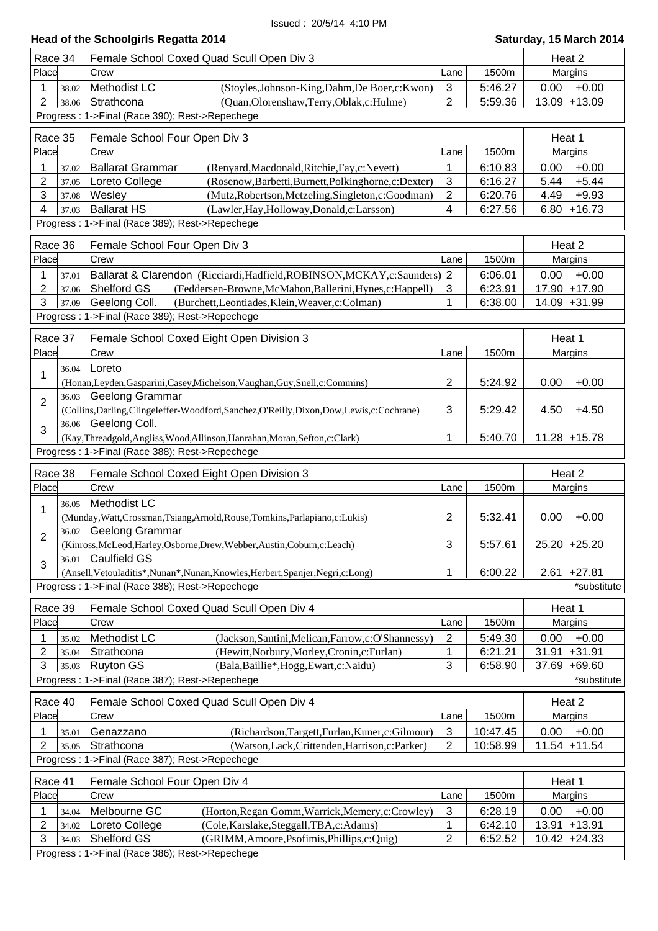### **Head of the Schoolgirls Regatta 2014 Saturday, 15 March 2014**

|                | Race 34 | Female School Coxed Quad Scull Open Div 3                                                                     |                |          | Heat 2            |
|----------------|---------|---------------------------------------------------------------------------------------------------------------|----------------|----------|-------------------|
| Place          |         | Crew                                                                                                          | Lane           | 1500m    | Margins           |
| 1              | 38.02   | Methodist LC<br>(Stoyles, Johnson-King, Dahm, De Boer, c: Kwon)                                               | $\mathbf{3}$   | 5:46.27  | $+0.00$<br>0.00   |
| $\overline{2}$ | 38.06   | Strathcona<br>(Quan, Olorenshaw, Terry, Oblak, c: Hulme)                                                      | $\overline{2}$ | 5:59.36  | 13.09 +13.09      |
|                |         | Progress: 1->Final (Race 390); Rest->Repechege                                                                |                |          |                   |
|                |         |                                                                                                               |                |          |                   |
|                | Race 35 | Female School Four Open Div 3                                                                                 |                |          | Heat 1            |
| Place          |         | Crew                                                                                                          | Lane           | 1500m    | Margins           |
| 1              | 37.02   | <b>Ballarat Grammar</b><br>(Renyard, Macdonald, Ritchie, Fay, c: Nevett)                                      | 1              | 6:10.83  | $+0.00$<br>0.00   |
| $\overline{2}$ | 37.05   | Loreto College<br>(Rosenow, Barbetti, Burnett, Polkinghorne, c: Dexter)                                       | 3              | 6:16.27  | 5.44<br>$+5.44$   |
| 3              | 37.08   | Wesley<br>(Mutz, Robertson, Metzeling, Singleton, c: Goodman)<br><b>Ballarat HS</b>                           | $\sqrt{2}$     | 6:20.76  | 4.49<br>$+9.93$   |
| 4              | 37.03   | (Lawler, Hay, Holloway, Donald, c: Larsson)<br>Progress: 1->Final (Race 389); Rest->Repechege                 | 4              | 6:27.56  | $6.80 + 16.73$    |
|                |         |                                                                                                               |                |          |                   |
|                | Race 36 | Female School Four Open Div 3                                                                                 |                |          | Heat 2            |
| Place          |         | Crew                                                                                                          | Lane           | 1500m    | Margins           |
| 1              | 37.01   | Ballarat & Clarendon (Ricciardi, Hadfield, ROBINSON, MCKAY, c: Saunders) 2                                    |                | 6:06.01  | $+0.00$<br>0.00   |
| 2              | 37.06   | Shelford GS<br>(Feddersen-Browne, McMahon, Ballerini, Hynes, c: Happell)                                      | 3              | 6:23.91  | 17.90 +17.90      |
| 3              | 37.09   | Geelong Coll.<br>(Burchett,Leontiades,Klein,Weaver,c:Colman)                                                  | 1              | 6:38.00  | 14.09 +31.99      |
|                |         | Progress: 1->Final (Race 389); Rest->Repechege                                                                |                |          |                   |
|                | Race 37 | Female School Coxed Eight Open Division 3                                                                     |                |          | Heat 1            |
| Place          |         | Crew                                                                                                          | Lane           | 1500m    | Margins           |
|                | 36.04   | Loreto                                                                                                        |                |          |                   |
| 1              |         | (Honan, Leyden, Gasparini, Casey, Michelson, Vaughan, Guy, Snell, c: Commins)                                 | $\overline{2}$ | 5:24.92  | 0.00<br>$+0.00$   |
|                |         | 36.03 Geelong Grammar                                                                                         |                |          |                   |
| $\overline{2}$ |         | (Collins, Darling, Clingeleffer-Woodford, Sanchez, O'Reilly, Dixon, Dow, Lewis, c: Cochrane)                  | 3              | 5:29.42  | 4.50<br>$+4.50$   |
|                |         | 36.06 Geelong Coll.                                                                                           |                |          |                   |
| 3              |         | (Kay, Threadgold, Angliss, Wood, Allinson, Hanrahan, Moran, Sefton, c: Clark)                                 | 1              | 5:40.70  | 11.28 +15.78      |
|                |         |                                                                                                               |                |          |                   |
|                |         | Progress: 1->Final (Race 388); Rest->Repechege                                                                |                |          |                   |
|                |         |                                                                                                               |                |          |                   |
|                | Race 38 | Female School Coxed Eight Open Division 3                                                                     |                |          | Heat 2            |
| Place          |         | Crew                                                                                                          | Lane           | 1500m    | Margins           |
| 1              | 36.05   | <b>Methodist LC</b>                                                                                           |                |          |                   |
|                |         | (Munday, Watt, Crossman, Tsiang, Arnold, Rouse, Tomkins, Parlapiano, c: Lukis)                                | $\overline{2}$ | 5:32.41  | 0.00<br>$+0.00$   |
| $\overline{2}$ |         | 36.02 Geelong Grammar                                                                                         |                |          |                   |
|                |         | (Kinross, McLeod, Harley, Osborne, Drew, Webber, Austin, Coburn, c: Leach)                                    | 3              | 5:57.61  | 25.20 +25.20      |
| 3              | 36.01   | <b>Caulfield GS</b>                                                                                           | 1              |          |                   |
|                |         | (Ansell, Vetouladitis*, Nunan*, Nunan, Knowles, Herbert, Spanjer, Negri, c: Long)                             |                | 6:00.22  | $2.61 + 27.81$    |
|                |         | Progress: 1->Final (Race 388); Rest->Repechege                                                                |                |          | *substitute       |
|                | Race 39 | Female School Coxed Quad Scull Open Div 4                                                                     |                |          | Heat 1            |
| Place          |         | Crew                                                                                                          | Lane           | 1500m    | Margins           |
| 1              | 35.02   | Methodist LC<br>(Jackson, Santini, Melican, Farrow, c: O'Shannessy)                                           | $\sqrt{2}$     | 5:49.30  | 0.00<br>$+0.00$   |
| $\overline{2}$ | 35.04   | Strathcona<br>(Hewitt, Norbury, Morley, Cronin, c: Furlan)                                                    | 1              | 6:21.21  | $+31.91$<br>31.91 |
| 3              | 35.03   | <b>Ruyton GS</b><br>(Bala, Baillie*, Hogg, Ewart, c: Naidu)                                                   | 3              | 6:58.90  | 37.69 +69.60      |
|                |         | Progress: 1->Final (Race 387); Rest->Repechege                                                                |                |          | *substitute       |
|                | Race 40 | Female School Coxed Quad Scull Open Div 4                                                                     |                |          | Heat 2            |
| Place          |         | Crew                                                                                                          | Lane           | 1500m    | Margins           |
| 1              | 35.01   | (Richardson, Targett, Furlan, Kuner, c: Gilmour)<br>Genazzano                                                 | $\mathbf{3}$   | 10:47.45 | $+0.00$<br>0.00   |
| 2              | 35.05   | Strathcona<br>(Watson, Lack, Crittenden, Harrison, c: Parker)                                                 | 2              | 10:58.99 | 11.54 +11.54      |
|                |         | Progress: 1->Final (Race 387); Rest->Repechege                                                                |                |          |                   |
|                |         |                                                                                                               |                |          |                   |
|                | Race 41 | Female School Four Open Div 4                                                                                 |                |          | Heat 1            |
| Place          |         | Crew                                                                                                          | Lane           | 1500m    | Margins           |
| 1              | 34.04   | Melbourne GC<br>(Horton, Regan Gomm, Warrick, Memery, c: Crowley)                                             | $\mathbf{3}$   | 6:28.19  | $+0.00$<br>0.00   |
| 2              | 34.02   | (Cole, Karslake, Steggall, TBA, c: Adams)<br>Loreto College                                                   | 1              | 6:42.10  | 13.91 +13.91      |
| 3              | 34.03   | Shelford GS<br>(GRIMM, Amoore, Psofimis, Phillips, c: Quig)<br>Progress: 1->Final (Race 386); Rest->Repechege | $\overline{2}$ | 6:52.52  | 10.42 +24.33      |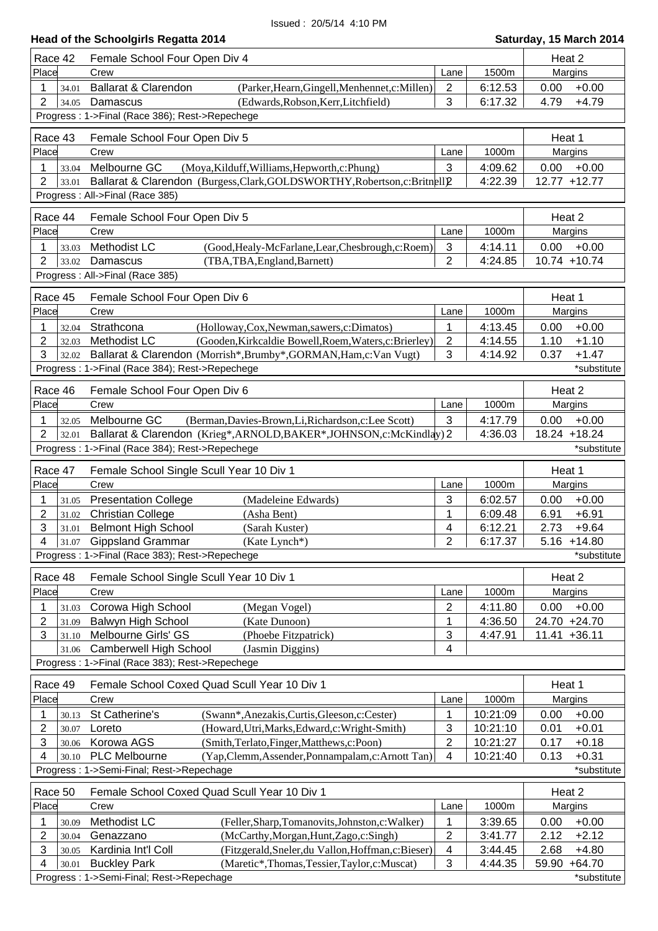| Race 42                          | Female School Four Open Div 4                                               |                |          | Heat 2 |                 |
|----------------------------------|-----------------------------------------------------------------------------|----------------|----------|--------|-----------------|
| Place                            | Crew                                                                        | Lane           | 1500m    |        | Margins         |
| 34.01                            | Ballarat & Clarendon<br>(Parker, Hearn, Gingell, Menhennet, c: Millen)      | 2              | 6:12.53  | 0.00   | $+0.00$         |
| $\overline{2}$<br>34.05          | Damascus<br>(Edwards, Robson, Kerr, Litchfield)                             | 3              | 6:17.32  | 4.79   | $+4.79$         |
|                                  | Progress: 1->Final (Race 386); Rest->Repechege                              |                |          |        |                 |
|                                  |                                                                             |                |          |        |                 |
| Race 43                          | Female School Four Open Div 5                                               |                |          | Heat 1 |                 |
| Place                            | Crew                                                                        | Lane           | 1000m    |        | Margins         |
| 1<br>33.04                       | Melbourne GC<br>(Moya, Kilduff, Williams, Hepworth, c: Phung)               | 3              | 4:09.62  | 0.00   | $+0.00$         |
| 2<br>33.01                       | Ballarat & Clarendon (Burgess, Clark, GOLDSWORTHY, Robertson, c: Britnell)2 |                | 4:22.39  |        | 12.77 +12.77    |
|                                  | Progress: All->Final (Race 385)                                             |                |          |        |                 |
|                                  |                                                                             |                |          |        |                 |
| Race 44                          | Female School Four Open Div 5                                               |                |          | Heat 2 |                 |
| Place                            | Crew                                                                        | Lane           | 1000m    |        | Margins         |
| 1<br>33.03                       | Methodist LC<br>(Good, Healy-McFarlane, Lear, Chesbrough, c: Roem)          | 3              | 4:14.11  | 0.00   | $+0.00$         |
| 2<br>33.02                       | Damascus<br>(TBA, TBA, England, Barnett)                                    | $\overline{2}$ | 4:24.85  |        | $10.74 + 10.74$ |
|                                  | Progress: All->Final (Race 385)                                             |                |          |        |                 |
| Race 45                          | Female School Four Open Div 6                                               |                |          | Heat 1 |                 |
| Place                            | Crew                                                                        | Lane           | 1000m    |        | Margins         |
| 32.04                            | Strathcona<br>(Holloway, Cox, Newman, sawers, c: Dimatos)                   | 1              | 4:13.45  | 0.00   | $+0.00$         |
| 2<br>32.03                       | Methodist LC<br>(Gooden, Kirkcaldie Bowell, Roem, Waters, c: Brierley)      | $\overline{2}$ | 4:14.55  | 1.10   | $+1.10$         |
| 3                                |                                                                             |                |          |        |                 |
| 32.02                            | Ballarat & Clarendon (Morrish*, Brumby*, GORMAN, Ham, c: Van Vugt)          | 3              | 4:14.92  | 0.37   | $+1.47$         |
|                                  | Progress: 1->Final (Race 384); Rest->Repechege                              |                |          |        | *substitute     |
| Race 46                          | Female School Four Open Div 6                                               |                |          | Heat 2 |                 |
| Place                            | Crew                                                                        | Lane           | 1000m    |        | Margins         |
| 1<br>32.05                       | (Berman, Davies-Brown, Li, Richardson, c: Lee Scott)<br>Melbourne GC        | 3              | 4:17.79  | 0.00   | $+0.00$         |
| $\overline{2}$<br>32.01          | Ballarat & Clarendon (Krieg*, ARNOLD, BAKER*, JOHNSON, c: McKindlay) 2      |                | 4:36.03  |        | 18.24 +18.24    |
|                                  | Progress: 1->Final (Race 384); Rest->Repechege                              |                |          |        | *substitute     |
|                                  |                                                                             |                |          |        |                 |
| Race 47                          | Female School Single Scull Year 10 Div 1                                    |                |          | Heat 1 |                 |
| Place                            | Crew                                                                        | Lane           | 1000m    |        | Margins         |
| 1<br>31.05                       | <b>Presentation College</b><br>(Madeleine Edwards)                          | 3              | 6:02.57  | 0.00   | $+0.00$         |
| $\overline{2}$<br>31.02          | <b>Christian College</b><br>(Asha Bent)                                     | 1              | 6:09.48  | 6.91   | $+6.91$         |
| 3<br>31.01                       | <b>Belmont High School</b><br>(Sarah Kuster)                                | 4              | 6:12.21  | 2.73   | $+9.64$         |
|                                  | $4 \mid 31.07$ Gippsland Grammar<br>(Kate Lynch*)                           | 2              | 6:17.37  |        | $5.16 + 14.80$  |
|                                  | Progress: 1->Final (Race 383); Rest->Repechege                              |                |          |        | *substitute     |
| Race 48                          |                                                                             |                |          | Heat 2 |                 |
| Place                            | Female School Single Scull Year 10 Div 1<br>Crew                            |                | 1000m    |        | Margins         |
|                                  |                                                                             | Lane           |          |        |                 |
| 1<br>31.03                       | Corowa High School<br>(Megan Vogel)                                         | $\overline{2}$ | 4:11.80  | 0.00   | $+0.00$         |
| 2<br>31.09                       | <b>Balwyn High School</b><br>(Kate Dunoon)                                  | 1              | 4:36.50  |        | 24.70 +24.70    |
| 3<br>31.10                       | Melbourne Girls' GS<br>(Phoebe Fitzpatrick)                                 | 3              | 4:47.91  |        | $11.41 + 36.11$ |
| 31.06                            | <b>Camberwell High School</b><br>(Jasmin Diggins)                           | 4              |          |        |                 |
|                                  | Progress: 1->Final (Race 383); Rest->Repechege                              |                |          |        |                 |
| Race 49                          | Female School Coxed Quad Scull Year 10 Div 1                                |                |          | Heat 1 |                 |
| Place                            | Crew                                                                        | Lane           | 1000m    |        | Margins         |
| 1<br>30.13                       | St Catherine's<br>(Swann*, Anezakis, Curtis, Gleeson, c: Cester)            | 1              | 10:21:09 | 0.00   | $+0.00$         |
| 2<br>30.07                       | Loreto<br>(Howard, Utri, Marks, Edward, c: Wright-Smith)                    | 3              | 10:21:10 | 0.01   | $+0.01$         |
| 3<br>30.06                       | Korowa AGS<br>(Smith, Terlato, Finger, Matthews, c: Poon)                   | $\overline{c}$ | 10:21:27 | 0.17   | $+0.18$         |
| 4<br>30.10                       | <b>PLC Melbourne</b><br>(Yap, Clemm, Assender, Ponnampalam, c: Arnott Tan)  | 4              | 10:21:40 | 0.13   | $+0.31$         |
|                                  | Progress: 1->Semi-Final; Rest->Repechage                                    |                |          |        | *substitute     |
|                                  |                                                                             |                |          |        |                 |
| Race 50                          | Female School Coxed Quad Scull Year 10 Div 1                                |                |          | Heat 2 |                 |
| Place                            | Crew                                                                        | Lane           | 1000m    |        | Margins         |
| 1<br>30.09                       | Methodist LC<br>(Feller, Sharp, Tomanovits, Johnston, c: Walker)            | 1              | 3:39.65  | 0.00   | $+0.00$         |
| $\overline{2}$<br>30.04          | (McCarthy, Morgan, Hunt, Zago, c: Singh)<br>Genazzano                       | 2              | 3:41.77  | 2.12   | $+2.12$         |
| 3<br>30.05                       | Kardinia Int'l Coll<br>(Fitzgerald, Sneler, du Vallon, Hoffman, c: Bieser)  | 4              | 3:44.45  | 2.68   | $+4.80$         |
|                                  |                                                                             |                |          |        |                 |
| $\overline{\mathbf{4}}$<br>30.01 | <b>Buckley Park</b><br>(Maretic*,Thomas,Tessier,Taylor,c:Muscat)            | 3              | 4:44.35  | 59.90  | $+64.70$        |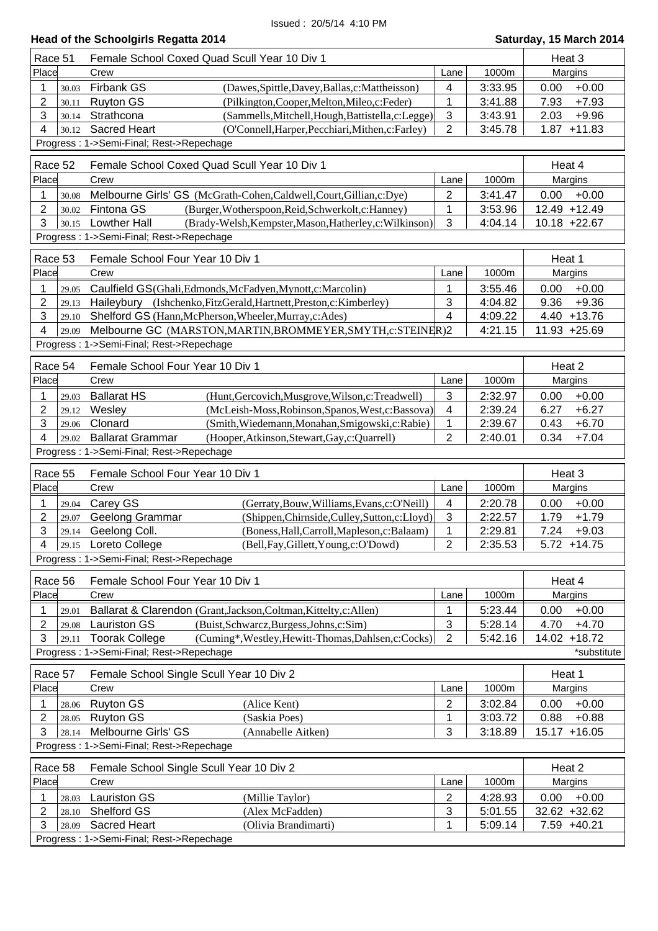| Race 51        |                | Female School Coxed Quad Scull Year 10 Div 1                                   |                     |         | Heat 3           |
|----------------|----------------|--------------------------------------------------------------------------------|---------------------|---------|------------------|
| Place          |                | Crew                                                                           | Lane                | 1000m   | Margins          |
| 1              | 30.03          | <b>Firbank GS</b><br>(Dawes, Spittle, Davey, Ballas, c: Mattheisson)           | 4                   | 3:33.95 | 0.00<br>$+0.00$  |
| 2              | 30.11          | <b>Ruyton GS</b><br>(Pilkington, Cooper, Melton, Mileo, c: Feder)              | 1                   | 3:41.88 | 7.93<br>$+7.93$  |
| 3              | 30.14          | Strathcona<br>(Sammells, Mitchell, Hough, Battistella, c: Legge)               | $\mathfrak{S}$      | 3:43.91 | 2.03<br>$+9.96$  |
| 4              | 30.12          | <b>Sacred Heart</b><br>(O'Connell, Harper, Pecchiari, Mithen, c: Farley)       | $\overline{2}$      | 3:45.78 | 1.87<br>$+11.83$ |
|                |                | Progress: 1->Semi-Final; Rest->Repechage                                       |                     |         |                  |
|                |                |                                                                                |                     |         |                  |
| Race 52        |                | Female School Coxed Quad Scull Year 10 Div 1                                   |                     |         | Heat 4           |
| Place          |                | Crew                                                                           | Lane                | 1000m   | Margins          |
| 1              | 30.08          | Melbourne Girls' GS (McGrath-Cohen, Caldwell, Court, Gillian, c: Dye)          | $\overline{2}$      | 3:41.47 | 0.00<br>$+0.00$  |
| $\overline{2}$ | 30.02          | Fintona GS<br>(Burger, Wotherspoon, Reid, Schwerkolt, c: Hanney)               | 1                   | 3:53.96 | 12.49 +12.49     |
| 3              | 30.15          | <b>Lowther Hall</b><br>(Brady-Welsh, Kempster, Mason, Hatherley, c: Wilkinson) | 3                   | 4:04.14 | 10.18 +22.67     |
|                |                | Progress: 1->Semi-Final; Rest->Repechage                                       |                     |         |                  |
|                |                |                                                                                |                     |         |                  |
| Race 53        |                | Female School Four Year 10 Div 1                                               |                     |         | Heat 1           |
| Place          |                | Crew                                                                           | Lane                | 1000m   | Margins          |
| 1              | 29.05          | Caulfield GS(Ghali, Edmonds, McFadyen, Mynott, c: Marcolin)                    | 1                   | 3:55.46 | 0.00<br>$+0.00$  |
| $\overline{2}$ | 29.13          | Haileybury (Ishchenko, FitzGerald, Hartnett, Preston, c: Kimberley)            | 3                   | 4:04.82 | 9.36<br>$+9.36$  |
| 3              | 29.10          | Shelford GS (Hann, McPherson, Wheeler, Murray, c: Ades)                        | 4                   | 4:09.22 | $4.40 + 13.76$   |
| 4              | 29.09          | Melbourne GC (MARSTON, MARTIN, BROMMEYER, SMYTH, c: STEINER) 2                 |                     | 4:21.15 | 11.93 +25.69     |
|                |                | Progress: 1->Semi-Final; Rest->Repechage                                       |                     |         |                  |
| Race 54        |                | Female School Four Year 10 Div 1                                               |                     |         | Heat 2           |
| Place          |                | Crew                                                                           | Lane                | 1000m   | Margins          |
|                |                |                                                                                |                     |         |                  |
| 1              | 29.03          | <b>Ballarat HS</b><br>(Hunt, Gercovich, Musgrove, Wilson, c: Treadwell)        | 3                   | 2:32.97 | $+0.00$<br>0.00  |
| 2              | 29.12          | Wesley<br>(McLeish-Moss, Robinson, Spanos, West, c: Bassova)                   | 4                   | 2:39.24 | $+6.27$<br>6.27  |
| 3              | 29.06          | Clonard<br>(Smith, Wiedemann, Monahan, Smigowski, c: Rabie)                    | $\mathbf 1$         | 2:39.67 | 0.43<br>$+6.70$  |
| 4              | 29.02          | <b>Ballarat Grammar</b><br>(Hooper, Atkinson, Stewart, Gay, c: Quarrell)       | $\overline{2}$      | 2:40.01 | 0.34<br>$+7.04$  |
|                |                | Progress: 1->Semi-Final; Rest->Repechage                                       |                     |         |                  |
| Race 55        |                | Female School Four Year 10 Div 1                                               |                     |         | Heat 3           |
| Place          |                | Crew                                                                           | Lane                | 1000m   | Margins          |
| 1              | 29.04          | Carey GS<br>(Gerraty, Bouw, Williams, Evans, c: O'Neill)                       | 4                   | 2:20.78 | $+0.00$<br>0.00  |
| 2              | 29.07          | Geelong Grammar<br>(Shippen, Chirnside, Culley, Sutton, c: Lloyd)              | $\mathfrak{S}$      | 2:22.57 | $+1.79$<br>1.79  |
| 3              | 29.14          | Geelong Coll.<br>(Boness, Hall, Carroll, Mapleson, c: Balaam)                  | 1                   | 2:29.81 | 7.24<br>$+9.03$  |
| 4              |                | 29.15 Loreto College<br>(Bell, Fay, Gillett, Young, c: O'Dowd)                 | 2                   | 2:35.53 | $5.72 + 14.75$   |
|                |                | Progress: 1->Semi-Final; Rest->Repechage                                       |                     |         |                  |
|                |                |                                                                                |                     |         |                  |
| Race 56        |                | Female School Four Year 10 Div 1                                               |                     |         | Heat 4           |
| Place          |                | Crew                                                                           | Lane                | 1000m   | Margins          |
| 1              | 29.01          | Ballarat & Clarendon (Grant, Jackson, Coltman, Kittelty, c: Allen)             | 1                   | 5:23.44 | 0.00<br>$+0.00$  |
| 2              | 29.08          | <b>Lauriston GS</b><br>(Buist, Schwarcz, Burgess, Johns, c: Sim)               | $\sqrt{3}$          | 5:28.14 | 4.70<br>$+4.70$  |
| 3              | 29.11          | <b>Toorak College</b><br>(Cuming*, Westley, Hewitt-Thomas, Dahlsen, c: Cocks)  | $\overline{2}$      | 5:42.16 | 14.02 +18.72     |
|                |                | Progress: 1->Semi-Final; Rest->Repechage                                       |                     |         | *substitute      |
| Race 57        |                | Female School Single Scull Year 10 Div 2                                       |                     |         | Heat 1           |
| Place          |                |                                                                                | Lane                | 1000m   |                  |
|                |                |                                                                                |                     |         |                  |
| 1              |                | Crew                                                                           |                     |         | Margins          |
|                | 28.06          | <b>Ruyton GS</b><br>(Alice Kent)                                               | $\overline{2}$      | 3:02.84 | $+0.00$<br>0.00  |
| 2              | 28.05          | <b>Ruyton GS</b><br>(Saskia Poes)                                              | 1                   | 3:03.72 | 0.88<br>$+0.88$  |
| 3              | 28.14          | Melbourne Girls' GS<br>(Annabelle Aitken)                                      | 3                   | 3:18.89 | 15.17 +16.05     |
|                |                | Progress: 1->Semi-Final; Rest->Repechage                                       |                     |         |                  |
| Race 58        |                | Female School Single Scull Year 10 Div 2                                       |                     |         | Heat 2           |
| Place          |                | Crew                                                                           | Lane                | 1000m   | Margins          |
| 1              |                |                                                                                | 2                   |         | 0.00             |
|                | 28.03          | Lauriston GS<br>(Millie Taylor)<br>Shelford GS                                 |                     | 4:28.93 | $+0.00$          |
| 2<br>3         | 28.10<br>28.09 | (Alex McFadden)<br><b>Sacred Heart</b>                                         | $\mathfrak{S}$<br>1 | 5:01.55 | $32.62 + 32.62$  |
|                |                | (Olivia Brandimarti)<br>Progress: 1->Semi-Final; Rest->Repechage               |                     | 5:09.14 | 7.59 +40.21      |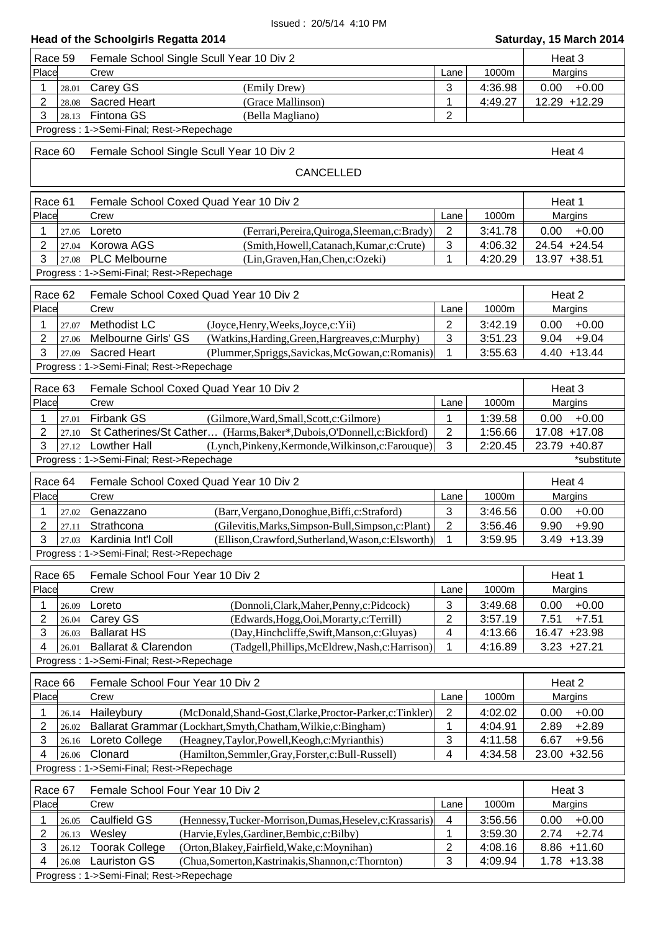| <b>Head of the Schoolgirls Regatta 2014</b><br>Saturday, 15 March 2014 |                                                                                                                             |                                       |                    |                                 |  |  |
|------------------------------------------------------------------------|-----------------------------------------------------------------------------------------------------------------------------|---------------------------------------|--------------------|---------------------------------|--|--|
| Race 59                                                                | Female School Single Scull Year 10 Div 2                                                                                    |                                       |                    | Heat 3                          |  |  |
| Place                                                                  | Crew                                                                                                                        | Lane                                  | 1000m              | Margins                         |  |  |
| 1<br>28.01                                                             | Carey GS<br>(Emily Drew)                                                                                                    | $\mathbf{3}$                          | 4:36.98            | 0.00<br>$+0.00$                 |  |  |
| 2<br>28.08                                                             | <b>Sacred Heart</b><br>(Grace Mallinson)                                                                                    | $\mathbf{1}$                          | 4:49.27            | 12.29 +12.29                    |  |  |
| 3<br>28.13                                                             | Fintona GS<br>(Bella Magliano)                                                                                              | $\overline{2}$                        |                    |                                 |  |  |
|                                                                        | Progress: 1->Semi-Final; Rest->Repechage                                                                                    |                                       |                    |                                 |  |  |
| Race 60                                                                | Female School Single Scull Year 10 Div 2                                                                                    |                                       |                    | Heat 4                          |  |  |
|                                                                        | CANCELLED                                                                                                                   |                                       |                    |                                 |  |  |
| Race 61                                                                | Female School Coxed Quad Year 10 Div 2                                                                                      |                                       |                    | Heat 1                          |  |  |
| Place                                                                  | Crew                                                                                                                        | Lane                                  | 1000m              | Margins                         |  |  |
| 27.05                                                                  | Loreto<br>(Ferrari, Pereira, Quiroga, Sleeman, c: Brady)                                                                    | $\overline{2}$                        | 3:41.78            | 0.00<br>$+0.00$                 |  |  |
| 2<br>27.04                                                             | Korowa AGS<br>(Smith, Howell, Catanach, Kumar, c: Crute)                                                                    | 3                                     | 4:06.32            | 24.54 +24.54                    |  |  |
| 3<br>27.08                                                             | <b>PLC Melbourne</b><br>(Lin, Graven, Han, Chen, c: Ozeki)                                                                  | 1                                     | 4:20.29            | 13.97 +38.51                    |  |  |
|                                                                        | Progress: 1->Semi-Final; Rest->Repechage                                                                                    |                                       |                    |                                 |  |  |
| Race 62                                                                | Female School Coxed Quad Year 10 Div 2                                                                                      |                                       |                    | Heat 2                          |  |  |
| Place                                                                  | Crew                                                                                                                        | Lane                                  | 1000m              | Margins                         |  |  |
| 27.07<br>1                                                             | Methodist LC<br>(Joyce, Henry, Weeks, Joyce, c: Yii)                                                                        | $\overline{2}$                        | 3:42.19            | 0.00<br>$+0.00$                 |  |  |
| 2<br>27.06                                                             | Melbourne Girls' GS<br>(Watkins, Harding, Green, Hargreaves, c: Murphy)                                                     | 3                                     | 3:51.23            | $+9.04$<br>9.04                 |  |  |
| 3<br>27.09                                                             | <b>Sacred Heart</b><br>(Plummer, Spriggs, Savickas, McGowan, c: Romanis)                                                    | 1                                     | 3:55.63            | $4.40 + 13.44$                  |  |  |
|                                                                        | Progress: 1->Semi-Final; Rest->Repechage                                                                                    |                                       |                    |                                 |  |  |
| Race 63                                                                | Female School Coxed Quad Year 10 Div 2                                                                                      |                                       |                    | Heat 3                          |  |  |
| Place                                                                  | Crew                                                                                                                        | Lane                                  | 1000m              | Margins                         |  |  |
| 1<br>27.01                                                             | <b>Firbank GS</b><br>(Gilmore, Ward, Small, Scott, c: Gilmore)                                                              | 1                                     | 1:39.58            | 0.00<br>$+0.00$                 |  |  |
| 2<br>27.10                                                             | St Catherines/St Cather (Harms, Baker*, Dubois, O'Donnell, c: Bickford)                                                     | $\sqrt{2}$                            | 1:56.66            | 17.08 +17.08                    |  |  |
| 3<br>27.12                                                             | <b>Lowther Hall</b><br>(Lynch, Pinkeny, Kermonde, Wilkinson, c: Farouque)                                                   | 3                                     | 2:20.45            | 23.79 +40.87                    |  |  |
|                                                                        | Progress: 1->Semi-Final; Rest->Repechage                                                                                    |                                       |                    | *substitute                     |  |  |
| Race 64                                                                | Female School Coxed Quad Year 10 Div 2                                                                                      |                                       |                    | Heat 4                          |  |  |
| Place                                                                  | Crew                                                                                                                        | Lane                                  | 1000m              | Margins                         |  |  |
| 27.02                                                                  | Genazzano<br>(Barr, Vergano, Donoghue, Biffi, c: Straford)                                                                  | 3                                     | 3:46.56            | 0.00<br>$+0.00$                 |  |  |
| 2<br>27.11                                                             | Strathcona<br>(Gilevitis, Marks, Simpson-Bull, Simpson, c: Plant)                                                           | $\overline{2}$                        | 3:56.46            | $9.90 + 9.90$                   |  |  |
| 3<br>27.03                                                             | Kardinia Int'l Coll<br>(Ellison, Crawford, Sutherland, Wason, c: Elsworth)<br>Progress: 1->Semi-Final; Rest->Repechage      | 1                                     | 3:59.95            | $3.49 + 13.39$                  |  |  |
|                                                                        |                                                                                                                             |                                       |                    |                                 |  |  |
| Race 65                                                                | Female School Four Year 10 Div 2                                                                                            |                                       |                    | Heat 1                          |  |  |
| Place                                                                  | Crew                                                                                                                        | Lane                                  | 1000m              | Margins                         |  |  |
| 26.09                                                                  | Loreto<br>(Donnoli, Clark, Maher, Penny, c: Pidcock)                                                                        | $\mathbf{3}$                          | 3:49.68            | 0.00<br>$+0.00$                 |  |  |
| 2<br>26.04<br>3                                                        | Carey GS<br>(Edwards, Hogg, Ooi, Morarty, c: Terrill)<br>(Day, Hinchcliffe, Swift, Manson, c: Gluyas)<br><b>Ballarat HS</b> | $\sqrt{2}$<br>$\overline{\mathbf{4}}$ | 3:57.19<br>4:13.66 | 7.51<br>$+7.51$<br>16.47 +23.98 |  |  |
| 26.03<br>4<br>26.01                                                    | <b>Ballarat &amp; Clarendon</b><br>(Tadgell, Phillips, McEldrew, Nash, c: Harrison)                                         | 1                                     | 4:16.89            | $3.23 +27.21$                   |  |  |
|                                                                        | Progress: 1->Semi-Final; Rest->Repechage                                                                                    |                                       |                    |                                 |  |  |
|                                                                        |                                                                                                                             |                                       |                    |                                 |  |  |
| Race 66<br>Place                                                       | Female School Four Year 10 Div 2<br>Crew                                                                                    | Lane                                  | 1000m              | Heat 2<br>Margins               |  |  |
| 26.14                                                                  | Haileybury<br>(McDonald, Shand-Gost, Clarke, Proctor-Parker, c: Tinkler)                                                    | $\overline{2}$                        | 4:02.02            | 0.00<br>$+0.00$                 |  |  |
| 2<br>26.02                                                             | Ballarat Grammar (Lockhart, Smyth, Chatham, Wilkie, c: Bingham)                                                             | 1                                     | 4:04.91            | $+2.89$<br>2.89                 |  |  |
| 3<br>26.16                                                             | (Heagney,Taylor,Powell,Keogh,c:Myrianthis)<br>Loreto College                                                                | 3                                     | 4:11.58            | 6.67<br>$+9.56$                 |  |  |
| 4<br>26.06                                                             | Clonard<br>(Hamilton, Semmler, Gray, Forster, c: Bull-Russell)                                                              | 4                                     | 4:34.58            | 23.00 +32.56                    |  |  |
|                                                                        | Progress: 1->Semi-Final; Rest->Repechage                                                                                    |                                       |                    |                                 |  |  |
| Race 67                                                                | Female School Four Year 10 Div 2                                                                                            |                                       |                    | Heat 3                          |  |  |
| Place                                                                  | Crew                                                                                                                        | Lane                                  | 1000m              | Margins                         |  |  |
| 26.05                                                                  | <b>Caulfield GS</b><br>(Hennessy, Tucker-Morrison, Dumas, Heselev, c: Krassaris)                                            | 4                                     | 3:56.56            | 0.00<br>$+0.00$                 |  |  |
| 2<br>26.13                                                             | Wesley<br>(Harvie, Eyles, Gardiner, Bembic, c: Bilby)                                                                       | 1                                     | 3:59.30            | 2.74<br>$+2.74$                 |  |  |
| 3<br>26.12                                                             | <b>Toorak College</b><br>(Orton, Blakey, Fairfield, Wake, c: Moynihan)                                                      | 2                                     | 4:08.16            | $8.86 + 11.60$                  |  |  |
| 4<br>26.08                                                             | <b>Lauriston GS</b><br>(Chua, Somerton, Kastrinakis, Shannon, c: Thornton)                                                  | 3                                     | 4:09.94            | $1.78 + 13.38$                  |  |  |
|                                                                        | Progress: 1->Semi-Final; Rest->Repechage                                                                                    |                                       |                    |                                 |  |  |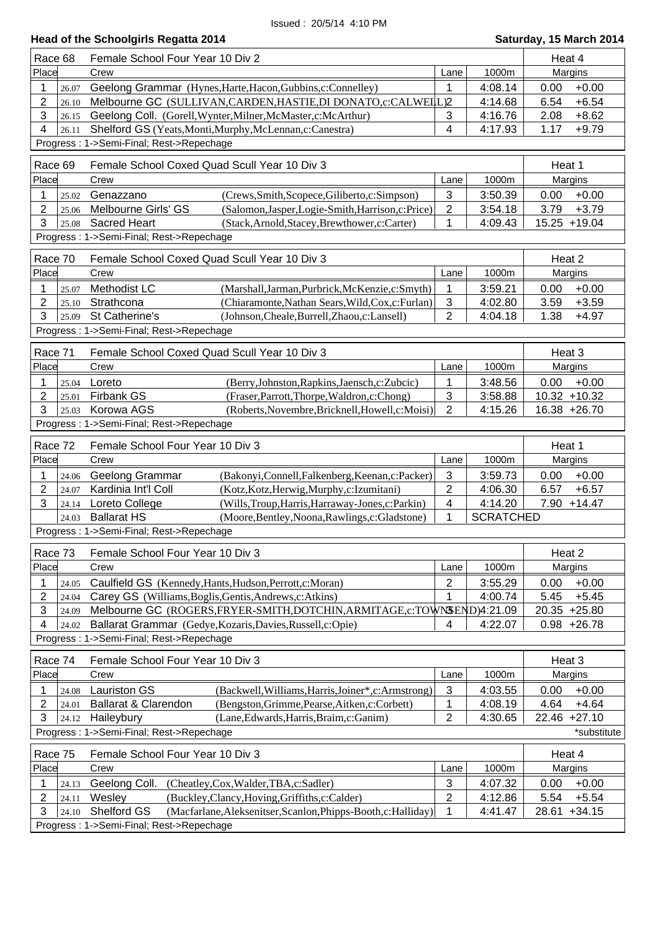| Race 68          |                | Female School Four Year 10 Div 2                                                                                          |                |                  | Heat 4 |                |
|------------------|----------------|---------------------------------------------------------------------------------------------------------------------------|----------------|------------------|--------|----------------|
| Place            |                | Crew                                                                                                                      | Lane           | 1000m            |        | Margins        |
| 1                | 26.07          | Geelong Grammar (Hynes, Harte, Hacon, Gubbins, c: Connelley)                                                              | 1              | 4:08.14          | 0.00   | $+0.00$        |
| $\overline{2}$   | 26.10          | Melbourne GC (SULLIVAN, CARDEN, HASTIE, DI DONATO, c: CALWELL)2                                                           |                | 4:14.68          | 6.54   | $+6.54$        |
| 3                | 26.15          | Geelong Coll. (Gorell, Wynter, Milner, McMaster, c: McArthur)                                                             | 3              | 4:16.76          | 2.08   | $+8.62$        |
| 4                | 26.11          | Shelford GS (Yeats, Monti, Murphy, McLennan, c: Canestra)                                                                 | 4              | 4:17.93          | 1.17   | $+9.79$        |
|                  |                | Progress: 1->Semi-Final; Rest->Repechage                                                                                  |                |                  |        |                |
| Race 69          |                | Female School Coxed Quad Scull Year 10 Div 3                                                                              |                |                  | Heat 1 |                |
| Place            |                | Crew                                                                                                                      | Lane           | 1000m            |        | Margins        |
| 1                | 25.02          | Genazzano<br>(Crews, Smith, Scopece, Giliberto, c: Simpson)                                                               | 3              | 3:50.39          | 0.00   | $+0.00$        |
| $\overline{2}$   | 25.06          | Melbourne Girls' GS<br>(Salomon, Jasper, Logie-Smith, Harrison, c: Price)                                                 | $\overline{2}$ | 3:54.18          | 3.79   | $+3.79$        |
| 3                | 25.08          | <b>Sacred Heart</b><br>(Stack, Arnold, Stacey, Brewthower, c: Carter)                                                     | 1              | 4:09.43          |        | 15.25 +19.04   |
|                  |                | Progress: 1->Semi-Final; Rest->Repechage                                                                                  |                |                  |        |                |
| Race 70          |                | Female School Coxed Quad Scull Year 10 Div 3                                                                              |                |                  | Heat 2 |                |
| Place            |                | Crew                                                                                                                      | Lane           | 1000m            |        | Margins        |
|                  |                |                                                                                                                           |                |                  |        |                |
| 1                | 25.07          | Methodist LC<br>(Marshall, Jarman, Purbrick, McKenzie, c: Smyth)                                                          | 1              | 3:59.21          | 0.00   | $+0.00$        |
| $\overline{2}$   | 25.10          | Strathcona<br>(Chiaramonte, Nathan Sears, Wild, Cox, c: Furlan)                                                           | 3              | 4:02.80          | 3.59   | $+3.59$        |
| 3                | 25.09          | St Catherine's<br>(Johnson, Cheale, Burrell, Zhaou, c: Lansell)                                                           | $\overline{2}$ | 4:04.18          | 1.38   | $+4.97$        |
|                  |                | Progress: 1->Semi-Final; Rest->Repechage                                                                                  |                |                  |        |                |
| Race 71          |                | Female School Coxed Quad Scull Year 10 Div 3                                                                              |                |                  | Heat 3 |                |
| Place            |                | Crew                                                                                                                      | Lane           | 1000m            |        | Margins        |
| 1                | 25.04          | (Berry, Johnston, Rapkins, Jaensch, c: Zubcic)<br>Loreto                                                                  | 1              | 3:48.56          | 0.00   | $+0.00$        |
| $\overline{2}$   | 25.01          | Firbank GS<br>(Fraser, Parrott, Thorpe, Waldron, c: Chong)                                                                | $\sqrt{3}$     | 3:58.88          |        | 10.32 +10.32   |
| 3                | 25.03          | Korowa AGS<br>(Roberts, Novembre, Bricknell, Howell, c: Moisi)                                                            | $\overline{2}$ | 4:15.26          |        | 16.38 +26.70   |
|                  |                | Progress: 1->Semi-Final; Rest->Repechage                                                                                  |                |                  |        |                |
|                  |                | Female School Four Year 10 Div 3                                                                                          |                |                  |        |                |
| Race 72          |                |                                                                                                                           |                |                  | Heat 1 |                |
| Place            |                | Crew                                                                                                                      | Lane           | 1000m            |        | Margins        |
| 1                | 24.06          | Geelong Grammar<br>(Bakonyi,Connell,Falkenberg,Keenan,c:Packer)                                                           | 3              | 3:59.73          | 0.00   | $+0.00$        |
| 2                | 24.07          | Kardinia Int'l Coll<br>(Kotz, Kotz, Herwig, Murphy, c: Izumitani)                                                         | $\overline{2}$ | 4:06.30          | 6.57   | $+6.57$        |
| 3                | 24.14          | (Wills, Troup, Harris, Harraway-Jones, c: Parkin)<br>Loreto College                                                       | 4              | 4:14.20          | 7.90   | $+14.47$       |
|                  | 24.03          | <b>Ballarat HS</b><br>(Moore, Bentley, Noona, Rawlings, c: Gladstone)<br>Progress: 1->Semi-Final; Rest->Repechage         | 1              | <b>SCRATCHED</b> |        |                |
|                  |                |                                                                                                                           |                |                  |        |                |
| Race 73          |                | Female School Four Year 10 Div 3                                                                                          |                |                  | Heat 2 |                |
| Place            |                | Crew                                                                                                                      | Lane           | 1000m            |        | Margins        |
| 1                | 24.05          | Caulfield GS (Kennedy, Hants, Hudson, Perrott, c: Moran)                                                                  | 2              | 3:55.29          | 0.00   | $+0.00$        |
| $\overline{2}$   | 24.04          | Carey GS (Williams, Boglis, Gentis, Andrews, c: Atkins)                                                                   | 1              | 4:00.74          | 5.45   | $+5.45$        |
| 3                | 24.09          | Melbourne GC (ROGERS, FRYER-SMITH, DOTCHIN, ARMITAGE, c: TOWNSEND)4:21.09                                                 |                |                  |        | 20.35 +25.80   |
| 4                | 24.02          | Ballarat Grammar (Gedye, Kozaris, Davies, Russell, c: Opie)                                                               | 4              | 4:22.07          |        | $0.98 + 26.78$ |
|                  |                | Progress: 1->Semi-Final; Rest->Repechage                                                                                  |                |                  |        |                |
| Race 74          |                | Female School Four Year 10 Div 3                                                                                          |                |                  | Heat 3 |                |
| Place            |                | Crew                                                                                                                      | Lane           | 1000m            |        | Margins        |
| 1                |                | <b>Lauriston GS</b><br>(Backwell, Williams, Harris, Joiner*, c: Armstrong)                                                | 3              | 4:03.55          | 0.00   | $+0.00$        |
| $\boldsymbol{2}$ | 24.08<br>24.01 | Ballarat & Clarendon<br>(Bengston, Grimme, Pearse, Aitken, c: Corbett)                                                    | 1              | 4:08.19          | 4.64   | $+4.64$        |
| 3                | 24.12          | Haileybury<br>(Lane, Edwards, Harris, Braim, c: Ganim)                                                                    | $\overline{2}$ | 4:30.65          |        | 22.46 +27.10   |
|                  |                | Progress: 1->Semi-Final; Rest->Repechage                                                                                  |                |                  |        | *substitute    |
|                  |                |                                                                                                                           |                |                  |        |                |
| Race 75          |                | Female School Four Year 10 Div 3                                                                                          |                |                  | Heat 4 |                |
| Place            |                | Crew                                                                                                                      | Lane           | 1000m            |        | Margins        |
|                  |                |                                                                                                                           |                |                  |        |                |
| 1                | 24.13          | Geelong Coll.<br>(Cheatley,Cox,Walder,TBA,c:Sadler)                                                                       | $\mathbf{3}$   | 4:07.32          | 0.00   | $+0.00$        |
| $\boldsymbol{2}$ | 24.11          | Wesley<br>(Buckley,Clancy,Hoving,Griffiths,c:Calder)                                                                      | $\overline{2}$ | 4:12.86          | 5.54   | $+5.54$        |
| 3                | 24.10          | Shelford GS<br>(Macfarlane, Aleksenitser, Scanlon, Phipps-Booth, c: Halliday)<br>Progress: 1->Semi-Final; Rest->Repechage | 1              | 4:41.47          | 28.61  | $+34.15$       |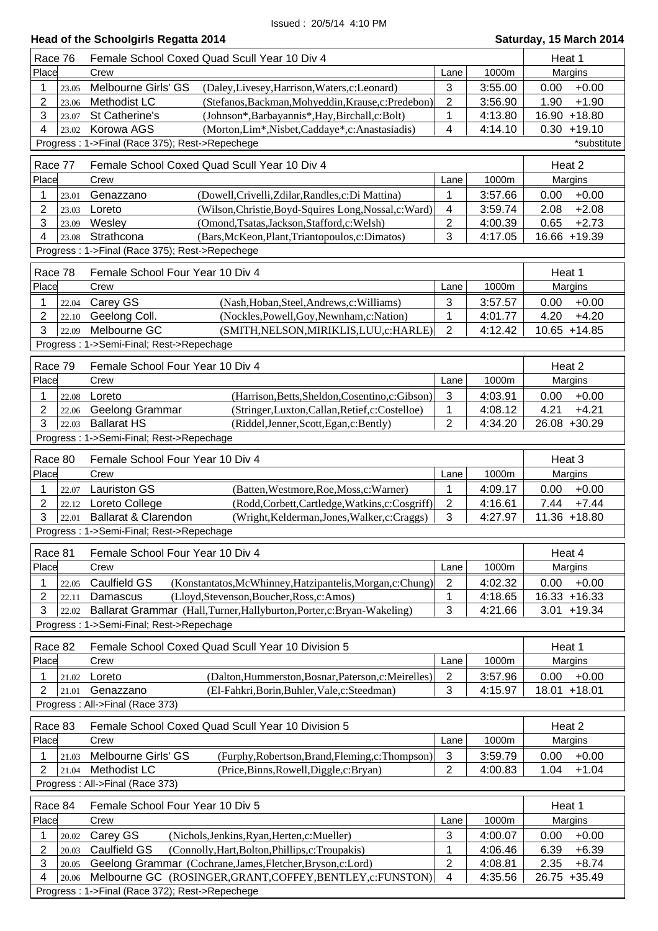|                     |                | Head of the Schoolgirls Regatta 2014                                                                                                |                |                    | Saturday, 15 March 2014            |
|---------------------|----------------|-------------------------------------------------------------------------------------------------------------------------------------|----------------|--------------------|------------------------------------|
| Race 76             |                | Female School Coxed Quad Scull Year 10 Div 4                                                                                        |                |                    | Heat 1                             |
| Place               |                | Crew                                                                                                                                | Lane           | 1000m              | Margins                            |
| 1                   | 23.05          | Melbourne Girls' GS<br>(Daley, Livesey, Harrison, Waters, c: Leonard)                                                               | 3              | 3:55.00            | $+0.00$<br>0.00                    |
| $\overline{2}$      | 23.06          | Methodist LC<br>(Stefanos, Backman, Mohyeddin, Krause, c: Predebon)                                                                 | 2              | 3:56.90            | 1.90<br>$+1.90$                    |
| 3                   | 23.07          | St Catherine's<br>(Johnson*,Barbayannis*,Hay,Birchall,c:Bolt)                                                                       | 1              | 4:13.80            | 16.90 +18.80                       |
| 4                   | 23.02          | Korowa AGS<br>(Morton, Lim <sup>*</sup> , Nisbet, Caddaye <sup>*</sup> , c: Anastasiadis)                                           | 4              | 4:14.10            | $0.30 + 19.10$                     |
|                     |                | Progress: 1->Final (Race 375); Rest->Repechege                                                                                      |                |                    | *substitute                        |
| Race 77             |                | Female School Coxed Quad Scull Year 10 Div 4                                                                                        |                |                    | Heat 2                             |
| Place               |                | Crew                                                                                                                                | Lane           | 1000m              | Margins                            |
| 1                   | 23.01          | (Dowell, Crivelli, Zdilar, Randles, c: Di Mattina)<br>Genazzano                                                                     | 1              | 3:57.66            | $+0.00$<br>0.00                    |
| $\overline{2}$      | 23.03          | Loreto<br>(Wilson, Christie, Boyd-Squires Long, Nossal, c: Ward)                                                                    | 4              | 3:59.74            | $+2.08$<br>2.08                    |
| 3                   | 23.09          | Wesley<br>(Omond, Tsatas, Jackson, Stafford, c: Welsh)                                                                              | 2              | 4:00.39            | $+2.73$<br>0.65                    |
| 4                   | 23.08          | Strathcona<br>(Bars, McKeon, Plant, Triantopoulos, c: Dimatos)                                                                      | 3              | 4:17.05            | 16.66 +19.39                       |
|                     |                | Progress: 1->Final (Race 375); Rest->Repechege                                                                                      |                |                    |                                    |
|                     |                |                                                                                                                                     |                |                    |                                    |
| Race 78             |                | Female School Four Year 10 Div 4                                                                                                    |                |                    | Heat 1                             |
| Place               |                | Crew                                                                                                                                | Lane           | 1000m              | Margins                            |
| 1<br>$\overline{2}$ | 22.04<br>22.10 | Carey GS<br>(Nash, Hoban, Steel, Andrews, c: Williams)<br>Geelong Coll.<br>(Nockles, Powell, Goy, Newnham, c: Nation)               | 3<br>1         | 3:57.57<br>4:01.77 | $+0.00$<br>0.00<br>4.20<br>$+4.20$ |
| 3                   | 22.09          | Melbourne GC<br>(SMITH, NELSON, MIRIKLIS, LUU, c: HARLE)                                                                            | $\overline{2}$ | 4:12.42            | 10.65 +14.85                       |
|                     |                | Progress: 1->Semi-Final; Rest->Repechage                                                                                            |                |                    |                                    |
|                     |                |                                                                                                                                     |                |                    |                                    |
| Race 79             |                | Female School Four Year 10 Div 4                                                                                                    |                |                    | Heat 2                             |
| Place               |                | Crew                                                                                                                                | Lane           | 1000m              | Margins                            |
| 1                   | 22.08          | Loreto<br>(Harrison, Betts, Sheldon, Cosentino, c: Gibson)                                                                          | 3              | 4:03.91            | 0.00<br>$+0.00$                    |
| 2                   | 22.06          | (Stringer,Luxton,Callan,Retief,c:Costelloe)<br>Geelong Grammar                                                                      | 1              | 4:08.12            | $+4.21$<br>4.21                    |
| 3                   | 22.03          | <b>Ballarat HS</b><br>(Riddel, Jenner, Scott, Egan, c: Bently)                                                                      | $\overline{2}$ | 4:34.20            | 26.08 +30.29                       |
|                     |                | Progress: 1->Semi-Final; Rest->Repechage                                                                                            |                |                    |                                    |
| Race 80             |                | Female School Four Year 10 Div 4                                                                                                    |                |                    | Heat 3                             |
| Place               |                | Crew                                                                                                                                | Lane           | 1000m              | Margins                            |
| 1                   | 22.07          | <b>Lauriston GS</b><br>(Batten, Westmore, Roe, Moss, c: Warner)                                                                     | 1              | 4:09.17            | $+0.00$<br>0.00                    |
| $\overline{2}$      | 22.12          | Loreto College<br>(Rodd,Corbett,Cartledge,Watkins,c:Cosgriff)                                                                       | $\sqrt{2}$     | 4:16.61            | 7.44<br>$+7.44$                    |
| 3                   |                | 22.01 Ballarat & Clarendon<br>(Wright, Kelderman, Jones, Walker, c: Craggs)                                                         | 3              | 4:27.97            | 11.36 +18.80                       |
|                     |                | Progress: 1->Semi-Final; Rest->Repechage                                                                                            |                |                    |                                    |
| Race 81             |                | Female School Four Year 10 Div 4                                                                                                    |                |                    | Heat 4                             |
| Place               |                | Crew                                                                                                                                | Lane           | 1000m              | Margins                            |
| 1                   | 22.05          | Caulfield GS<br>(Konstantatos, McWhinney, Hatzipantelis, Morgan, c: Chung)                                                          | $\overline{2}$ | 4:02.32            | 0.00<br>$+0.00$                    |
| $\overline{2}$      | 22.11          | Damascus<br>(Lloyd, Stevenson, Boucher, Ross, c: Amos)                                                                              | 1              | 4:18.65            | 16.33 +16.33                       |
| 3                   | 22.02          | Ballarat Grammar (Hall,Turner,Hallyburton,Porter,c:Bryan-Wakeling)                                                                  | 3              | 4:21.66            | $3.01 + 19.34$                     |
|                     |                | Progress: 1->Semi-Final; Rest->Repechage                                                                                            |                |                    |                                    |
| Race 82             |                | Female School Coxed Quad Scull Year 10 Division 5                                                                                   |                |                    | Heat 1                             |
| Place               |                | Crew                                                                                                                                | Lane           | 1000m              | Margins                            |
| 1                   | 21.02          | Loreto<br>(Dalton, Hummerston, Bosnar, Paterson, c: Meirelles)                                                                      | $\overline{2}$ | 3:57.96            | 0.00<br>$+0.00$                    |
| $\overline{2}$      | 21.01          | Genazzano<br>(El-Fahkri, Borin, Buhler, Vale, c: Steedman)                                                                          | 3              | 4:15.97            | $+18.01$<br>18.01                  |
|                     |                | Progress: All->Final (Race 373)                                                                                                     |                |                    |                                    |
| Race 83             |                | Female School Coxed Quad Scull Year 10 Division 5                                                                                   |                |                    | Heat 2                             |
| Place               |                | Crew                                                                                                                                | Lane           | 1000m              | Margins                            |
| 1                   | 21.03          | Melbourne Girls' GS<br>(Furphy, Robertson, Brand, Fleming, c: Thompson)                                                             | $\sqrt{3}$     | 3:59.79            | 0.00<br>$+0.00$                    |
| $\overline{2}$      | 21.04          | Methodist LC<br>(Price, Binns, Rowell, Diggle, c: Bryan)                                                                            | $\overline{2}$ | 4:00.83            | $+1.04$<br>1.04                    |
|                     |                | Progress: All->Final (Race 373)                                                                                                     |                |                    |                                    |
|                     |                |                                                                                                                                     |                |                    |                                    |
| Race 84             |                | Female School Four Year 10 Div 5                                                                                                    |                |                    | Heat 1                             |
| Place               |                | Crew                                                                                                                                | Lane           | 1000m              | Margins                            |
| 1<br>$\overline{2}$ | 20.02          | Carey GS<br>(Nichols, Jenkins, Ryan, Herten, c: Mueller)<br><b>Caulfield GS</b><br>(Connolly, Hart, Bolton, Phillips, c: Troupakis) | 3<br>1         | 4:00.07<br>4:06.46 | 0.00<br>$+0.00$<br>6.39<br>$+6.39$ |
| 3                   | 20.03<br>20.05 | Geelong Grammar (Cochrane, James, Fletcher, Bryson, c: Lord)                                                                        | $\overline{2}$ | 4:08.81            | 2.35<br>$+8.74$                    |
| 4                   | 20.06          | Melbourne GC (ROSINGER, GRANT, COFFEY, BENTLEY, c: FUNSTON)                                                                         | $\overline{4}$ | 4:35.56            | 26.75 +35.49                       |
|                     |                |                                                                                                                                     |                |                    |                                    |

Progress : 1->Final (Race 372); Rest->Repechege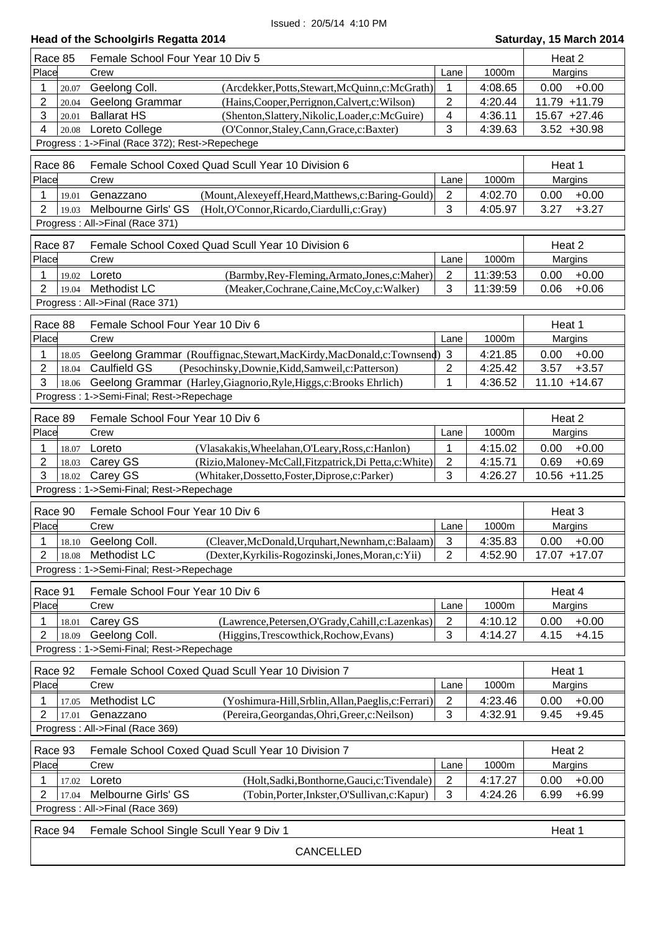| Head of the Schoolgirls Regatta 2014 | Saturday, 15 March 2014 |
|--------------------------------------|-------------------------|
|                                      |                         |

ı

| Race 85                         | Female School Four Year 10 Div 5                                          |                  |          |                 |  |  |
|---------------------------------|---------------------------------------------------------------------------|------------------|----------|-----------------|--|--|
| Place                           | Crew                                                                      | Lane             | 1000m    | Margins         |  |  |
| 1<br>20.07                      | Geelong Coll.<br>(Arcdekker, Potts, Stewart, McQuinn, c: McGrath)         | 1                | 4:08.65  | 0.00<br>$+0.00$ |  |  |
| $\overline{2}$<br>20.04         | Geelong Grammar<br>(Hains, Cooper, Perrignon, Calvert, c: Wilson)         | $\overline{c}$   | 4:20.44  | 11.79 +11.79    |  |  |
| 3<br>20.01                      | <b>Ballarat HS</b><br>(Shenton, Slattery, Nikolic, Loader, c: McGuire)    | 4                | 4:36.11  | 15.67 +27.46    |  |  |
| 4<br>20.08                      | Loreto College<br>(O'Connor, Staley, Cann, Grace, c: Baxter)              | 3                | 4:39.63  | $3.52 + 30.98$  |  |  |
|                                 | Progress: 1->Final (Race 372); Rest->Repechege                            |                  |          |                 |  |  |
|                                 |                                                                           |                  |          |                 |  |  |
| Race 86                         | Female School Coxed Quad Scull Year 10 Division 6                         |                  |          | Heat 1          |  |  |
| Place                           | Crew                                                                      | Lane             | 1000m    | Margins         |  |  |
| 1<br>19.01                      | Genazzano<br>(Mount, Alexeyeff, Heard, Matthews, c: Baring-Gould)         | $\overline{2}$   | 4:02.70  | $+0.00$<br>0.00 |  |  |
| $\overline{2}$<br>19.03         | Melbourne Girls' GS<br>(Holt, O'Connor, Ricardo, Ciardulli, c: Gray)      | 3                | 4:05.97  | 3.27<br>$+3.27$ |  |  |
|                                 | Progress: All->Final (Race 371)                                           |                  |          |                 |  |  |
|                                 |                                                                           |                  |          |                 |  |  |
| Race 87                         | Female School Coxed Quad Scull Year 10 Division 6                         |                  |          | Heat 2          |  |  |
| Place                           | Crew                                                                      | Lane             | 1000m    | Margins         |  |  |
| 1<br>19.02                      | Loreto<br>(Barmby, Rey-Fleming, Armato, Jones, c: Maher)                  | $\overline{2}$   | 11:39:53 | $+0.00$<br>0.00 |  |  |
| $\overline{2}$<br>19.04         | <b>Methodist LC</b><br>(Meaker, Cochrane, Caine, McCoy, c: Walker)        | 3                | 11:39:59 | 0.06<br>$+0.06$ |  |  |
|                                 | Progress: All->Final (Race 371)                                           |                  |          |                 |  |  |
| Race 88                         | Female School Four Year 10 Div 6                                          |                  |          | Heat 1          |  |  |
| Place                           | Crew                                                                      | Lane             | 1000m    | Margins         |  |  |
|                                 |                                                                           |                  |          |                 |  |  |
| 1<br>18.05                      | Geelong Grammar (Rouffignac, Stewart, MacKirdy, MacDonald, c: Townsend) 3 |                  | 4:21.85  | 0.00<br>$+0.00$ |  |  |
| $\boldsymbol{2}$<br>18.04       | Caulfield GS<br>(Pesochinsky,Downie,Kidd,Samweil,c:Patterson)             | $\overline{2}$   | 4:25.42  | 3.57<br>$+3.57$ |  |  |
| 3<br>18.06                      | Geelong Grammar (Harley, Giagnorio, Ryle, Higgs, c: Brooks Ehrlich)       | 1                | 4:36.52  | 11.10 +14.67    |  |  |
|                                 | Progress: 1->Semi-Final; Rest->Repechage                                  |                  |          |                 |  |  |
| Race 89                         | Female School Four Year 10 Div 6                                          |                  |          | Heat 2          |  |  |
| Place                           | Crew                                                                      | Lane             | 1000m    | Margins         |  |  |
| 1<br>18.07                      | Loreto<br>(Vlasakakis, Wheelahan, O'Leary, Ross, c: Hanlon)               | 1                | 4:15.02  | 0.00<br>$+0.00$ |  |  |
| 2<br>18.03                      | (Rizio, Maloney-McCall, Fitzpatrick, Di Petta, c: White)<br>Carey GS      | $\boldsymbol{2}$ | 4:15.71  | 0.69<br>$+0.69$ |  |  |
| 3<br>18.02                      | Carey GS<br>(Whitaker, Dossetto, Foster, Diprose, c: Parker)              | 3                | 4:26.27  | 10.56 +11.25    |  |  |
|                                 | Progress: 1->Semi-Final; Rest->Repechage                                  |                  |          |                 |  |  |
|                                 |                                                                           |                  |          |                 |  |  |
| Race 90                         | Female School Four Year 10 Div 6                                          |                  |          | Heat 3          |  |  |
| Place                           | Crew                                                                      | Lane             | 1000m    | Margins         |  |  |
| 1<br>18.10                      | Geelong Coll.<br>(Cleaver, McDonald, Urquhart, Newnham, c: Balaam)        | 3                | 4:35.83  | 0.00<br>$+0.00$ |  |  |
| 2                               | 18.08 Methodist LC<br>(Dexter, Kyrkilis-Rogozinski, Jones, Moran, c: Yii) | $\overline{2}$   | 4:52.90  | 17.07 +17.07    |  |  |
|                                 | Progress: 1->Semi-Final; Rest->Repechage                                  |                  |          |                 |  |  |
|                                 |                                                                           |                  |          |                 |  |  |
| Race 91                         | Female School Four Year 10 Div 6                                          |                  |          | Heat 4          |  |  |
| Place                           | Crew                                                                      | Lane             | 1000m    | Margins         |  |  |
| 1<br>18.01                      | Carey GS<br>(Lawrence, Petersen, O'Grady, Cahill, c: Lazenkas)            | $\boldsymbol{2}$ | 4:10.12  | 0.00<br>$+0.00$ |  |  |
| $\overline{2}$<br>18.09         | Geelong Coll.<br>(Higgins, Trescowthick, Rochow, Evans)                   | 3                | 4:14.27  | $+4.15$<br>4.15 |  |  |
|                                 | Progress: 1->Semi-Final; Rest->Repechage                                  |                  |          |                 |  |  |
| Race 92                         | Female School Coxed Quad Scull Year 10 Division 7                         |                  |          | Heat 1          |  |  |
|                                 |                                                                           |                  |          |                 |  |  |
| Place                           | Crew                                                                      | Lane             | 1000m    | Margins         |  |  |
| 1<br>17.05                      | Methodist LC<br>(Yoshimura-Hill, Srblin, Allan, Paeglis, c: Ferrari)      | $\boldsymbol{2}$ | 4:23.46  | 0.00<br>$+0.00$ |  |  |
| $\overline{2}$<br>17.01         | Genazzano<br>(Pereira, Georgandas, Ohri, Greer, c: Neilson)               | 3                | 4:32.91  | $+9.45$<br>9.45 |  |  |
|                                 | Progress : All->Final (Race 369)                                          |                  |          |                 |  |  |
| Race 93                         | Female School Coxed Quad Scull Year 10 Division 7                         |                  |          | Heat 2          |  |  |
| Place                           | Crew                                                                      | Lane             | 1000m    | Margins         |  |  |
| 1<br>17.02                      | Loreto<br>(Holt, Sadki, Bonthorne, Gauci, c: Tivendale)                   | $\sqrt{2}$       | 4:17.27  | 0.00<br>$+0.00$ |  |  |
| 2                               | Melbourne Girls' GS                                                       | 3                | 4:24.26  | $+6.99$<br>6.99 |  |  |
| 17.04                           | (Tobin, Porter, Inkster, O'Sullivan, c: Kapur)                            |                  |          |                 |  |  |
| Progress: All->Final (Race 369) |                                                                           |                  |          |                 |  |  |
| Race 94                         | Female School Single Scull Year 9 Div 1<br>Heat 1                         |                  |          |                 |  |  |
|                                 |                                                                           |                  |          |                 |  |  |
|                                 | <b>CANCELLED</b>                                                          |                  |          |                 |  |  |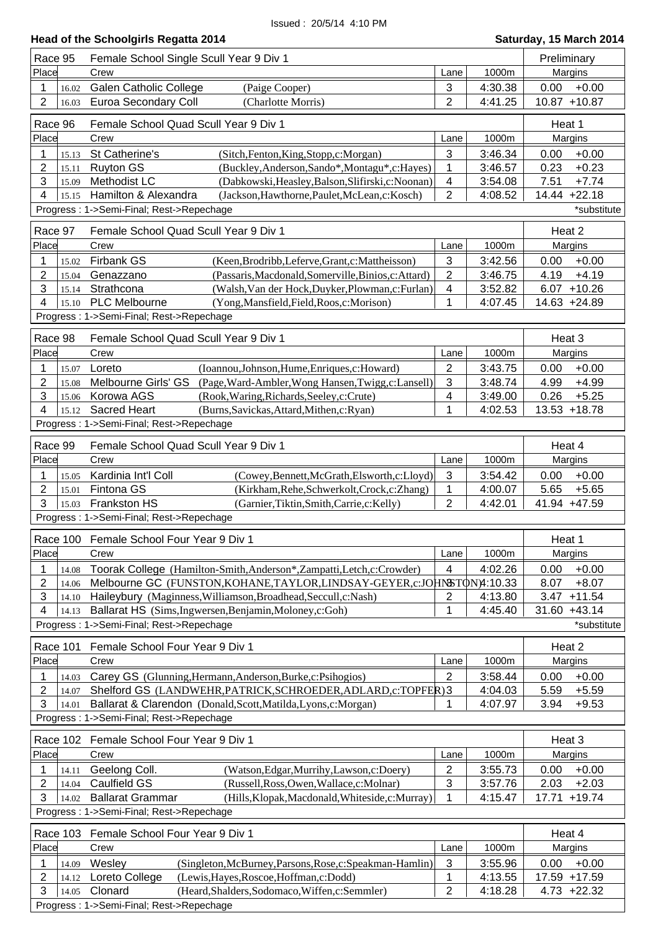| Race 95                 | Female School Single Scull Year 9 Div 1                                     |                |         | Preliminary       |
|-------------------------|-----------------------------------------------------------------------------|----------------|---------|-------------------|
| Place                   | Crew                                                                        | Lane           | 1000m   | Margins           |
| 1<br>16.02              | <b>Galen Catholic College</b><br>(Paige Cooper)                             | 3              | 4:30.38 | $+0.00$<br>0.00   |
| $\overline{2}$<br>16.03 | Euroa Secondary Coll<br>(Charlotte Morris)                                  | $\overline{2}$ | 4:41.25 | 10.87 +10.87      |
|                         |                                                                             |                |         |                   |
| Race 96                 | Female School Quad Scull Year 9 Div 1                                       |                |         | Heat 1            |
| Place                   | Crew                                                                        | Lane           | 1000m   | Margins           |
| 1<br>15.13              | St Catherine's<br>(Sitch, Fenton, King, Stopp, c: Morgan)                   | 3              | 3:46.34 | 0.00<br>$+0.00$   |
| $\overline{2}$<br>15.11 | (Buckley, Anderson, Sando*, Montagu*, c: Hayes)<br><b>Ruyton GS</b>         | 1              | 3:46.57 | $+0.23$<br>0.23   |
| 3<br>15.09              | <b>Methodist LC</b><br>(Dabkowski, Heasley, Balson, Slifirski, c: Noonan)   | 4              | 3:54.08 | 7.51<br>$+7.74$   |
| 4<br>15.15              | Hamilton & Alexandra<br>(Jackson, Hawthorne, Paulet, McLean, c: Kosch)      | $\overline{c}$ | 4:08.52 | 14.44 +22.18      |
|                         | Progress: 1->Semi-Final; Rest->Repechage                                    |                |         | *substitute       |
| Race 97                 | Female School Quad Scull Year 9 Div 1                                       |                |         | Heat 2            |
| Place                   | Crew                                                                        | Lane           | 1000m   | Margins           |
| 1<br>15.02              | <b>Firbank GS</b><br>(Keen, Brodribb, Leferve, Grant, c: Mattheisson)       | 3              | 3:42.56 | 0.00<br>$+0.00$   |
| 2<br>15.04              | Genazzano<br>(Passaris, Macdonald, Somerville, Binios, c: Attard)           | $\overline{2}$ | 3:46.75 | $+4.19$<br>4.19   |
| 3<br>15.14              | Strathcona<br>(Walsh, Van der Hock, Duyker, Plowman, c: Furlan)             | 4              | 3:52.82 | $6.07 + 10.26$    |
| 4<br>15.10              | <b>PLC Melbourne</b><br>(Yong, Mansfield, Field, Roos, c: Morison)          | 1              | 4:07.45 | 14.63 +24.89      |
|                         | Progress: 1->Semi-Final; Rest->Repechage                                    |                |         |                   |
|                         |                                                                             |                |         |                   |
| Race 98                 | Female School Quad Scull Year 9 Div 1                                       |                |         | Heat 3            |
| Place                   | Crew                                                                        | Lane           | 1000m   | Margins           |
| 1<br>15.07              | (Ioannou,Johnson,Hume,Enriques,c:Howard)<br>Loreto                          | 2              | 3:43.75 | $+0.00$<br>0.00   |
| $\overline{2}$<br>15.08 | Melbourne Girls' GS<br>(Page, Ward-Ambler, Wong Hansen, Twigg, c: Lansell)  | 3              | 3:48.74 | $+4.99$<br>4.99   |
| 3<br>15.06              | Korowa AGS<br>(Rook, Waring, Richards, Seeley, c: Crute)                    | 4              | 3:49.00 | 0.26<br>$+5.25$   |
| 4<br>15.12              | <b>Sacred Heart</b><br>(Burns, Savickas, Attard, Mithen, c: Ryan)           | 1              | 4:02.53 | 13.53 +18.78      |
|                         | Progress: 1->Semi-Final; Rest->Repechage                                    |                |         |                   |
| Race 99                 | Female School Quad Scull Year 9 Div 1                                       |                |         | Heat 4            |
| Place                   | Crew                                                                        | Lane           | 1000m   |                   |
|                         |                                                                             |                |         | Margins           |
| 1<br>15.05              | Kardinia Int'l Coll<br>(Cowey, Bennett, McGrath, Elsworth, c: Lloyd)        | 3              | 3:54.42 | $+0.00$<br>0.00   |
| $\overline{2}$<br>15.01 | Fintona GS<br>(Kirkham, Rehe, Schwerkolt, Crock, c: Zhang)                  | 1              | 4:00.07 | 5.65<br>$+5.65$   |
| 3<br>15.03              | Frankston HS<br>(Garnier, Tiktin, Smith, Carrie, c: Kelly)                  | $\overline{2}$ | 4:42.01 | 41.94 +47.59      |
|                         | Progress: 1->Semi-Final; Rest->Repechage                                    |                |         |                   |
|                         | Race 100 Female School Four Year 9 Div 1                                    |                |         | Heat 1            |
| Place                   | Crew                                                                        | Lane           | 1000m   | Margins           |
| 1<br>14.08              | Toorak College (Hamilton-Smith,Anderson*,Zampatti,Letch,c:Crowder)          | 4              | 4:02.26 | 0.00<br>$+0.00$   |
| $\overline{2}$<br>14.06 | Melbourne GC (FUNSTON, KOHANE, TAYLOR, LINDSAY-GEYER, c: JOHNSTON)4:10.33   |                |         | 8.07<br>$+8.07$   |
| 3<br>14.10              | Haileybury (Maginness, Williamson, Broadhead, Seccull, c: Nash)             | $\overline{2}$ | 4:13.80 | $+11.54$<br>3.47  |
| 4<br>14.13              | Ballarat HS (Sims, Ingwersen, Benjamin, Moloney, c: Goh)                    | 1              | 4:45.40 | $31.60 + 43.14$   |
|                         | Progress: 1->Semi-Final; Rest->Repechage                                    |                |         | *substitute       |
|                         |                                                                             |                |         |                   |
| Race 101                | Female School Four Year 9 Div 1                                             |                |         | Heat 2            |
| Place                   | Crew                                                                        | Lane           | 1000m   | Margins           |
| 1<br>14.03              | Carey GS (Glunning, Hermann, Anderson, Burke, c: Psihogios)                 | $\overline{2}$ | 3:58.44 | $+0.00$<br>0.00   |
| 2<br>14.07              | Shelford GS (LANDWEHR, PATRICK, SCHROEDER, ADLARD, c: TOPFER) 3             |                | 4:04.03 | 5.59<br>$+5.59$   |
| 3<br>14.01              | Ballarat & Clarendon (Donald, Scott, Matilda, Lyons, c: Morgan)             | 1              | 4:07.97 | 3.94<br>$+9.53$   |
|                         | Progress: 1->Semi-Final; Rest->Repechage                                    |                |         |                   |
|                         | Race 102 Female School Four Year 9 Div 1                                    |                |         | Heat 3            |
| Place                   | Crew                                                                        | Lane           | 1000m   | Margins           |
| 1<br>14.11              | Geelong Coll.<br>(Watson, Edgar, Murrihy, Lawson, c: Doery)                 | $\overline{2}$ | 3:55.73 | 0.00<br>$+0.00$   |
| 2<br>14.04              | <b>Caulfield GS</b><br>(Russell, Ross, Owen, Wallace, c: Molnar)            | 3              | 3:57.76 | 2.03<br>$+2.03$   |
| 3<br>14.02              | <b>Ballarat Grammar</b><br>(Hills, Klopak, Macdonald, Whiteside, c: Murray) | 1              | 4:15.47 | $+19.74$<br>17.71 |
|                         | Progress: 1->Semi-Final; Rest->Repechage                                    |                |         |                   |
|                         |                                                                             |                |         |                   |
| Race 103                | Female School Four Year 9 Div 1                                             |                |         | Heat 4            |
| Place                   | Crew                                                                        | Lane           | 1000m   | Margins           |
| 1<br>14.09              | Wesley<br>(Singleton, McBurney, Parsons, Rose, c: Speakman-Hamlin)          | 3              | 3:55.96 | 0.00<br>$+0.00$   |
| $\overline{2}$<br>14.12 | (Lewis, Hayes, Roscoe, Hoffman, c: Dodd)<br>Loreto College                  | 1              | 4:13.55 | 17.59 +17.59      |
| 3<br>14.05              | Clonard<br>(Heard, Shalders, Sodomaco, Wiffen, c: Semmler)                  | $\overline{2}$ | 4:18.28 | $4.73 +22.32$     |
|                         | Progress: 1->Semi-Final; Rest->Repechage                                    |                |         |                   |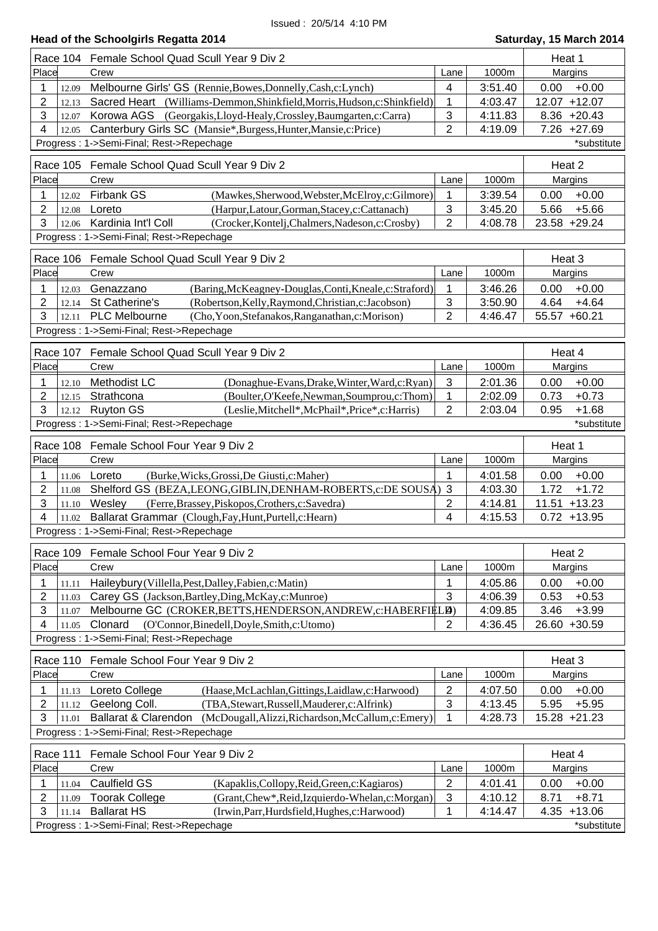|       |          | <b>Head of the Schoolgirls Regatta 2014</b>                                            |                |         | Saturday, 15 March 2014 |
|-------|----------|----------------------------------------------------------------------------------------|----------------|---------|-------------------------|
|       |          | Race 104 Female School Quad Scull Year 9 Div 2                                         |                |         | Heat 1                  |
| Place |          | Crew                                                                                   | Lane           | 1000m   | Margins                 |
| 1     | 12.09    | Melbourne Girls' GS (Rennie, Bowes, Donnelly, Cash, c: Lynch)                          | 4              | 3:51.40 | $+0.00$<br>0.00         |
| 2     | 12.13    | Sacred Heart (Williams-Demmon, Shinkfield, Morris, Hudson, c: Shinkfield)              | 1              | 4:03.47 | 12.07 +12.07            |
| 3     | 12.07    | Korowa AGS (Georgakis, Lloyd-Healy, Crossley, Baumgarten, c: Carra)                    | 3              | 4:11.83 | $8.36 + 20.43$          |
| 4     | 12.05    | Canterbury Girls SC (Mansie*, Burgess, Hunter, Mansie, c: Price)                       | $\overline{2}$ | 4:19.09 | 7.26 +27.69             |
|       |          | Progress: 1->Semi-Final; Rest->Repechage                                               |                |         | *substitute             |
|       |          | Race 105 Female School Quad Scull Year 9 Div 2                                         |                |         | Heat 2                  |
| Place |          | Crew                                                                                   | Lane           | 1000m   | Margins                 |
| 1     | 12.02    | Firbank GS<br>(Mawkes, Sherwood, Webster, McElroy, c: Gilmore)                         | 1              | 3:39.54 | $+0.00$<br>0.00         |
| 2     | 12.08    | (Harpur,Latour,Gorman,Stacey,c:Cattanach)<br>Loreto                                    | 3              | 3:45.20 | $+5.66$<br>5.66         |
| 3     | 12.06    | Kardinia Int'l Coll<br>(Crocker, Kontelj, Chalmers, Nadeson, c: Crosby)                | $\overline{2}$ | 4:08.78 | 23.58 +29.24            |
|       |          | Progress: 1->Semi-Final; Rest->Repechage                                               |                |         |                         |
|       |          | Race 106 Female School Quad Scull Year 9 Div 2                                         |                |         | Heat 3                  |
| Place |          | Crew                                                                                   | Lane           | 1000m   | Margins                 |
| 1     | 12.03    | Genazzano<br>(Baring, McKeagney-Douglas, Conti, Kneale, c: Straford)                   | 1              | 3:46.26 | 0.00<br>$+0.00$         |
| 2     | 12.14    | St Catherine's<br>(Robertson, Kelly, Raymond, Christian, c: Jacobson)                  | 3              | 3:50.90 | $+4.64$<br>4.64         |
| 3     | 12.11    | <b>PLC Melbourne</b><br>(Cho, Yoon, Stefanakos, Ranganathan, c: Morison)               | $\overline{2}$ | 4:46.47 | 55.57 +60.21            |
|       |          | Progress: 1->Semi-Final; Rest->Repechage                                               |                |         |                         |
|       | Race 107 | Female School Quad Scull Year 9 Div 2                                                  |                |         | Heat 4                  |
| Place |          | Crew                                                                                   | Lane           | 1000m   | Margins                 |
| 1     | 12.10    | Methodist LC<br>(Donaghue-Evans, Drake, Winter, Ward, c: Ryan)                         | $\mathfrak{S}$ | 2:01.36 | 0.00<br>$+0.00$         |
| 2     | 12.15    | (Boulter, O'Keefe, Newman, Soumprou, c: Thom)<br>Strathcona                            | 1              | 2:02.09 | $+0.73$<br>0.73         |
| 3     | 12.12    | <b>Ruyton GS</b><br>(Leslie, Mitchell*, McPhail*, Price*, c: Harris)                   | 2              | 2:03.04 | 0.95<br>$+1.68$         |
|       |          | Progress: 1->Semi-Final; Rest->Repechage                                               |                |         | *substitute             |
|       | Race 108 | Female School Four Year 9 Div 2                                                        |                |         | Heat 1                  |
| Place |          | Crew                                                                                   | Lane           | 1000m   | Margins                 |
| 1     | 11.06    | (Burke, Wicks, Grossi, De Giusti, c: Maher)<br>Loreto                                  | 1              | 4:01.58 | $+0.00$<br>0.00         |
| 2     | 11.08    | Shelford GS (BEZA, LEONG, GIBLIN, DENHAM-ROBERTS, c: DE SOUSA) 3                       |                | 4:03.30 | 1.72<br>$+1.72$         |
| 3     | 11.10    | Wesley<br>(Ferre, Brassey, Piskopos, Crothers, c: Savedra)                             | 2              | 4:14.81 | $11.51 + 13.23$         |
| 4     | 11.02    | Ballarat Grammar (Clough, Fay, Hunt, Purtell, c: Hearn)                                | 4              | 4:15.53 | $0.72 + 13.95$          |
|       |          | Progress: 1->Semi-Final; Rest->Repechage                                               |                |         |                         |
|       | Race 109 | Female School Four Year 9 Div 2                                                        |                |         | Heat 2                  |
| Place |          | Crew                                                                                   | Lane           | 1000m   | Margins                 |
| 1     | 11.11    | Haileybury (Villella, Pest, Dalley, Fabien, c: Matin)                                  | 1              | 4:05.86 | $+0.00$<br>0.00         |
| 2     | 11.03    | Carey GS (Jackson, Bartley, Ding, McKay, c: Munroe)                                    | 3              | 4:06.39 | $+0.53$<br>0.53         |
| 3     | 11.07    | Melbourne GC (CROKER, BETTS, HENDERSON, ANDREW, c: HABERFIELD)                         |                | 4:09.85 | 3.46<br>$+3.99$         |
| 4     | 11.05    | Clonard<br>(O'Connor, Binedell, Doyle, Smith, c: Utomo)                                | 2              | 4:36.45 | 26.60 +30.59            |
|       |          | Progress: 1->Semi-Final; Rest->Repechage                                               |                |         |                         |
|       |          | Race 110 Female School Four Year 9 Div 2                                               |                |         | Heat 3                  |
| Place |          | Crew                                                                                   | Lane           | 1000m   | Margins                 |
| 1     | 11.13    | Loreto College<br>(Haase, McLachlan, Gittings, Laidlaw, c: Harwood)                    | 2              | 4:07.50 | $+0.00$<br>0.00         |
| 2     | 11.12    | Geelong Coll.<br>(TBA, Stewart, Russell, Mauderer, c: Alfrink)                         | 3              | 4:13.45 | 5.95<br>$+5.95$         |
| 3     | 11.01    | <b>Ballarat &amp; Clarendon</b><br>(McDougall, Alizzi, Richardson, McCallum, c: Emery) | 1              | 4:28.73 | 15.28 +21.23            |
|       |          | Progress: 1->Semi-Final; Rest->Repechage                                               |                |         |                         |
|       |          | Race 111 Female School Four Year 9 Div 2                                               |                |         | Heat 4                  |
| Place |          | Crew                                                                                   | I ane          | 1000m   | <b>Margins</b>          |

|                                          |       | Race 111 Female School Four Year 9 Div 2 |                                                   |      |         | Heat 4        |                |
|------------------------------------------|-------|------------------------------------------|---------------------------------------------------|------|---------|---------------|----------------|
| Place                                    |       | Crew                                     |                                                   | Lane | 1000m   |               | Margins        |
|                                          | 1.04  | Caulfield GS                             | (Kapaklis, Collopy, Reid, Green, c: Kagiaros)     | ົ    | 4:01.41 | 0.00          | $+0.00$        |
|                                          | 11.09 | <b>Toorak College</b>                    | (Grant, Chew*, Reid, Izquierdo-Whelan, c: Morgan) | 3    | 4:10.12 | 8.71          | $+8.71$        |
|                                          | 11.14 | <b>Ballarat HS</b>                       | (Irwin, Parr, Hurdsfield, Hughes, c: Harwood)     |      | 4:14.47 |               | $4.35 + 13.06$ |
| Progress: 1->Semi-Final; Rest->Repechage |       |                                          |                                                   |      |         | *substitute l |                |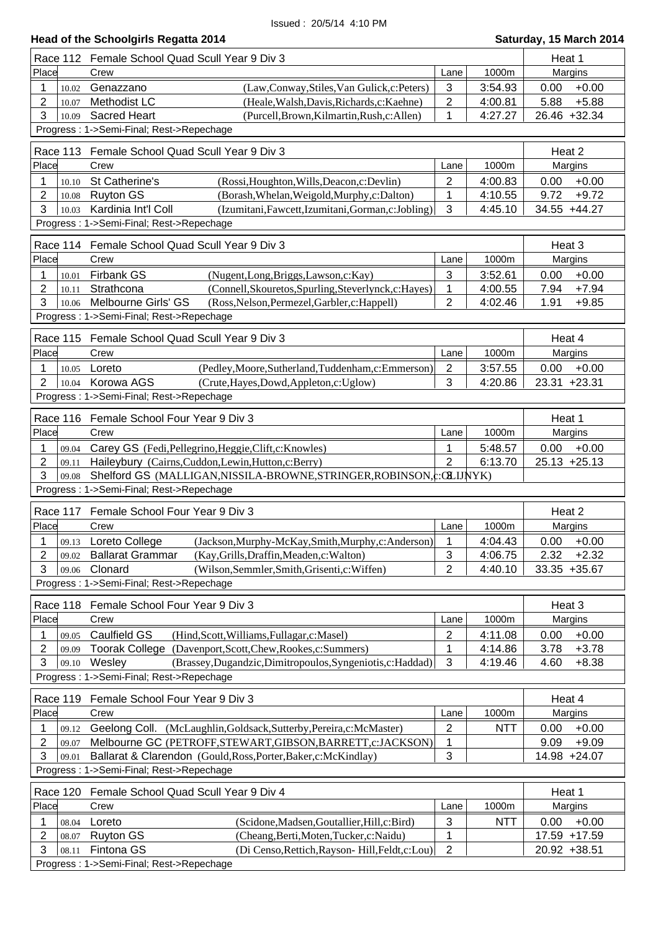|                                                | Race 112 Female School Quad Scull Year 9 Div 3                                                                                       |                     |            | Heat 1                             |  |  |
|------------------------------------------------|--------------------------------------------------------------------------------------------------------------------------------------|---------------------|------------|------------------------------------|--|--|
| Place                                          | Crew                                                                                                                                 | Lane                | 1000m      | Margins                            |  |  |
| 1<br>10.02                                     | (Law,Conway,Stiles,Van Gulick,c:Peters)<br>Genazzano                                                                                 | 3                   | 3:54.93    | $+0.00$<br>0.00                    |  |  |
| 2<br>10.07                                     | Methodist LC<br>(Heale, Walsh, Davis, Richards, c: Kaehne)                                                                           | $\overline{2}$      | 4:00.81    | 5.88<br>$+5.88$                    |  |  |
| 3<br>10.09                                     | <b>Sacred Heart</b><br>(Purcell, Brown, Kilmartin, Rush, c: Allen)                                                                   | 1                   | 4:27.27    | 26.46 +32.34                       |  |  |
|                                                | Progress: 1->Semi-Final; Rest->Repechage                                                                                             |                     |            |                                    |  |  |
| Race 113 Female School Quad Scull Year 9 Div 3 |                                                                                                                                      | Heat 2              |            |                                    |  |  |
| Place                                          | Crew                                                                                                                                 | Lane                | 1000m      | Margins                            |  |  |
| 1<br>10.10                                     | St Catherine's<br>(Rossi, Houghton, Wills, Deacon, c: Devlin)                                                                        | 2                   | 4:00.83    | $+0.00$<br>0.00                    |  |  |
| 2<br>10.08                                     | <b>Ruyton GS</b><br>(Borash, Whelan, Weigold, Murphy, c: Dalton)                                                                     | 1                   | 4:10.55    | 9.72<br>$+9.72$                    |  |  |
| 3<br>10.03                                     | Kardinia Int'l Coll<br>(Izumitani, Fawcett, Izumitani, Gorman, c: Jobling)                                                           | 3                   | 4:45.10    | 34.55 +44.27                       |  |  |
|                                                | Progress: 1->Semi-Final; Rest->Repechage                                                                                             |                     |            |                                    |  |  |
|                                                | Race 114 Female School Quad Scull Year 9 Div 3                                                                                       |                     |            | Heat 3                             |  |  |
| Place                                          | Crew                                                                                                                                 | Lane                | 1000m      | Margins                            |  |  |
| 1<br>10.01                                     | <b>Firbank GS</b><br>(Nugent,Long,Briggs,Lawson,c:Kay)                                                                               | 3                   | 3:52.61    | $+0.00$<br>0.00                    |  |  |
| 2<br>10.11                                     | Strathcona<br>(Connell, Skouretos, Spurling, Steverlynck, c: Hayes)                                                                  | 1                   | 4:00.55    | 7.94<br>$+7.94$                    |  |  |
| 3<br>10.06                                     | Melbourne Girls' GS<br>(Ross, Nelson, Permezel, Garbler, c: Happell)                                                                 | 2                   | 4:02.46    | 1.91<br>$+9.85$                    |  |  |
|                                                | Progress: 1->Semi-Final; Rest->Repechage                                                                                             |                     |            |                                    |  |  |
|                                                |                                                                                                                                      |                     |            |                                    |  |  |
|                                                | Race 115 Female School Quad Scull Year 9 Div 3                                                                                       |                     |            | Heat 4                             |  |  |
| Place                                          | Crew                                                                                                                                 | Lane                | 1000m      | Margins                            |  |  |
| 1<br>10.05                                     | (Pedley, Moore, Sutherland, Tuddenham, c: Emmerson)<br>Loreto                                                                        | $\overline{2}$      | 3:57.55    | $+0.00$<br>0.00                    |  |  |
| $\overline{2}$<br>10.04                        | Korowa AGS<br>(Crute, Hayes, Dowd, Appleton, c: Uglow)                                                                               | 3                   | 4:20.86    | 23.31 +23.31                       |  |  |
|                                                | Progress: 1->Semi-Final; Rest->Repechage                                                                                             |                     |            |                                    |  |  |
|                                                | Race 116 Female School Four Year 9 Div 3                                                                                             |                     |            | Heat 1                             |  |  |
| Place                                          | Crew                                                                                                                                 | Lane                | 1000m      | Margins                            |  |  |
| 1<br>09.04                                     | Carey GS (Fedi, Pellegrino, Heggie, Clift, c: Knowles)                                                                               | 1                   | 5:48.57    | $+0.00$<br>0.00                    |  |  |
| 2<br>09.11                                     | Haileybury (Cairns, Cuddon, Lewin, Hutton, c: Berry)                                                                                 | $\overline{2}$      | 6:13.70    | $25.13 + 25.13$                    |  |  |
| 3<br>09.08                                     | Shelford GS (MALLIGAN, NISSILA-BROWNE, STRINGER, ROBINSON, c: OLIJNYK)                                                               |                     |            |                                    |  |  |
|                                                | Progress: 1->Semi-Final; Rest->Repechage                                                                                             |                     |            |                                    |  |  |
| Race 117                                       | Female School Four Year 9 Div 3                                                                                                      |                     |            | Heat 2                             |  |  |
| Place                                          | Crew                                                                                                                                 | Lane                | 1000m      | Margins                            |  |  |
| 09.13                                          | <b>Loreto College</b><br>(Jackson, Murphy-McKay, Smith, Murphy, c: Anderson)                                                         | 1                   | 4:04.43    | 0.00<br>$+0.00$                    |  |  |
| 2<br>09.02                                     | (Kay, Grills, Draffin, Meaden, c: Walton)<br><b>Ballarat Grammar</b>                                                                 | 3                   | 4:06.75    | 2.32<br>$+2.32$                    |  |  |
| 3<br>09.06                                     | Clonard<br>(Wilson, Semmler, Smith, Grisenti, c: Wiffen)                                                                             | $\overline{2}$      | 4:40.10    | $33.35 + 35.67$                    |  |  |
|                                                | Progress: 1->Semi-Final; Rest->Repechage                                                                                             |                     |            |                                    |  |  |
|                                                | Race 118 Female School Four Year 9 Div 3                                                                                             |                     |            | Heat 3                             |  |  |
| Place                                          | Crew                                                                                                                                 | Lane                | 1000m      | Margins                            |  |  |
| 1<br>09.05                                     | <b>Caulfield GS</b><br>(Hind, Scott, Williams, Fullagar, c: Masel)                                                                   | $\overline{2}$      | 4:11.08    | $+0.00$<br>0.00                    |  |  |
| 2<br>09.09                                     | Toorak College (Davenport, Scott, Chew, Rookes, c: Summers)                                                                          | 1                   | 4:14.86    | $+3.78$<br>3.78                    |  |  |
| 3<br>09.10                                     | (Brassey, Dugandzic, Dimitropoulos, Syngeniotis, c: Haddad)<br>Wesley                                                                | 3                   | 4:19.46    | $+8.38$<br>4.60                    |  |  |
|                                                | Progress: 1->Semi-Final; Rest->Repechage                                                                                             |                     |            |                                    |  |  |
|                                                |                                                                                                                                      |                     |            |                                    |  |  |
| Place                                          | Race 119 Female School Four Year 9 Div 3<br>Crew                                                                                     | Lane                | 1000m      | Heat 4<br>Margins                  |  |  |
|                                                |                                                                                                                                      |                     |            |                                    |  |  |
| 1<br>09.12<br>2<br>09.07                       | Geelong Coll. (McLaughlin, Goldsack, Sutterby, Pereira, c: McMaster)<br>Melbourne GC (PETROFF, STEWART, GIBSON, BARRETT, c: JACKSON) | $\overline{2}$<br>1 | <b>NTT</b> | 0.00<br>$+0.00$<br>9.09<br>$+9.09$ |  |  |
| 3<br>09.01                                     | Ballarat & Clarendon (Gould, Ross, Porter, Baker, c: McKindlay)                                                                      | 3                   |            | 14.98 +24.07                       |  |  |
|                                                | Progress: 1->Semi-Final; Rest->Repechage                                                                                             |                     |            |                                    |  |  |
|                                                |                                                                                                                                      |                     |            |                                    |  |  |
| Race 120                                       | Female School Quad Scull Year 9 Div 4                                                                                                |                     |            | Heat 1                             |  |  |
| Place                                          | Crew                                                                                                                                 | Lane                | 1000m      | Margins                            |  |  |
| 1<br>08.04                                     | Loreto<br>(Scidone, Madsen, Goutallier, Hill, c: Bird)                                                                               | 3                   | <b>NTT</b> | 0.00<br>$+0.00$                    |  |  |
| 2<br>08.07                                     | <b>Ruyton GS</b><br>(Cheang, Berti, Moten, Tucker, c: Naidu)                                                                         | 1                   |            | 17.59 +17.59                       |  |  |
| 3<br>08.11                                     | Fintona GS<br>(Di Censo, Rettich, Rayson-Hill, Feldt, c: Lou)<br>Progress: 1->Semi-Final; Rest->Repechage                            | $\overline{2}$      |            | 20.92 +38.51                       |  |  |
|                                                |                                                                                                                                      |                     |            |                                    |  |  |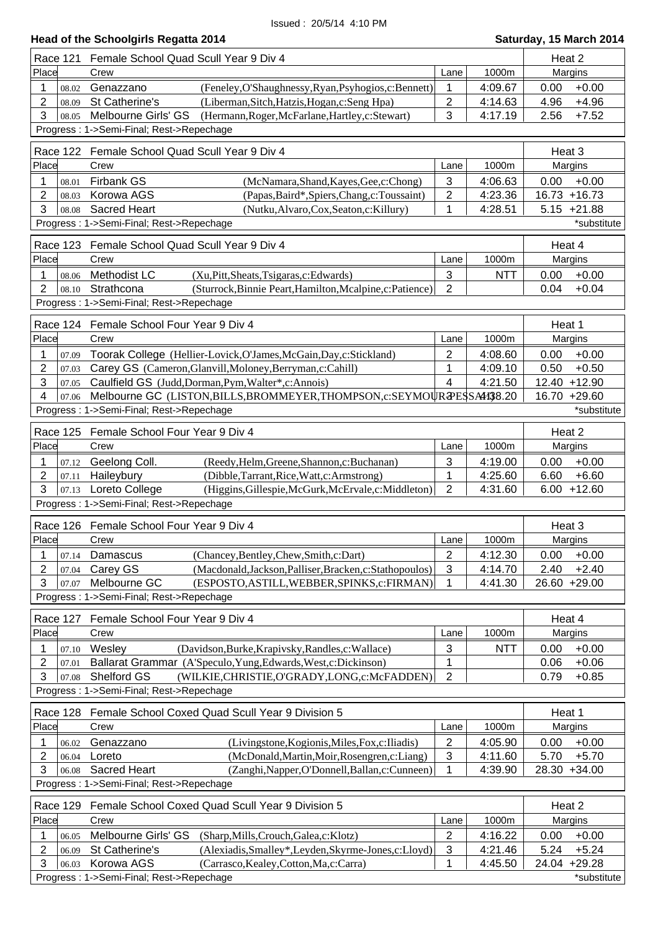| <b>Race 121</b>                                         | Female School Quad Scull Year 9 Div 4                                                                                             |                     |                    | Heat 2                          |  |  |
|---------------------------------------------------------|-----------------------------------------------------------------------------------------------------------------------------------|---------------------|--------------------|---------------------------------|--|--|
| Place                                                   | Crew                                                                                                                              | Lane                | 1000m              | Margins                         |  |  |
| 1<br>08.02                                              | Genazzano<br>(Feneley, O'Shaughnessy, Ryan, Psyhogios, c: Bennett)                                                                | 1                   | 4:09.67            | $+0.00$<br>0.00                 |  |  |
| 2<br>08.09                                              | St Catherine's<br>(Liberman, Sitch, Hatzis, Hogan, c: Seng Hpa)                                                                   | $\overline{2}$      | 4:14.63            | $+4.96$<br>4.96                 |  |  |
| 3<br>08.05                                              | Melbourne Girls' GS<br>(Hermann, Roger, McFarlane, Hartley, c: Stewart)                                                           | 3                   | 4:17.19            | $+7.52$<br>2.56                 |  |  |
|                                                         | Progress: 1->Semi-Final; Rest->Repechage                                                                                          |                     |                    |                                 |  |  |
|                                                         | Race 122 Female School Quad Scull Year 9 Div 4                                                                                    |                     |                    | Heat 3                          |  |  |
| Place                                                   | Crew<br>Lane<br>1000m                                                                                                             |                     |                    |                                 |  |  |
| 1<br>08.01                                              | <b>Firbank GS</b><br>(McNamara, Shand, Kayes, Gee, c: Chong)                                                                      | 3                   | 4:06.63            | Margins<br>0.00<br>$+0.00$      |  |  |
| 2<br>08.03                                              | Korowa AGS<br>(Papas, Baird*, Spiers, Chang, c: Toussaint)                                                                        | $\overline{2}$      | 4:23.36            | 16.73 +16.73                    |  |  |
| 3<br>08.08                                              | <b>Sacred Heart</b><br>(Nutku, Alvaro, Cox, Seaton, c: Killury)                                                                   | 1                   | 4:28.51            | $5.15 +21.88$                   |  |  |
|                                                         | Progress: 1->Semi-Final; Rest->Repechage                                                                                          |                     |                    | *substitute                     |  |  |
|                                                         |                                                                                                                                   |                     |                    |                                 |  |  |
| <b>Race 123</b>                                         | Female School Quad Scull Year 9 Div 4<br>Crew                                                                                     |                     | 1000m              | Heat 4                          |  |  |
| Place                                                   |                                                                                                                                   | Lane                |                    | Margins                         |  |  |
| 1<br>08.06                                              | Methodist LC<br>(Xu, Pitt, Sheats, Tsigaras, c: Edwards)                                                                          | 3                   | <b>NTT</b>         | $+0.00$<br>0.00                 |  |  |
| $\overline{2}$<br>08.10                                 | Strathcona<br>(Sturrock, Binnie Peart, Hamilton, Mcalpine, c: Patience)                                                           | $\overline{2}$      |                    | 0.04<br>$+0.04$                 |  |  |
|                                                         | Progress: 1->Semi-Final; Rest->Repechage                                                                                          |                     |                    |                                 |  |  |
|                                                         | Race 124 Female School Four Year 9 Div 4                                                                                          |                     |                    | Heat 1                          |  |  |
| Place                                                   | Crew                                                                                                                              | Lane                | 1000m              | Margins                         |  |  |
| 1<br>07.09                                              | Toorak College (Hellier-Lovick, O'James, McGain, Day, c: Stickland)                                                               | $\overline{2}$      | 4:08.60            | 0.00<br>$+0.00$                 |  |  |
| 2<br>07.03                                              | Carey GS (Cameron, Glanvill, Moloney, Berryman, c: Cahill)                                                                        | $\mathbf{1}$        | 4:09.10            | 0.50<br>$+0.50$                 |  |  |
| 3<br>07.05                                              | Caulfield GS (Judd, Dorman, Pym, Walter*, c: Annois)                                                                              | $\overline{4}$      | 4:21.50            | 12.40 +12.90                    |  |  |
| 4<br>07.06                                              | Melbourne GC (LISTON, BILLS, BROMMEYER, THOMPSON, c: SEYMOUR PESS A438.20                                                         |                     |                    | 16.70 +29.60                    |  |  |
|                                                         | Progress: 1->Semi-Final; Rest->Repechage                                                                                          |                     |                    | *substitute                     |  |  |
|                                                         | Race 125 Female School Four Year 9 Div 4                                                                                          |                     |                    | Heat 2                          |  |  |
| Place                                                   | Crew                                                                                                                              | Lane                | 1000m              | Margins                         |  |  |
| 1<br>07.12                                              | Geelong Coll.<br>(Reedy, Helm, Greene, Shannon, c: Buchanan)                                                                      | 3                   | 4:19.00            | $+0.00$<br>0.00                 |  |  |
| 2<br>07.11                                              | Haileybury<br>(Dibble, Tarrant, Rice, Watt, c: Armstrong)                                                                         | 1                   | 4:25.60            | $+6.60$<br>6.60                 |  |  |
| 3<br>07.13                                              | Loreto College<br>(Higgins, Gillespie, McGurk, McErvale, c: Middleton)                                                            | $\overline{2}$      | 4:31.60            | $6.00 + 12.60$                  |  |  |
|                                                         | Progress: 1->Semi-Final; Rest->Repechage                                                                                          |                     |                    |                                 |  |  |
|                                                         |                                                                                                                                   |                     |                    |                                 |  |  |
| Race 126                                                | Female School Four Year 9 Div 4                                                                                                   |                     |                    | Heat 3                          |  |  |
| Place                                                   | Crew                                                                                                                              | Lane                | 1000m              | Margins                         |  |  |
| 1<br>07.14                                              | Damascus<br>(Chancey, Bentley, Chew, Smith, c: Dart)                                                                              | $\sqrt{2}$          | 4:12.30            | $+0.00$<br>0.00                 |  |  |
| 2<br>07.04                                              | Carey GS<br>(Macdonald, Jackson, Palliser, Bracken, c: Stathopoulos)                                                              | 3                   | 4:14.70            | $+2.40$<br>2.40                 |  |  |
| 3<br>07.07                                              | Melbourne GC<br>(ESPOSTO, ASTILL, WEBBER, SPINKS, c: FIRMAN)                                                                      | 1                   | 4:41.30            | 26.60 +29.00                    |  |  |
|                                                         | Progress: 1->Semi-Final; Rest->Repechage                                                                                          |                     |                    |                                 |  |  |
| Race 127                                                | Female School Four Year 9 Div 4                                                                                                   |                     |                    | Heat 4                          |  |  |
| Place                                                   | Crew                                                                                                                              | Lane                | 1000m              | Margins                         |  |  |
| 1<br>07.10                                              | Wesley<br>(Davidson, Burke, Krapivsky, Randles, c: Wallace)                                                                       | 3                   | <b>NTT</b>         | 0.00<br>$+0.00$                 |  |  |
| 2<br>07.01                                              | Ballarat Grammar (A'Speculo, Yung, Edwards, West, c: Dickinson)                                                                   | 1                   |                    | $+0.06$<br>0.06                 |  |  |
| 3<br>07.08                                              | Shelford GS<br>(WILKIE,CHRISTIE,O'GRADY,LONG,c:McFADDEN)                                                                          | $\overline{2}$      |                    | 0.79<br>$+0.85$                 |  |  |
|                                                         | Progress: 1->Semi-Final; Rest->Repechage                                                                                          |                     |                    |                                 |  |  |
| Race 128                                                | Female School Coxed Quad Scull Year 9 Division 5                                                                                  |                     |                    | Heat 1                          |  |  |
| Place                                                   | Crew                                                                                                                              | Lane                | 1000m              | Margins                         |  |  |
| 1<br>06.02                                              | Genazzano<br>(Livingstone, Kogionis, Miles, Fox, c: Iliadis)                                                                      | $\overline{2}$      | 4:05.90            | 0.00<br>$+0.00$                 |  |  |
| 2<br>06.04                                              | (McDonald, Martin, Moir, Rosengren, c: Liang)<br>Loreto                                                                           | $\sqrt{3}$          | 4:11.60            | 5.70<br>$+5.70$                 |  |  |
| 3<br>06.08                                              | <b>Sacred Heart</b><br>(Zanghi, Napper, O'Donnell, Ballan, c: Cunneen)                                                            | 1                   | 4:39.90            | 28.30 +34.00                    |  |  |
|                                                         | Progress: 1->Semi-Final; Rest->Repechage                                                                                          |                     |                    |                                 |  |  |
|                                                         |                                                                                                                                   |                     |                    |                                 |  |  |
| Race 129                                                | Female School Coxed Quad Scull Year 9 Division 5                                                                                  |                     |                    | Heat 2                          |  |  |
| Place                                                   | Crew                                                                                                                              | Lane                | 1000m              | Margins                         |  |  |
| 1<br>06.05                                              | Melbourne Girls' GS<br>(Sharp, Mills, Crouch, Galea, c: Klotz)                                                                    | $\overline{2}$      | 4:16.22            | 0.00<br>$+0.00$                 |  |  |
| 2<br>06.09<br>3                                         | St Catherine's<br>(Alexiadis, Smalley*, Leyden, Skyrme-Jones, c: Lloyd)<br>Korowa AGS<br>(Carrasco, Kealey, Cotton, Ma, c: Carra) | $\mathfrak{B}$<br>1 | 4:21.46<br>4:45.50 | 5.24<br>$+5.24$<br>24.04 +29.28 |  |  |
| 06.03                                                   |                                                                                                                                   |                     |                    |                                 |  |  |
| Progress: 1->Semi-Final; Rest->Repechage<br>*substitute |                                                                                                                                   |                     |                    |                                 |  |  |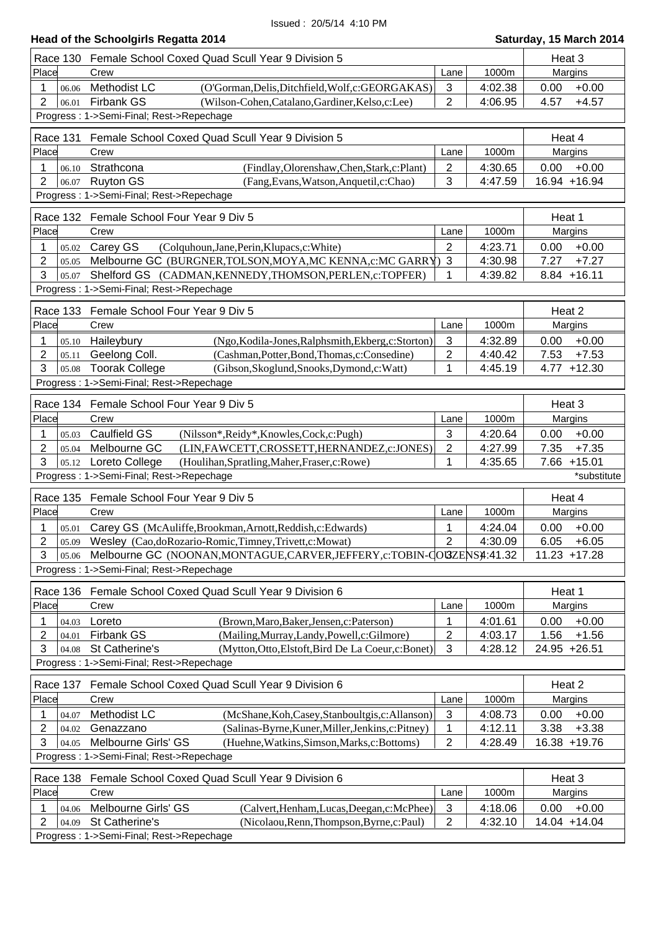# **Head of the Schoolgirls Regatta 2014 Saturday, 15 March 2014**

|                                          | Race 130 Female School Coxed Quad Scull Year 9 Division 5                                                                  |                |                    | Heat 3                            |  |  |
|------------------------------------------|----------------------------------------------------------------------------------------------------------------------------|----------------|--------------------|-----------------------------------|--|--|
| Place                                    | Crew                                                                                                                       | Lane           | 1000m              | Margins                           |  |  |
| 1<br>06.06                               | Methodist LC<br>(O'Gorman, Delis, Ditchfield, Wolf, c: GEORGAKAS)                                                          | 3              | 4:02.38            | 0.00<br>$+0.00$                   |  |  |
| $\overline{2}$<br>06.01                  | <b>Firbank GS</b><br>(Wilson-Cohen, Catalano, Gardiner, Kelso, c: Lee)                                                     | $\overline{2}$ | 4:06.95            | 4.57<br>$+4.57$                   |  |  |
|                                          | Progress: 1->Semi-Final; Rest->Repechage                                                                                   |                |                    |                                   |  |  |
|                                          | Female School Coxed Quad Scull Year 9 Division 5                                                                           |                |                    | Heat 4                            |  |  |
| Race 131                                 | Place<br>1000m<br>Crew<br>Lane                                                                                             |                |                    |                                   |  |  |
| 1                                        | Strathcona                                                                                                                 | $\overline{2}$ | 4:30.65            | Margins<br>$+0.00$<br>0.00        |  |  |
| 06.10<br>$\overline{2}$<br>06.07         | (Findlay, Olorenshaw, Chen, Stark, c: Plant)<br><b>Ruyton GS</b><br>(Fang, Evans, Watson, Anquetil, c: Chao)               | 3              | 4:47.59            | 16.94 +16.94                      |  |  |
|                                          | Progress: 1->Semi-Final; Rest->Repechage                                                                                   |                |                    |                                   |  |  |
|                                          |                                                                                                                            |                |                    |                                   |  |  |
|                                          | Race 132 Female School Four Year 9 Div 5                                                                                   |                |                    | Heat 1                            |  |  |
| Place                                    | Crew                                                                                                                       | Lane           | 1000m              | Margins                           |  |  |
| 1<br>05.02<br>$\overline{2}$             | Carey GS<br>(Colquhoun, Jane, Perin, Klupacs, c: White)                                                                    | $\overline{2}$ | 4:23.71            | 0.00<br>$+0.00$                   |  |  |
| 05.05<br>3<br>05.07                      | Melbourne GC (BURGNER, TOLSON, MOYA, MC KENNA, c: MC GARRY) 3<br>Shelford GS (CADMAN, KENNEDY, THOMSON, PERLEN, c: TOPFER) | 1              | 4:30.98<br>4:39.82 | 7.27<br>$+7.27$<br>$8.84 + 16.11$ |  |  |
|                                          | Progress: 1->Semi-Final; Rest->Repechage                                                                                   |                |                    |                                   |  |  |
|                                          |                                                                                                                            |                |                    |                                   |  |  |
| Race 133                                 | Female School Four Year 9 Div 5                                                                                            |                |                    | Heat 2                            |  |  |
| Place                                    | Crew                                                                                                                       | Lane           | 1000m              | Margins                           |  |  |
| 1<br>05.10                               | Haileybury<br>(Ngo, Kodila-Jones, Ralphsmith, Ekberg, c: Storton)                                                          | 3              | 4:32.89            | 0.00<br>$+0.00$                   |  |  |
| 2<br>05.11                               | Geelong Coll.<br>(Cashman, Potter, Bond, Thomas, c: Consedine)                                                             | $\overline{2}$ | 4:40.42            | 7.53<br>$+7.53$                   |  |  |
| 3<br>05.08                               | <b>Toorak College</b><br>(Gibson, Skoglund, Snooks, Dymond, c: Watt)                                                       | 1              | 4:45.19            | $4.77 + 12.30$                    |  |  |
|                                          | Progress: 1->Semi-Final; Rest->Repechage                                                                                   |                |                    |                                   |  |  |
|                                          | Race 134 Female School Four Year 9 Div 5                                                                                   |                |                    | Heat 3                            |  |  |
| Place                                    | Crew                                                                                                                       | Lane           | 1000m              | Margins                           |  |  |
| 1<br>05.03                               | <b>Caulfield GS</b><br>(Nilsson*, Reidy*, Knowles, Cock, c: Pugh)                                                          | 3              | 4:20.64            | 0.00<br>$+0.00$                   |  |  |
| $\overline{2}$<br>05.04                  | (LIN, FAWCETT, CROSSETT, HERNANDEZ, c: JONES)<br>Melbourne GC                                                              | $\sqrt{2}$     | 4:27.99            | 7.35<br>$+7.35$                   |  |  |
| 3<br>05.12                               | Loreto College<br>(Houlihan, Spratling, Maher, Fraser, c: Rowe)                                                            | 1              | 4:35.65            | 7.66 +15.01                       |  |  |
|                                          | Progress: 1->Semi-Final; Rest->Repechage                                                                                   |                |                    | *substitute                       |  |  |
| Race 135                                 | Female School Four Year 9 Div 5                                                                                            |                |                    | Heat 4                            |  |  |
| Place                                    | Crew                                                                                                                       | Lane           | 1000m              | Margins                           |  |  |
| 1                                        | 05.01 Carey GS (McAuliffe, Brookman, Arnott, Reddish, c: Edwards)                                                          | 1              | 4:24.04            | 0.00<br>$+0.00$                   |  |  |
| $\overline{2}$                           | 05.09 Wesley (Cao,doRozario-Romic,Timney,Trivett,c:Mowat)                                                                  | $\overline{2}$ | 4:30.09            | $6.05 + 6.05$                     |  |  |
| 3<br>05.06                               | Melbourne GC (NOONAN, MONTAGUE, CARVER, JEFFERY, c:TOBIN-QOU3ZENS)4:41.32                                                  |                |                    | $11.23 + 17.28$                   |  |  |
|                                          | Progress: 1->Semi-Final; Rest->Repechage                                                                                   |                |                    |                                   |  |  |
|                                          | Race 136 Female School Coxed Quad Scull Year 9 Division 6                                                                  |                |                    | Heat 1                            |  |  |
| Place                                    | Crew                                                                                                                       | Lane           | 1000m              | Margins                           |  |  |
| 1<br>04.03                               | Loreto<br>(Brown, Maro, Baker, Jensen, c: Paterson)                                                                        | 1              | 4:01.61            | $+0.00$<br>0.00                   |  |  |
| 2<br>04.01                               | <b>Firbank GS</b><br>(Mailing, Murray, Landy, Powell, c: Gilmore)                                                          | $\sqrt{2}$     | 4:03.17            | $+1.56$<br>1.56                   |  |  |
| 3<br>04.08                               | St Catherine's<br>(Mytton, Otto, Elstoft, Bird De La Coeur, c: Bonet)                                                      | 3              | 4:28.12            | 24.95 +26.51                      |  |  |
|                                          | Progress: 1->Semi-Final; Rest->Repechage                                                                                   |                |                    |                                   |  |  |
| Race 137                                 | Female School Coxed Quad Scull Year 9 Division 6                                                                           |                |                    | Heat 2                            |  |  |
| Place                                    | Crew                                                                                                                       | Lane           | 1000m              | Margins                           |  |  |
| 1<br>04.07                               | Methodist LC<br>(McShane, Koh, Casey, Stanboultgis, c: Allanson)                                                           | $\mathbf{3}$   | 4:08.73            | $+0.00$<br>0.00                   |  |  |
| $\overline{2}$<br>04.02                  | Genazzano<br>(Salinas-Byrne, Kuner, Miller, Jenkins, c: Pitney)                                                            | $\mathbf{1}$   | 4:12.11            | 3.38<br>$+3.38$                   |  |  |
| 3<br>04.05                               | Melbourne Girls' GS<br>(Huehne, Watkins, Simson, Marks, c: Bottoms)                                                        | $\overline{2}$ | 4:28.49            | 16.38 +19.76                      |  |  |
|                                          | Progress: 1->Semi-Final; Rest->Repechage                                                                                   |                |                    |                                   |  |  |
| Race 138                                 | Female School Coxed Quad Scull Year 9 Division 6                                                                           |                |                    | Heat 3                            |  |  |
| Place                                    | Crew                                                                                                                       | Lane           | 1000m              | Margins                           |  |  |
| 1<br>04.06                               | Melbourne Girls' GS<br>(Calvert, Henham, Lucas, Deegan, c: McPhee)                                                         | 3              | 4:18.06            | $+0.00$<br>0.00                   |  |  |
| 2<br>04.09                               | St Catherine's<br>(Nicolaou, Renn, Thompson, Byrne, c: Paul)                                                               | $\overline{2}$ | 4:32.10            | 14.04 +14.04                      |  |  |
| Progress: 1->Semi-Final; Rest->Repechage |                                                                                                                            |                |                    |                                   |  |  |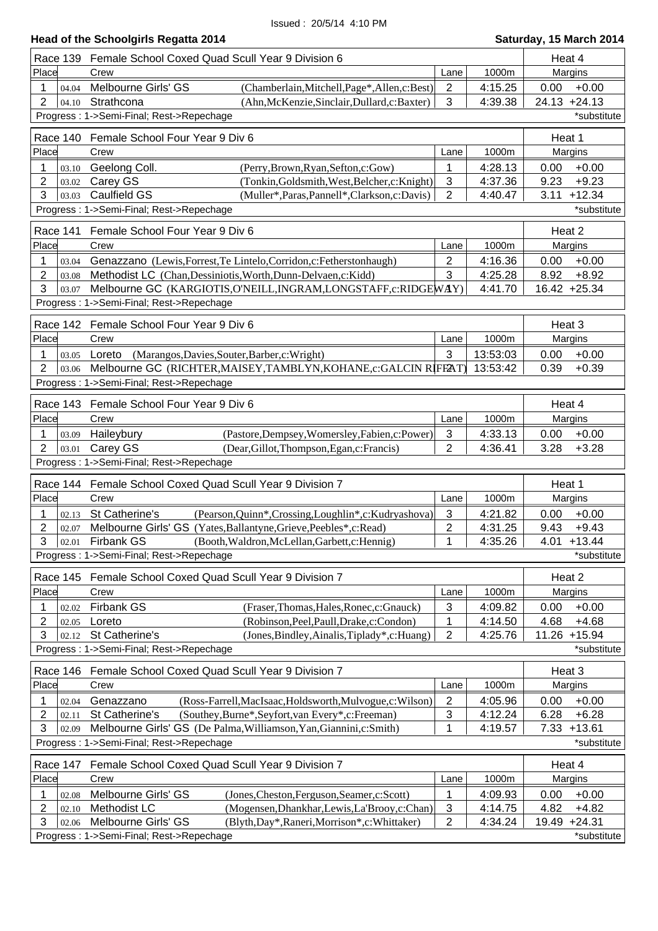# **Head of the Schoolgirls Regatta 2014 Saturday, 15 March 2014**

|                                          | Race 139 Female School Coxed Quad Scull Year 9 Division 6                |                |          | Heat 4          |  |  |
|------------------------------------------|--------------------------------------------------------------------------|----------------|----------|-----------------|--|--|
| Place                                    | Crew                                                                     | Lane           | 1000m    | Margins         |  |  |
| 1<br>04.04                               | Melbourne Girls' GS<br>(Chamberlain, Mitchell, Page*, Allen, c: Best)    | $\overline{2}$ | 4:15.25  | 0.00<br>$+0.00$ |  |  |
| $\overline{2}$<br>04.10                  | Strathcona<br>(Ahn, McKenzie, Sinclair, Dullard, c: Baxter)              | 3              | 4:39.38  | $24.13 + 24.13$ |  |  |
|                                          | Progress: 1->Semi-Final; Rest->Repechage<br>*substitute                  |                |          |                 |  |  |
| Race 140 Female School Four Year 9 Div 6 | Heat 1                                                                   |                |          |                 |  |  |
| Place                                    | Crew                                                                     | Lane           | 1000m    | Margins         |  |  |
| 1<br>03.10                               | Geelong Coll.<br>(Perry, Brown, Ryan, Sefton, c: Gow)                    | 1              | 4:28.13  | 0.00<br>$+0.00$ |  |  |
| 2<br>03.02                               | Carey GS<br>(Tonkin, Goldsmith, West, Belcher, c: Knight)                | 3              | 4:37.36  | 9.23<br>$+9.23$ |  |  |
| 3<br>03.03                               | Caulfield GS<br>(Muller*, Paras, Pannell*, Clarkson, c: Davis)           | 2              | 4:40.47  | $3.11 + 12.34$  |  |  |
|                                          | Progress: 1->Semi-Final; Rest->Repechage                                 |                |          | *substitute     |  |  |
|                                          |                                                                          |                |          |                 |  |  |
|                                          | Race 141 Female School Four Year 9 Div 6                                 |                |          | Heat 2          |  |  |
| Place                                    | Crew                                                                     | Lane           | 1000m    | Margins         |  |  |
| 1<br>03.04                               | Genazzano (Lewis, Forrest, Te Lintelo, Corridon, c: Fetherstonhaugh)     | $\overline{2}$ | 4:16.36  | 0.00<br>$+0.00$ |  |  |
| 2<br>03.08                               | Methodist LC (Chan, Dessiniotis, Worth, Dunn-Delvaen, c: Kidd)           | 3              | 4:25.28  | $+8.92$<br>8.92 |  |  |
| 3<br>03.07                               | Melbourne GC (KARGIOTIS, O'NEILL, INGRAM, LONGSTAFF, c: RIDGEWAY)        |                | 4:41.70  | 16.42 +25.34    |  |  |
|                                          | Progress: 1->Semi-Final; Rest->Repechage                                 |                |          |                 |  |  |
|                                          | Race 142 Female School Four Year 9 Div 6                                 |                |          | Heat 3          |  |  |
| Place                                    | Crew                                                                     | Lane           | 1000m    | Margins         |  |  |
|                                          |                                                                          |                |          |                 |  |  |
| 1<br>03.05                               | Loreto (Marangos, Davies, Souter, Barber, c: Wright)                     | 3              | 13:53:03 | $+0.00$<br>0.00 |  |  |
| $\overline{2}$<br>03.06                  | Melbourne GC (RICHTER, MAISEY, TAMBLYN, KOHANE, c: GALCIN RIFF2AT)       |                | 13:53:42 | 0.39<br>$+0.39$ |  |  |
|                                          | Progress: 1->Semi-Final; Rest->Repechage                                 |                |          |                 |  |  |
|                                          | Race 143 Female School Four Year 9 Div 6                                 |                |          | Heat 4          |  |  |
| Place                                    | Crew                                                                     | Lane           | 1000m    | Margins         |  |  |
| 1<br>03.09                               | Haileybury<br>(Pastore, Dempsey, Womersley, Fabien, c: Power)            | 3              | 4:33.13  | 0.00<br>$+0.00$ |  |  |
| $\overline{2}$<br>03.01                  | Carey GS<br>(Dear, Gillot, Thompson, Egan, c: Francis)                   | 2              | 4:36.41  | 3.28<br>$+3.28$ |  |  |
|                                          | Progress: 1->Semi-Final; Rest->Repechage                                 |                |          |                 |  |  |
|                                          |                                                                          |                |          |                 |  |  |
|                                          | Race 144 Female School Coxed Quad Scull Year 9 Division 7                |                |          | Heat 1          |  |  |
| Place                                    | Crew                                                                     | Lane           | 1000m    | Margins         |  |  |
| 1<br>02.13                               | St Catherine's<br>(Pearson, Quinn*, Crossing, Loughlin*, c: Kudryashova) | $\mathbf{3}$   | 4:21.82  | 0.00<br>$+0.00$ |  |  |
| $\overline{2}$<br>02.07                  | Melbourne Girls' GS (Yates, Ballantyne, Grieve, Peebles*, c: Read)       | 2              | 4:31.25  | 9.43<br>$+9.43$ |  |  |
|                                          | $3$ 02.01 Firbank GS<br>(Booth, Waldron, McLellan, Garbett, c: Hennig)   | 1              | 4:35.26  | $4.01 + 13.44$  |  |  |
|                                          | Progress: 1->Semi-Final; Rest->Repechage                                 |                |          | *substitute     |  |  |
|                                          | Race 145 Female School Coxed Quad Scull Year 9 Division 7                |                |          | Heat 2          |  |  |
| Place                                    | Crew                                                                     | Lane           | 1000m    | Margins         |  |  |
| 1<br>02.02                               | <b>Firbank GS</b><br>(Fraser, Thomas, Hales, Ronec, c: Gnauck)           | 3              | 4:09.82  | $+0.00$<br>0.00 |  |  |
| $\overline{2}$<br>02.05                  | Loreto<br>(Robinson, Peel, Paull, Drake, c: Condon)                      | 1              | 4:14.50  | 4.68<br>$+4.68$ |  |  |
| 3<br>02.12                               | St Catherine's<br>(Jones, Bindley, Ainalis, Tiplady*, c: Huang)          | 2              | 4:25.76  | 11.26 +15.94    |  |  |
|                                          | Progress: 1->Semi-Final; Rest->Repechage                                 |                |          | *substitute     |  |  |
|                                          |                                                                          |                |          |                 |  |  |
|                                          | Race 146 Female School Coxed Quad Scull Year 9 Division 7                |                |          | Heat 3          |  |  |
| Place                                    | Crew                                                                     | Lane           | 1000m    | Margins         |  |  |
| 1<br>02.04                               | Genazzano<br>(Ross-Farrell, MacIsaac, Holdsworth, Mulvogue, c: Wilson)   | $\overline{2}$ | 4:05.96  | 0.00<br>$+0.00$ |  |  |
| $\overline{2}$<br>02.11                  | (Southey, Burne*, Seyfort, van Every*, c: Freeman)<br>St Catherine's     | 3              | 4:12.24  | 6.28<br>$+6.28$ |  |  |
| 3<br>02.09                               | Melbourne Girls' GS (De Palma, Williamson, Yan, Giannini, c: Smith)      | 1              | 4:19.57  | $7.33 + 13.61$  |  |  |
|                                          | Progress: 1->Semi-Final; Rest->Repechage                                 |                |          | *substitute     |  |  |
|                                          |                                                                          |                |          |                 |  |  |
| Race 147<br>Place                        | Female School Coxed Quad Scull Year 9 Division 7<br>Crew                 |                |          | Heat 4          |  |  |
|                                          |                                                                          | Lane           | 1000m    | Margins         |  |  |
| 1<br>02.08                               | Melbourne Girls' GS<br>(Jones, Cheston, Ferguson, Seamer, c: Scott)      | 1              | 4:09.93  | $+0.00$<br>0.00 |  |  |
| 2<br>02.10                               | Methodist LC<br>(Mogensen, Dhankhar, Lewis, La'Brooy, c: Chan)           | $\sqrt{3}$     | 4:14.75  | $+4.82$<br>4.82 |  |  |
| 3<br>02.06                               | Melbourne Girls' GS<br>(Blyth, Day*, Raneri, Morrison*, c: Whittaker)    | 2              | 4:34.24  | 19.49 +24.31    |  |  |
|                                          | Progress: 1->Semi-Final; Rest->Repechage                                 |                |          | *substitute     |  |  |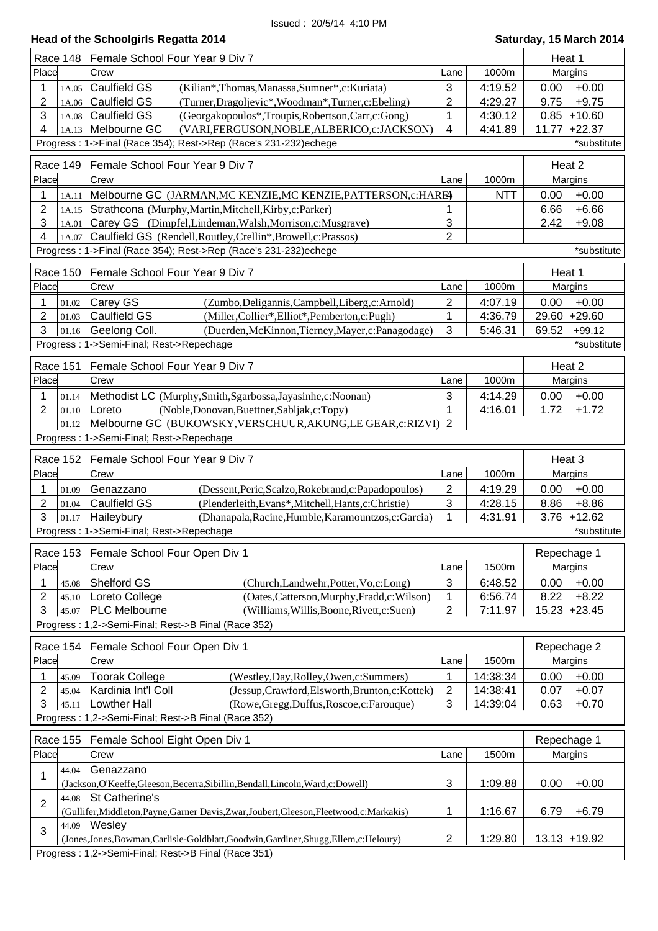|                         | Race 148 Female School Four Year 9 Div 7                                                                       |                |            | Heat 1         |                    |
|-------------------------|----------------------------------------------------------------------------------------------------------------|----------------|------------|----------------|--------------------|
| Place                   | Crew                                                                                                           | Lane           | 1000m      | Margins        |                    |
| 1                       | 1A.05 Caulfield GS<br>(Kilian*,Thomas,Manassa,Sumner*,c:Kuriata)                                               | $\mathbf{3}$   | 4:19.52    | 0.00           | $+0.00$            |
| 2<br>1A.06              | <b>Caulfield GS</b><br>(Turner, Dragoljevic*, Woodman*, Turner, c: Ebeling)                                    | $\overline{2}$ | 4:29.27    | 9.75           | $+9.75$            |
| 3<br>1A.08              | <b>Caulfield GS</b><br>(Georgakopoulos*,Troupis,Robertson,Carr,c:Gong)                                         | 1              | 4:30.12    | $0.85 + 10.60$ |                    |
| 4                       | 1A.13 Melbourne GC<br>(VARI, FERGUSON, NOBLE, ALBERICO, c: JACKSON)                                            | $\overline{4}$ | 4:41.89    | 11.77 +22.37   |                    |
|                         | Progress: 1->Final (Race 354); Rest->Rep (Race's 231-232)echege                                                |                |            |                | *substitute        |
|                         | Race 149 Female School Four Year 9 Div 7                                                                       |                |            | Heat 2         |                    |
| Place                   | Crew                                                                                                           | Lane           | 1000m      | Margins        |                    |
| 1<br>1A.11              | Melbourne GC (JARMAN, MC KENZIE, MC KENZIE, PATTERSON, c: HAREA                                                |                | <b>NTT</b> | 0.00           | $+0.00$            |
| 2                       | 1A.15 Strathcona (Murphy, Martin, Mitchell, Kirby, c: Parker)                                                  | 1              |            | 6.66           | $+6.66$            |
| 3<br>1A.01              | Carey GS (Dimpfel, Lindeman, Walsh, Morrison, c: Musgrave)                                                     | 3              |            | 2.42           | $+9.08$            |
| 4<br>1A.07              | Caulfield GS (Rendell, Routley, Crellin*, Browell, c: Prassos)                                                 | $\overline{2}$ |            |                |                    |
|                         | Progress: 1->Final (Race 354); Rest->Rep (Race's 231-232)echege                                                |                |            |                | *substitute        |
| <b>Race 150</b>         | Female School Four Year 9 Div 7                                                                                |                |            | Heat 1         |                    |
| Place                   | Crew                                                                                                           | Lane           | 1000m      | Margins        |                    |
| 1<br>01.02              | Carey GS<br>(Zumbo, Deligannis, Campbell, Liberg, c: Arnold)                                                   | $\overline{2}$ | 4:07.19    | 0.00           | $+0.00$            |
| 2<br>01.03              | <b>Caulfield GS</b><br>(Miller, Collier*, Elliot*, Pemberton, c: Pugh)                                         | $\mathbf 1$    | 4:36.79    | 29.60 +29.60   |                    |
| 3<br>01.16              | Geelong Coll.<br>(Duerden, McKinnon, Tierney, Mayer, c: Panagodage)                                            | 3              | 5:46.31    | 69.52          | $+99.12$           |
|                         | Progress: 1->Semi-Final; Rest->Repechage                                                                       |                |            |                | *substitute        |
| Race 151                | Female School Four Year 9 Div 7                                                                                |                |            | Heat 2         |                    |
| Place                   | Crew                                                                                                           | Lane           | 1000m      | Margins        |                    |
|                         |                                                                                                                |                |            |                |                    |
| 1<br>01.14<br>2         | Methodist LC (Murphy, Smith, Sgarbossa, Jayasinhe, c: Noonan)<br>Loreto                                        | 3<br>1         | 4:14.29    | 0.00<br>1.72   | $+0.00$<br>$+1.72$ |
| 01.10<br>01.12          | (Noble, Donovan, Buettner, Sabljak, c: Topy)<br>Melbourne GC (BUKOWSKY, VERSCHUUR, AKUNG, LE GEAR, c: RIZVI) 2 |                | 4:16.01    |                |                    |
|                         | Progress: 1->Semi-Final; Rest->Repechage                                                                       |                |            |                |                    |
|                         |                                                                                                                |                |            |                |                    |
|                         | Race 152 Female School Four Year 9 Div 7                                                                       |                |            | Heat 3         |                    |
| Place                   | Crew                                                                                                           | Lane           | 1000m      | Margins        |                    |
| 1<br>01.09              | (Dessent, Peric, Scalzo, Rokebrand, c: Papadopoulos)<br>Genazzano                                              | 2              | 4:19.29    | 0.00           | $+0.00$            |
| 2<br>01.04              | <b>Caulfield GS</b><br>(Plenderleith, Evans*, Mitchell, Hants, c: Christie)                                    | 3              | 4:28.15    | 8.86           | $+8.86$            |
| 3<br>01.17              | Haileybury<br>(Dhanapala, Racine, Humble, Karamountzos, c: Garcia)                                             | 1              | 4:31.91    | $3.76 + 12.62$ |                    |
|                         | Progress: 1->Semi-Final; Rest->Repechage                                                                       |                |            |                | *substitute        |
|                         |                                                                                                                |                |            |                |                    |
|                         | Race 153 Female School Four Open Div 1                                                                         |                |            | Repechage 1    |                    |
| Place                   | Crew                                                                                                           | Lane           | 1500m      | Margins        |                    |
| 45.08<br>1              | Shelford GS<br>(Church,Landwehr,Potter,Vo,c:Long)                                                              | 3              | 6:48.52    | 0.00           | $+0.00$            |
| $\overline{2}$<br>45.10 | (Oates,Catterson,Murphy,Fradd,c:Wilson)<br>Loreto College                                                      | 1              | 6:56.74    | 8.22           | $+8.22$            |
| 3<br>45.07              | <b>PLC Melbourne</b><br>(Williams, Willis, Boone, Rivett, c: Suen)                                             | $\overline{2}$ | 7:11.97    | 15.23 +23.45   |                    |
|                         | Progress: 1,2->Semi-Final; Rest->B Final (Race 352)                                                            |                |            |                |                    |
|                         |                                                                                                                |                |            |                |                    |
|                         | Race 154 Female School Four Open Div 1                                                                         |                |            | Repechage 2    |                    |
| Place                   | Crew                                                                                                           | Lane           | 1500m      | Margins        |                    |
| 45.09<br>1              | <b>Toorak College</b><br>(Westley, Day, Rolley, Owen, c: Summers)                                              | 1              | 14:38:34   | 0.00           | $+0.00$            |
| 2<br>45.04              | (Jessup, Crawford, Elsworth, Brunton, c: Kottek)<br>Kardinia Int'l Coll                                        | $\overline{c}$ | 14:38:41   | 0.07           | $+0.07$            |
| 3<br>45.11              | <b>Lowther Hall</b><br>(Rowe, Gregg, Duffus, Roscoe, c: Farouque)                                              | 3              | 14:39:04   | 0.63           | $+0.70$            |
|                         | Progress: 1,2->Semi-Final; Rest->B Final (Race 352)                                                            |                |            |                |                    |
| Race 155                | Female School Eight Open Div 1                                                                                 |                |            | Repechage 1    |                    |
| Place                   | Crew                                                                                                           | Lane           | 1500m      | Margins        |                    |
| 44.04<br>1              | Genazzano                                                                                                      |                |            |                |                    |
|                         | (Jackson, O'Keeffe, Gleeson, Becerra, Sibillin, Bendall, Lincoln, Ward, c: Dowell)                             | 3              | 1:09.88    | 0.00           | $+0.00$            |
| $\overline{2}$          | 44.08 St Catherine's                                                                                           |                |            |                |                    |
|                         | (Gullifer, Middleton, Payne, Garner Davis, Zwar, Joubert, Gleeson, Fleetwood, c: Markakis)                     | 1              | 1:16.67    | 6.79           | $+6.79$            |
| 3                       | 44.09 Wesley<br>(Jones,Jones,Bowman,Carlisle-Goldblatt,Goodwin,Gardiner,Shugg,Ellem,c:Heloury)                 | $\mathbf{2}$   | 1:29.80    | 13.13 +19.92   |                    |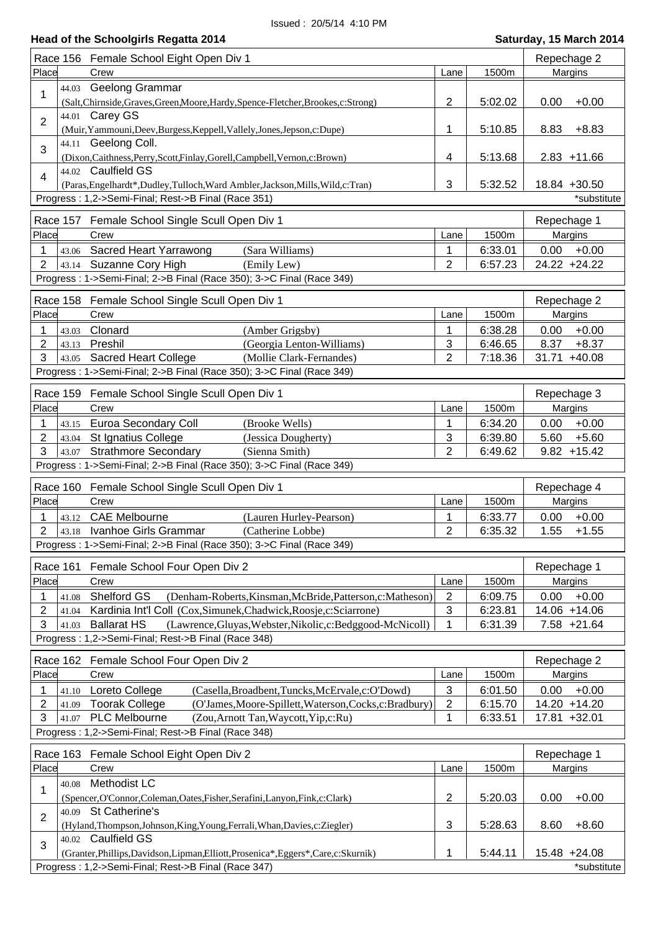|                              | Race 156 Female School Eight Open Div 1                                                           |                |         | Repechage 2     |
|------------------------------|---------------------------------------------------------------------------------------------------|----------------|---------|-----------------|
| Place                        | Crew                                                                                              | Lane           | 1500m   | Margins         |
| 44.03                        | Geelong Grammar                                                                                   |                |         |                 |
| 1                            | (Salt, Chirnside, Graves, Green, Moore, Hardy, Spence-Fletcher, Brookes, c: Strong)               | $\mathbf{2}$   | 5:02.02 | 0.00<br>$+0.00$ |
|                              | 44.01 Carey GS                                                                                    |                |         |                 |
| $\overline{2}$               | (Muir, Yammouni, Deev, Burgess, Keppell, Vallely, Jones, Jepson, c: Dupe)                         | 1              | 5:10.85 | $+8.83$<br>8.83 |
|                              | 44.11 Geelong Coll.                                                                               |                |         |                 |
| 3                            | (Dixon, Caithness, Perry, Scott, Finlay, Gorell, Campbell, Vernon, c: Brown)                      | 4              | 5:13.68 | $2.83 + 11.66$  |
|                              | 44.02 Caulfield GS                                                                                |                |         |                 |
| $\overline{4}$               | (Paras, Engelhardt*, Dudley, Tulloch, Ward Ambler, Jackson, Mills, Wild, c: Tran)                 | 3              | 5:32.52 | 18.84 +30.50    |
|                              | Progress: 1,2->Semi-Final; Rest->B Final (Race 351)                                               |                |         | *substitute     |
|                              |                                                                                                   |                |         |                 |
|                              | Race 157 Female School Single Scull Open Div 1                                                    |                |         | Repechage 1     |
| Place                        | Crew                                                                                              | Lane           | 1500m   | Margins         |
| 1<br>43.06                   | Sacred Heart Yarrawong<br>(Sara Williams)                                                         | 1              | 6:33.01 | $+0.00$<br>0.00 |
| $\overline{2}$<br>43.14      | Suzanne Cory High<br>(Emily Lew)                                                                  | $\overline{2}$ | 6:57.23 | 24.22 +24.22    |
|                              | Progress: 1->Semi-Final; 2->B Final (Race 350); 3->C Final (Race 349)                             |                |         |                 |
|                              | Race 158 Female School Single Scull Open Div 1                                                    |                |         | Repechage 2     |
| Place                        | Crew                                                                                              | Lane           | 1500m   | Margins         |
|                              |                                                                                                   |                |         |                 |
| 1<br>43.03                   | Clonard<br>(Amber Grigsby)                                                                        | 1              | 6:38.28 | 0.00<br>$+0.00$ |
| $\overline{2}$<br>43.13<br>3 | Preshil<br>(Georgia Lenton-Williams)                                                              | 3              | 6:46.65 | $+8.37$<br>8.37 |
| 43.05                        | <b>Sacred Heart College</b><br>(Mollie Clark-Fernandes)                                           | $\overline{2}$ | 7:18.36 | 31.71 +40.08    |
|                              | Progress: 1->Semi-Final; 2->B Final (Race 350); 3->C Final (Race 349)                             |                |         |                 |
|                              | Race 159 Female School Single Scull Open Div 1                                                    |                |         | Repechage 3     |
| Place                        | Crew                                                                                              | Lane           | 1500m   | Margins         |
| 1<br>43.15                   | Euroa Secondary Coll<br>(Brooke Wells)                                                            | 1              | 6:34.20 | 0.00<br>$+0.00$ |
| 2<br>43.04                   | St Ignatius College<br>(Jessica Dougherty)                                                        | 3              | 6:39.80 | $+5.60$<br>5.60 |
| 3<br>43.07                   | <b>Strathmore Secondary</b><br>(Sienna Smith)                                                     | $\overline{2}$ | 6:49.62 | $9.82 + 15.42$  |
|                              | Progress : 1->Semi-Final; 2->B Final (Race 350); 3->C Final (Race 349)                            |                |         |                 |
|                              |                                                                                                   |                |         |                 |
|                              | Race 160 Female School Single Scull Open Div 1                                                    |                |         | Repechage 4     |
| Place                        | Crew                                                                                              | Lane           | 1500m   | Margins         |
| 1<br>43.12                   | <b>CAE Melbourne</b><br>(Lauren Hurley-Pearson)                                                   | 1              | 6:33.77 | 0.00<br>$+0.00$ |
| 2                            | 43.18 Ivanhoe Girls Grammar<br>(Catherine Lobbe)                                                  | $\overline{2}$ | 6:35.32 | 1.55<br>$+1.55$ |
|                              | Progress : 1->Semi-Final; 2->B Final (Race 350); 3->C Final (Race 349)                            |                |         |                 |
| Race 161                     | Female School Four Open Div 2                                                                     |                |         | Repechage 1     |
| Place                        | Crew                                                                                              | Lane           | 1500m   | Margins         |
| 1                            | Shelford GS<br>(Denham-Roberts, Kinsman, McBride, Patterson, c: Matheson)                         | $\overline{2}$ | 6:09.75 | 0.00<br>$+0.00$ |
| 41.08<br>2<br>41.04          | Kardinia Int'l Coll (Cox, Simunek, Chadwick, Roosje, c: Sciarrone)                                | 3              | 6:23.81 | 14.06 +14.06    |
| 3<br>41.03                   | <b>Ballarat HS</b><br>(Lawrence, Gluyas, Webster, Nikolic, c: Bedggood-McNicoll)                  | 1              | 6:31.39 | $7.58 + 21.64$  |
|                              | Progress: 1,2->Semi-Final; Rest->B Final (Race 348)                                               |                |         |                 |
|                              |                                                                                                   |                |         |                 |
| Race 162                     | Female School Four Open Div 2                                                                     |                |         | Repechage 2     |
| Place                        | Crew                                                                                              | Lane           | 1500m   | Margins         |
| 1<br>41.10                   | (Casella, Broadbent, Tuncks, McErvale, c: O'Dowd)<br>Loreto College                               | 3              | 6:01.50 | $+0.00$<br>0.00 |
| 2<br>41.09                   | <b>Toorak College</b><br>(O'James, Moore-Spillett, Waterson, Cocks, c: Bradbury)                  | 2              | 6:15.70 | 14.20 +14.20    |
| 3<br>41.07                   | <b>PLC Melbourne</b><br>(Zou, Arnott Tan, Waycott, Yip, c: Ru)                                    | 1              | 6:33.51 | 17.81 +32.01    |
|                              | Progress: 1,2->Semi-Final; Rest->B Final (Race 348)                                               |                |         |                 |
|                              |                                                                                                   |                |         |                 |
| Place                        | Race 163 Female School Eight Open Div 2                                                           |                |         | Repechage 1     |
|                              | Crew                                                                                              | Lane           | 1500m   | Margins         |
| 40.08<br>1                   | Methodist LC                                                                                      |                |         |                 |
|                              | (Spencer, O'Connor, Coleman, Oates, Fisher, Serafini, Lanyon, Fink, c: Clark)                     | 2              | 5:20.03 | $+0.00$<br>0.00 |
| 40.09<br>$\overline{2}$      | St Catherine's                                                                                    |                |         |                 |
|                              | (Hyland, Thompson, Johnson, King, Young, Ferrali, Whan, Davies, c: Ziegler)<br>40.02 Caulfield GS | 3              | 5:28.63 | 8.60<br>$+8.60$ |
| 3                            | (Granter, Phillips, Davidson, Lipman, Elliott, Prosenica*, Eggers*, Care, c: Skurnik)             | 1              | 5:44.11 | 15.48 +24.08    |
|                              | Progress: 1,2->Semi-Final; Rest->B Final (Race 347)                                               |                |         | *substitute     |
|                              |                                                                                                   |                |         |                 |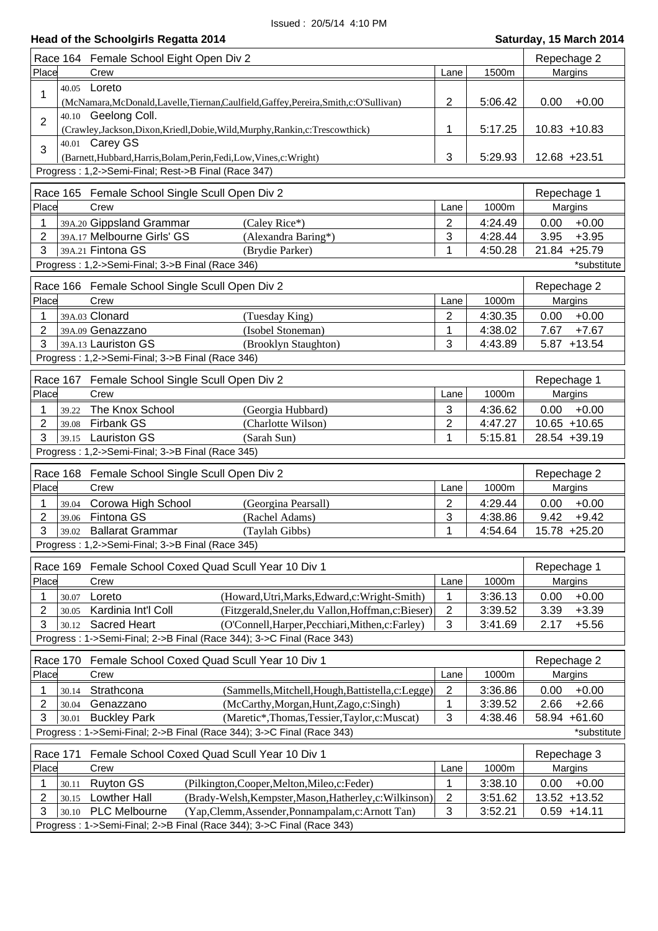|                |       | Race 164 Female School Eight Open Div 2                                                  |                |         | Repechage 2     |  |
|----------------|-------|------------------------------------------------------------------------------------------|----------------|---------|-----------------|--|
| Place          |       | Crew                                                                                     | Lane           | 1500m   | Margins         |  |
| 1              |       | 40.05 Loreto                                                                             |                |         |                 |  |
|                |       | (McNamara, McDonald, Lavelle, Tiernan, Caulfield, Gaffey, Pereira, Smith, c: O'Sullivan) | 2              | 5:06.42 | $+0.00$<br>0.00 |  |
| $\overline{2}$ |       | 40.10 Geelong Coll.                                                                      |                |         |                 |  |
|                |       | (Crawley,Jackson,Dixon,Kriedl,Dobie,Wild,Murphy,Rankin,c:Trescowthick)                   | 1              | 5:17.25 | $10.83 + 10.83$ |  |
| 3              |       | 40.01 Carey GS                                                                           |                |         |                 |  |
|                |       | (Barnett, Hubbard, Harris, Bolam, Perin, Fedi, Low, Vines, c: Wright)                    | 3              | 5:29.93 | 12.68 +23.51    |  |
|                |       | Progress: 1,2->Semi-Final; Rest->B Final (Race 347)                                      |                |         |                 |  |
|                |       | Race 165 Female School Single Scull Open Div 2                                           |                |         | Repechage 1     |  |
| Place          |       | Crew                                                                                     | Lane           | 1000m   | Margins         |  |
| 1              |       | 39A.20 Gippsland Grammar<br>(Caley Rice*)                                                | 2              | 4:24.49 | $+0.00$<br>0.00 |  |
| 2              |       | 39A.17 Melbourne Girls' GS<br>(Alexandra Baring*)                                        | 3              | 4:28.44 | 3.95<br>$+3.95$ |  |
| 3              |       | 39A.21 Fintona GS<br>(Brydie Parker)                                                     | 1              | 4:50.28 | 21.84 +25.79    |  |
|                |       | Progress: 1,2->Semi-Final; 3->B Final (Race 346)                                         |                |         | *substitute     |  |
|                |       | Race 166 Female School Single Scull Open Div 2                                           |                |         | Repechage 2     |  |
| Place          |       | Crew                                                                                     | Lane           | 1000m   | Margins         |  |
| 1              |       | 39A.03 Clonard<br>(Tuesday King)                                                         | 2              | 4:30.35 | $+0.00$<br>0.00 |  |
| 2              |       | (Isobel Stoneman)<br>39A.09 Genazzano                                                    | 1              | 4:38.02 | $+7.67$<br>7.67 |  |
| 3              |       | 39A.13 Lauriston GS<br>(Brooklyn Staughton)                                              | 3              | 4:43.89 | $5.87 + 13.54$  |  |
|                |       | Progress: 1,2->Semi-Final; 3->B Final (Race 346)                                         |                |         |                 |  |
|                |       |                                                                                          |                |         |                 |  |
|                |       | Race 167 Female School Single Scull Open Div 2                                           |                |         | Repechage 1     |  |
| Place          |       | Crew                                                                                     | Lane           | 1000m   | Margins         |  |
| 1              | 39.22 | The Knox School<br>(Georgia Hubbard)                                                     | 3              | 4:36.62 | 0.00<br>$+0.00$ |  |
| 2              | 39.08 | <b>Firbank GS</b><br>(Charlotte Wilson)                                                  | $\mathbf{2}$   | 4:47.27 | $10.65 + 10.65$ |  |
| 3              | 39.15 | <b>Lauriston GS</b><br>(Sarah Sun)                                                       | 1              | 5:15.81 | 28.54 +39.19    |  |
|                |       | Progress: 1,2->Semi-Final; 3->B Final (Race 345)                                         |                |         |                 |  |
|                |       | Race 168 Female School Single Scull Open Div 2                                           |                |         | Repechage 2     |  |
| Place          |       | Crew                                                                                     | Lane           | 1000m   | Margins         |  |
| 1              | 39.04 | Corowa High School<br>(Georgina Pearsall)                                                | $\overline{2}$ | 4:29.44 | $+0.00$<br>0.00 |  |
| $\overline{2}$ | 39.06 | Fintona GS<br>(Rachel Adams)                                                             | 3              | 4:38.86 | 9.42<br>$+9.42$ |  |
| 3              |       | 39.02 Ballarat Grammar<br>(Taylah Gibbs)                                                 | 1              | 4:54.64 | 15.78 +25.20    |  |
|                |       | Progress: 1,2->Semi-Final; 3->B Final (Race 345)                                         |                |         |                 |  |
| Race 169       |       | Female School Coxed Quad Scull Year 10 Div 1                                             |                |         | Repechage 1     |  |
| Place          |       | Crew                                                                                     | Lane           | 1000m   | Margins         |  |
| 1              | 30.07 | Loreto<br>(Howard, Utri, Marks, Edward, c: Wright-Smith)                                 | 1              | 3:36.13 | $+0.00$<br>0.00 |  |
| 2              | 30.05 | Kardinia Int'l Coll<br>(Fitzgerald, Sneler, du Vallon, Hoffman, c: Bieser)               | $\sqrt{2}$     | 3:39.52 | 3.39<br>$+3.39$ |  |
| 3              | 30.12 | <b>Sacred Heart</b><br>(O'Connell, Harper, Pecchiari, Mithen, c: Farley)                 | 3              | 3:41.69 | 2.17<br>$+5.56$ |  |
|                |       | Progress: 1->Semi-Final; 2->B Final (Race 344); 3->C Final (Race 343)                    |                |         |                 |  |
|                |       |                                                                                          |                |         |                 |  |
| Race 170       |       | Female School Coxed Quad Scull Year 10 Div 1                                             |                |         | Repechage 2     |  |
| Place          |       | Crew                                                                                     | Lane           | 1000m   | Margins         |  |
|                | 30.14 | Strathcona<br>(Sammells, Mitchell, Hough, Battistella, c: Legge)                         | $\overline{2}$ | 3:36.86 | $+0.00$<br>0.00 |  |
| 2              | 30.04 | Genazzano<br>(McCarthy, Morgan, Hunt, Zago, c: Singh)                                    | $\mathbf{1}$   | 3:39.52 | 2.66<br>$+2.66$ |  |
| 3              | 30.01 | <b>Buckley Park</b><br>(Maretic*,Thomas,Tessier,Taylor,c:Muscat)                         | 3              | 4:38.46 | 58.94 +61.60    |  |
|                |       | Progress: 1->Semi-Final; 2->B Final (Race 344); 3->C Final (Race 343)                    |                |         | *substitute     |  |
| Race 171       |       | Female School Coxed Quad Scull Year 10 Div 1                                             |                |         | Repechage 3     |  |
| Place          |       | Crew                                                                                     | Lane           | 1000m   | Margins         |  |
| 1              | 30.11 | <b>Ruyton GS</b><br>(Pilkington, Cooper, Melton, Mileo, c: Feder)                        | $\mathbf 1$    | 3:38.10 | $+0.00$<br>0.00 |  |
| 2              | 30.15 | <b>Lowther Hall</b><br>(Brady-Welsh, Kempster, Mason, Hatherley, c: Wilkinson)           | $\sqrt{2}$     | 3:51.62 | 13.52 +13.52    |  |
| 3              | 30.10 | <b>PLC Melbourne</b><br>(Yap,Clemm,Assender,Ponnampalam,c:Arnott Tan)                    | 3              | 3:52.21 | $0.59 + 14.11$  |  |
|                |       | Progress: 1->Semi-Final; 2->B Final (Race 344); 3->C Final (Race 343)                    |                |         |                 |  |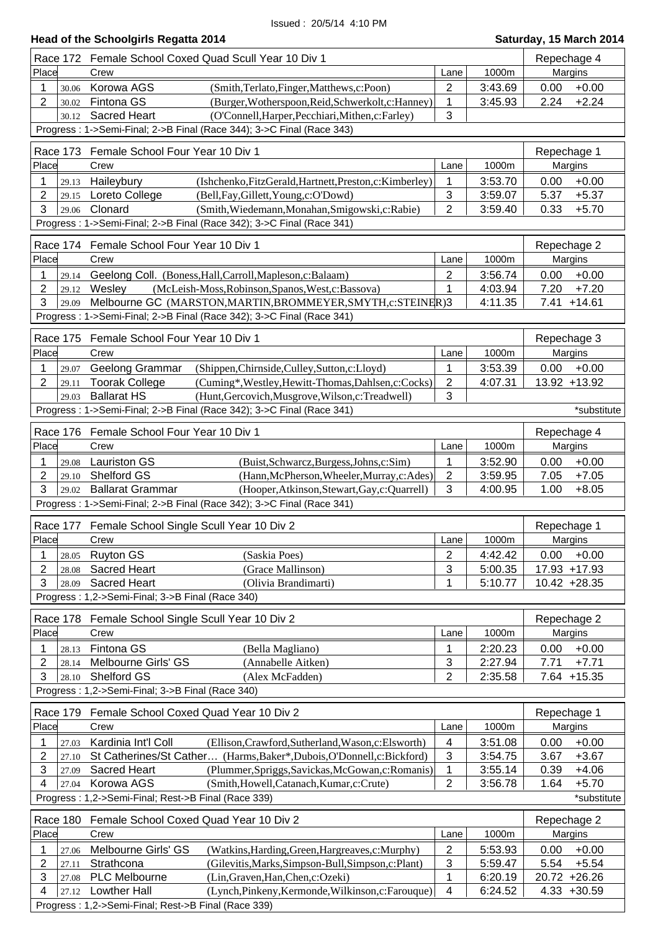| Head of the Schoolgirls Regatta 2014 | Saturday, 15 March 2014 |
|--------------------------------------|-------------------------|
|                                      |                         |

| Race 172                | Female School Coxed Quad Scull Year 10 Div 1                                                                            |                           |                    | Repechage 4                        |  |  |
|-------------------------|-------------------------------------------------------------------------------------------------------------------------|---------------------------|--------------------|------------------------------------|--|--|
| Place                   | Crew                                                                                                                    | Lane                      | 1000m              | Margins                            |  |  |
| 1<br>30.06              | Korowa AGS<br>(Smith,Terlato,Finger,Matthews,c:Poon)                                                                    | $\overline{2}$            | 3:43.69            | $+0.00$<br>0.00                    |  |  |
| $\overline{2}$<br>30.02 | Fintona GS<br>(Burger, Wotherspoon, Reid, Schwerkolt, c: Hanney)                                                        | 1                         | 3:45.93            | 2.24<br>$+2.24$                    |  |  |
| 30.12                   | <b>Sacred Heart</b><br>(O'Connell, Harper, Pecchiari, Mithen, c: Farley)                                                | 3                         |                    |                                    |  |  |
|                         | Progress: 1->Semi-Final; 2->B Final (Race 344); 3->C Final (Race 343)                                                   |                           |                    |                                    |  |  |
|                         | Race 173 Female School Four Year 10 Div 1                                                                               |                           |                    | Repechage 1                        |  |  |
| Place                   | Crew                                                                                                                    | Lane                      | 1000m              | Margins                            |  |  |
| 1<br>29.13              | Haileybury<br>(Ishchenko, FitzGerald, Hartnett, Preston, c: Kimberley)                                                  | 1                         | 3:53.70            | $+0.00$<br>0.00                    |  |  |
| 2<br>29.15              | Loreto College<br>(Bell, Fay, Gillett, Young, c: O'Dowd)                                                                | $\mathbf{3}$              | 3:59.07            | 5.37<br>$+5.37$                    |  |  |
| 3<br>29.06              | Clonard<br>(Smith, Wiedemann, Monahan, Smigowski, c: Rabie)                                                             | 2                         | 3:59.40            | 0.33<br>$+5.70$                    |  |  |
|                         | Progress: 1->Semi-Final; 2->B Final (Race 342); 3->C Final (Race 341)                                                   |                           |                    |                                    |  |  |
|                         |                                                                                                                         |                           |                    |                                    |  |  |
|                         | Race 174 Female School Four Year 10 Div 1                                                                               |                           |                    | Repechage 2                        |  |  |
| Place                   | Crew                                                                                                                    | Lane                      | 1000m              | Margins                            |  |  |
| 1<br>29.14              | Geelong Coll. (Boness, Hall, Carroll, Mapleson, c: Balaam)                                                              | 2                         | 3:56.74            | 0.00<br>$+0.00$                    |  |  |
| 2<br>29.12              | Wesley<br>(McLeish-Moss, Robinson, Spanos, West, c: Bassova)                                                            | 1                         | 4:03.94            | 7.20<br>$+7.20$                    |  |  |
| 3<br>29.09              | Melbourne GC (MARSTON, MARTIN, BROMMEYER, SMYTH, c: STEINER) 3                                                          |                           | 4:11.35            | 7.41<br>$+14.61$                   |  |  |
|                         | Progress: 1->Semi-Final; 2->B Final (Race 342); 3->C Final (Race 341)                                                   |                           |                    |                                    |  |  |
|                         | Race 175 Female School Four Year 10 Div 1                                                                               |                           |                    | Repechage 3                        |  |  |
| Place                   | Crew                                                                                                                    | Lane                      | 1000m              | Margins                            |  |  |
| 1<br>29.07              | Geelong Grammar<br>(Shippen, Chirnside, Culley, Sutton, c: Lloyd)                                                       | 1                         | 3:53.39            | 0.00<br>$+0.00$                    |  |  |
| 2<br>29.11              | <b>Toorak College</b><br>(Cuming*, Westley, Hewitt-Thomas, Dahlsen, c: Cocks)                                           | $\overline{2}$            | 4:07.31            | 13.92 +13.92                       |  |  |
| 29.03                   | <b>Ballarat HS</b><br>(Hunt, Gercovich, Musgrove, Wilson, c: Treadwell)                                                 | 3                         |                    |                                    |  |  |
|                         | Progress : 1->Semi-Final; 2->B Final (Race 342); 3->C Final (Race 341)                                                  |                           |                    | *substitute                        |  |  |
|                         | Race 176 Female School Four Year 10 Div 1                                                                               |                           |                    |                                    |  |  |
| Place                   | Crew                                                                                                                    | Lane                      | 1000m              | Repechage 4<br>Margins             |  |  |
|                         |                                                                                                                         |                           |                    |                                    |  |  |
| 1<br>29.08              | <b>Lauriston GS</b><br>(Buist, Schwarcz, Burgess, Johns, c: Sim)<br>Shelford GS                                         | 1                         | 3:52.90            | 0.00<br>$+0.00$                    |  |  |
| 2<br>29.10<br>3         | (Hann, McPherson, Wheeler, Murray, c: Ades)<br><b>Ballarat Grammar</b><br>(Hooper, Atkinson, Stewart, Gay, c: Quarrell) | $\overline{2}$<br>3       | 3:59.95<br>4:00.95 | 7.05<br>$+7.05$<br>1.00<br>$+8.05$ |  |  |
| 29.02                   | Progress: 1->Semi-Final; 2->B Final (Race 342); 3->C Final (Race 341)                                                   |                           |                    |                                    |  |  |
|                         |                                                                                                                         |                           |                    |                                    |  |  |
| Race 177                | Female School Single Scull Year 10 Div 2                                                                                |                           |                    | Repechage 1                        |  |  |
| Place                   | Crew                                                                                                                    | Lane                      | 1000m              | Margins                            |  |  |
| 1<br>28.05              | <b>Ruyton GS</b><br>(Saskia Poes)                                                                                       | $\overline{2}$            | 4:42.42            | $+0.00$<br>0.00                    |  |  |
| $\overline{2}$<br>28.08 | Sacred Heart<br>(Grace Mallinson)                                                                                       | $\mathbf{3}$              | 5:00.35            | 17.93 +17.93                       |  |  |
| 3<br>28.09              | Sacred Heart<br>(Olivia Brandimarti)                                                                                    | 1                         | 5:10.77            | $10.42 +28.35$                     |  |  |
|                         | Progress: 1,2->Semi-Final; 3->B Final (Race 340)                                                                        |                           |                    |                                    |  |  |
|                         | Race 178 Female School Single Scull Year 10 Div 2                                                                       |                           |                    | Repechage 2                        |  |  |
| Place                   | Crew                                                                                                                    | Lane                      | 1000m              | Margins                            |  |  |
| 1<br>28.13              | Fintona GS<br>(Bella Magliano)                                                                                          | 1                         | 2:20.23            | 0.00<br>$+0.00$                    |  |  |
| 2<br>28.14              | Melbourne Girls' GS<br>(Annabelle Aitken)                                                                               | $\sqrt{3}$                | 2:27.94            | 7.71<br>$+7.71$                    |  |  |
| 3<br>28.10              | Shelford GS<br>(Alex McFadden)                                                                                          | $\overline{2}$            | 2:35.58            | $7.64$ +15.35                      |  |  |
|                         | Progress: 1,2->Semi-Final; 3->B Final (Race 340)                                                                        |                           |                    |                                    |  |  |
|                         |                                                                                                                         |                           |                    |                                    |  |  |
| Race 179                | Female School Coxed Quad Year 10 Div 2                                                                                  |                           |                    | Repechage 1                        |  |  |
| Place                   | Crew                                                                                                                    | Lane                      | 1000m              | Margins                            |  |  |
| 1<br>27.03              | Kardinia Int'l Coll<br>(Ellison, Crawford, Sutherland, Wason, c: Elsworth)                                              | $\overline{\mathbf{4}}$   | 3:51.08            | 0.00<br>$+0.00$                    |  |  |
| $\overline{2}$<br>27.10 | St Catherines/St Cather (Harms, Baker*, Dubois, O'Donnell, c: Bickford)                                                 | $\ensuremath{\mathsf{3}}$ | 3:54.75            | 3.67<br>$+3.67$                    |  |  |
| 3<br>27.09              | (Plummer, Spriggs, Savickas, McGowan, c: Romanis)<br>Sacred Heart                                                       | 1                         | 3:55.14            | 0.39<br>$+4.06$                    |  |  |
| 4<br>27.04              | Korowa AGS<br>(Smith, Howell, Catanach, Kumar, c: Crute)                                                                | $\overline{2}$            | 3:56.78            | 1.64<br>$+5.70$                    |  |  |
|                         | Progress: 1,2->Semi-Final; Rest->B Final (Race 339)                                                                     |                           |                    | *substitute                        |  |  |
|                         | Race 180 Female School Coxed Quad Year 10 Div 2                                                                         |                           |                    | Repechage 2                        |  |  |
| Place                   | Crew                                                                                                                    | Lane                      | 1000m              | Margins                            |  |  |
| 1<br>27.06              | Melbourne Girls' GS<br>(Watkins, Harding, Green, Hargreaves, c: Murphy)                                                 | $\overline{2}$            | 5:53.93            | 0.00<br>$+0.00$                    |  |  |
| $\overline{2}$<br>27.11 | Strathcona<br>(Gilevitis, Marks, Simpson-Bull, Simpson, c: Plant)                                                       | $\mathbf{3}$              | 5:59.47            | 5.54<br>$+5.54$                    |  |  |
| 3<br>27.08              | PLC Melbourne<br>(Lin, Graven, Han, Chen, c: Ozeki)                                                                     | 1                         | 6:20.19            | 20.72 +26.26                       |  |  |
| 4<br>27.12              | <b>Lowther Hall</b><br>(Lynch, Pinkeny, Kermonde, Wilkinson, c: Farouque)                                               | $\overline{4}$            | 6:24.52            | $4.33 + 30.59$                     |  |  |
|                         | Progress: 1,2->Semi-Final; Rest->B Final (Race 339)                                                                     |                           |                    |                                    |  |  |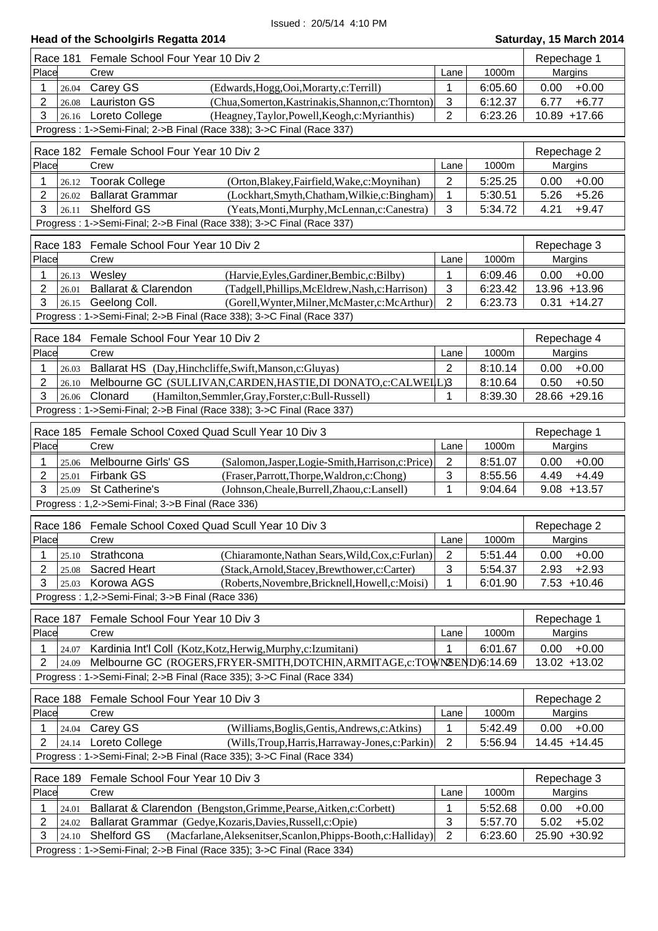| <b>Head of the Schoolgirls Regatta 2014</b>                                                           |                           |         | Saturday, 15 March 2014 |
|-------------------------------------------------------------------------------------------------------|---------------------------|---------|-------------------------|
| Race 181 Female School Four Year 10 Div 2                                                             |                           |         | Repechage 1             |
| Place<br>Crew                                                                                         | Lane                      | 1000m   | Margins                 |
| Carey GS<br>1<br>(Edwards, Hogg, Ooi, Morarty, c: Terrill)<br>26.04                                   | 1                         | 6:05.60 | 0.00<br>$+0.00$         |
| $\overline{2}$<br><b>Lauriston GS</b><br>(Chua, Somerton, Kastrinakis, Shannon, c: Thornton)<br>26.08 | $\sqrt{3}$                | 6:12.37 | 6.77<br>$+6.77$         |
| 3<br>Loreto College<br>(Heagney,Taylor,Powell,Keogh,c:Myrianthis)<br>26.16                            | $\overline{2}$            | 6:23.26 | 10.89 +17.66            |
| Progress: 1->Semi-Final; 2->B Final (Race 338); 3->C Final (Race 337)                                 |                           |         |                         |
| Race 182 Female School Four Year 10 Div 2                                                             |                           |         | Repechage 2             |
| Place<br>Crew                                                                                         | Lane                      | 1000m   | Margins                 |
| 26.12 Toorak College<br>1<br>(Orton, Blakey, Fairfield, Wake, c: Moynihan)                            | $\overline{2}$            | 5:25.25 | 0.00<br>$+0.00$         |
| $\overline{2}$<br><b>Ballarat Grammar</b><br>(Lockhart,Smyth,Chatham,Wilkie,c:Bingham)<br>26.02       | $\mathbf 1$               | 5:30.51 | $+5.26$<br>5.26         |
| 3<br>Shelford GS<br>(Yeats, Monti, Murphy, McLennan, c: Canestra)<br>26.11                            | 3                         | 5:34.72 | 4.21<br>$+9.47$         |
| Progress: 1->Semi-Final; 2->B Final (Race 338); 3->C Final (Race 337)                                 |                           |         |                         |
| Female School Four Year 10 Div 2<br>Race 183                                                          |                           |         | Repechage 3             |
| Place<br>Crew                                                                                         | Lane                      | 1000m   | Margins                 |
| Wesley<br>(Harvie, Eyles, Gardiner, Bembic, c: Bilby)<br>1<br>26.13                                   | 1                         | 6:09.46 | 0.00<br>$+0.00$         |
| $\overline{2}$<br>Ballarat & Clarendon<br>(Tadgell, Phillips, McEldrew, Nash, c: Harrison)<br>26.01   | $\sqrt{3}$                | 6:23.42 | 13.96 +13.96            |
| 3<br>Geelong Coll.<br>(Gorell, Wynter, Milner, McMaster, c: McArthur)<br>26.15                        | $\overline{2}$            | 6:23.73 | $0.31 + 14.27$          |
| Progress: 1->Semi-Final; 2->B Final (Race 338); 3->C Final (Race 337)                                 |                           |         |                         |
| Race 184 Female School Four Year 10 Div 2                                                             |                           |         | Repechage 4             |
| Place<br>Crew                                                                                         | Lane                      | 1000m   | Margins                 |
| Ballarat HS (Day, Hinchcliffe, Swift, Manson, c: Gluyas)<br>1<br>26.03                                | $\overline{2}$            | 8:10.14 | 0.00<br>$+0.00$         |
| 2<br>Melbourne GC (SULLIVAN, CARDEN, HASTIE, DI DONATO, c: CALWELL)3<br>26.10                         |                           | 8:10.64 | 0.50<br>$+0.50$         |
| 3<br>Clonard<br>(Hamilton, Semmler, Gray, Forster, c: Bull-Russell)<br>26.06                          | 1                         | 8:39.30 | 28.66 +29.16            |
| Progress: 1->Semi-Final; 2->B Final (Race 338); 3->C Final (Race 337)                                 |                           |         |                         |
| <b>Race 185</b><br>Female School Coxed Quad Scull Year 10 Div 3                                       |                           |         | Repechage 1             |
| Place<br>Crew                                                                                         | Lane                      | 1000m   | Margins                 |
| Melbourne Girls' GS<br>(Salomon, Jasper, Logie-Smith, Harrison, c: Price)<br>1<br>25.06               | $\overline{2}$            | 8:51.07 | 0.00<br>$+0.00$         |
| 2<br><b>Firbank GS</b><br>(Fraser, Parrott, Thorpe, Waldron, c: Chong)<br>25.01                       | 3                         | 8:55.56 | $+4.49$<br>4.49         |
| 3<br>St Catherine's<br>(Johnson, Cheale, Burrell, Zhaou, c: Lansell)<br>25.09                         | 1                         | 9:04.64 | $9.08 + 13.57$          |
| Progress: 1,2->Semi-Final; 3->B Final (Race 336)                                                      |                           |         |                         |
| Race 186 Female School Coxed Quad Scull Year 10 Div 3                                                 |                           |         | Repechage 2             |
| Place<br>Crew                                                                                         | Lane                      | 1000m   | Margins                 |
| Strathcona<br>(Chiaramonte, Nathan Sears, Wild, Cox, c: Furlan)<br>1<br>25.10                         | 2                         | 5:51.44 | 0.00<br>$+0.00$         |
| 2<br><b>Sacred Heart</b><br>(Stack, Arnold, Stacey, Brewthower, c: Carter)<br>25.08                   | $\ensuremath{\mathsf{3}}$ | 5:54.37 | $+2.93$<br>2.93         |
| 3<br>Korowa AGS<br>(Roberts, Novembre, Bricknell, Howell, c: Moisi)<br>25.03                          | 1                         | 6:01.90 | $7.53 + 10.46$          |
| Progress: 1,2->Semi-Final; 3->B Final (Race 336)                                                      |                           |         |                         |
| Race 187 Female School Four Year 10 Div 3                                                             |                           |         | Repechage 1             |
| Place<br>Crew                                                                                         | Lane                      | 1000m   | Margins                 |
| Kardinia Int'l Coll (Kotz, Kotz, Herwig, Murphy, c: Izumitani)<br>1<br>24.07                          | 1                         | 6:01.67 | $+0.00$<br>0.00         |
| 2<br>Melbourne GC (ROGERS, FRYER-SMITH, DOTCHIN, ARMITAGE, c: TOWNEEND)6:14.69<br>24.09               |                           |         | 13.02 +13.02            |
| Progress: 1->Semi-Final; 2->B Final (Race 335); 3->C Final (Race 334)                                 |                           |         |                         |
| Race 188 Female School Four Year 10 Div 3                                                             |                           |         | Repechage 2             |
| Place<br>Crew                                                                                         | Lane                      | 1000m   | Margins                 |
| Carey GS<br>(Williams, Boglis, Gentis, Andrews, c: Atkins)<br>1<br>24.04                              | 1                         | 5:42.49 | 0.00<br>$+0.00$         |
| 2<br>Loreto College<br>(Wills, Troup, Harris, Harraway-Jones, c: Parkin)<br>24.14                     | $\overline{2}$            | 5:56.94 | 14.45 +14.45            |
| Progress: 1->Semi-Final; 2->B Final (Race 335); 3->C Final (Race 334)                                 |                           |         |                         |
|                                                                                                       |                           |         |                         |
| Female School Four Year 10 Div 3<br>Race 189<br>Place<br>Crew                                         | Lane                      | 1000m   | Repechage 3<br>Margins  |
| Ballarat & Clarendon (Bengston, Grimme, Pearse, Aitken, c: Corbett)<br>1                              | 1                         | 5:52.68 | 0.00<br>$+0.00$         |
| 24.01<br>2<br>Ballarat Grammar (Gedye, Kozaris, Davies, Russell, c: Opie)<br>24.02                    | 3                         | 5:57.70 | 5.02<br>$+5.02$         |
| 3<br>Shelford GS<br>(Macfarlane, Aleksenitser, Scanlon, Phipps-Booth, c: Halliday)<br>24.10           | $\overline{2}$            | 6:23.60 | 25.90 +30.92            |
| Progress: 1->Semi-Final; 2->B Final (Race 335); 3->C Final (Race 334)                                 |                           |         |                         |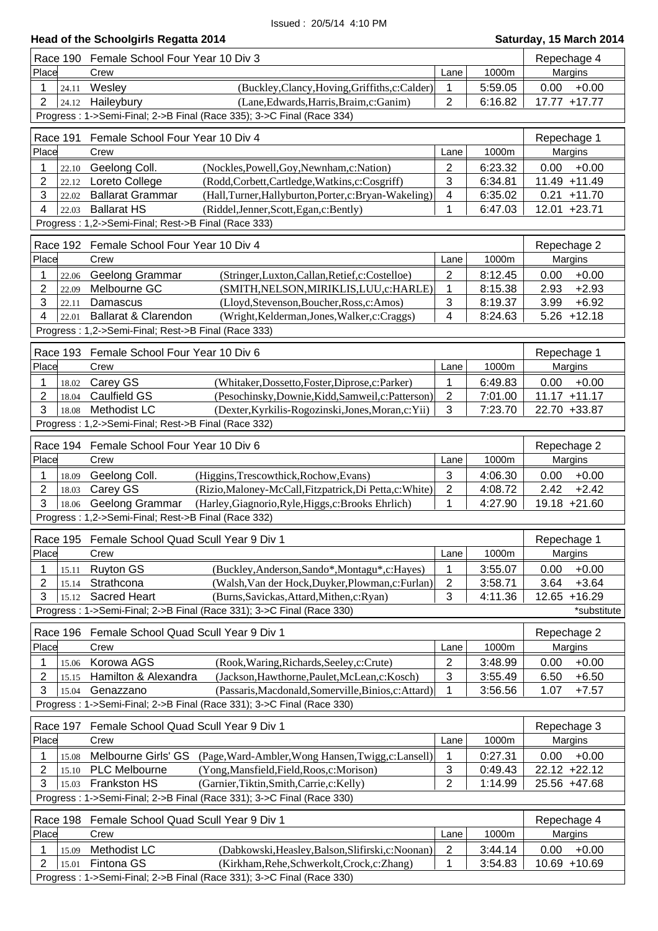| Race 190                | Female School Four Year 10 Div 3                                                                                                           |                         |         | Repechage 4                       |
|-------------------------|--------------------------------------------------------------------------------------------------------------------------------------------|-------------------------|---------|-----------------------------------|
| Place                   | Crew                                                                                                                                       | Lane                    | 1000m   | Margins                           |
| 24.11<br>1              | (Buckley,Clancy,Hoving,Griffiths,c:Calder)<br>Wesley                                                                                       | 1                       | 5:59.05 | $+0.00$<br>0.00                   |
| $\overline{2}$<br>24.12 | Haileybury<br>(Lane, Edwards, Harris, Braim, c: Ganim)                                                                                     | $\overline{2}$          | 6:16.82 | 17.77 +17.77                      |
|                         | Progress: 1->Semi-Final; 2->B Final (Race 335); 3->C Final (Race 334)                                                                      |                         |         |                                   |
| Race 191                | Female School Four Year 10 Div 4                                                                                                           |                         |         | Repechage 1                       |
| Place                   | Crew                                                                                                                                       | Lane                    | 1000m   | Margins                           |
| 1<br>22.10              | Geelong Coll.<br>(Nockles, Powell, Goy, Newnham, c: Nation)                                                                                | 2                       | 6:23.32 | $+0.00$<br>0.00                   |
| 2<br>22.12              | Loreto College<br>(Rodd,Corbett,Cartledge,Watkins,c:Cosgriff)                                                                              | 3                       | 6:34.81 | 11.49 +11.49                      |
| 3<br>22.02              | <b>Ballarat Grammar</b><br>(Hall, Turner, Hallyburton, Porter, c: Bryan-Wakeling)                                                          | $\overline{\mathbf{4}}$ | 6:35.02 | $0.21 + 11.70$                    |
| 4<br>22.03              | <b>Ballarat HS</b><br>(Riddel, Jenner, Scott, Egan, c: Bently)                                                                             | 1                       | 6:47.03 | 12.01 +23.71                      |
|                         | Progress: 1,2->Semi-Final; Rest->B Final (Race 333)                                                                                        |                         |         |                                   |
|                         |                                                                                                                                            |                         |         |                                   |
| Race 192                | Female School Four Year 10 Div 4                                                                                                           |                         |         | Repechage 2                       |
| Place                   | Crew                                                                                                                                       | Lane                    | 1000m   | Margins                           |
| 22.06                   | Geelong Grammar<br>(Stringer,Luxton,Callan,Retief,c:Costelloe)                                                                             | $\overline{2}$          | 8:12.45 | $+0.00$<br>0.00                   |
| 2<br>22.09              | Melbourne GC<br>(SMITH, NELSON, MIRIKLIS, LUU, c: HARLE)                                                                                   | 1                       | 8:15.38 | $+2.93$<br>2.93                   |
| 3<br>22.11<br>4         | Damascus<br>(Lloyd, Stevenson, Boucher, Ross, c: Amos)<br><b>Ballarat &amp; Clarendon</b><br>(Wright, Kelderman, Jones, Walker, c: Craggs) | 3<br>4                  | 8:19.37 | $+6.92$<br>3.99<br>$5.26 + 12.18$ |
| 22.01                   | Progress: 1,2->Semi-Final; Rest->B Final (Race 333)                                                                                        |                         | 8:24.63 |                                   |
|                         |                                                                                                                                            |                         |         |                                   |
|                         | Race 193 Female School Four Year 10 Div 6                                                                                                  |                         |         | Repechage 1                       |
| Place                   | Crew                                                                                                                                       | Lane                    | 1000m   | Margins                           |
| 1<br>18.02              | Carey GS<br>(Whitaker, Dossetto, Foster, Diprose, c: Parker)                                                                               | 1                       | 6:49.83 | $+0.00$<br>0.00                   |
| 2<br>18.04              | <b>Caulfield GS</b><br>(Pesochinsky, Downie, Kidd, Samweil, c: Patterson)                                                                  | $\mathbf{2}$            | 7:01.00 | $11.17 + 11.17$                   |
| 3<br>18.08              | <b>Methodist LC</b><br>(Dexter, Kyrkilis-Rogozinski, Jones, Moran, c: Yii)                                                                 | 3                       | 7:23.70 | 22.70 +33.87                      |
|                         | Progress: 1,2->Semi-Final; Rest->B Final (Race 332)                                                                                        |                         |         |                                   |
|                         | Race 194 Female School Four Year 10 Div 6                                                                                                  |                         |         | Repechage 2                       |
| Place                   | Crew                                                                                                                                       | Lane                    | 1000m   | Margins                           |
| 1<br>18.09              | Geelong Coll.<br>(Higgins, Trescowthick, Rochow, Evans)                                                                                    | 3                       | 4:06.30 | $+0.00$<br>0.00                   |
| $\overline{2}$<br>18.03 | Carey GS<br>(Rizio, Maloney-McCall, Fitzpatrick, Di Petta, c: White)                                                                       | $\overline{2}$          | 4:08.72 | $+2.42$<br>2.42                   |
| 3<br>18.06              | Geelong Grammar<br>(Harley, Giagnorio, Ryle, Higgs, c: Brooks Ehrlich)                                                                     | 1                       | 4:27.90 | 19.18 +21.60                      |
|                         | Progress: 1,2->Semi-Final; Rest->B Final (Race 332)                                                                                        |                         |         |                                   |
|                         |                                                                                                                                            |                         |         |                                   |
| Place                   | Race 195 Female School Quad Scull Year 9 Div 1                                                                                             |                         | 1000m   | Repechage 1                       |
|                         | Crew                                                                                                                                       | Lane                    |         | Margins                           |
| 1<br>15.11              | <b>Ruyton GS</b><br>(Buckley, Anderson, Sando*, Montagu*, c: Hayes)                                                                        | 1                       | 3:55.07 | $+0.00$<br>0.00                   |
| 2<br>15.14<br>3         | Strathcona<br>(Walsh, Van der Hock, Duyker, Plowman, c: Furlan)<br><b>Sacred Heart</b><br>(Burns, Savickas, Attard, Mithen, c: Ryan)       | $\overline{c}$<br>3     | 3:58.71 | 3.64<br>$+3.64$<br>$+16.29$       |
| 15.12                   | Progress: 1->Semi-Final; 2->B Final (Race 331); 3->C Final (Race 330)                                                                      |                         | 4:11.36 | 12.65<br>*substitute              |
|                         |                                                                                                                                            |                         |         |                                   |
| Race 196                | Female School Quad Scull Year 9 Div 1                                                                                                      |                         |         | Repechage 2                       |
| Place                   | Crew                                                                                                                                       | Lane                    | 1000m   | Margins                           |
| 1<br>15.06              | Korowa AGS<br>(Rook, Waring, Richards, Seeley, c: Crute)                                                                                   | $\overline{2}$          | 3:48.99 | 0.00<br>$+0.00$                   |
| 2<br>15.15              | Hamilton & Alexandra<br>(Jackson, Hawthorne, Paulet, McLean, c: Kosch)                                                                     | 3                       | 3:55.49 | $+6.50$<br>6.50                   |
| 3<br>15.04              | Genazzano<br>(Passaris, Macdonald, Somerville, Binios, c: Attard)                                                                          | 1                       | 3:56.56 | 1.07<br>$+7.57$                   |
|                         | Progress: 1->Semi-Final; 2->B Final (Race 331); 3->C Final (Race 330)                                                                      |                         |         |                                   |
| Race 197                | Female School Quad Scull Year 9 Div 1                                                                                                      |                         |         | Repechage 3                       |
| Place                   | Crew                                                                                                                                       | Lane                    | 1000m   | Margins                           |
| 1<br>15.08              | Melbourne Girls' GS<br>(Page, Ward-Ambler, Wong Hansen, Twigg, c: Lansell)                                                                 | $\mathbf 1$             | 0:27.31 | 0.00<br>$+0.00$                   |
| 2<br>15.10              | (Yong, Mansfield, Field, Roos, c: Morison)<br><b>PLC Melbourne</b>                                                                         | $\mathfrak{S}$          | 0:49.43 | 22.12 +22.12                      |
| 3<br>15.03              | <b>Frankston HS</b><br>(Garnier, Tiktin, Smith, Carrie, c: Kelly)                                                                          | $\overline{2}$          | 1:14.99 | 25.56 +47.68                      |
|                         | Progress: 1->Semi-Final; 2->B Final (Race 331); 3->C Final (Race 330)                                                                      |                         |         |                                   |
| Race 198                | Female School Quad Scull Year 9 Div 1                                                                                                      |                         |         |                                   |
| Place                   | Crew                                                                                                                                       | Lane                    | 1000m   | Repechage 4<br>Margins            |
|                         |                                                                                                                                            |                         |         |                                   |
| 1<br>15.09<br>2         | Methodist LC<br>(Dabkowski, Heasley, Balson, Slifirski, c: Noonan)<br>Fintona GS                                                           | $\overline{2}$<br>1     | 3:44.14 | $+0.00$<br>0.00<br>10.69 +10.69   |
| 15.01                   | (Kirkham, Rehe, Schwerkolt, Crock, c: Zhang)<br>Progress: 1->Semi-Final; 2->B Final (Race 331); 3->C Final (Race 330)                      |                         | 3:54.83 |                                   |
|                         |                                                                                                                                            |                         |         |                                   |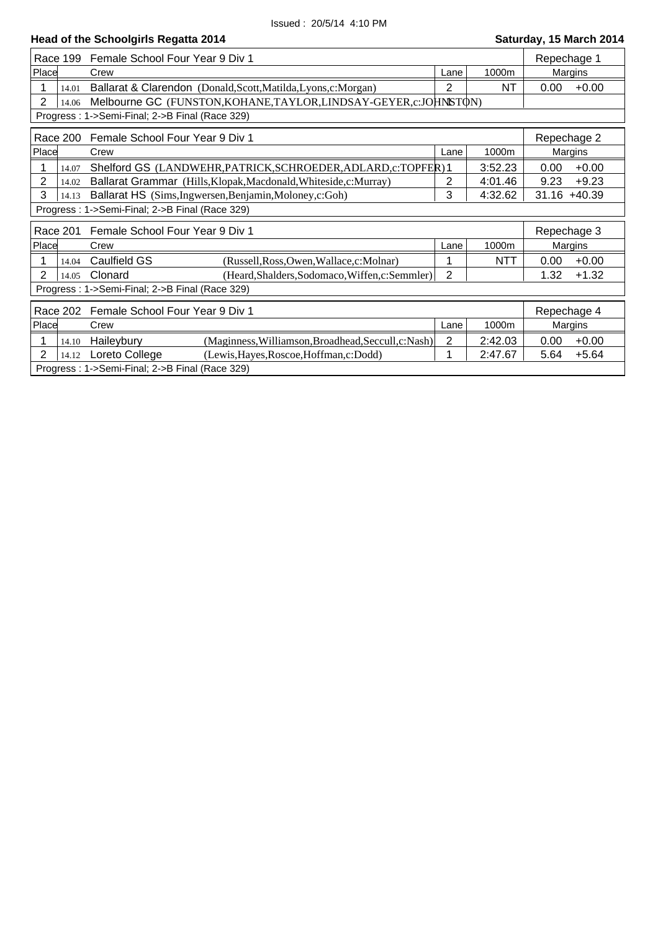| Race 199                | Female School Four Year 9 Div 1                                    |                |            | Repechage 1     |         |
|-------------------------|--------------------------------------------------------------------|----------------|------------|-----------------|---------|
| Place                   | Crew                                                               | Lane           | 1000m      | Margins         |         |
| 1<br>14.01              | Ballarat & Clarendon (Donald, Scott, Matilda, Lyons, c: Morgan)    | $\overline{2}$ | <b>NT</b>  | 0.00            | $+0.00$ |
| $\overline{2}$<br>14.06 | Melbourne GC (FUNSTON, KOHANE, TAYLOR, LINDSAY-GEYER, c: JOHNSTON) |                |            |                 |         |
|                         | Progress: 1->Semi-Final; 2->B Final (Race 329)                     |                |            |                 |         |
| Race 200                | Female School Four Year 9 Div 1<br>Repechage 2                     |                |            |                 |         |
| Place                   | Crew                                                               | Lane           | 1000m      | Margins         |         |
| 14.07                   | Shelford GS (LANDWEHR, PATRICK, SCHROEDER, ADLARD, c: TOPFER) 1    |                | 3:52.23    | 0.00            | $+0.00$ |
| $\overline{2}$<br>14.02 | Ballarat Grammar (Hills, Klopak, Macdonald, Whiteside, c: Murray)  | 2              | 4:01.46    | 9.23            | $+9.23$ |
| 3<br>14.13              | Ballarat HS (Sims, Ingwersen, Benjamin, Moloney, c: Goh)           | 3              | 4:32.62    | $31.16 + 40.39$ |         |
|                         | Progress: 1->Semi-Final; 2->B Final (Race 329)                     |                |            |                 |         |
| Race 201                | Female School Four Year 9 Div 1                                    |                |            | Repechage 3     |         |
| Place                   | Crew                                                               | Lane           | 1000m      | Margins         |         |
| 14.04                   | Caulfield GS<br>(Russell, Ross, Owen, Wallace, c: Molnar)          | 1              | <b>NTT</b> | 0.00            | $+0.00$ |
| $\overline{2}$<br>14.05 | Clonard<br>(Heard, Shalders, Sodomaco, Wiffen, c: Semmler)         | 2              |            | 1.32            | $+1.32$ |
|                         | Progress: 1->Semi-Final; 2->B Final (Race 329)                     |                |            |                 |         |
| Race 202                | Female School Four Year 9 Div 1                                    |                |            | Repechage 4     |         |
| Place                   | Crew                                                               | Lane           | 1000m      | Margins         |         |
| 1<br>14.10              | Haileybury<br>(Maginness, Williamson, Broadhead, Seccull, c: Nash) | 2              | 2:42.03    | 0.00            | $+0.00$ |
| $\overline{2}$<br>14.12 | Loreto College<br>(Lewis, Hayes, Roscoe, Hoffman, c: Dodd)         | 1              | 2:47.67    | 5.64            | $+5.64$ |
|                         | Progress: 1->Semi-Final; 2->B Final (Race 329)                     |                |            |                 |         |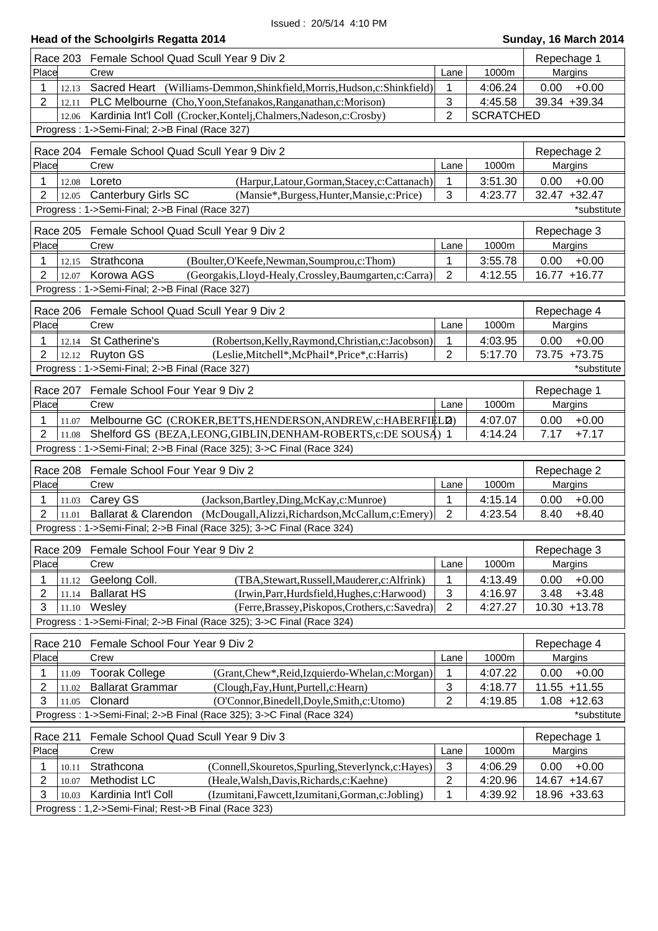| Race 203                              | Female School Quad Scull Year 9 Div 2                                                                                                         |                           |                    | Repechage 1                     |
|---------------------------------------|-----------------------------------------------------------------------------------------------------------------------------------------------|---------------------------|--------------------|---------------------------------|
| Place                                 | Crew                                                                                                                                          | Lane                      | 1000m              | Margins                         |
| 1<br>12.13                            | Sacred Heart (Williams-Demmon, Shinkfield, Morris, Hudson, c: Shinkfield)                                                                     | 1                         | 4:06.24            | 0.00<br>$+0.00$                 |
| 2<br>12.11                            | PLC Melbourne (Cho, Yoon, Stefanakos, Ranganathan, c: Morison)                                                                                | 3                         | 4:45.58            | 39.34 +39.34                    |
| 12.06                                 | Kardinia Int'l Coll (Crocker, Kontelj, Chalmers, Nadeson, c: Crosby)                                                                          | $\overline{2}$            | <b>SCRATCHED</b>   |                                 |
|                                       | Progress: 1->Semi-Final; 2->B Final (Race 327)                                                                                                |                           |                    |                                 |
| Race 204                              | Female School Quad Scull Year 9 Div 2                                                                                                         |                           |                    | Repechage 2                     |
| Place                                 | Crew                                                                                                                                          | Lane                      | 1000m              | Margins                         |
| 1<br>12.08                            | (Harpur,Latour,Gorman,Stacey,c:Cattanach)<br>Loreto                                                                                           | 1                         | 3:51.30            | 0.00<br>$+0.00$                 |
| 2<br>12.05                            | <b>Canterbury Girls SC</b><br>(Mansie*,Burgess,Hunter,Mansie,c:Price)                                                                         | 3                         | 4:23.77            | 32.47 +32.47                    |
|                                       | Progress: 1->Semi-Final; 2->B Final (Race 327)                                                                                                |                           |                    | *substitute                     |
| <b>Race 205</b>                       | Female School Quad Scull Year 9 Div 2                                                                                                         |                           |                    | Repechage 3                     |
| Place                                 | Crew                                                                                                                                          | Lane                      | 1000m              | Margins                         |
| 1<br>12.15                            | (Boulter, O'Keefe, Newman, Soumprou, c: Thom)<br>Strathcona                                                                                   | 1                         | 3:55.78            | 0.00<br>$+0.00$                 |
| $\overline{2}$<br>12.07               | Korowa AGS<br>(Georgakis, Lloyd-Healy, Crossley, Baumgarten, c: Carra)                                                                        | $\overline{2}$            | 4:12.55            | 16.77 +16.77                    |
|                                       | Progress: 1->Semi-Final; 2->B Final (Race 327)                                                                                                |                           |                    |                                 |
|                                       |                                                                                                                                               |                           |                    |                                 |
| <b>Race 206</b>                       | Female School Quad Scull Year 9 Div 2                                                                                                         |                           |                    | Repechage 4                     |
| Place                                 | Crew                                                                                                                                          | Lane                      | 1000m              | Margins                         |
| 1<br>12.14<br>$\overline{2}$<br>12.12 | (Robertson, Kelly, Raymond, Christian, c: Jacobson)<br>St Catherine's<br><b>Ruyton GS</b><br>(Leslie, Mitchell*, McPhail*, Price*, c: Harris) | 1<br>$\overline{2}$       | 4:03.95<br>5:17.70 | 0.00<br>$+0.00$<br>73.75 +73.75 |
|                                       | Progress: 1->Semi-Final; 2->B Final (Race 327)                                                                                                |                           |                    | *substitute                     |
|                                       |                                                                                                                                               |                           |                    |                                 |
| Race 207                              | Female School Four Year 9 Div 2                                                                                                               |                           |                    | Repechage 1                     |
| Place                                 | Crew                                                                                                                                          | Lane                      | 1000m              | Margins                         |
| 1<br>11.07                            | Melbourne GC (CROKER, BETTS, HENDERSON, ANDREW, c: HABERFIELD)                                                                                |                           | 4:07.07            | 0.00<br>$+0.00$                 |
| $\overline{2}$<br>11.08               | Shelford GS (BEZA, LEONG, GIBLIN, DENHAM-ROBERTS, c: DE SOUSA) 1                                                                              |                           | 4:14.24            | 7.17<br>$+7.17$                 |
|                                       | Progress: 1->Semi-Final; 2->B Final (Race 325); 3->C Final (Race 324)                                                                         |                           |                    |                                 |
| <b>Race 208</b>                       | Female School Four Year 9 Div 2                                                                                                               |                           |                    | Repechage 2                     |
| Place                                 | Crew                                                                                                                                          | Lane                      | 1000m              | Margins                         |
| 1<br>11.03                            | Carey GS<br>(Jackson, Bartley, Ding, McKay, c: Munroe)                                                                                        | 1                         | 4:15.14            | 0.00<br>$+0.00$                 |
| $\overline{2}$<br>11.01               | <b>Ballarat &amp; Clarendon</b><br>(McDougall, Alizzi, Richardson, McCallum, c: Emery)                                                        | $\overline{2}$            | 4:23.54            | 8.40<br>$+8.40$                 |
|                                       | Progress: 1->Semi-Final; 2->B Final (Race 325); 3->C Final (Race 324)                                                                         |                           |                    |                                 |
| Race 209                              | Female School Four Year 9 Div 2                                                                                                               |                           |                    | Repechage 3                     |
| Place                                 | Crew                                                                                                                                          | Lane                      | 1000m              | Margins                         |
| 1<br>11.12                            | Geelong Coll.<br>(TBA, Stewart, Russell, Mauderer, c: Alfrink)                                                                                | 1                         | 4:13.49            | $+0.00$<br>0.00                 |
| 2<br>11.14                            | <b>Ballarat HS</b><br>(Irwin, Parr, Hurdsfield, Hughes, c: Harwood)                                                                           | $\ensuremath{\mathsf{3}}$ | 4:16.97            | 3.48<br>$+3.48$                 |
| 3<br>11.10                            | Wesley<br>(Ferre, Brassey, Piskopos, Crothers, c: Savedra)                                                                                    | $\overline{2}$            | 4:27.27            | 10.30 +13.78                    |
|                                       | Progress: 1->Semi-Final; 2->B Final (Race 325); 3->C Final (Race 324)                                                                         |                           |                    |                                 |
| Race 210                              | Female School Four Year 9 Div 2                                                                                                               |                           |                    | Repechage 4                     |
| Place                                 | Crew                                                                                                                                          | Lane                      | 1000m              | Margins                         |
| 1<br>11.09                            | <b>Toorak College</b><br>(Grant, Chew*, Reid, Izquierdo-Whelan, c: Morgan)                                                                    |                           | 4:07.22            | $+0.00$<br>0.00                 |
| 2<br>11.02                            | <b>Ballarat Grammar</b><br>(Clough, Fay, Hunt, Purtell, c: Hearn)                                                                             | $\ensuremath{\mathsf{3}}$ | 4:18.77            | 11.55 +11.55                    |
| 3<br>11.05                            | (O'Connor, Binedell, Doyle, Smith, c: Utomo)<br>Clonard                                                                                       | $\overline{2}$            | 4:19.85            | $1.08 + 12.63$                  |
|                                       | Progress: 1->Semi-Final; 2->B Final (Race 325); 3->C Final (Race 324)                                                                         |                           |                    | *substitute                     |
| Race 211                              | Female School Quad Scull Year 9 Div 3                                                                                                         |                           |                    | Repechage 1                     |
| Place                                 | Crew                                                                                                                                          | Lane                      | 1000m              | Margins                         |
| 1<br>10.11                            | Strathcona<br>(Connell, Skouretos, Spurling, Steverlynck, c: Hayes)                                                                           | 3                         | 4:06.29            | $+0.00$<br>0.00                 |
| 2<br>10.07                            | Methodist LC<br>(Heale, Walsh, Davis, Richards, c: Kaehne)                                                                                    | $\overline{2}$            | 4:20.96            | 14.67 +14.67                    |
| 3<br>10.03                            | Kardinia Int'l Coll<br>(Izumitani, Fawcett, Izumitani, Gorman, c: Jobling)                                                                    | 1                         | 4:39.92            | 18.96 +33.63                    |
|                                       | Progress: 1,2->Semi-Final; Rest->B Final (Race 323)                                                                                           |                           |                    |                                 |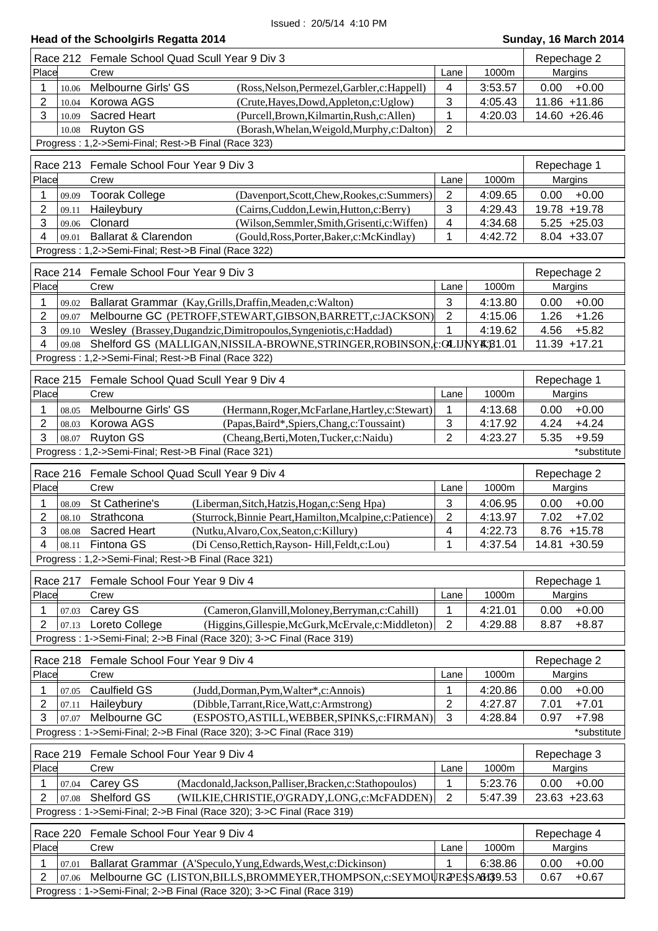## **Head of the Schoolgirls Regatta 2014 Sunday, 16 March 2014** Place Crew Lane 1000m Margins Race 212 Female School Quad Scull Year 9 Div 3 Repechage 2 Repechage 2 1 10.06 Melbourne Girls' GS (Ross,Nelson,Permezel,Garbler,c:Happell) 4 3:53.57 0.00 +0.00 2  $\vert$  10.04 Korowa AGS (Crute, Hayes, Dowd, Appleton, c: Uglow)  $\vert$  3  $\vert$  4:05.43 11.86 +11.86 3 10.09 Sacred Heart (Purcell,Brown,Kilmartin,Rush,c:Allen) 1 4:20.03 14.60 +26.46<br>10.08 Ruyton GS (Borash,Whelan,Weigold,Murphy.c:Dalton) 2 10.08 Ruyton GS (Borash,Whelan,Weigold,Murphy,c:Dalton) 2 Progress : 1,2->Semi-Final; Rest->B Final (Race 323) Place Crew Lane 1000m Margins Race 213 Female School Four Year 9 Div 3 Repectation of the state of the Repechage 1 1 09.09 Toorak College (Davenport,Scott,Chew,Rookes,c:Summers) 2 4:09.65 0.00 +0.00 2 09.11 Haileybury (Cairns,Cuddon,Lewin,Hutton,c:Berry) 3 4:29.43 19.78 +19.78 3 09.06 Clonard (Wilson,Semmler,Smith,Grisenti,c:Wiffen) 4 4:34.68 5.25 +25.03 4 09.01 Ballarat & Clarendon (Gould,Ross,Porter,Baker,c:McKindlay) 1 4:42.72 8.04 +33.07 Progress : 1,2->Semi-Final; Rest->B Final (Race 322) Place Crew Lane 1000m Margins Race 214 Female School Four Year 9 Div 3 Repectation of the state of the Repechage 2 1 09.02 Ballarat Grammar (Kay, Grills, Draffin, Meaden, c: Walton) 3 | 4:13.80 0.00 +0.00 2 09.07 Melbourne GC (PETROFF,STEWART,GIBSON,BARRETT,c:JACKSON) 2 4:15.06 1.26 +1.26 3 09.10 Wesley (Brassey,Dugandzic,Dimitropoulos,Syngeniotis,c:Haddad) 1 4:19.62 4.56 +5.82 4 09.08 Shelford GS (MALLIGAN, NISSILA-BROWNE, STRINGER, ROBINSON, c:OLUNY K; 81.01 | 11.39 +17.21 Progress : 1,2->Semi-Final; Rest->B Final (Race 322) Place Crew Lane 1000m Margins Race 215 Female School Quad Scull Year 9 Div 4 Repechage 1 1 08.05 Melbourne Girls' GS (Hermann, Roger, McFarlane, Hartley, c: Stewart) 1 4:13.68 0.00 +0.00 2 08.03 Korowa AGS (Papas,Baird\*,Spiers,Chang,c:Toussaint) 3 4:17.92 4.24 +4.24 3 08.07 Ruyton GS (Cheang,Berti,Moten,Tucker,c:Naidu) 2 4:23.27 5.35 +9.59 Progress : 1,2->Semi-Final; Rest->B Final (Race 321) \*substitute Place Crew Lane 1000m Margins Race 216 Female School Quad Scull Year 9 Div 4 Repechage 2 Repechage 2 1 08.09 St Catherine's (Liberman,Sitch,Hatzis,Hogan,c:Seng Hpa) 3 4:06.95 0.00 +0.00 2 08.10 Strathcona (Sturrock,Binnie Peart,Hamilton,Mcalpine,c:Patience) 2 4:13.97 7.02 +7.02 3 08.08 Sacred Heart (Nutku,Alvaro,Cox,Seaton,c:Killury) 4 4:22.73 8.76 +15.78 4 08.11 Fintona GS (Di Censo,Rettich,Rayson- Hill,Feldt,c:Lou) 1 4:37.54 14.81 +30.59 Progress : 1,2->Semi-Final; Rest->B Final (Race 321) Place Crew Lane 1000m Margins Race 217 Female School Four Year 9 Div 4 Repechage 1 1 07.03 Carey GS (Cameron,Glanvill,Moloney,Berryman,c:Cahill) 1 4:21.01 0.00 +0.00 2 07.13 Loreto College (Higgins, Gillespie, McGurk, McErvale, c: Middleton) 2 4:29.88 8.87 +8.87 Progress : 1->Semi-Final; 2->B Final (Race 320); 3->C Final (Race 319) Place Crew Lane 1000m Margins Race 218 Female School Four Year 9 Div 4 **Repectation Contract Contract Contract Contract Contract Contract Contract Contract Contract Contract Contract Contract Contract Contract Contract Contract Contract Contract Contra** 1 07.05 Caulfield GS (Judd,Dorman,Pym,Walter\*,c:Annois) 1 4:20.86 0.00 +0.00 2 07.11 Haileybury (Dibble,Tarrant,Rice,Watt,c:Armstrong) 2 4:27.87 7.01 +7.01 3 07.07 Melbourne GC (ESPOSTO,ASTILL,WEBBER,SPINKS,c:FIRMAN) 3 4:28.84 0.97 +7.98 Progress : 1->Semi-Final; 2->B Final (Race 320); 3->C Final (Race 319) \*substitute Place Crew Lane 1000m Margins Race 219 Female School Four Year 9 Div 4 **Repectage 3** Repechage 3 1 07.04 Carey GS (Macdonald,Jackson,Palliser,Bracken,c:Stathopoulos) 1 5:23.76 0.00 +0.00 2 07.08 Shelford GS (WILKIE,CHRISTIE,O'GRADY,LONG,c:McFADDEN) 2 5:47.39 23.63 +23.63 Progress : 1->Semi-Final; 2->B Final (Race 320); 3->C Final (Race 319) Place Crew Lane 1000m Margins Race 220 Female School Four Year 9 Div 4 **Repectage 4** Repechage 4 1 07.01 Ballarat Grammar (A'Speculo,Yung,Edwards,West,c:Dickinson) 1 6:38.86 0.00 +0.00 2 07.06 Melbourne GC (LISTON,BILLS,BROMMEYER,THOMPSON,c:SEYMOUR2PESSA6139.53 0.67 +0.67 Progress : 1->Semi-Final; 2->B Final (Race 320); 3->C Final (Race 319)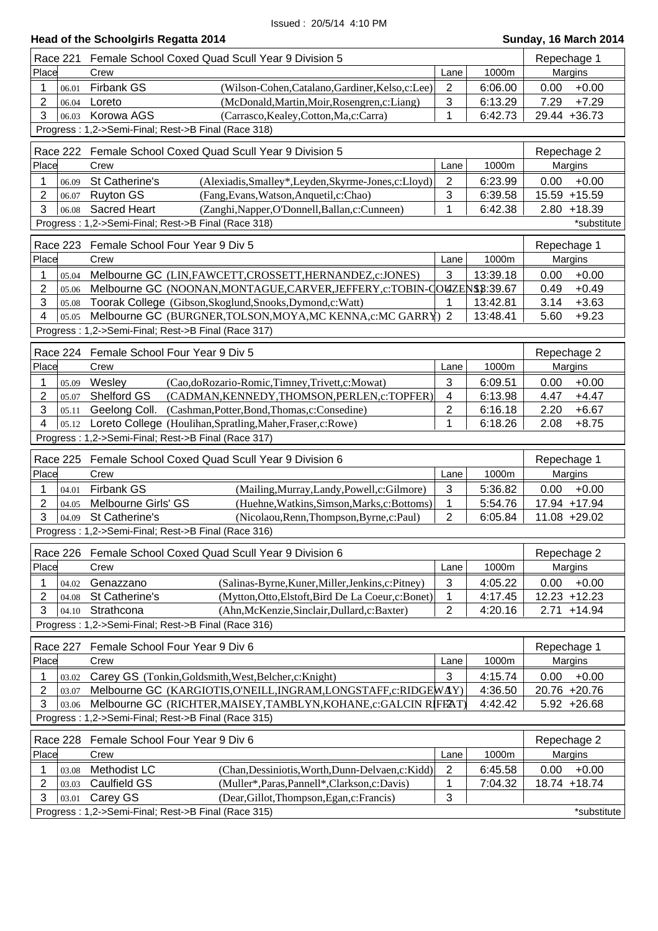|                         | Head of the Schoolyms Regalla 2014                                         |                           |          | Juliuay, TV March ZUT4 |
|-------------------------|----------------------------------------------------------------------------|---------------------------|----------|------------------------|
| Race 221                | Female School Coxed Quad Scull Year 9 Division 5                           |                           |          | Repechage 1            |
| Place                   | Crew                                                                       | Lane                      | 1000m    | Margins                |
| 1<br>06.01              | Firbank GS<br>(Wilson-Cohen, Catalano, Gardiner, Kelso, c: Lee)            | $\overline{2}$            | 6:06.00  | $+0.00$<br>0.00        |
| 2<br>06.04              | Loreto<br>(McDonald, Martin, Moir, Rosengren, c: Liang)                    | $\ensuremath{\mathsf{3}}$ | 6:13.29  | $+7.29$<br>7.29        |
| 3<br>06.03              | Korowa AGS<br>(Carrasco, Kealey, Cotton, Ma, c: Carra)                     | 1                         | 6:42.73  | 29.44 +36.73           |
|                         | Progress: 1,2->Semi-Final; Rest->B Final (Race 318)                        |                           |          |                        |
|                         | Race 222 Female School Coxed Quad Scull Year 9 Division 5                  |                           |          | Repechage 2            |
| Place                   | Crew                                                                       | Lane                      | 1000m    | Margins                |
| 1<br>06.09              | St Catherine's<br>(Alexiadis, Smalley*, Leyden, Skyrme-Jones, c: Lloyd)    | 2                         | 6:23.99  | $+0.00$<br>0.00        |
| 2<br>06.07              | <b>Ruyton GS</b><br>(Fang, Evans, Watson, Anquetil, c: Chao)               | 3                         | 6:39.58  | 15.59 +15.59           |
| 3<br>06.08              | <b>Sacred Heart</b><br>(Zanghi, Napper, O'Donnell, Ballan, c: Cunneen)     | 1                         | 6:42.38  | $2.80 + 18.39$         |
|                         | Progress: 1,2->Semi-Final; Rest->B Final (Race 318)                        |                           |          | *substitute            |
| Race 223                | Female School Four Year 9 Div 5                                            |                           |          | Repechage 1            |
| Place                   | Crew                                                                       | Lane                      | 1000m    | Margins                |
| 1<br>05.04              | Melbourne GC (LIN, FAWCETT, CROSSETT, HERNANDEZ, c: JONES)                 | 3                         | 13:39.18 | $+0.00$<br>0.00        |
| 2<br>05.06              | Melbourne GC (NOONAN, MONTAGUE, CARVER, JEFFERY, c: TOBIN-COUZENS \$:39.67 |                           |          | $+0.49$<br>0.49        |
| 3<br>05.08              | Toorak College (Gibson, Skoglund, Snooks, Dymond, c: Watt)                 | 1                         | 13:42.81 | $+3.63$<br>3.14        |
| 4<br>05.05              | Melbourne GC (BURGNER, TOLSON, MOYA, MC KENNA, c: MC GARRY) 2              |                           | 13:48.41 | $+9.23$<br>5.60        |
|                         | Progress: 1,2->Semi-Final; Rest->B Final (Race 317)                        |                           |          |                        |
| Race 224                | Female School Four Year 9 Div 5                                            |                           |          | Repechage 2            |
| Place                   | Crew                                                                       | Lane                      | 1000m    | Margins                |
| 1<br>05.09              | Wesley<br>(Cao,doRozario-Romic,Timney,Trivett,c:Mowat)                     | 3                         | 6:09.51  | $+0.00$<br>0.00        |
| 2<br>05.07              | Shelford GS<br>(CADMAN, KENNEDY, THOMSON, PERLEN, c: TOPFER)               | $\overline{4}$            | 6:13.98  | 4.47<br>$+4.47$        |
| 3<br>05.11              | Geelong Coll. (Cashman, Potter, Bond, Thomas, c: Consedine)                | $\sqrt{2}$                | 6:16.18  | 2.20<br>$+6.67$        |
| 4                       | 05.12 Loreto College (Houlihan, Spratling, Maher, Fraser, c: Rowe)         | $\mathbf{1}$              | 6:18.26  | $+8.75$<br>2.08        |
|                         | Progress: 1,2->Semi-Final; Rest->B Final (Race 317)                        |                           |          |                        |
| <b>Race 225</b>         | Female School Coxed Quad Scull Year 9 Division 6                           |                           |          | Repechage 1            |
| Place                   | Crew                                                                       | Lane                      | 1000m    | Margins                |
| 1<br>04.01              | <b>Firbank GS</b><br>(Mailing, Murray, Landy, Powell, c: Gilmore)          | $\mathfrak{S}$            | 5:36.82  | $+0.00$<br>0.00        |
| 2<br>04.05              | (Huehne, Watkins, Simson, Marks, c: Bottoms)<br>Melbourne Girls' GS        | $\mathbf{1}$              | 5:54.76  | 17.94 +17.94           |
| 3<br>04.09              | St Catherine's<br>(Nicolaou, Renn, Thompson, Byrne, c: Paul)               | $\overline{2}$            | 6:05.84  | 11.08 +29.02           |
|                         | Progress: 1,2->Semi-Final; Rest->B Final (Race 316)                        |                           |          |                        |
| <b>Race 226</b>         | Female School Coxed Quad Scull Year 9 Division 6                           |                           |          | Repechage 2            |
| Place                   | Crew                                                                       | Lane                      | 1000m    | Margins                |
| 1<br>04.02              | Genazzano<br>(Salinas-Byrne, Kuner, Miller, Jenkins, c: Pitney)            | 3                         | 4:05.22  | $+0.00$<br>0.00        |
| $\overline{2}$<br>04.08 | St Catherine's<br>(Mytton, Otto, Elstoft, Bird De La Coeur, c: Bonet)      | 1                         | 4:17.45  | 12.23<br>$+12.23$      |
| 3<br>04.10              | Strathcona<br>(Ahn, McKenzie, Sinclair, Dullard, c: Baxter)                | $\overline{2}$            | 4:20.16  | 2.71<br>$+14.94$       |
|                         | Progress: 1,2->Semi-Final; Rest->B Final (Race 316)                        |                           |          |                        |
| <b>Race 227</b>         | Female School Four Year 9 Div 6                                            |                           |          | Repechage 1            |
| Place                   | Crew                                                                       | Lane                      | 1000m    | Margins                |
| 1<br>03.02              | Carey GS (Tonkin, Goldsmith, West, Belcher, c: Knight)                     | 3                         | 4:15.74  | 0.00<br>$+0.00$        |
| $\overline{2}$<br>03.07 | Melbourne GC (KARGIOTIS, O'NEILL, INGRAM, LONGSTAFF, c: RIDGEWAY)          |                           | 4:36.50  | 20.76 +20.76           |
| 3<br>03.06              | Melbourne GC (RICHTER, MAISEY, TAMBLYN, KOHANE, c: GALCIN RIFFAT)          |                           | 4:42.42  | $5.92 +26.68$          |
|                         | Progress: 1,2->Semi-Final; Rest->B Final (Race 315)                        |                           |          |                        |
| <b>Race 228</b>         | Female School Four Year 9 Div 6                                            |                           |          | Repechage 2            |
| Place                   | Crew                                                                       | Lane                      | 1000m    | Margins                |
| 1<br>03.08              | Methodist LC<br>(Chan, Dessiniotis, Worth, Dunn-Delvaen, c: Kidd)          | $\overline{2}$            | 6:45.58  | 0.00<br>$+0.00$        |
| $\overline{2}$<br>03.03 | Caulfield GS<br>(Muller*, Paras, Pannell*, Clarkson, c: Davis)             | 1                         | 7:04.32  | 18.74 +18.74           |
| 3<br>03.01              | Carey GS<br>(Dear, Gillot, Thompson, Egan, c: Francis)                     | 3                         |          |                        |
|                         | Progress: 1,2->Semi-Final; Rest->B Final (Race 315)                        |                           |          | *substitute            |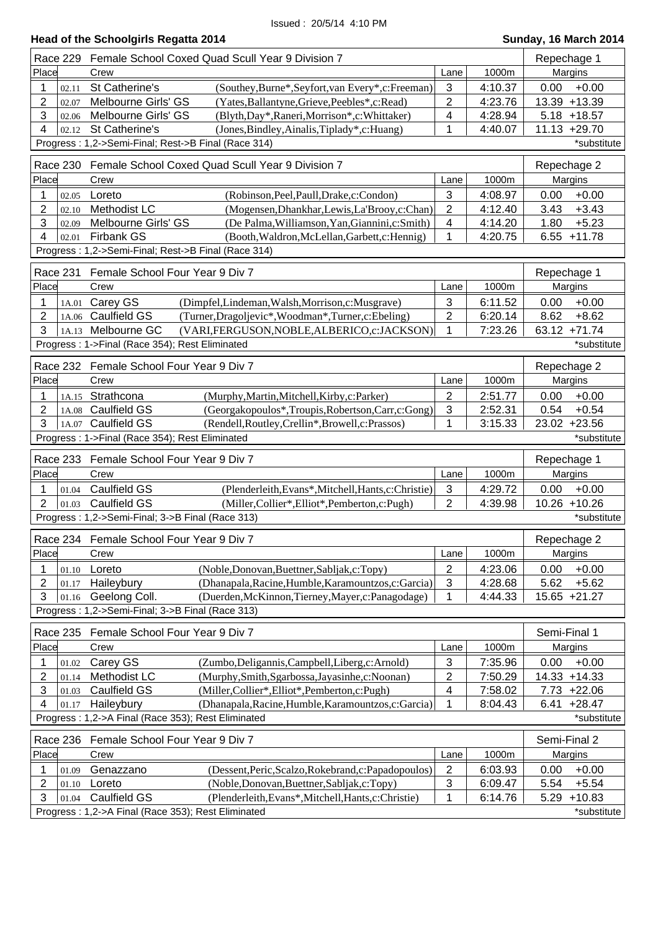| Race 229                | Female School Coxed Quad Scull Year 9 Division 7                                                                           |                |         | Repechage 1                     |
|-------------------------|----------------------------------------------------------------------------------------------------------------------------|----------------|---------|---------------------------------|
| Place                   | Crew                                                                                                                       | Lane           | 1000m   | Margins                         |
| 1<br>02.11              | St Catherine's<br>(Southey, Burne*, Seyfort, van Every*, c: Freeman)                                                       | 3              | 4:10.37 | $+0.00$<br>0.00                 |
| 2<br>02.07              | Melbourne Girls' GS<br>(Yates, Ballantyne, Grieve, Peebles*, c: Read)                                                      | $\overline{2}$ | 4:23.76 | 13.39 +13.39                    |
| 3<br>02.06              | Melbourne Girls' GS<br>(Blyth, Day*, Raneri, Morrison*, c: Whittaker)                                                      | 4              | 4:28.94 | $5.18 + 18.57$                  |
| 4                       | St Catherine's                                                                                                             | 1              | 4:40.07 | $11.13 + 29.70$                 |
| 02.12                   | (Jones, Bindley, Ainalis, Tiplady*, c: Huang)                                                                              |                |         |                                 |
|                         | Progress: 1,2->Semi-Final; Rest->B Final (Race 314)                                                                        |                |         | *substitute                     |
| Race 230                | Female School Coxed Quad Scull Year 9 Division 7                                                                           |                |         | Repechage 2                     |
| Place                   | Crew                                                                                                                       | Lane           | 1000m   | Margins                         |
| 1<br>02.05              | Loreto<br>(Robinson, Peel, Paull, Drake, c: Condon)                                                                        | 3              | 4:08.97 | $+0.00$<br>0.00                 |
| 2<br>02.10              | Methodist LC<br>(Mogensen, Dhankhar, Lewis, La'Brooy, c: Chan)                                                             | $\overline{2}$ | 4:12.40 | $+3.43$<br>3.43                 |
| 3<br>02.09              | Melbourne Girls' GS<br>(De Palma, Williamson, Yan, Giannini, c: Smith)                                                     | 4              | 4:14.20 | 1.80<br>$+5.23$                 |
| 4<br>02.01              | Firbank GS<br>(Booth, Waldron, McLellan, Garbett, c: Hennig)                                                               | 1              | 4:20.75 | $6.55 + 11.78$                  |
|                         |                                                                                                                            |                |         |                                 |
|                         | Progress: 1,2->Semi-Final; Rest->B Final (Race 314)                                                                        |                |         |                                 |
|                         | Race 231 Female School Four Year 9 Div 7                                                                                   |                |         | Repechage 1                     |
| Place                   | Crew                                                                                                                       | Lane           | 1000m   | Margins                         |
| 1<br>1A.01              | Carey GS<br>(Dimpfel,Lindeman,Walsh,Morrison,c:Musgrave)                                                                   | 3              | 6:11.52 | $+0.00$<br>0.00                 |
| 2                       | 1A.06 Caulfield GS<br>(Turner, Dragoljevic*, Woodman*, Turner, c: Ebeling)                                                 | 2              | 6:20.14 | 8.62<br>$+8.62$                 |
| 3                       | Melbourne GC                                                                                                               | 1              | 7:23.26 |                                 |
| 1A.13                   | (VARI, FERGUSON, NOBLE, ALBERICO, c: JACKSON)                                                                              |                |         | 63.12 +71.74                    |
|                         | Progress: 1->Final (Race 354); Rest Eliminated                                                                             |                |         | *substitute                     |
|                         | Race 232 Female School Four Year 9 Div 7                                                                                   |                |         | Repechage 2                     |
| Place                   | Crew                                                                                                                       | Lane           | 1000m   | Margins                         |
| 1<br>1A.15              | Strathcona<br>(Murphy, Martin, Mitchell, Kirby, c: Parker)                                                                 | $\overline{2}$ | 2:51.77 | $+0.00$<br>0.00                 |
|                         |                                                                                                                            | 3              |         | 0.54<br>$+0.54$                 |
| 2<br>1A.08              | Caulfield GS<br>(Georgakopoulos*,Troupis,Robertson,Carr,c:Gong)                                                            |                | 2:52.31 |                                 |
| 3<br>1A.07              | <b>Caulfield GS</b><br>(Rendell, Routley, Crellin*, Browell, c: Prassos)                                                   | 1              | 3:15.33 | 23.02 +23.56                    |
|                         |                                                                                                                            |                |         |                                 |
|                         | Progress: 1->Final (Race 354); Rest Eliminated                                                                             |                |         | *substitute                     |
|                         |                                                                                                                            |                |         |                                 |
|                         | Race 233 Female School Four Year 9 Div 7                                                                                   |                |         | Repechage 1                     |
| Place                   | Crew                                                                                                                       | Lane           | 1000m   | Margins                         |
| 1<br>01.04              | Caulfield GS<br>(Plenderleith, Evans*, Mitchell, Hants, c: Christie)                                                       | 3              | 4:29.72 | 0.00<br>$+0.00$                 |
| $\overline{2}$<br>01.03 | <b>Caulfield GS</b><br>(Miller, Collier*, Elliot*, Pemberton, c: Pugh)                                                     | $\overline{2}$ | 4:39.98 | $10.26 + 10.26$                 |
|                         | Progress: 1,2->Semi-Final; 3->B Final (Race 313)                                                                           |                |         | *substitute                     |
|                         |                                                                                                                            |                |         |                                 |
|                         | Race 234 Female School Four Year 9 Div 7                                                                                   |                |         | Repechage 2                     |
| Place                   | Crew                                                                                                                       | Lane           | 1000m   | Margins                         |
| 1<br>01.10              | Loreto<br>(Noble, Donovan, Buettner, Sabljak, c: Topy)                                                                     | $\overline{2}$ | 4:23.06 | $+0.00$<br>0.00                 |
| 2<br>01.17              | (Dhanapala, Racine, Humble, Karamountzos, c: Garcia)<br>Haileybury                                                         | 3              | 4:28.68 | 5.62<br>$+5.62$                 |
| 3<br>01.16              | Geelong Coll.<br>(Duerden, McKinnon, Tierney, Mayer, c: Panagodage)                                                        | 1              | 4:44.33 | 15.65 +21.27                    |
|                         | Progress: 1,2->Semi-Final; 3->B Final (Race 313)                                                                           |                |         |                                 |
|                         | Female School Four Year 9 Div 7                                                                                            |                |         |                                 |
| Race 235                |                                                                                                                            |                |         | Semi-Final 1                    |
| Place                   | Crew                                                                                                                       | Lane           | 1000m   | Margins                         |
| 1<br>01.02              | Carey GS<br>(Zumbo, Deligannis, Campbell, Liberg, c: Arnold)                                                               | 3              | 7:35.96 | $+0.00$<br>0.00                 |
| 2<br>01.14              | Methodist LC<br>(Murphy, Smith, Sgarbossa, Jayasinhe, c: Noonan)                                                           | 2              | 7:50.29 | 14.33 +14.33                    |
| 3<br>01.03              | Caulfield GS<br>(Miller, Collier*, Elliot*, Pemberton, c: Pugh)                                                            | 4              | 7:58.02 | $7.73 +22.06$                   |
| 4<br>01.17              | Haileybury<br>(Dhanapala, Racine, Humble, Karamountzos, c: Garcia)                                                         | 1              | 8:04.43 | 6.41<br>$+28.47$                |
|                         | Progress: 1,2->A Final (Race 353); Rest Eliminated                                                                         |                |         | *substitute                     |
|                         |                                                                                                                            |                |         |                                 |
| Race 236                | Female School Four Year 9 Div 7                                                                                            |                |         | Semi-Final 2                    |
| Place                   | Crew                                                                                                                       | Lane           | 1000m   | Margins                         |
| 1<br>01.09              | Genazzano<br>(Dessent, Peric, Scalzo, Rokebrand, c: Papadopoulos)                                                          | $\overline{2}$ | 6:03.93 | 0.00<br>$+0.00$                 |
| 2<br>01.10              | Loreto<br>(Noble,Donovan,Buettner,Sabljak,c:Topy)                                                                          | 3              | 6:09.47 | 5.54<br>$+5.54$                 |
| 3<br>01.04              | Caulfield GS<br>(Plenderleith, Evans*, Mitchell, Hants, c: Christie)<br>Progress: 1,2->A Final (Race 353); Rest Eliminated | 1              | 6:14.76 | 5.29<br>$+10.83$<br>*substitute |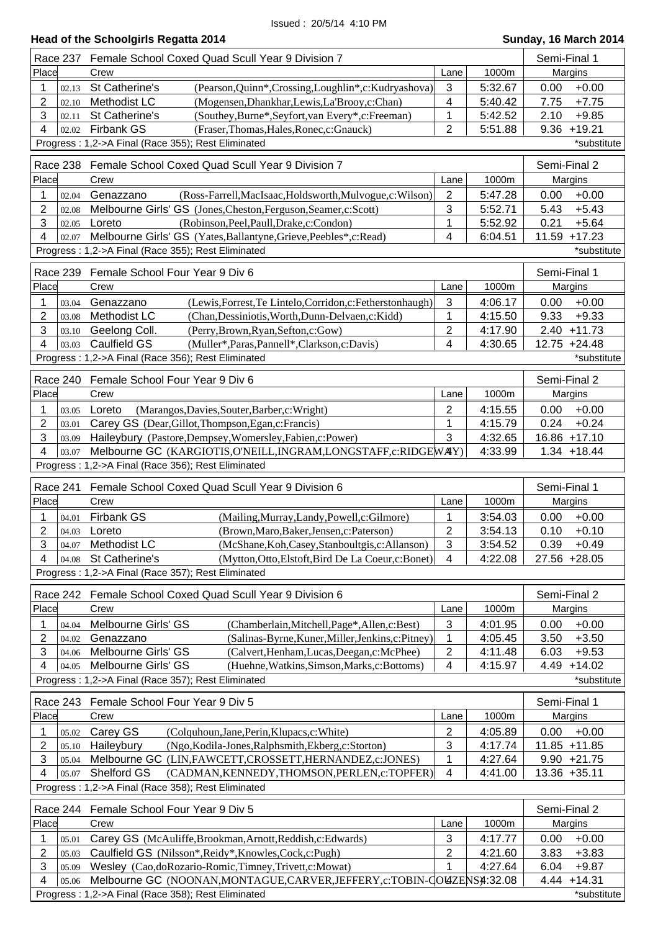|                          | <b>Head of the Schoolgirls Regatta 2014</b>                                                                                |                           |                    | Sunday, 16 March 2014              |
|--------------------------|----------------------------------------------------------------------------------------------------------------------------|---------------------------|--------------------|------------------------------------|
| <b>Race 237</b>          | Female School Coxed Quad Scull Year 9 Division 7                                                                           |                           |                    | Semi-Final 1                       |
| Place                    | Crew                                                                                                                       | Lane                      | 1000m              | Margins                            |
| 1<br>02.13               | St Catherine's<br>(Pearson, Quinn*, Crossing, Loughlin*, c: Kudryashova)                                                   | 3                         | 5:32.67            | 0.00<br>$+0.00$                    |
| 2<br>02.10               | Methodist LC<br>(Mogensen, Dhankhar, Lewis, La'Brooy, c: Chan)                                                             | 4                         | 5:40.42            | 7.75<br>$+7.75$                    |
| 3<br>02.11               | St Catherine's<br>(Southey, Burne*, Seyfort, van Every*, c: Freeman)                                                       | 1                         | 5:42.52            | 2.10<br>$+9.85$                    |
| 4<br>02.02               | <b>Firbank GS</b><br>(Fraser, Thomas, Hales, Ronec, c: Gnauck)                                                             | $\overline{2}$            | 5:51.88            | 9.36<br>$+19.21$                   |
|                          | Progress: 1,2->A Final (Race 355); Rest Eliminated                                                                         |                           |                    | *substitute                        |
| Race 238                 | Female School Coxed Quad Scull Year 9 Division 7                                                                           |                           |                    | Semi-Final 2                       |
| Place                    | Crew                                                                                                                       | Lane                      | 1000m              | Margins                            |
| 1<br>02.04               | (Ross-Farrell, MacIsaac, Holdsworth, Mulvogue, c: Wilson)<br>Genazzano                                                     | $\overline{2}$            | 5:47.28            | 0.00<br>$+0.00$                    |
| $\overline{2}$<br>02.08  | Melbourne Girls' GS (Jones, Cheston, Ferguson, Seamer, c: Scott)                                                           | 3                         | 5:52.71            | 5.43<br>$+5.43$                    |
| 3<br>02.05               | (Robinson, Peel, Paull, Drake, c: Condon)<br>Loreto                                                                        | 1                         | 5:52.92            | 0.21<br>$+5.64$                    |
| 4<br>02.07               | Melbourne Girls' GS (Yates, Ballantyne, Grieve, Peebles*, c: Read)                                                         | 4                         | 6:04.51            | 11.59 +17.23                       |
|                          | Progress: 1,2->A Final (Race 355); Rest Eliminated                                                                         |                           |                    | *substitute                        |
| Race 239                 | Female School Four Year 9 Div 6                                                                                            |                           |                    | Semi-Final 1                       |
| Place                    | Crew                                                                                                                       | Lane                      | 1000m              | Margins                            |
| 1<br>03.04               | Genazzano<br>(Lewis, Forrest, Te Lintelo, Corridon, c: Fetherstonhaugh)                                                    | $\mathbf{3}$              | 4:06.17            | 0.00<br>$+0.00$                    |
| $\overline{2}$<br>03.08  | <b>Methodist LC</b><br>(Chan, Dessiniotis, Worth, Dunn-Delvaen, c: Kidd)                                                   | 1                         | 4:15.50            | 9.33<br>$+9.33$                    |
| 3<br>03.10               | Geelong Coll.<br>(Perry, Brown, Ryan, Sefton, c: Gow)                                                                      | $\overline{c}$            | 4:17.90            | $2.40 + 11.73$                     |
| 4<br>03.03               | <b>Caulfield GS</b><br>(Muller*, Paras, Pannell*, Clarkson, c: Davis)                                                      | 4                         | 4:30.65            | 12.75 +24.48                       |
|                          | Progress: 1,2->A Final (Race 356); Rest Eliminated                                                                         |                           |                    | *substitute                        |
|                          |                                                                                                                            |                           |                    |                                    |
|                          | Race 240 Female School Four Year 9 Div 6                                                                                   |                           |                    | Semi-Final 2                       |
| Place                    | Crew                                                                                                                       | Lane                      | 1000m              | Margins                            |
| 1<br>03.05               | Loreto<br>(Marangos, Davies, Souter, Barber, c: Wright)                                                                    | $\overline{2}$            | 4:15.55            | $+0.00$<br>0.00                    |
| 2<br>03.01               | Carey GS (Dear, Gillot, Thompson, Egan, c: Francis)                                                                        | 1                         | 4:15.79            | 0.24<br>$+0.24$                    |
| 3<br>03.09<br>4<br>03.07 | Haileybury (Pastore,Dempsey,Womersley,Fabien,c:Power)<br>Melbourne GC (KARGIOTIS, O'NEILL, INGRAM, LONGSTAFF, c: RIDGEWAY) | 3                         | 4:32.65<br>4:33.99 | 16.86 +17.10<br>$1.34 + 18.44$     |
|                          | Progress: 1,2->A Final (Race 356); Rest Eliminated                                                                         |                           |                    |                                    |
|                          |                                                                                                                            |                           |                    |                                    |
| <b>Race 241</b><br>Place | Female School Coxed Quad Scull Year 9 Division 6<br>Crew                                                                   |                           | 1000m              | Semi-Final 1                       |
|                          |                                                                                                                            | Lane                      |                    | Margins                            |
| 1<br>04.01               | <b>Firbank GS</b><br>(Mailing, Murray, Landy, Powell, c: Gilmore)                                                          | 1                         | 3:54.03            | 0.00<br>$+0.00$                    |
| 2<br>04.03<br>3<br>04.07 | Loreto<br>(Brown, Maro, Baker, Jensen, c: Paterson)<br>Methodist LC<br>(McShane, Koh, Casey, Stanboultgis, c: Allanson)    | $\overline{c}$<br>3       | 3:54.13<br>3:54.52 | 0.10<br>$+0.10$<br>$+0.49$<br>0.39 |
| 4<br>04.08               | St Catherine's<br>(Mytton, Otto, Elstoft, Bird De La Coeur, c: Bonet)                                                      | 4                         | 4:22.08            | 27.56 +28.05                       |
|                          | Progress: 1,2->A Final (Race 357); Rest Eliminated                                                                         |                           |                    |                                    |
|                          |                                                                                                                            |                           |                    |                                    |
|                          | Race 242 Female School Coxed Quad Scull Year 9 Division 6                                                                  |                           |                    | Semi-Final 2                       |
| Place                    | Crew                                                                                                                       | Lane                      | 1000m              | Margins                            |
| 1<br>04.04               | Melbourne Girls' GS<br>(Chamberlain, Mitchell, Page*, Allen, c: Best)                                                      | 3                         | 4:01.95            | $+0.00$<br>0.00                    |
| 2<br>04.02               | Genazzano<br>(Salinas-Byrne, Kuner, Miller, Jenkins, c: Pitney)                                                            | 1                         | 4:05.45            | 3.50<br>$+3.50$                    |
| 3<br>04.06               | Melbourne Girls' GS<br>(Calvert, Henham, Lucas, Deegan, c: McPhee)                                                         | $\overline{2}$            | 4:11.48            | 6.03<br>$+9.53$                    |
| 4<br>04.05               | Melbourne Girls' GS<br>(Huehne, Watkins, Simson, Marks, c: Bottoms)<br>Progress: 1,2->A Final (Race 357); Rest Eliminated  | 4                         | 4:15.97            | $+14.02$<br>4.49<br>*substitute    |
|                          |                                                                                                                            |                           |                    |                                    |
|                          | Race 243 Female School Four Year 9 Div 5                                                                                   |                           |                    | Semi-Final 1                       |
| Place                    | Crew                                                                                                                       | Lane                      | 1000m              | Margins                            |
| 1<br>05.02               | Carey GS<br>(Colquhoun, Jane, Perin, Klupacs, c: White)                                                                    | $\overline{2}$            | 4:05.89            | 0.00<br>$+0.00$                    |
| 2<br>05.10               | Haileybury<br>(Ngo, Kodila-Jones, Ralphsmith, Ekberg, c: Storton)                                                          | 3                         | 4:17.74            | $11.85 + 11.85$                    |
| 3<br>05.04               | Melbourne GC (LIN, FAWCETT, CROSSETT, HERNANDEZ, c: JONES)                                                                 | 1                         | 4:27.64            | $9.90 +21.75$                      |
| 4<br>05.07               | Shelford GS<br>(CADMAN, KENNEDY, THOMSON, PERLEN, c: TOPFER)                                                               | $\overline{4}$            | 4:41.00            | 13.36 +35.11                       |
|                          | Progress: 1,2->A Final (Race 358); Rest Eliminated                                                                         |                           |                    |                                    |
|                          | Race 244 Female School Four Year 9 Div 5                                                                                   |                           |                    | Semi-Final 2                       |
| Place                    | Crew                                                                                                                       | Lane                      | 1000m              | Margins                            |
| 1<br>05.01               | Carey GS (McAuliffe, Brookman, Arnott, Reddish, c: Edwards)                                                                | $\ensuremath{\mathsf{3}}$ | 4:17.77            | 0.00<br>$+0.00$                    |
| 2<br>05.03               | Caulfield GS (Nilsson*, Reidy*, Knowles, Cock, c: Pugh)                                                                    | 2                         | 4:21.60            | 3.83<br>$+3.83$                    |
| 3<br>05.09               | Wesley (Cao,doRozario-Romic,Timney,Trivett,c:Mowat)                                                                        | 1                         | 4:27.64            | 6.04<br>$+9.87$                    |
| 4<br>05.06               | Melbourne GC (NOONAN, MONTAGUE, CARVER, JEFFERY, c: TOBIN-COUZENS 4:32.08                                                  |                           |                    | 4.44<br>$+14.31$                   |
|                          | Progress: 1,2->A Final (Race 358); Rest Eliminated                                                                         |                           |                    | *substitute                        |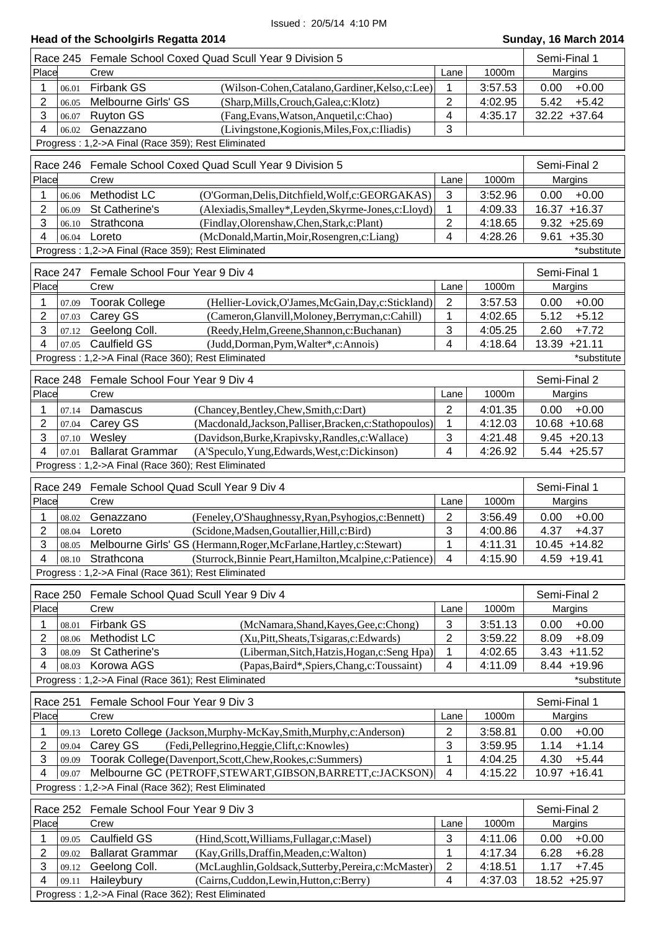|                  |                 | Head of the Schoolgirls Regatta 2014                                                                                           |                           |                    | Sunday, 16 March 2014         |
|------------------|-----------------|--------------------------------------------------------------------------------------------------------------------------------|---------------------------|--------------------|-------------------------------|
|                  | Race 245        | Female School Coxed Quad Scull Year 9 Division 5                                                                               |                           |                    | Semi-Final 1                  |
| Place            |                 | Crew                                                                                                                           | Lane                      | 1000m              | Margins                       |
| 1                | 06.01           | <b>Firbank GS</b><br>(Wilson-Cohen,Catalano,Gardiner,Kelso,c:Lee)                                                              | 1                         | 3:57.53            | $+0.00$<br>0.00               |
| 2                | 06.05           | Melbourne Girls' GS<br>(Sharp, Mills, Crouch, Galea, c: Klotz)                                                                 | 2                         | 4:02.95            | 5.42<br>$+5.42$               |
| 3                | 06.07           | <b>Ruyton GS</b><br>(Fang, Evans, Watson, Anquetil, c: Chao)                                                                   | 4                         | 4:35.17            | 32.22 +37.64                  |
| 4                | 06.02           | Genazzano<br>(Livingstone, Kogionis, Miles, Fox, c: Iliadis)                                                                   | 3                         |                    |                               |
|                  |                 | Progress: 1,2->A Final (Race 359); Rest Eliminated                                                                             |                           |                    |                               |
|                  | Race 246        | Female School Coxed Quad Scull Year 9 Division 5                                                                               |                           |                    | Semi-Final 2                  |
| Place            |                 | Crew                                                                                                                           | Lane                      | 1000m              | Margins                       |
| 1                | 06.06           | <b>Methodist LC</b><br>(O'Gorman, Delis, Ditchfield, Wolf, c: GEORGAKAS)                                                       | 3                         | 3:52.96            | $+0.00$<br>0.00               |
| 2                | 06.09           | St Catherine's<br>(Alexiadis, Smalley*, Leyden, Skyrme-Jones, c: Lloyd)                                                        | 1                         | 4:09.33            | 16.37 +16.37                  |
| 3                | 06.10           | Strathcona<br>(Findlay, Olorenshaw, Chen, Stark, c: Plant)                                                                     | $\overline{2}$            | 4:18.65            | $9.32 + 25.69$                |
| 4                | 06.04           | Loreto<br>(McDonald, Martin, Moir, Rosengren, c: Liang)                                                                        | 4                         | 4:28.26            | 9.61<br>$+35.30$              |
|                  |                 | Progress: 1,2->A Final (Race 359); Rest Eliminated                                                                             |                           |                    | *substitute                   |
|                  | Race 247        | Female School Four Year 9 Div 4                                                                                                |                           |                    | Semi-Final 1                  |
| Place            |                 | Crew                                                                                                                           | Lane                      | 1000m              | Margins                       |
| 1                | 07.09           | <b>Toorak College</b><br>(Hellier-Lovick, O'James, McGain, Day, c: Stickland)                                                  | $\overline{2}$            | 3:57.53            | 0.00<br>$+0.00$               |
| $\overline{2}$   | 07.03           | Carey GS<br>(Cameron, Glanvill, Moloney, Berryman, c: Cahill)                                                                  | 1                         | 4:02.65            | $+5.12$<br>5.12               |
| 3                | 07.12           | Geelong Coll.<br>(Reedy, Helm, Greene, Shannon, c: Buchanan)                                                                   | 3                         | 4:05.25            | $+7.72$<br>2.60               |
| 4                | 07.05           | Caulfield GS<br>(Judd, Dorman, Pym, Walter*, c: Annois)                                                                        | 4                         | 4:18.64            | $+21.11$<br>13.39             |
|                  |                 | Progress: 1,2->A Final (Race 360); Rest Eliminated                                                                             |                           |                    | *substitute                   |
|                  | Race 248        | Female School Four Year 9 Div 4                                                                                                |                           |                    | Semi-Final 2                  |
| Place            |                 | Crew                                                                                                                           | Lane                      | 1000m              | Margins                       |
| 1                |                 | Damascus                                                                                                                       |                           |                    | $+0.00$<br>0.00               |
| 2                | 07.14<br>07.04  | (Chancey, Bentley, Chew, Smith, c: Dart)<br>Carey GS<br>(Macdonald, Jackson, Palliser, Bracken, c: Stathopoulos)               | $\overline{2}$<br>1       | 4:01.35<br>4:12.03 | 10.68 +10.68                  |
| 3                | 07.10           | Wesley<br>(Davidson, Burke, Krapivsky, Randles, c: Wallace)                                                                    | 3                         | 4:21.48            | $9.45 +20.13$                 |
| 4                | 07.01           | <b>Ballarat Grammar</b><br>(A'Speculo, Yung, Edwards, West, c: Dickinson)                                                      | 4                         | 4:26.92            | $5.44 +25.57$                 |
|                  |                 | Progress: 1,2->A Final (Race 360); Rest Eliminated                                                                             |                           |                    |                               |
|                  |                 |                                                                                                                                |                           |                    |                               |
|                  | <b>Race 249</b> | Female School Quad Scull Year 9 Div 4                                                                                          |                           |                    | Semi-Final 1                  |
| Place            |                 | Crew                                                                                                                           | Lane                      | 1000m              | Margins                       |
| 1                | 08.02           | Genazzano<br>(Feneley, O'Shaughnessy, Ryan, Psyhogios, c: Bennett)                                                             | 2                         | 3:56.49            | $+0.00$<br>0.00               |
| 2<br>3           | 08.04<br>08.05  | Loreto<br>(Scidone, Madsen, Goutallier, Hill, c: Bird)<br>Melbourne Girls' GS (Hermann, Roger, McFarlane, Hartley, c: Stewart) | 3<br>1                    | 4:00.86<br>4:11.31 | 4.37<br>+4.37<br>10.45 +14.82 |
| 4                | 08.10           | Strathcona<br>(Sturrock, Binnie Peart, Hamilton, Mcalpine, c: Patience)                                                        | $\overline{4}$            | 4:15.90            | 4.59 +19.41                   |
|                  |                 | Progress: 1,2->A Final (Race 361); Rest Eliminated                                                                             |                           |                    |                               |
|                  |                 |                                                                                                                                |                           |                    |                               |
|                  |                 | Race 250 Female School Quad Scull Year 9 Div 4                                                                                 |                           |                    | Semi-Final 2                  |
| Place            |                 | Crew                                                                                                                           | Lane                      | 1000m              | Margins                       |
| 1                | 08.01           | <b>Firbank GS</b><br>(McNamara, Shand, Kayes, Gee, c: Chong)                                                                   | $\ensuremath{\mathsf{3}}$ | 3:51.13            | 0.00<br>$+0.00$               |
| 2                | 08.06           | Methodist LC<br>(Xu, Pitt, Sheats, Tsigaras, c: Edwards)                                                                       | 2                         | 3:59.22            | 8.09<br>$+8.09$               |
| 3                | 08.09           | St Catherine's<br>(Liberman, Sitch, Hatzis, Hogan, c: Seng Hpa)                                                                | 1                         | 4:02.65            | 3.43<br>$+11.52$              |
| 4                | 08.03           | Korowa AGS<br>(Papas, Baird*, Spiers, Chang, c: Toussaint)                                                                     | $\overline{4}$            | 4:11.09            | 8.44 +19.96                   |
|                  |                 | Progress: 1,2->A Final (Race 361); Rest Eliminated                                                                             |                           |                    | *substitute                   |
|                  | Race 251        | Female School Four Year 9 Div 3                                                                                                |                           |                    | Semi-Final 1                  |
| Place            |                 | Crew                                                                                                                           | Lane                      | 1000m              | Margins                       |
| 1                | 09.13           | Loreto College (Jackson, Murphy-McKay, Smith, Murphy, c: Anderson)                                                             | $\overline{2}$            | 3:58.81            | 0.00<br>$+0.00$               |
| $\mathbf 2$      | 09.04           | (Fedi, Pellegrino, Heggie, Clift, c: Knowles)<br>Carey GS                                                                      | 3                         | 3:59.95            | 1.14<br>$+1.14$               |
| 3                | 09.09           | Toorak College(Davenport,Scott,Chew,Rookes,c:Summers)                                                                          | 1                         | 4:04.25            | 4.30<br>$+5.44$               |
| 4                | 09.07           | Melbourne GC (PETROFF, STEWART, GIBSON, BARRETT, c: JACKSON)                                                                   | $\overline{4}$            | 4:15.22            | 10.97 +16.41                  |
|                  |                 | Progress: 1,2->A Final (Race 362); Rest Eliminated                                                                             |                           |                    |                               |
|                  | Race 252        | Female School Four Year 9 Div 3                                                                                                |                           |                    | Semi-Final 2                  |
| Place            |                 | Crew                                                                                                                           | Lane                      | 1000m              | Margins                       |
| 1                | 09.05           | <b>Caulfield GS</b><br>(Hind, Scott, Williams, Fullagar, c: Masel)                                                             | $\mathbf{3}$              | 4:11.06            | 0.00<br>$+0.00$               |
| $\boldsymbol{2}$ | 09.02           | <b>Ballarat Grammar</b><br>(Kay, Grills, Draffin, Meaden, c: Walton)                                                           | 1                         | 4:17.34            | 6.28<br>$+6.28$               |
| 3                | 09.12           | (McLaughlin, Goldsack, Sutterby, Pereira, c: McMaster)<br>Geelong Coll.                                                        | $\boldsymbol{2}$          | 4:18.51            | 1.17<br>$+7.45$               |
| 4                | 09.11           | Haileybury<br>(Cairns, Cuddon, Lewin, Hutton, c: Berry)                                                                        | 4                         | 4:37.03            | 18.52 +25.97                  |

Progress : 1,2->A Final (Race 362); Rest Eliminated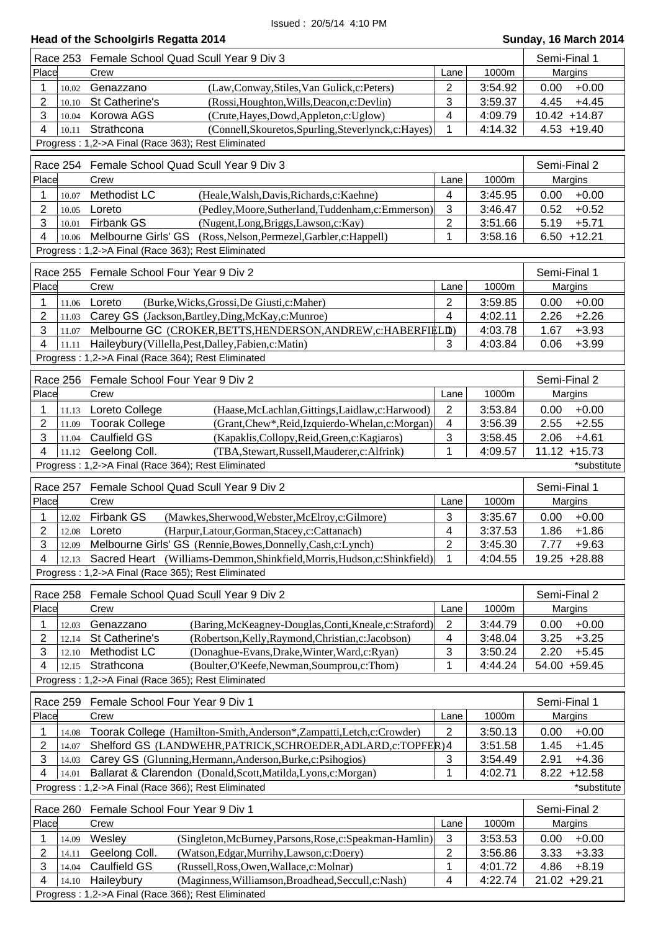|  | Head of the Schoolgirls Regatta 2014 |  |  |
|--|--------------------------------------|--|--|
|--|--------------------------------------|--|--|

|                         | Race 253 Female School Quad Scull Year 9 Div 3                                                                           |                         |         | Semi-Final 1    |
|-------------------------|--------------------------------------------------------------------------------------------------------------------------|-------------------------|---------|-----------------|
| Place                   | Crew                                                                                                                     | Lane                    | 1000m   | Margins         |
| 1<br>10.02              | Genazzano<br>(Law,Conway,Stiles,Van Gulick,c:Peters)                                                                     | $\overline{2}$          | 3:54.92 | $+0.00$<br>0.00 |
| $\overline{2}$<br>10.10 | St Catherine's<br>(Rossi, Houghton, Wills, Deacon, c: Devlin)                                                            | 3                       | 3:59.37 | 4.45<br>$+4.45$ |
| 3<br>10.04              | Korowa AGS<br>(Crute, Hayes, Dowd, Appleton, c: Uglow)                                                                   | $\overline{\mathbf{4}}$ | 4:09.79 | 10.42 +14.87    |
| 4<br>10.11              | Strathcona<br>(Connell, Skouretos, Spurling, Steverlynck, c: Hayes)                                                      | 1                       | 4:14.32 | $4.53 + 19.40$  |
|                         | Progress: 1,2->A Final (Race 363); Rest Eliminated                                                                       |                         |         |                 |
|                         | Race 254 Female School Quad Scull Year 9 Div 3                                                                           |                         |         | Semi-Final 2    |
| Place                   | Crew                                                                                                                     | Lane                    | 1000m   | Margins         |
| 1<br>10.07              | Methodist LC<br>(Heale, Walsh, Davis, Richards, c: Kaehne)                                                               | 4                       | 3:45.95 | 0.00<br>$+0.00$ |
| $\overline{2}$<br>10.05 | Loreto<br>(Pedley, Moore, Sutherland, Tuddenham, c: Emmerson)                                                            | 3                       | 3:46.47 | 0.52<br>$+0.52$ |
| 3<br>10.01              | <b>Firbank GS</b><br>(Nugent,Long,Briggs,Lawson,c:Kay)                                                                   | 2                       | 3:51.66 | 5.19<br>$+5.71$ |
| 4<br>10.06              | Melbourne Girls' GS (Ross, Nelson, Permezel, Garbler, c: Happell)                                                        | 1                       | 3:58.16 | $6.50 + 12.21$  |
|                         | Progress: 1,2->A Final (Race 363); Rest Eliminated                                                                       |                         |         |                 |
| Race 255                | Female School Four Year 9 Div 2                                                                                          |                         |         | Semi-Final 1    |
| Place                   | Crew                                                                                                                     | Lane                    | 1000m   | Margins         |
| 1<br>11.06              | (Burke, Wicks, Grossi, De Giusti, c: Maher)<br>Loreto                                                                    | 2                       | 3:59.85 | 0.00<br>$+0.00$ |
| $\overline{2}$          | 11.03 Carey GS (Jackson, Bartley, Ding, McKay, c: Munroe)                                                                | $\overline{4}$          | 4:02.11 | 2.26<br>$+2.26$ |
| 3<br>11.07              | Melbourne GC (CROKER, BETTS, HENDERSON, ANDREW, c: HABERFIELD)                                                           |                         | 4:03.78 | 1.67<br>$+3.93$ |
| 4<br>11.11              | Haileybury (Villella, Pest, Dalley, Fabien, c: Matin)                                                                    | 3                       | 4:03.84 | 0.06<br>$+3.99$ |
|                         | Progress: 1,2->A Final (Race 364); Rest Eliminated                                                                       |                         |         |                 |
|                         | Race 256 Female School Four Year 9 Div 2                                                                                 |                         |         | Semi-Final 2    |
| Place                   | Crew                                                                                                                     | Lane                    | 1000m   | Margins         |
| 1<br>11.13              | Loreto College<br>(Haase, McLachlan, Gittings, Laidlaw, c: Harwood)                                                      | 2                       | 3:53.84 | $+0.00$<br>0.00 |
| $\overline{2}$<br>11.09 | <b>Toorak College</b><br>(Grant, Chew*, Reid, Izquierdo-Whelan, c: Morgan)                                               | $\overline{4}$          | 3:56.39 | 2.55<br>$+2.55$ |
| 3<br>11.04              | <b>Caulfield GS</b><br>(Kapaklis, Collopy, Reid, Green, c: Kagiaros)                                                     | 3                       | 3:58.45 | 2.06<br>$+4.61$ |
| 4                       | 11.12 Geelong Coll.<br>(TBA, Stewart, Russell, Mauderer, c: Alfrink)                                                     | 1                       | 4:09.57 | $11.12 + 15.73$ |
|                         | Progress: 1,2->A Final (Race 364); Rest Eliminated                                                                       |                         |         | *substitute     |
|                         |                                                                                                                          |                         |         |                 |
|                         |                                                                                                                          |                         |         |                 |
| Race 257                | Female School Quad Scull Year 9 Div 2                                                                                    |                         |         | Semi-Final 1    |
| Place                   | Crew                                                                                                                     | Lane                    | 1000m   | Margins         |
| 1<br>12.02              | <b>Firbank GS</b><br>(Mawkes, Sherwood, Webster, McElroy, c: Gilmore)                                                    | 3                       | 3:35.67 | 0.00<br>$+0.00$ |
| $\overline{2}$<br>12.08 | Loreto<br>(Harpur,Latour,Gorman,Stacey,c:Cattanach)                                                                      | 4                       | 3:37.53 | 1.86<br>$+1.86$ |
| 3                       | 12.09 Melbourne Girls' GS (Rennie, Bowes, Donnelly, Cash, c: Lynch)                                                      | $\overline{2}$          | 3:45.30 | 7.77<br>$+9.63$ |
| 4                       | 12.13 Sacred Heart (Williams-Demmon, Shinkfield, Morris, Hudson, c: Shinkfield)                                          | 1                       | 4:04.55 | 19.25 +28.88    |
|                         | Progress: 1,2->A Final (Race 365); Rest Eliminated                                                                       |                         |         |                 |
| Race 258                | Female School Quad Scull Year 9 Div 2                                                                                    |                         |         | Semi-Final 2    |
| Place                   | Crew                                                                                                                     | Lane                    | 1000m   | Margins         |
| 1<br>12.03              | Genazzano<br>(Baring, McKeagney-Douglas, Conti, Kneale, c: Straford)                                                     | $\overline{2}$          | 3:44.79 | $+0.00$<br>0.00 |
| 2<br>12.14              | St Catherine's<br>(Robertson, Kelly, Raymond, Christian, c: Jacobson)                                                    | 4                       | 3:48.04 | 3.25<br>$+3.25$ |
| 3<br>12.10              | Methodist LC<br>(Donaghue-Evans, Drake, Winter, Ward, c: Ryan)                                                           | 3                       | 3:50.24 | 2.20<br>$+5.45$ |
| 4<br>12.15              | Strathcona<br>(Boulter, O'Keefe, Newman, Soumprou, c: Thom)                                                              | 1                       | 4:44.24 | 54.00 +59.45    |
|                         | Progress: 1,2->A Final (Race 365); Rest Eliminated                                                                       |                         |         |                 |
| Race 259                | Female School Four Year 9 Div 1                                                                                          |                         |         | Semi-Final 1    |
| Place                   | Crew                                                                                                                     | Lane                    | 1000m   | Margins         |
| 1<br>14.08              | Toorak College (Hamilton-Smith, Anderson*, Zampatti, Letch, c: Crowder)                                                  | $\overline{2}$          | 3:50.13 | 0.00<br>$+0.00$ |
| 2<br>14.07              | Shelford GS (LANDWEHR, PATRICK, SCHROEDER, ADLARD, c: TOPFER) 4                                                          |                         | 3:51.58 | 1.45<br>$+1.45$ |
| 3<br>14.03              | Carey GS (Glunning, Hermann, Anderson, Burke, c: Psihogios)                                                              | 3                       | 3:54.49 | 2.91<br>$+4.36$ |
| 4<br>14.01              | Ballarat & Clarendon (Donald, Scott, Matilda, Lyons, c: Morgan)                                                          | 1                       | 4:02.71 | $8.22 + 12.58$  |
|                         | Progress: 1,2->A Final (Race 366); Rest Eliminated                                                                       |                         |         | *substitute     |
| Race 260                | Female School Four Year 9 Div 1                                                                                          |                         |         | Semi-Final 2    |
| Place                   | Crew                                                                                                                     | Lane                    | 1000m   | Margins         |
| 1<br>14.09              | Wesley<br>(Singleton, McBurney, Parsons, Rose, c: Speakman-Hamlin)                                                       | $\sqrt{3}$              | 3:53.53 | $+0.00$<br>0.00 |
| 2<br>14.11              | Geelong Coll.<br>(Watson, Edgar, Murrihy, Lawson, c: Doery)                                                              | 2                       | 3:56.86 | 3.33<br>$+3.33$ |
| 3<br>14.04              | Caulfield GS<br>(Russell, Ross, Owen, Wallace, c: Molnar)                                                                | 1                       | 4:01.72 | 4.86<br>$+8.19$ |
| 4<br>14.10              | Haileybury<br>(Maginness, Williamson, Broadhead, Seccull, c: Nash)<br>Progress: 1,2->A Final (Race 366); Rest Eliminated | $\overline{4}$          | 4:22.74 | 21.02 +29.21    |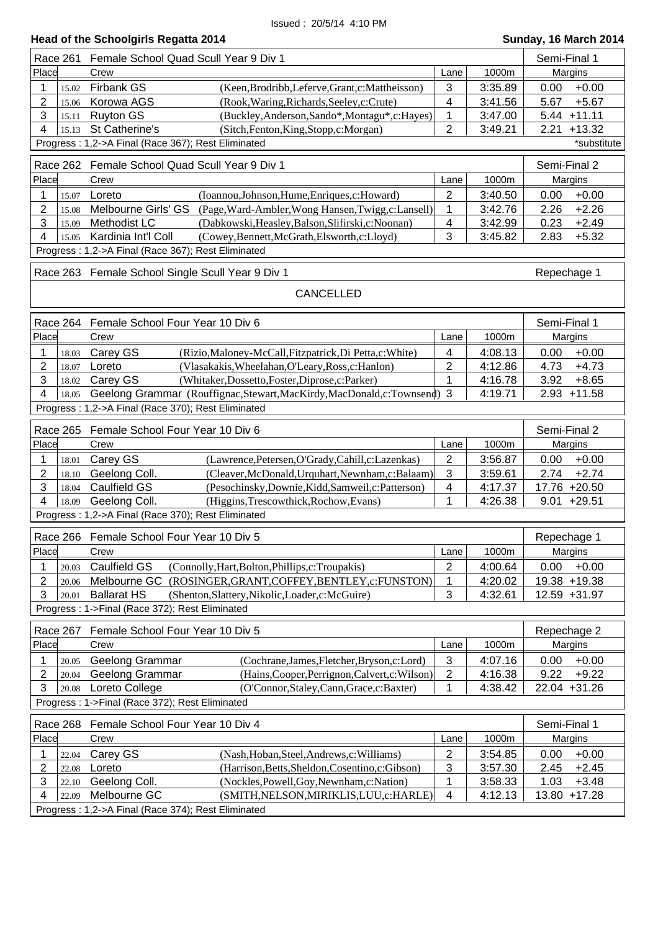| <b>Head of the Schoolgirls Regatta 2014</b> |  |
|---------------------------------------------|--|
|---------------------------------------------|--|

# **Head Sunday, 16 March 2014**<br>Semi-Final 1

| Place<br>1000m<br>Crew<br>Margins<br>Lane<br><b>Firbank GS</b><br>(Keen, Brodribb, Leferve, Grant, c: Mattheisson)<br>3<br>3:35.89<br>$+0.00$<br>0.00<br>1<br>15.02<br>2<br>Korowa AGS<br>4<br>5.67<br>$+5.67$<br>(Rook, Waring, Richards, Seeley, c: Crute)<br>3:41.56<br>15.06<br>3<br><b>Ruyton GS</b><br>(Buckley, Anderson, Sando*, Montagu*, c: Hayes)<br>1<br>$5.44 + 11.11$<br>3:47.00<br>15.11<br>$\overline{2}$<br>4<br>St Catherine's<br>(Sitch, Fenton, King, Stopp, c: Morgan)<br>3:49.21<br>2.21<br>$+13.32$<br>15.13<br>Progress: 1,2->A Final (Race 367); Rest Eliminated<br>*substitute<br>Race 262 Female School Quad Scull Year 9 Div 1<br>Semi-Final 2<br>Place<br>1000m<br>Margins<br>Crew<br>Lane<br>$\overline{2}$<br>3:40.50<br>0.00<br>$+0.00$<br>1<br>Loreto<br>(Ioannou, Johnson, Hume, Enriques, c: Howard)<br>15.07<br>$\overline{2}$<br>Melbourne Girls' GS (Page, Ward-Ambler, Wong Hansen, Twigg, c: Lansell)<br>2.26<br>$+2.26$<br>1<br>3:42.76<br>15.08<br>3<br>Methodist LC<br>(Dabkowski, Heasley, Balson, Slifirski, c: Noonan)<br>4<br>3:42.99<br>$+2.49$<br>0.23<br>15.09<br>4<br>Kardinia Int'l Coll<br>3<br>3:45.82<br>2.83<br>$+5.32$<br>(Cowey, Bennett, McGrath, Elsworth, c: Lloyd)<br>15.05<br>Progress: 1,2->A Final (Race 367); Rest Eliminated<br>Race 263 Female School Single Scull Year 9 Div 1<br>Repechage 1<br>CANCELLED |
|---------------------------------------------------------------------------------------------------------------------------------------------------------------------------------------------------------------------------------------------------------------------------------------------------------------------------------------------------------------------------------------------------------------------------------------------------------------------------------------------------------------------------------------------------------------------------------------------------------------------------------------------------------------------------------------------------------------------------------------------------------------------------------------------------------------------------------------------------------------------------------------------------------------------------------------------------------------------------------------------------------------------------------------------------------------------------------------------------------------------------------------------------------------------------------------------------------------------------------------------------------------------------------------------------------------------------------------------------------------------------------|
|                                                                                                                                                                                                                                                                                                                                                                                                                                                                                                                                                                                                                                                                                                                                                                                                                                                                                                                                                                                                                                                                                                                                                                                                                                                                                                                                                                                 |
|                                                                                                                                                                                                                                                                                                                                                                                                                                                                                                                                                                                                                                                                                                                                                                                                                                                                                                                                                                                                                                                                                                                                                                                                                                                                                                                                                                                 |
|                                                                                                                                                                                                                                                                                                                                                                                                                                                                                                                                                                                                                                                                                                                                                                                                                                                                                                                                                                                                                                                                                                                                                                                                                                                                                                                                                                                 |
|                                                                                                                                                                                                                                                                                                                                                                                                                                                                                                                                                                                                                                                                                                                                                                                                                                                                                                                                                                                                                                                                                                                                                                                                                                                                                                                                                                                 |
|                                                                                                                                                                                                                                                                                                                                                                                                                                                                                                                                                                                                                                                                                                                                                                                                                                                                                                                                                                                                                                                                                                                                                                                                                                                                                                                                                                                 |
|                                                                                                                                                                                                                                                                                                                                                                                                                                                                                                                                                                                                                                                                                                                                                                                                                                                                                                                                                                                                                                                                                                                                                                                                                                                                                                                                                                                 |
|                                                                                                                                                                                                                                                                                                                                                                                                                                                                                                                                                                                                                                                                                                                                                                                                                                                                                                                                                                                                                                                                                                                                                                                                                                                                                                                                                                                 |
|                                                                                                                                                                                                                                                                                                                                                                                                                                                                                                                                                                                                                                                                                                                                                                                                                                                                                                                                                                                                                                                                                                                                                                                                                                                                                                                                                                                 |
|                                                                                                                                                                                                                                                                                                                                                                                                                                                                                                                                                                                                                                                                                                                                                                                                                                                                                                                                                                                                                                                                                                                                                                                                                                                                                                                                                                                 |
|                                                                                                                                                                                                                                                                                                                                                                                                                                                                                                                                                                                                                                                                                                                                                                                                                                                                                                                                                                                                                                                                                                                                                                                                                                                                                                                                                                                 |
|                                                                                                                                                                                                                                                                                                                                                                                                                                                                                                                                                                                                                                                                                                                                                                                                                                                                                                                                                                                                                                                                                                                                                                                                                                                                                                                                                                                 |
|                                                                                                                                                                                                                                                                                                                                                                                                                                                                                                                                                                                                                                                                                                                                                                                                                                                                                                                                                                                                                                                                                                                                                                                                                                                                                                                                                                                 |
|                                                                                                                                                                                                                                                                                                                                                                                                                                                                                                                                                                                                                                                                                                                                                                                                                                                                                                                                                                                                                                                                                                                                                                                                                                                                                                                                                                                 |
|                                                                                                                                                                                                                                                                                                                                                                                                                                                                                                                                                                                                                                                                                                                                                                                                                                                                                                                                                                                                                                                                                                                                                                                                                                                                                                                                                                                 |
|                                                                                                                                                                                                                                                                                                                                                                                                                                                                                                                                                                                                                                                                                                                                                                                                                                                                                                                                                                                                                                                                                                                                                                                                                                                                                                                                                                                 |
|                                                                                                                                                                                                                                                                                                                                                                                                                                                                                                                                                                                                                                                                                                                                                                                                                                                                                                                                                                                                                                                                                                                                                                                                                                                                                                                                                                                 |
|                                                                                                                                                                                                                                                                                                                                                                                                                                                                                                                                                                                                                                                                                                                                                                                                                                                                                                                                                                                                                                                                                                                                                                                                                                                                                                                                                                                 |
| Female School Four Year 10 Div 6<br>Semi-Final 1<br>Race 264                                                                                                                                                                                                                                                                                                                                                                                                                                                                                                                                                                                                                                                                                                                                                                                                                                                                                                                                                                                                                                                                                                                                                                                                                                                                                                                    |
| Place<br>1000m<br>Crew<br>Lane<br>Margins                                                                                                                                                                                                                                                                                                                                                                                                                                                                                                                                                                                                                                                                                                                                                                                                                                                                                                                                                                                                                                                                                                                                                                                                                                                                                                                                       |
| $+0.00$<br>Carey GS<br>(Rizio, Maloney-McCall, Fitzpatrick, Di Petta, c: White)<br>4<br>4:08.13<br>0.00<br>1<br>18.03                                                                                                                                                                                                                                                                                                                                                                                                                                                                                                                                                                                                                                                                                                                                                                                                                                                                                                                                                                                                                                                                                                                                                                                                                                                           |
| 2<br>$\overline{2}$<br>$+4.73$<br>4:12.86<br>4.73<br>Loreto<br>(Vlasakakis, Wheelahan, O'Leary, Ross, c: Hanlon)<br>18.07                                                                                                                                                                                                                                                                                                                                                                                                                                                                                                                                                                                                                                                                                                                                                                                                                                                                                                                                                                                                                                                                                                                                                                                                                                                       |
| 3<br>Carey GS<br>(Whitaker, Dossetto, Foster, Diprose, c: Parker)<br>1<br>$+8.65$<br>4:16.78<br>3.92<br>18.02                                                                                                                                                                                                                                                                                                                                                                                                                                                                                                                                                                                                                                                                                                                                                                                                                                                                                                                                                                                                                                                                                                                                                                                                                                                                   |
| 4<br>Geelong Grammar (Rouffignac, Stewart, MacKirdy, MacDonald, c: Townsend) 3<br>4:19.71<br>$2.93 + 11.58$<br>18.05                                                                                                                                                                                                                                                                                                                                                                                                                                                                                                                                                                                                                                                                                                                                                                                                                                                                                                                                                                                                                                                                                                                                                                                                                                                            |
| Progress: 1,2->A Final (Race 370); Rest Eliminated                                                                                                                                                                                                                                                                                                                                                                                                                                                                                                                                                                                                                                                                                                                                                                                                                                                                                                                                                                                                                                                                                                                                                                                                                                                                                                                              |
| Female School Four Year 10 Div 6<br>Semi-Final 2<br>Race 265                                                                                                                                                                                                                                                                                                                                                                                                                                                                                                                                                                                                                                                                                                                                                                                                                                                                                                                                                                                                                                                                                                                                                                                                                                                                                                                    |
| Place<br>1000m<br>Crew<br>Margins<br>Lane                                                                                                                                                                                                                                                                                                                                                                                                                                                                                                                                                                                                                                                                                                                                                                                                                                                                                                                                                                                                                                                                                                                                                                                                                                                                                                                                       |
| $\overline{\mathbf{c}}$<br>$+0.00$<br>Carey GS<br>(Lawrence, Petersen, O'Grady, Cahill, c: Lazenkas)<br>3:56.87<br>0.00<br>1<br>18.01                                                                                                                                                                                                                                                                                                                                                                                                                                                                                                                                                                                                                                                                                                                                                                                                                                                                                                                                                                                                                                                                                                                                                                                                                                           |
| $\overline{2}$<br>3<br>Geelong Coll.<br>(Cleaver, McDonald, Urquhart, Newnham, c: Balaam)<br>2.74<br>$+2.74$<br>3:59.61<br>18.10                                                                                                                                                                                                                                                                                                                                                                                                                                                                                                                                                                                                                                                                                                                                                                                                                                                                                                                                                                                                                                                                                                                                                                                                                                                |
| 3<br>Caulfield GS<br>(Pesochinsky,Downie,Kidd,Samweil,c:Patterson)<br>4<br>17.76 +20.50<br>4:17.37<br>18.04                                                                                                                                                                                                                                                                                                                                                                                                                                                                                                                                                                                                                                                                                                                                                                                                                                                                                                                                                                                                                                                                                                                                                                                                                                                                     |
| 4<br>Geelong Coll.<br>(Higgins, Trescowthick, Rochow, Evans)<br>4:26.38<br>$+29.51$<br>1<br>9.01<br>18.09                                                                                                                                                                                                                                                                                                                                                                                                                                                                                                                                                                                                                                                                                                                                                                                                                                                                                                                                                                                                                                                                                                                                                                                                                                                                       |
| Progress: 1,2->A Final (Race 370); Rest Eliminated                                                                                                                                                                                                                                                                                                                                                                                                                                                                                                                                                                                                                                                                                                                                                                                                                                                                                                                                                                                                                                                                                                                                                                                                                                                                                                                              |
|                                                                                                                                                                                                                                                                                                                                                                                                                                                                                                                                                                                                                                                                                                                                                                                                                                                                                                                                                                                                                                                                                                                                                                                                                                                                                                                                                                                 |
| Race 266 Female School Four Year 10 Div 5<br>Repechage 1                                                                                                                                                                                                                                                                                                                                                                                                                                                                                                                                                                                                                                                                                                                                                                                                                                                                                                                                                                                                                                                                                                                                                                                                                                                                                                                        |
| Place<br>1000m<br>Margins<br>Crew<br>Lane                                                                                                                                                                                                                                                                                                                                                                                                                                                                                                                                                                                                                                                                                                                                                                                                                                                                                                                                                                                                                                                                                                                                                                                                                                                                                                                                       |
| Caulfield GS<br>(Connolly, Hart, Bolton, Phillips, c: Troupakis)<br>$\overline{c}$<br>4:00.64<br>0.00<br>$+0.00$<br>1<br>20.03                                                                                                                                                                                                                                                                                                                                                                                                                                                                                                                                                                                                                                                                                                                                                                                                                                                                                                                                                                                                                                                                                                                                                                                                                                                  |
| 2<br>Melbourne GC<br>(ROSINGER, GRANT, COFFEY, BENTLEY, c: FUNSTON)<br>19.38 +19.38<br>1<br>4:20.02<br>20.06                                                                                                                                                                                                                                                                                                                                                                                                                                                                                                                                                                                                                                                                                                                                                                                                                                                                                                                                                                                                                                                                                                                                                                                                                                                                    |
| 3<br><b>Ballarat HS</b><br>3<br>(Shenton, Slattery, Nikolic, Loader, c: McGuire)<br>4:32.61<br>12.59 +31.97<br>20.01                                                                                                                                                                                                                                                                                                                                                                                                                                                                                                                                                                                                                                                                                                                                                                                                                                                                                                                                                                                                                                                                                                                                                                                                                                                            |
| Progress: 1->Final (Race 372); Rest Eliminated                                                                                                                                                                                                                                                                                                                                                                                                                                                                                                                                                                                                                                                                                                                                                                                                                                                                                                                                                                                                                                                                                                                                                                                                                                                                                                                                  |
| Female School Four Year 10 Div 5<br>Race 267<br>Repechage 2                                                                                                                                                                                                                                                                                                                                                                                                                                                                                                                                                                                                                                                                                                                                                                                                                                                                                                                                                                                                                                                                                                                                                                                                                                                                                                                     |
| Place<br>Crew<br>1000m<br>Margins<br>Lane                                                                                                                                                                                                                                                                                                                                                                                                                                                                                                                                                                                                                                                                                                                                                                                                                                                                                                                                                                                                                                                                                                                                                                                                                                                                                                                                       |
| Geelong Grammar<br>$\sqrt{3}$<br>$+0.00$<br>4:07.16<br>0.00<br>(Cochrane, James, Fletcher, Bryson, c: Lord)<br>1<br>20.05                                                                                                                                                                                                                                                                                                                                                                                                                                                                                                                                                                                                                                                                                                                                                                                                                                                                                                                                                                                                                                                                                                                                                                                                                                                       |
| 2<br>$\boldsymbol{2}$<br>$+9.22$<br>Geelong Grammar<br>(Hains, Cooper, Perrignon, Calvert, c: Wilson)<br>9.22<br>4:16.38<br>20.04                                                                                                                                                                                                                                                                                                                                                                                                                                                                                                                                                                                                                                                                                                                                                                                                                                                                                                                                                                                                                                                                                                                                                                                                                                               |
| 3<br>Loreto College<br>1<br>4:38.42<br>22.04 +31.26<br>(O'Connor, Staley, Cann, Grace, c: Baxter)<br>20.08                                                                                                                                                                                                                                                                                                                                                                                                                                                                                                                                                                                                                                                                                                                                                                                                                                                                                                                                                                                                                                                                                                                                                                                                                                                                      |
| Progress: 1->Final (Race 372); Rest Eliminated                                                                                                                                                                                                                                                                                                                                                                                                                                                                                                                                                                                                                                                                                                                                                                                                                                                                                                                                                                                                                                                                                                                                                                                                                                                                                                                                  |
| Female School Four Year 10 Div 4<br>Semi-Final 1<br>Race 268                                                                                                                                                                                                                                                                                                                                                                                                                                                                                                                                                                                                                                                                                                                                                                                                                                                                                                                                                                                                                                                                                                                                                                                                                                                                                                                    |
| Place<br>Crew<br>1000m<br>Margins<br>Lane                                                                                                                                                                                                                                                                                                                                                                                                                                                                                                                                                                                                                                                                                                                                                                                                                                                                                                                                                                                                                                                                                                                                                                                                                                                                                                                                       |
| Carey GS<br>$\mathbf{2}$<br>$+0.00$<br>3:54.85<br>0.00<br>(Nash, Hoban, Steel, Andrews, c: Williams)<br>1<br>22.04                                                                                                                                                                                                                                                                                                                                                                                                                                                                                                                                                                                                                                                                                                                                                                                                                                                                                                                                                                                                                                                                                                                                                                                                                                                              |
| $\overline{c}$<br>3<br>(Harrison, Betts, Sheldon, Cosentino, c: Gibson)<br>2.45<br>$+2.45$<br>Loreto<br>3:57.30<br>22.08                                                                                                                                                                                                                                                                                                                                                                                                                                                                                                                                                                                                                                                                                                                                                                                                                                                                                                                                                                                                                                                                                                                                                                                                                                                        |
| 3<br>Geelong Coll.<br>(Nockles, Powell, Goy, Newnham, c: Nation)<br>1<br>1.03<br>$+3.48$<br>3:58.33<br>22.10                                                                                                                                                                                                                                                                                                                                                                                                                                                                                                                                                                                                                                                                                                                                                                                                                                                                                                                                                                                                                                                                                                                                                                                                                                                                    |
| 4<br>Melbourne GC<br>4<br>(SMITH, NELSON, MIRIKLIS, LUU, c: HARLE)<br>4:12.13<br>13.80 +17.28<br>22.09                                                                                                                                                                                                                                                                                                                                                                                                                                                                                                                                                                                                                                                                                                                                                                                                                                                                                                                                                                                                                                                                                                                                                                                                                                                                          |
| Progress: 1,2->A Final (Race 374); Rest Eliminated                                                                                                                                                                                                                                                                                                                                                                                                                                                                                                                                                                                                                                                                                                                                                                                                                                                                                                                                                                                                                                                                                                                                                                                                                                                                                                                              |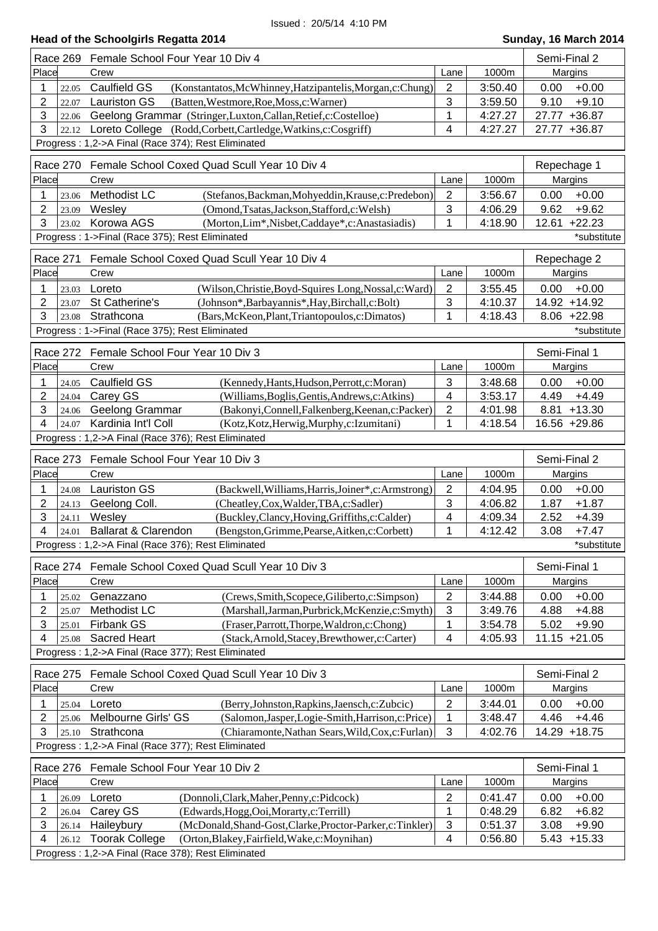| Head of the Schoolgirls Regatta 2014 |  |  |
|--------------------------------------|--|--|
|--------------------------------------|--|--|

|                |                 | Race 269 Female School Four Year 10 Div 4                                                                                    |                     |                    | Semi-Final 2                       |
|----------------|-----------------|------------------------------------------------------------------------------------------------------------------------------|---------------------|--------------------|------------------------------------|
| Place          |                 | Crew                                                                                                                         | Lane                | 1000m              | Margins                            |
| 1              | 22.05           | <b>Caulfield GS</b><br>(Konstantatos, McWhinney, Hatzipantelis, Morgan, c: Chung)                                            | $\overline{2}$      | 3:50.40            | $+0.00$<br>0.00                    |
| 2              | 22.07           | <b>Lauriston GS</b><br>(Batten, Westmore, Roe, Moss, c: Warner)                                                              | 3                   | 3:59.50            | 9.10<br>$+9.10$                    |
| 3              | 22.06           | Geelong Grammar (Stringer, Luxton, Callan, Retief, c: Costelloe)                                                             | 1                   | 4:27.27            | 27.77 +36.87                       |
| 3              | 22.12           | Loreto College (Rodd, Corbett, Cartledge, Watkins, c: Cosgriff)                                                              | 4                   | 4:27.27            | 27.77 +36.87                       |
|                |                 | Progress: 1,2->A Final (Race 374); Rest Eliminated                                                                           |                     |                    |                                    |
|                | Race 270        | Female School Coxed Quad Scull Year 10 Div 4                                                                                 |                     |                    | Repechage 1                        |
| Place          |                 | Crew                                                                                                                         | Lane                | 1000m              | Margins                            |
| 1              | 23.06           | Methodist LC<br>(Stefanos, Backman, Mohyeddin, Krause, c: Predebon)                                                          | $\overline{2}$      | 3:56.67            | $+0.00$<br>0.00                    |
| 2              | 23.09           | Wesley<br>(Omond, Tsatas, Jackson, Stafford, c: Welsh)                                                                       | 3                   | 4:06.29            | 9.62<br>$+9.62$                    |
| 3              | 23.02           | Korowa AGS<br>(Morton, Lim*, Nisbet, Caddaye*, c: Anastasiadis)                                                              | 1                   | 4:18.90            | 12.61 +22.23                       |
|                |                 | Progress: 1->Final (Race 375); Rest Eliminated                                                                               |                     |                    | *substitute                        |
|                |                 |                                                                                                                              |                     |                    |                                    |
|                | Race 271        | Female School Coxed Quad Scull Year 10 Div 4                                                                                 |                     |                    | Repechage 2                        |
| Place          |                 | Crew                                                                                                                         | Lane                | 1000m              | Margins                            |
| 1              | 23.03           | (Wilson, Christie, Boyd-Squires Long, Nossal, c: Ward)<br>Loreto                                                             | $\overline{2}$      | 3:55.45            | 0.00<br>$+0.00$                    |
| $\overline{2}$ | 23.07           | St Catherine's<br>(Johnson*, Barbayannis*, Hay, Birchall, c: Bolt)                                                           | $\mathbf{3}$        | 4:10.37            | 14.92 +14.92                       |
| 3              | 23.08           | Strathcona<br>(Bars, McKeon, Plant, Triantopoulos, c: Dimatos)                                                               | 1                   | 4:18.43            | $8.06 +22.98$                      |
|                |                 | Progress: 1->Final (Race 375); Rest Eliminated                                                                               |                     |                    | *substitute                        |
|                | <b>Race 272</b> | Female School Four Year 10 Div 3                                                                                             |                     |                    | Semi-Final 1                       |
| Place          |                 | Crew                                                                                                                         | Lane                | 1000m              | Margins                            |
| 1              | 24.05           | <b>Caulfield GS</b><br>(Kennedy, Hants, Hudson, Perrott, c: Moran)                                                           | 3                   | 3:48.68            | 0.00<br>$+0.00$                    |
| 2              | 24.04           | Carey GS<br>(Williams, Boglis, Gentis, Andrews, c: Atkins)                                                                   | $\overline{4}$      | 3:53.17            | $+4.49$<br>4.49                    |
| 3              | 24.06           | Geelong Grammar<br>(Bakonyi, Connell, Falkenberg, Keenan, c: Packer)                                                         | 2                   | 4:01.98            | 8.81 +13.30                        |
| 4              | 24.07           | Kardinia Int'l Coll<br>(Kotz, Kotz, Herwig, Murphy, c: Izumitani)                                                            | 1                   | 4:18.54            | 16.56 +29.86                       |
|                |                 | Progress: 1,2->A Final (Race 376); Rest Eliminated                                                                           |                     |                    |                                    |
|                |                 | Female School Four Year 10 Div 3                                                                                             |                     |                    | Semi-Final 2                       |
| Place          | Race 273        |                                                                                                                              |                     |                    |                                    |
|                |                 | Crew                                                                                                                         | Lane                | 1000m              | Margins                            |
| 1              | 24.08           | <b>Lauriston GS</b><br>(Backwell, Williams, Harris, Joiner*, c: Armstrong)                                                   | $\overline{2}$<br>3 | 4:04.95            | 0.00<br>$+0.00$                    |
| 2<br>3         | 24.13           | Geelong Coll.<br>(Cheatley, Cox, Walder, TBA, c: Sadler)<br>Wesley<br>(Buckley,Clancy,Hoving,Griffiths,c:Calder)             | 4                   | 4:06.82<br>4:09.34 | 1.87<br>$+1.87$<br>2.52<br>$+4.39$ |
| 4              | 24.11<br>24.01  | <b>Ballarat &amp; Clarendon</b><br>(Bengston, Grimme, Pearse, Aitken, c: Corbett)                                            | 1                   | 4:12.42            | $+7.47$<br>3.08                    |
|                |                 | Progress: 1,2->A Final (Race 376); Rest Eliminated                                                                           |                     |                    | *substitute                        |
|                |                 |                                                                                                                              |                     |                    |                                    |
|                |                 | Race 274 Female School Coxed Quad Scull Year 10 Div 3                                                                        |                     |                    | Semi-Final 1                       |
| Place          |                 | Crew                                                                                                                         | Lane                | 1000m              | Margins                            |
| 1              | 25.02           | Genazzano<br>(Crews, Smith, Scopece, Giliberto, c: Simpson)                                                                  | $\overline{2}$      |                    |                                    |
| 2              |                 |                                                                                                                              |                     | 3:44.88            | $+0.00$<br>0.00                    |
|                | 25.07           | Methodist LC<br>(Marshall, Jarman, Purbrick, McKenzie, c: Smyth)                                                             | 3                   | 3:49.76            | 4.88<br>$+4.88$                    |
| 3              | 25.01           | Firbank GS<br>(Fraser, Parrott, Thorpe, Waldron, c: Chong)                                                                   | 1                   | 3:54.78            | 5.02<br>$+9.90$                    |
| 4              | 25.08           | <b>Sacred Heart</b><br>(Stack, Arnold, Stacey, Brewthower, c: Carter)                                                        | 4                   | 4:05.93            | $11.15 + 21.05$                    |
|                |                 | Progress: 1,2->A Final (Race 377); Rest Eliminated                                                                           |                     |                    |                                    |
|                |                 |                                                                                                                              |                     |                    |                                    |
| Place          |                 | Race 275 Female School Coxed Quad Scull Year 10 Div 3<br>Crew                                                                | Lane                | 1000m              | Semi-Final 2                       |
|                |                 |                                                                                                                              |                     |                    | Margins                            |
| 1              | 25.04           | Loreto<br>(Berry, Johnston, Rapkins, Jaensch, c: Zubcic)                                                                     | $\overline{2}$      | 3:44.01            | $+0.00$<br>0.00                    |
| 2<br>3         | 25.06           | Melbourne Girls' GS<br>(Salomon, Jasper, Logie-Smith, Harrison, c: Price)<br>Strathcona                                      | 1<br>3              | 3:48.47            | 4.46<br>$+4.46$                    |
|                | 25.10           | (Chiaramonte, Nathan Sears, Wild, Cox, c: Furlan)                                                                            |                     | 4:02.76            | 14.29 +18.75                       |
|                |                 | Progress: 1,2->A Final (Race 377); Rest Eliminated                                                                           |                     |                    |                                    |
|                | <b>Race 276</b> | Female School Four Year 10 Div 2                                                                                             |                     |                    | Semi-Final 1                       |
| Place          |                 | Crew                                                                                                                         | Lane                | 1000m              | Margins                            |
| 1              | 26.09           | Loreto<br>(Donnoli, Clark, Maher, Penny, c: Pidcock)                                                                         | $\overline{2}$      | 0:41.47            | $+0.00$<br>0.00                    |
| 2              | 26.04           | Carey GS<br>(Edwards, Hogg, Ooi, Morarty, c: Terrill)                                                                        | $\mathbf{1}$        | 0:48.29            | 6.82<br>$+6.82$                    |
| 3              | 26.14           | Haileybury<br>(McDonald, Shand-Gost, Clarke, Proctor-Parker, c: Tinkler)                                                     | $\sqrt{3}$          | 0:51.37            | $+9.90$<br>3.08                    |
| 4              | 26.12           | <b>Toorak College</b><br>(Orton, Blakey, Fairfield, Wake, c: Moynihan)<br>Progress: 1,2->A Final (Race 378); Rest Eliminated | 4                   | 0:56.80            | $5.43 + 15.33$                     |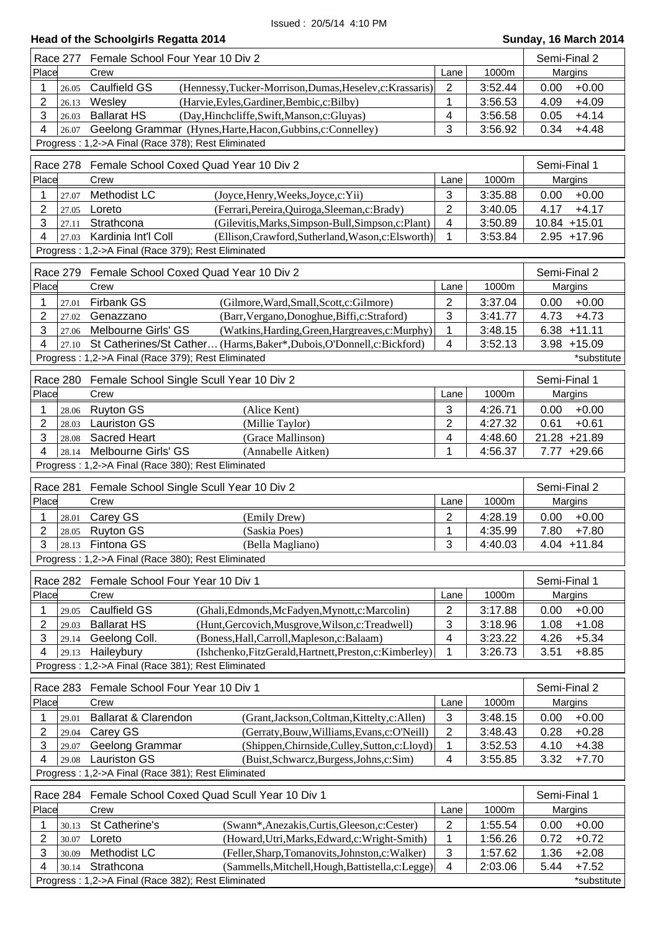| Place                    | Race 277<br>Female School Four Year 10 Div 2                                                                                         |                   |                    | Semi-Final 2                       |  |
|--------------------------|--------------------------------------------------------------------------------------------------------------------------------------|-------------------|--------------------|------------------------------------|--|
|                          | Crew                                                                                                                                 | Lane              | 1000m              | Margins                            |  |
| 1<br>26.05               | Caulfield GS<br>(Hennessy, Tucker-Morrison, Dumas, Heselev, c: Krassaris)                                                            | 2                 | 3:52.44            | $+0.00$<br>0.00                    |  |
| 2<br>26.13               | Wesley<br>(Harvie, Eyles, Gardiner, Bembic, c: Bilby)                                                                                | 1                 | 3:56.53            | 4.09<br>$+4.09$                    |  |
| 3<br>26.03               | <b>Ballarat HS</b><br>(Day, Hinchcliffe, Swift, Manson, c: Gluyas)                                                                   | 4                 | 3:56.58            | 0.05<br>$+4.14$                    |  |
| 4<br>26.07               | Geelong Grammar (Hynes, Harte, Hacon, Gubbins, c: Connelley)                                                                         | 3                 | 3:56.92            | 0.34<br>$+4.48$                    |  |
|                          | Progress: 1,2->A Final (Race 378); Rest Eliminated                                                                                   |                   |                    |                                    |  |
|                          |                                                                                                                                      |                   |                    |                                    |  |
| Race 278                 | Female School Coxed Quad Year 10 Div 2                                                                                               |                   |                    | Semi-Final 1                       |  |
| Place                    | Crew                                                                                                                                 | Lane              | 1000m              | Margins                            |  |
| 1<br>27.07               | Methodist LC<br>(Joyce, Henry, Weeks, Joyce, c: Yii)                                                                                 | 3                 | 3:35.88            | 0.00<br>$+0.00$                    |  |
| $\overline{2}$<br>27.05  | Loreto<br>(Ferrari, Pereira, Quiroga, Sleeman, c: Brady)                                                                             | $\overline{2}$    | 3:40.05            | 4.17<br>$+4.17$                    |  |
| 3<br>27.11               | Strathcona<br>(Gilevitis, Marks, Simpson-Bull, Simpson, c: Plant)                                                                    | 4                 | 3:50.89            | 10.84 +15.01                       |  |
| 4<br>27.03               | Kardinia Int'l Coll<br>(Ellison, Crawford, Sutherland, Wason, c: Elsworth)                                                           | 1                 | 3:53.84            | $2.95 + 17.96$                     |  |
|                          | Progress: 1,2->A Final (Race 379); Rest Eliminated                                                                                   |                   |                    |                                    |  |
| Race 279                 | Female School Coxed Quad Year 10 Div 2                                                                                               |                   |                    | Semi-Final 2                       |  |
| Place                    |                                                                                                                                      |                   | 1000m              | Margins                            |  |
|                          | Crew                                                                                                                                 | Lane              |                    |                                    |  |
| 1<br>27.01               | Firbank GS<br>(Gilmore, Ward, Small, Scott, c: Gilmore)                                                                              | $\overline{2}$    | 3:37.04            | $+0.00$<br>0.00                    |  |
| $\overline{2}$<br>27.02  | Genazzano<br>(Barr, Vergano, Donoghue, Biffi, c: Straford)                                                                           | 3                 | 3:41.77            | 4.73<br>$+4.73$                    |  |
| 3<br>27.06               | Melbourne Girls' GS<br>(Watkins, Harding, Green, Hargreaves, c: Murphy)                                                              | 1                 | 3:48.15            | $6.38 + 11.11$                     |  |
| 4<br>27.10               | St Catherines/St Cather (Harms, Baker*, Dubois, O'Donnell, c: Bickford)                                                              | 4                 | 3:52.13            | $3.98 + 15.09$                     |  |
|                          | Progress: 1,2->A Final (Race 379); Rest Eliminated                                                                                   |                   |                    | *substitute                        |  |
|                          | Race 280 Female School Single Scull Year 10 Div 2                                                                                    |                   |                    | Semi-Final 1                       |  |
| Place                    | Crew                                                                                                                                 | Lane              | 1000m              | Margins                            |  |
| 1<br>28.06               | <b>Ruyton GS</b><br>(Alice Kent)                                                                                                     | 3                 | 4:26.71            | 0.00<br>$+0.00$                    |  |
| $\overline{2}$<br>28.03  | <b>Lauriston GS</b><br>(Millie Taylor)                                                                                               | 2                 | 4:27.32            | $+0.61$<br>0.61                    |  |
| 3                        | Sacred Heart<br>(Grace Mallinson)                                                                                                    | 4                 | 4:48.60            | 21.28 +21.89                       |  |
| 28.08<br>4<br>28.14      | Melbourne Girls' GS                                                                                                                  | 1                 | 4:56.37            | 7.77 +29.66                        |  |
|                          | (Annabelle Aitken)<br>Progress: 1,2->A Final (Race 380); Rest Eliminated                                                             |                   |                    |                                    |  |
|                          |                                                                                                                                      |                   |                    |                                    |  |
|                          | Race 281 Female School Single Scull Year 10 Div 2                                                                                    |                   |                    | Semi-Final 2                       |  |
| Place                    | Crew                                                                                                                                 | Lane              | 1000m              | Margins                            |  |
| 1<br>28.01               | Carey GS<br>(Emily Drew)                                                                                                             | $\overline{2}$    | 4:28.19            | 0.00<br>$+0.00$                    |  |
| $\overline{2}$           | 28.05 Ruyton GS<br>(Saskia Poes)                                                                                                     | 1                 | 4:35.99            | 7.80<br>$+7.80$                    |  |
|                          | $3 \mid 28.13$ Fintona GS<br>(Bella Magliano)                                                                                        | 3                 | 4:40.03            | 4.04 +11.84                        |  |
|                          |                                                                                                                                      |                   |                    |                                    |  |
|                          | Progress: 1,2->A Final (Race 380); Rest Eliminated                                                                                   |                   |                    |                                    |  |
|                          |                                                                                                                                      |                   |                    |                                    |  |
|                          | Race 282 Female School Four Year 10 Div 1                                                                                            |                   |                    | Semi-Final 1                       |  |
| Place                    | Crew                                                                                                                                 | Lane              | 1000m              | Margins                            |  |
| 1<br>29.05               | Caulfield GS<br>(Ghali, Edmonds, McFadyen, Mynott, c: Marcolin)                                                                      | $\overline{2}$    | 3:17.88            | $+0.00$<br>0.00                    |  |
| $\overline{2}$<br>29.03  | (Hunt, Gercovich, Musgrove, Wilson, c: Treadwell)<br><b>Ballarat HS</b>                                                              | 3                 | 3:18.96            | 1.08<br>$+1.08$                    |  |
| 3<br>29.14               | Geelong Coll.<br>(Boness, Hall, Carroll, Mapleson, c: Balaam)                                                                        | 4                 | 3:23.22            | 4.26<br>$+5.34$                    |  |
| 4                        | 29.13 Haileybury<br>(Ishchenko, FitzGerald, Hartnett, Preston, c: Kimberley)                                                         | 1                 | 3:26.73            | 3.51<br>$+8.85$                    |  |
|                          | Progress: 1,2->A Final (Race 381); Rest Eliminated                                                                                   |                   |                    |                                    |  |
|                          |                                                                                                                                      |                   |                    |                                    |  |
| Race 283                 | Female School Four Year 10 Div 1                                                                                                     |                   |                    | Semi-Final 2                       |  |
| Place                    | Crew                                                                                                                                 | Lane              | 1000m              | Margins                            |  |
| 1<br>29.01               | Ballarat & Clarendon<br>(Grant, Jackson, Coltman, Kittelty, c: Allen)                                                                | 3                 | 3:48.15            | $+0.00$<br>0.00                    |  |
| $\overline{2}$<br>29.04  | Carey GS<br>(Gerraty, Bouw, Williams, Evans, c: O'Neill)                                                                             | $\overline{2}$    | 3:48.43            | 0.28<br>$+0.28$                    |  |
| 3<br>29.07               | Geelong Grammar<br>(Shippen, Chirnside, Culley, Sutton, c: Lloyd)                                                                    | 1                 | 3:52.53            | $+4.38$<br>4.10                    |  |
| 4<br>29.08               | <b>Lauriston GS</b><br>(Buist, Schwarcz, Burgess, Johns, c: Sim)                                                                     | 4                 | 3:55.85            | 3.32<br>$+7.70$                    |  |
|                          | Progress: 1,2->A Final (Race 381); Rest Eliminated                                                                                   |                   |                    |                                    |  |
| Race 284                 | Female School Coxed Quad Scull Year 10 Div 1                                                                                         |                   |                    | Semi-Final 1                       |  |
| Place                    | Crew                                                                                                                                 | Lane              | 1000m              | Margins                            |  |
| 1                        |                                                                                                                                      |                   |                    |                                    |  |
| 30.13                    | St Catherine's<br>(Swann*, Anezakis, Curtis, Gleeson, c: Cester)                                                                     | 2                 | 1:55.54            | $+0.00$<br>0.00                    |  |
| $\overline{c}$<br>30.07  | Loreto<br>(Howard, Utri, Marks, Edward, c: Wright-Smith)                                                                             | 1                 | 1:56.26            | 0.72<br>$+0.72$                    |  |
| 3<br>30.09<br>4<br>30.14 | Methodist LC<br>(Feller, Sharp, Tomanovits, Johnston, c: Walker)<br>Strathcona<br>(Sammells, Mitchell, Hough, Battistella, c: Legge) | $\mathbf{3}$<br>4 | 1:57.62<br>2:03.06 | 1.36<br>$+2.08$<br>5.44<br>$+7.52$ |  |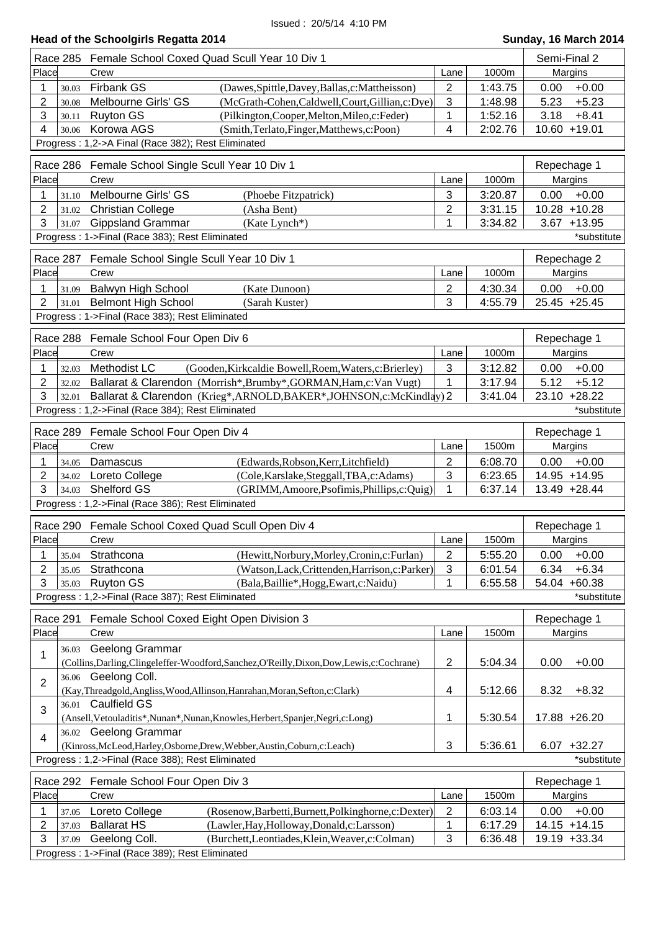| Head of the Schoolgirls Regatta 2014 | Sunday, 16 March 2014 |
|--------------------------------------|-----------------------|
|                                      |                       |

| Place<br>1000m<br>Margins<br>Crew<br>Lane<br>$\overline{2}$<br><b>Firbank GS</b><br>$+0.00$<br>1:43.75<br>0.00<br>(Dawes, Spittle, Davey, Ballas, c: Mattheisson)<br>1<br>30.03<br>3<br>2<br>5.23<br>$+5.23$<br>Melbourne Girls' GS<br>(McGrath-Cohen,Caldwell,Court,Gillian,c:Dye)<br>1:48.98<br>30.08<br>3<br>1<br><b>Ruyton GS</b><br>1:52.16<br>3.18<br>$+8.41$<br>(Pilkington, Cooper, Melton, Mileo, c: Feder)<br>30.11<br>4<br>Korowa AGS<br>(Smith,Terlato,Finger,Matthews,c:Poon)<br>2:02.76<br>10.60 +19.01<br>4<br>30.06<br>Progress: 1,2->A Final (Race 382); Rest Eliminated<br>Race 286<br>Female School Single Scull Year 10 Div 1<br>Repechage 1<br>Place<br>1000m<br>Margins<br>Crew<br>Lane<br>3<br>Melbourne Girls' GS<br>3:20.87<br>0.00<br>$+0.00$<br>(Phoebe Fitzpatrick)<br>31.10<br>1<br>$\overline{c}$<br>2<br>$10.28 + 10.28$<br><b>Christian College</b><br>(Asha Bent)<br>3:31.15<br>31.02<br>3<br><b>Gippsland Grammar</b><br>1<br>3:34.82<br>$3.67 + 13.95$<br>(Kate Lynch*)<br>31.07<br>Progress: 1->Final (Race 383); Rest Eliminated<br>*substitute<br>Repechage 2<br>Race 287<br>Female School Single Scull Year 10 Div 1<br>1000m<br>Place<br>Margins<br>Crew<br>Lane<br>Balwyn High School<br>(Kate Dunoon)<br>2<br>0.00<br>$+0.00$<br>4:30.34<br>1<br>31.09<br>3<br>$\overline{2}$<br><b>Belmont High School</b><br>4:55.79<br>25.45 +25.45<br>(Sarah Kuster)<br>31.01<br>Progress: 1->Final (Race 383); Rest Eliminated<br>Female School Four Open Div 6<br>Race 288<br>Repechage 1<br>Place<br>1000m<br>Crew<br>Margins<br>Lane<br>Methodist LC<br>(Gooden, Kirkcaldie Bowell, Roem, Waters, c: Brierley)<br>3<br>$+0.00$<br>3:12.82<br>0.00<br>1<br>32.03<br>1<br>2<br>Ballarat & Clarendon (Morrish*, Brumby*, GORMAN, Ham, c: Van Vugt)<br>5.12<br>$+5.12$<br>3:17.94<br>32.02<br>3<br>23.10 +28.22<br>Ballarat & Clarendon (Krieg*, ARNOLD, BAKER*, JOHNSON, c: McKindlay) 2<br>3:41.04<br>32.01<br>Progress: 1,2->Final (Race 384); Rest Eliminated<br>*substitute<br>Race 289 Female School Four Open Div 4<br>Repechage 1<br>Place<br>1500m<br>Margins<br>Crew<br>Lane<br>2<br>0.00<br>$+0.00$<br>(Edwards, Robson, Kerr, Litchfield)<br>6:08.70<br>1<br>Damascus<br>34.05<br>3<br>2<br>14.95 +14.95<br>Loreto College<br>(Cole, Karslake, Steggall, TBA, c: Adams)<br>6:23.65<br>34.02<br>3<br><b>Shelford GS</b><br>1<br>(GRIMM, Amoore, Psofimis, Phillips, c: Quig)<br>6:37.14<br>13.49 +28.44<br>34.03<br>Progress: 1,2->Final (Race 386); Rest Eliminated<br>Race 290<br>Female School Coxed Quad Scull Open Div 4<br>Repechage 1<br>Place<br>1500m<br>Crew<br>Margins<br>Lane<br>$\overline{\mathbf{c}}$<br>Strathcona<br>(Hewitt, Norbury, Morley, Cronin, c: Furlan)<br>5:55.20<br>$+0.00$<br>1<br>0.00<br>35.04<br>3<br>2<br>6.34<br>$+6.34$<br>Strathcona<br>(Watson, Lack, Crittenden, Harrison, c: Parker)<br>6:01.54<br>35.05<br>3<br><b>Ruyton GS</b><br>1<br>54.04 +60.38<br>(Bala, Baillie*, Hogg, Ewart, c: Naidu)<br>6:55.58<br>35.03<br>Progress: 1,2->Final (Race 387); Rest Eliminated<br>*substitute<br>Race 291<br>Female School Coxed Eight Open Division 3<br>Repechage 1<br>Place<br>Crew<br>1500m<br>Margins<br>Lane<br><b>Geelong Grammar</b><br>36.03<br>1<br>$\overline{2}$<br>$+0.00$<br>(Collins, Darling, Clingeleffer-Woodford, Sanchez, O'Reilly, Dixon, Dow, Lewis, c: Cochrane)<br>5:04.34<br>0.00<br>36.06 Geelong Coll.<br>$\overline{2}$<br>4<br>5:12.66<br>8.32<br>$+8.32$<br>(Kay, Threadgold, Angliss, Wood, Allinson, Hanrahan, Moran, Sefton, c: Clark)<br>36.01 Caulfield GS<br>3<br>1<br>5:30.54<br>17.88 +26.20<br>(Ansell, Vetouladitis*, Nunan*, Nunan, Knowles, Herbert, Spanjer, Negri, c: Long)<br>36.02 Geelong Grammar<br>$\overline{4}$<br>3<br>5:36.61<br>$6.07 + 32.27$<br>(Kinross, McLeod, Harley, Osborne, Drew, Webber, Austin, Coburn, c: Leach)<br>Progress: 1,2->Final (Race 388); Rest Eliminated<br>*substitute<br>Race 292 Female School Four Open Div 3<br>Repechage 1<br>Place<br>Crew<br>1500m<br>Margins<br>Lane<br>$\overline{2}$<br>$+0.00$<br>0.00<br>Loreto College<br>(Rosenow, Barbetti, Burnett, Polkinghorne, c: Dexter)<br>6:03.14<br>1<br>37.05<br>2<br>1<br>6:17.29<br>14.15 +14.15<br><b>Ballarat HS</b><br>(Lawler, Hay, Holloway, Donald, c: Larsson)<br>37.03 | <b>Race 285</b> | Female School Coxed Quad Scull Year 10 Div 1                 |              | Semi-Final 2 |              |
|-----------------------------------------------------------------------------------------------------------------------------------------------------------------------------------------------------------------------------------------------------------------------------------------------------------------------------------------------------------------------------------------------------------------------------------------------------------------------------------------------------------------------------------------------------------------------------------------------------------------------------------------------------------------------------------------------------------------------------------------------------------------------------------------------------------------------------------------------------------------------------------------------------------------------------------------------------------------------------------------------------------------------------------------------------------------------------------------------------------------------------------------------------------------------------------------------------------------------------------------------------------------------------------------------------------------------------------------------------------------------------------------------------------------------------------------------------------------------------------------------------------------------------------------------------------------------------------------------------------------------------------------------------------------------------------------------------------------------------------------------------------------------------------------------------------------------------------------------------------------------------------------------------------------------------------------------------------------------------------------------------------------------------------------------------------------------------------------------------------------------------------------------------------------------------------------------------------------------------------------------------------------------------------------------------------------------------------------------------------------------------------------------------------------------------------------------------------------------------------------------------------------------------------------------------------------------------------------------------------------------------------------------------------------------------------------------------------------------------------------------------------------------------------------------------------------------------------------------------------------------------------------------------------------------------------------------------------------------------------------------------------------------------------------------------------------------------------------------------------------------------------------------------------------------------------------------------------------------------------------------------------------------------------------------------------------------------------------------------------------------------------------------------------------------------------------------------------------------------------------------------------------------------------------------------------------------------------------------------------------------------------------------------------------------------------------------------------------------------------------------------------------------------------------------------------------------------------------------------------------------------------------------------------------------------------------------------------------------------------------------------------------------------------------------------------------------------------------------------------------------------------------------------------------------------------------------------------------------------------------------------------------------------------------------------|-----------------|--------------------------------------------------------------|--------------|--------------|--------------|
|                                                                                                                                                                                                                                                                                                                                                                                                                                                                                                                                                                                                                                                                                                                                                                                                                                                                                                                                                                                                                                                                                                                                                                                                                                                                                                                                                                                                                                                                                                                                                                                                                                                                                                                                                                                                                                                                                                                                                                                                                                                                                                                                                                                                                                                                                                                                                                                                                                                                                                                                                                                                                                                                                                                                                                                                                                                                                                                                                                                                                                                                                                                                                                                                                                                                                                                                                                                                                                                                                                                                                                                                                                                                                                                                                                                                                                                                                                                                                                                                                                                                                                                                                                                                                                                                                                     |                 |                                                              |              |              |              |
|                                                                                                                                                                                                                                                                                                                                                                                                                                                                                                                                                                                                                                                                                                                                                                                                                                                                                                                                                                                                                                                                                                                                                                                                                                                                                                                                                                                                                                                                                                                                                                                                                                                                                                                                                                                                                                                                                                                                                                                                                                                                                                                                                                                                                                                                                                                                                                                                                                                                                                                                                                                                                                                                                                                                                                                                                                                                                                                                                                                                                                                                                                                                                                                                                                                                                                                                                                                                                                                                                                                                                                                                                                                                                                                                                                                                                                                                                                                                                                                                                                                                                                                                                                                                                                                                                                     |                 |                                                              |              |              |              |
|                                                                                                                                                                                                                                                                                                                                                                                                                                                                                                                                                                                                                                                                                                                                                                                                                                                                                                                                                                                                                                                                                                                                                                                                                                                                                                                                                                                                                                                                                                                                                                                                                                                                                                                                                                                                                                                                                                                                                                                                                                                                                                                                                                                                                                                                                                                                                                                                                                                                                                                                                                                                                                                                                                                                                                                                                                                                                                                                                                                                                                                                                                                                                                                                                                                                                                                                                                                                                                                                                                                                                                                                                                                                                                                                                                                                                                                                                                                                                                                                                                                                                                                                                                                                                                                                                                     |                 |                                                              |              |              |              |
|                                                                                                                                                                                                                                                                                                                                                                                                                                                                                                                                                                                                                                                                                                                                                                                                                                                                                                                                                                                                                                                                                                                                                                                                                                                                                                                                                                                                                                                                                                                                                                                                                                                                                                                                                                                                                                                                                                                                                                                                                                                                                                                                                                                                                                                                                                                                                                                                                                                                                                                                                                                                                                                                                                                                                                                                                                                                                                                                                                                                                                                                                                                                                                                                                                                                                                                                                                                                                                                                                                                                                                                                                                                                                                                                                                                                                                                                                                                                                                                                                                                                                                                                                                                                                                                                                                     |                 |                                                              |              |              |              |
|                                                                                                                                                                                                                                                                                                                                                                                                                                                                                                                                                                                                                                                                                                                                                                                                                                                                                                                                                                                                                                                                                                                                                                                                                                                                                                                                                                                                                                                                                                                                                                                                                                                                                                                                                                                                                                                                                                                                                                                                                                                                                                                                                                                                                                                                                                                                                                                                                                                                                                                                                                                                                                                                                                                                                                                                                                                                                                                                                                                                                                                                                                                                                                                                                                                                                                                                                                                                                                                                                                                                                                                                                                                                                                                                                                                                                                                                                                                                                                                                                                                                                                                                                                                                                                                                                                     |                 |                                                              |              |              |              |
|                                                                                                                                                                                                                                                                                                                                                                                                                                                                                                                                                                                                                                                                                                                                                                                                                                                                                                                                                                                                                                                                                                                                                                                                                                                                                                                                                                                                                                                                                                                                                                                                                                                                                                                                                                                                                                                                                                                                                                                                                                                                                                                                                                                                                                                                                                                                                                                                                                                                                                                                                                                                                                                                                                                                                                                                                                                                                                                                                                                                                                                                                                                                                                                                                                                                                                                                                                                                                                                                                                                                                                                                                                                                                                                                                                                                                                                                                                                                                                                                                                                                                                                                                                                                                                                                                                     |                 |                                                              |              |              |              |
|                                                                                                                                                                                                                                                                                                                                                                                                                                                                                                                                                                                                                                                                                                                                                                                                                                                                                                                                                                                                                                                                                                                                                                                                                                                                                                                                                                                                                                                                                                                                                                                                                                                                                                                                                                                                                                                                                                                                                                                                                                                                                                                                                                                                                                                                                                                                                                                                                                                                                                                                                                                                                                                                                                                                                                                                                                                                                                                                                                                                                                                                                                                                                                                                                                                                                                                                                                                                                                                                                                                                                                                                                                                                                                                                                                                                                                                                                                                                                                                                                                                                                                                                                                                                                                                                                                     |                 |                                                              |              |              |              |
|                                                                                                                                                                                                                                                                                                                                                                                                                                                                                                                                                                                                                                                                                                                                                                                                                                                                                                                                                                                                                                                                                                                                                                                                                                                                                                                                                                                                                                                                                                                                                                                                                                                                                                                                                                                                                                                                                                                                                                                                                                                                                                                                                                                                                                                                                                                                                                                                                                                                                                                                                                                                                                                                                                                                                                                                                                                                                                                                                                                                                                                                                                                                                                                                                                                                                                                                                                                                                                                                                                                                                                                                                                                                                                                                                                                                                                                                                                                                                                                                                                                                                                                                                                                                                                                                                                     |                 |                                                              |              |              |              |
|                                                                                                                                                                                                                                                                                                                                                                                                                                                                                                                                                                                                                                                                                                                                                                                                                                                                                                                                                                                                                                                                                                                                                                                                                                                                                                                                                                                                                                                                                                                                                                                                                                                                                                                                                                                                                                                                                                                                                                                                                                                                                                                                                                                                                                                                                                                                                                                                                                                                                                                                                                                                                                                                                                                                                                                                                                                                                                                                                                                                                                                                                                                                                                                                                                                                                                                                                                                                                                                                                                                                                                                                                                                                                                                                                                                                                                                                                                                                                                                                                                                                                                                                                                                                                                                                                                     |                 |                                                              |              |              |              |
|                                                                                                                                                                                                                                                                                                                                                                                                                                                                                                                                                                                                                                                                                                                                                                                                                                                                                                                                                                                                                                                                                                                                                                                                                                                                                                                                                                                                                                                                                                                                                                                                                                                                                                                                                                                                                                                                                                                                                                                                                                                                                                                                                                                                                                                                                                                                                                                                                                                                                                                                                                                                                                                                                                                                                                                                                                                                                                                                                                                                                                                                                                                                                                                                                                                                                                                                                                                                                                                                                                                                                                                                                                                                                                                                                                                                                                                                                                                                                                                                                                                                                                                                                                                                                                                                                                     |                 |                                                              |              |              |              |
|                                                                                                                                                                                                                                                                                                                                                                                                                                                                                                                                                                                                                                                                                                                                                                                                                                                                                                                                                                                                                                                                                                                                                                                                                                                                                                                                                                                                                                                                                                                                                                                                                                                                                                                                                                                                                                                                                                                                                                                                                                                                                                                                                                                                                                                                                                                                                                                                                                                                                                                                                                                                                                                                                                                                                                                                                                                                                                                                                                                                                                                                                                                                                                                                                                                                                                                                                                                                                                                                                                                                                                                                                                                                                                                                                                                                                                                                                                                                                                                                                                                                                                                                                                                                                                                                                                     |                 |                                                              |              |              |              |
|                                                                                                                                                                                                                                                                                                                                                                                                                                                                                                                                                                                                                                                                                                                                                                                                                                                                                                                                                                                                                                                                                                                                                                                                                                                                                                                                                                                                                                                                                                                                                                                                                                                                                                                                                                                                                                                                                                                                                                                                                                                                                                                                                                                                                                                                                                                                                                                                                                                                                                                                                                                                                                                                                                                                                                                                                                                                                                                                                                                                                                                                                                                                                                                                                                                                                                                                                                                                                                                                                                                                                                                                                                                                                                                                                                                                                                                                                                                                                                                                                                                                                                                                                                                                                                                                                                     |                 |                                                              |              |              |              |
|                                                                                                                                                                                                                                                                                                                                                                                                                                                                                                                                                                                                                                                                                                                                                                                                                                                                                                                                                                                                                                                                                                                                                                                                                                                                                                                                                                                                                                                                                                                                                                                                                                                                                                                                                                                                                                                                                                                                                                                                                                                                                                                                                                                                                                                                                                                                                                                                                                                                                                                                                                                                                                                                                                                                                                                                                                                                                                                                                                                                                                                                                                                                                                                                                                                                                                                                                                                                                                                                                                                                                                                                                                                                                                                                                                                                                                                                                                                                                                                                                                                                                                                                                                                                                                                                                                     |                 |                                                              |              |              |              |
|                                                                                                                                                                                                                                                                                                                                                                                                                                                                                                                                                                                                                                                                                                                                                                                                                                                                                                                                                                                                                                                                                                                                                                                                                                                                                                                                                                                                                                                                                                                                                                                                                                                                                                                                                                                                                                                                                                                                                                                                                                                                                                                                                                                                                                                                                                                                                                                                                                                                                                                                                                                                                                                                                                                                                                                                                                                                                                                                                                                                                                                                                                                                                                                                                                                                                                                                                                                                                                                                                                                                                                                                                                                                                                                                                                                                                                                                                                                                                                                                                                                                                                                                                                                                                                                                                                     |                 |                                                              |              |              |              |
|                                                                                                                                                                                                                                                                                                                                                                                                                                                                                                                                                                                                                                                                                                                                                                                                                                                                                                                                                                                                                                                                                                                                                                                                                                                                                                                                                                                                                                                                                                                                                                                                                                                                                                                                                                                                                                                                                                                                                                                                                                                                                                                                                                                                                                                                                                                                                                                                                                                                                                                                                                                                                                                                                                                                                                                                                                                                                                                                                                                                                                                                                                                                                                                                                                                                                                                                                                                                                                                                                                                                                                                                                                                                                                                                                                                                                                                                                                                                                                                                                                                                                                                                                                                                                                                                                                     |                 |                                                              |              |              |              |
|                                                                                                                                                                                                                                                                                                                                                                                                                                                                                                                                                                                                                                                                                                                                                                                                                                                                                                                                                                                                                                                                                                                                                                                                                                                                                                                                                                                                                                                                                                                                                                                                                                                                                                                                                                                                                                                                                                                                                                                                                                                                                                                                                                                                                                                                                                                                                                                                                                                                                                                                                                                                                                                                                                                                                                                                                                                                                                                                                                                                                                                                                                                                                                                                                                                                                                                                                                                                                                                                                                                                                                                                                                                                                                                                                                                                                                                                                                                                                                                                                                                                                                                                                                                                                                                                                                     |                 |                                                              |              |              |              |
|                                                                                                                                                                                                                                                                                                                                                                                                                                                                                                                                                                                                                                                                                                                                                                                                                                                                                                                                                                                                                                                                                                                                                                                                                                                                                                                                                                                                                                                                                                                                                                                                                                                                                                                                                                                                                                                                                                                                                                                                                                                                                                                                                                                                                                                                                                                                                                                                                                                                                                                                                                                                                                                                                                                                                                                                                                                                                                                                                                                                                                                                                                                                                                                                                                                                                                                                                                                                                                                                                                                                                                                                                                                                                                                                                                                                                                                                                                                                                                                                                                                                                                                                                                                                                                                                                                     |                 |                                                              |              |              |              |
|                                                                                                                                                                                                                                                                                                                                                                                                                                                                                                                                                                                                                                                                                                                                                                                                                                                                                                                                                                                                                                                                                                                                                                                                                                                                                                                                                                                                                                                                                                                                                                                                                                                                                                                                                                                                                                                                                                                                                                                                                                                                                                                                                                                                                                                                                                                                                                                                                                                                                                                                                                                                                                                                                                                                                                                                                                                                                                                                                                                                                                                                                                                                                                                                                                                                                                                                                                                                                                                                                                                                                                                                                                                                                                                                                                                                                                                                                                                                                                                                                                                                                                                                                                                                                                                                                                     |                 |                                                              |              |              |              |
|                                                                                                                                                                                                                                                                                                                                                                                                                                                                                                                                                                                                                                                                                                                                                                                                                                                                                                                                                                                                                                                                                                                                                                                                                                                                                                                                                                                                                                                                                                                                                                                                                                                                                                                                                                                                                                                                                                                                                                                                                                                                                                                                                                                                                                                                                                                                                                                                                                                                                                                                                                                                                                                                                                                                                                                                                                                                                                                                                                                                                                                                                                                                                                                                                                                                                                                                                                                                                                                                                                                                                                                                                                                                                                                                                                                                                                                                                                                                                                                                                                                                                                                                                                                                                                                                                                     |                 |                                                              |              |              |              |
|                                                                                                                                                                                                                                                                                                                                                                                                                                                                                                                                                                                                                                                                                                                                                                                                                                                                                                                                                                                                                                                                                                                                                                                                                                                                                                                                                                                                                                                                                                                                                                                                                                                                                                                                                                                                                                                                                                                                                                                                                                                                                                                                                                                                                                                                                                                                                                                                                                                                                                                                                                                                                                                                                                                                                                                                                                                                                                                                                                                                                                                                                                                                                                                                                                                                                                                                                                                                                                                                                                                                                                                                                                                                                                                                                                                                                                                                                                                                                                                                                                                                                                                                                                                                                                                                                                     |                 |                                                              |              |              |              |
|                                                                                                                                                                                                                                                                                                                                                                                                                                                                                                                                                                                                                                                                                                                                                                                                                                                                                                                                                                                                                                                                                                                                                                                                                                                                                                                                                                                                                                                                                                                                                                                                                                                                                                                                                                                                                                                                                                                                                                                                                                                                                                                                                                                                                                                                                                                                                                                                                                                                                                                                                                                                                                                                                                                                                                                                                                                                                                                                                                                                                                                                                                                                                                                                                                                                                                                                                                                                                                                                                                                                                                                                                                                                                                                                                                                                                                                                                                                                                                                                                                                                                                                                                                                                                                                                                                     |                 |                                                              |              |              |              |
|                                                                                                                                                                                                                                                                                                                                                                                                                                                                                                                                                                                                                                                                                                                                                                                                                                                                                                                                                                                                                                                                                                                                                                                                                                                                                                                                                                                                                                                                                                                                                                                                                                                                                                                                                                                                                                                                                                                                                                                                                                                                                                                                                                                                                                                                                                                                                                                                                                                                                                                                                                                                                                                                                                                                                                                                                                                                                                                                                                                                                                                                                                                                                                                                                                                                                                                                                                                                                                                                                                                                                                                                                                                                                                                                                                                                                                                                                                                                                                                                                                                                                                                                                                                                                                                                                                     |                 |                                                              |              |              |              |
|                                                                                                                                                                                                                                                                                                                                                                                                                                                                                                                                                                                                                                                                                                                                                                                                                                                                                                                                                                                                                                                                                                                                                                                                                                                                                                                                                                                                                                                                                                                                                                                                                                                                                                                                                                                                                                                                                                                                                                                                                                                                                                                                                                                                                                                                                                                                                                                                                                                                                                                                                                                                                                                                                                                                                                                                                                                                                                                                                                                                                                                                                                                                                                                                                                                                                                                                                                                                                                                                                                                                                                                                                                                                                                                                                                                                                                                                                                                                                                                                                                                                                                                                                                                                                                                                                                     |                 |                                                              |              |              |              |
|                                                                                                                                                                                                                                                                                                                                                                                                                                                                                                                                                                                                                                                                                                                                                                                                                                                                                                                                                                                                                                                                                                                                                                                                                                                                                                                                                                                                                                                                                                                                                                                                                                                                                                                                                                                                                                                                                                                                                                                                                                                                                                                                                                                                                                                                                                                                                                                                                                                                                                                                                                                                                                                                                                                                                                                                                                                                                                                                                                                                                                                                                                                                                                                                                                                                                                                                                                                                                                                                                                                                                                                                                                                                                                                                                                                                                                                                                                                                                                                                                                                                                                                                                                                                                                                                                                     |                 |                                                              |              |              |              |
|                                                                                                                                                                                                                                                                                                                                                                                                                                                                                                                                                                                                                                                                                                                                                                                                                                                                                                                                                                                                                                                                                                                                                                                                                                                                                                                                                                                                                                                                                                                                                                                                                                                                                                                                                                                                                                                                                                                                                                                                                                                                                                                                                                                                                                                                                                                                                                                                                                                                                                                                                                                                                                                                                                                                                                                                                                                                                                                                                                                                                                                                                                                                                                                                                                                                                                                                                                                                                                                                                                                                                                                                                                                                                                                                                                                                                                                                                                                                                                                                                                                                                                                                                                                                                                                                                                     |                 |                                                              |              |              |              |
|                                                                                                                                                                                                                                                                                                                                                                                                                                                                                                                                                                                                                                                                                                                                                                                                                                                                                                                                                                                                                                                                                                                                                                                                                                                                                                                                                                                                                                                                                                                                                                                                                                                                                                                                                                                                                                                                                                                                                                                                                                                                                                                                                                                                                                                                                                                                                                                                                                                                                                                                                                                                                                                                                                                                                                                                                                                                                                                                                                                                                                                                                                                                                                                                                                                                                                                                                                                                                                                                                                                                                                                                                                                                                                                                                                                                                                                                                                                                                                                                                                                                                                                                                                                                                                                                                                     |                 |                                                              |              |              |              |
|                                                                                                                                                                                                                                                                                                                                                                                                                                                                                                                                                                                                                                                                                                                                                                                                                                                                                                                                                                                                                                                                                                                                                                                                                                                                                                                                                                                                                                                                                                                                                                                                                                                                                                                                                                                                                                                                                                                                                                                                                                                                                                                                                                                                                                                                                                                                                                                                                                                                                                                                                                                                                                                                                                                                                                                                                                                                                                                                                                                                                                                                                                                                                                                                                                                                                                                                                                                                                                                                                                                                                                                                                                                                                                                                                                                                                                                                                                                                                                                                                                                                                                                                                                                                                                                                                                     |                 |                                                              |              |              |              |
|                                                                                                                                                                                                                                                                                                                                                                                                                                                                                                                                                                                                                                                                                                                                                                                                                                                                                                                                                                                                                                                                                                                                                                                                                                                                                                                                                                                                                                                                                                                                                                                                                                                                                                                                                                                                                                                                                                                                                                                                                                                                                                                                                                                                                                                                                                                                                                                                                                                                                                                                                                                                                                                                                                                                                                                                                                                                                                                                                                                                                                                                                                                                                                                                                                                                                                                                                                                                                                                                                                                                                                                                                                                                                                                                                                                                                                                                                                                                                                                                                                                                                                                                                                                                                                                                                                     |                 |                                                              |              |              |              |
|                                                                                                                                                                                                                                                                                                                                                                                                                                                                                                                                                                                                                                                                                                                                                                                                                                                                                                                                                                                                                                                                                                                                                                                                                                                                                                                                                                                                                                                                                                                                                                                                                                                                                                                                                                                                                                                                                                                                                                                                                                                                                                                                                                                                                                                                                                                                                                                                                                                                                                                                                                                                                                                                                                                                                                                                                                                                                                                                                                                                                                                                                                                                                                                                                                                                                                                                                                                                                                                                                                                                                                                                                                                                                                                                                                                                                                                                                                                                                                                                                                                                                                                                                                                                                                                                                                     |                 |                                                              |              |              |              |
|                                                                                                                                                                                                                                                                                                                                                                                                                                                                                                                                                                                                                                                                                                                                                                                                                                                                                                                                                                                                                                                                                                                                                                                                                                                                                                                                                                                                                                                                                                                                                                                                                                                                                                                                                                                                                                                                                                                                                                                                                                                                                                                                                                                                                                                                                                                                                                                                                                                                                                                                                                                                                                                                                                                                                                                                                                                                                                                                                                                                                                                                                                                                                                                                                                                                                                                                                                                                                                                                                                                                                                                                                                                                                                                                                                                                                                                                                                                                                                                                                                                                                                                                                                                                                                                                                                     |                 |                                                              |              |              |              |
|                                                                                                                                                                                                                                                                                                                                                                                                                                                                                                                                                                                                                                                                                                                                                                                                                                                                                                                                                                                                                                                                                                                                                                                                                                                                                                                                                                                                                                                                                                                                                                                                                                                                                                                                                                                                                                                                                                                                                                                                                                                                                                                                                                                                                                                                                                                                                                                                                                                                                                                                                                                                                                                                                                                                                                                                                                                                                                                                                                                                                                                                                                                                                                                                                                                                                                                                                                                                                                                                                                                                                                                                                                                                                                                                                                                                                                                                                                                                                                                                                                                                                                                                                                                                                                                                                                     |                 |                                                              |              |              |              |
|                                                                                                                                                                                                                                                                                                                                                                                                                                                                                                                                                                                                                                                                                                                                                                                                                                                                                                                                                                                                                                                                                                                                                                                                                                                                                                                                                                                                                                                                                                                                                                                                                                                                                                                                                                                                                                                                                                                                                                                                                                                                                                                                                                                                                                                                                                                                                                                                                                                                                                                                                                                                                                                                                                                                                                                                                                                                                                                                                                                                                                                                                                                                                                                                                                                                                                                                                                                                                                                                                                                                                                                                                                                                                                                                                                                                                                                                                                                                                                                                                                                                                                                                                                                                                                                                                                     |                 |                                                              |              |              |              |
|                                                                                                                                                                                                                                                                                                                                                                                                                                                                                                                                                                                                                                                                                                                                                                                                                                                                                                                                                                                                                                                                                                                                                                                                                                                                                                                                                                                                                                                                                                                                                                                                                                                                                                                                                                                                                                                                                                                                                                                                                                                                                                                                                                                                                                                                                                                                                                                                                                                                                                                                                                                                                                                                                                                                                                                                                                                                                                                                                                                                                                                                                                                                                                                                                                                                                                                                                                                                                                                                                                                                                                                                                                                                                                                                                                                                                                                                                                                                                                                                                                                                                                                                                                                                                                                                                                     |                 |                                                              |              |              |              |
|                                                                                                                                                                                                                                                                                                                                                                                                                                                                                                                                                                                                                                                                                                                                                                                                                                                                                                                                                                                                                                                                                                                                                                                                                                                                                                                                                                                                                                                                                                                                                                                                                                                                                                                                                                                                                                                                                                                                                                                                                                                                                                                                                                                                                                                                                                                                                                                                                                                                                                                                                                                                                                                                                                                                                                                                                                                                                                                                                                                                                                                                                                                                                                                                                                                                                                                                                                                                                                                                                                                                                                                                                                                                                                                                                                                                                                                                                                                                                                                                                                                                                                                                                                                                                                                                                                     |                 |                                                              |              |              |              |
|                                                                                                                                                                                                                                                                                                                                                                                                                                                                                                                                                                                                                                                                                                                                                                                                                                                                                                                                                                                                                                                                                                                                                                                                                                                                                                                                                                                                                                                                                                                                                                                                                                                                                                                                                                                                                                                                                                                                                                                                                                                                                                                                                                                                                                                                                                                                                                                                                                                                                                                                                                                                                                                                                                                                                                                                                                                                                                                                                                                                                                                                                                                                                                                                                                                                                                                                                                                                                                                                                                                                                                                                                                                                                                                                                                                                                                                                                                                                                                                                                                                                                                                                                                                                                                                                                                     |                 |                                                              |              |              |              |
|                                                                                                                                                                                                                                                                                                                                                                                                                                                                                                                                                                                                                                                                                                                                                                                                                                                                                                                                                                                                                                                                                                                                                                                                                                                                                                                                                                                                                                                                                                                                                                                                                                                                                                                                                                                                                                                                                                                                                                                                                                                                                                                                                                                                                                                                                                                                                                                                                                                                                                                                                                                                                                                                                                                                                                                                                                                                                                                                                                                                                                                                                                                                                                                                                                                                                                                                                                                                                                                                                                                                                                                                                                                                                                                                                                                                                                                                                                                                                                                                                                                                                                                                                                                                                                                                                                     |                 |                                                              |              |              |              |
|                                                                                                                                                                                                                                                                                                                                                                                                                                                                                                                                                                                                                                                                                                                                                                                                                                                                                                                                                                                                                                                                                                                                                                                                                                                                                                                                                                                                                                                                                                                                                                                                                                                                                                                                                                                                                                                                                                                                                                                                                                                                                                                                                                                                                                                                                                                                                                                                                                                                                                                                                                                                                                                                                                                                                                                                                                                                                                                                                                                                                                                                                                                                                                                                                                                                                                                                                                                                                                                                                                                                                                                                                                                                                                                                                                                                                                                                                                                                                                                                                                                                                                                                                                                                                                                                                                     |                 |                                                              |              |              |              |
|                                                                                                                                                                                                                                                                                                                                                                                                                                                                                                                                                                                                                                                                                                                                                                                                                                                                                                                                                                                                                                                                                                                                                                                                                                                                                                                                                                                                                                                                                                                                                                                                                                                                                                                                                                                                                                                                                                                                                                                                                                                                                                                                                                                                                                                                                                                                                                                                                                                                                                                                                                                                                                                                                                                                                                                                                                                                                                                                                                                                                                                                                                                                                                                                                                                                                                                                                                                                                                                                                                                                                                                                                                                                                                                                                                                                                                                                                                                                                                                                                                                                                                                                                                                                                                                                                                     |                 |                                                              |              |              |              |
|                                                                                                                                                                                                                                                                                                                                                                                                                                                                                                                                                                                                                                                                                                                                                                                                                                                                                                                                                                                                                                                                                                                                                                                                                                                                                                                                                                                                                                                                                                                                                                                                                                                                                                                                                                                                                                                                                                                                                                                                                                                                                                                                                                                                                                                                                                                                                                                                                                                                                                                                                                                                                                                                                                                                                                                                                                                                                                                                                                                                                                                                                                                                                                                                                                                                                                                                                                                                                                                                                                                                                                                                                                                                                                                                                                                                                                                                                                                                                                                                                                                                                                                                                                                                                                                                                                     |                 |                                                              |              |              |              |
|                                                                                                                                                                                                                                                                                                                                                                                                                                                                                                                                                                                                                                                                                                                                                                                                                                                                                                                                                                                                                                                                                                                                                                                                                                                                                                                                                                                                                                                                                                                                                                                                                                                                                                                                                                                                                                                                                                                                                                                                                                                                                                                                                                                                                                                                                                                                                                                                                                                                                                                                                                                                                                                                                                                                                                                                                                                                                                                                                                                                                                                                                                                                                                                                                                                                                                                                                                                                                                                                                                                                                                                                                                                                                                                                                                                                                                                                                                                                                                                                                                                                                                                                                                                                                                                                                                     |                 |                                                              |              |              |              |
|                                                                                                                                                                                                                                                                                                                                                                                                                                                                                                                                                                                                                                                                                                                                                                                                                                                                                                                                                                                                                                                                                                                                                                                                                                                                                                                                                                                                                                                                                                                                                                                                                                                                                                                                                                                                                                                                                                                                                                                                                                                                                                                                                                                                                                                                                                                                                                                                                                                                                                                                                                                                                                                                                                                                                                                                                                                                                                                                                                                                                                                                                                                                                                                                                                                                                                                                                                                                                                                                                                                                                                                                                                                                                                                                                                                                                                                                                                                                                                                                                                                                                                                                                                                                                                                                                                     |                 |                                                              |              |              |              |
|                                                                                                                                                                                                                                                                                                                                                                                                                                                                                                                                                                                                                                                                                                                                                                                                                                                                                                                                                                                                                                                                                                                                                                                                                                                                                                                                                                                                                                                                                                                                                                                                                                                                                                                                                                                                                                                                                                                                                                                                                                                                                                                                                                                                                                                                                                                                                                                                                                                                                                                                                                                                                                                                                                                                                                                                                                                                                                                                                                                                                                                                                                                                                                                                                                                                                                                                                                                                                                                                                                                                                                                                                                                                                                                                                                                                                                                                                                                                                                                                                                                                                                                                                                                                                                                                                                     |                 |                                                              |              |              |              |
|                                                                                                                                                                                                                                                                                                                                                                                                                                                                                                                                                                                                                                                                                                                                                                                                                                                                                                                                                                                                                                                                                                                                                                                                                                                                                                                                                                                                                                                                                                                                                                                                                                                                                                                                                                                                                                                                                                                                                                                                                                                                                                                                                                                                                                                                                                                                                                                                                                                                                                                                                                                                                                                                                                                                                                                                                                                                                                                                                                                                                                                                                                                                                                                                                                                                                                                                                                                                                                                                                                                                                                                                                                                                                                                                                                                                                                                                                                                                                                                                                                                                                                                                                                                                                                                                                                     |                 |                                                              |              |              |              |
|                                                                                                                                                                                                                                                                                                                                                                                                                                                                                                                                                                                                                                                                                                                                                                                                                                                                                                                                                                                                                                                                                                                                                                                                                                                                                                                                                                                                                                                                                                                                                                                                                                                                                                                                                                                                                                                                                                                                                                                                                                                                                                                                                                                                                                                                                                                                                                                                                                                                                                                                                                                                                                                                                                                                                                                                                                                                                                                                                                                                                                                                                                                                                                                                                                                                                                                                                                                                                                                                                                                                                                                                                                                                                                                                                                                                                                                                                                                                                                                                                                                                                                                                                                                                                                                                                                     |                 |                                                              |              |              |              |
|                                                                                                                                                                                                                                                                                                                                                                                                                                                                                                                                                                                                                                                                                                                                                                                                                                                                                                                                                                                                                                                                                                                                                                                                                                                                                                                                                                                                                                                                                                                                                                                                                                                                                                                                                                                                                                                                                                                                                                                                                                                                                                                                                                                                                                                                                                                                                                                                                                                                                                                                                                                                                                                                                                                                                                                                                                                                                                                                                                                                                                                                                                                                                                                                                                                                                                                                                                                                                                                                                                                                                                                                                                                                                                                                                                                                                                                                                                                                                                                                                                                                                                                                                                                                                                                                                                     |                 |                                                              |              |              |              |
|                                                                                                                                                                                                                                                                                                                                                                                                                                                                                                                                                                                                                                                                                                                                                                                                                                                                                                                                                                                                                                                                                                                                                                                                                                                                                                                                                                                                                                                                                                                                                                                                                                                                                                                                                                                                                                                                                                                                                                                                                                                                                                                                                                                                                                                                                                                                                                                                                                                                                                                                                                                                                                                                                                                                                                                                                                                                                                                                                                                                                                                                                                                                                                                                                                                                                                                                                                                                                                                                                                                                                                                                                                                                                                                                                                                                                                                                                                                                                                                                                                                                                                                                                                                                                                                                                                     |                 |                                                              |              |              |              |
|                                                                                                                                                                                                                                                                                                                                                                                                                                                                                                                                                                                                                                                                                                                                                                                                                                                                                                                                                                                                                                                                                                                                                                                                                                                                                                                                                                                                                                                                                                                                                                                                                                                                                                                                                                                                                                                                                                                                                                                                                                                                                                                                                                                                                                                                                                                                                                                                                                                                                                                                                                                                                                                                                                                                                                                                                                                                                                                                                                                                                                                                                                                                                                                                                                                                                                                                                                                                                                                                                                                                                                                                                                                                                                                                                                                                                                                                                                                                                                                                                                                                                                                                                                                                                                                                                                     |                 |                                                              |              |              |              |
|                                                                                                                                                                                                                                                                                                                                                                                                                                                                                                                                                                                                                                                                                                                                                                                                                                                                                                                                                                                                                                                                                                                                                                                                                                                                                                                                                                                                                                                                                                                                                                                                                                                                                                                                                                                                                                                                                                                                                                                                                                                                                                                                                                                                                                                                                                                                                                                                                                                                                                                                                                                                                                                                                                                                                                                                                                                                                                                                                                                                                                                                                                                                                                                                                                                                                                                                                                                                                                                                                                                                                                                                                                                                                                                                                                                                                                                                                                                                                                                                                                                                                                                                                                                                                                                                                                     |                 |                                                              |              |              |              |
|                                                                                                                                                                                                                                                                                                                                                                                                                                                                                                                                                                                                                                                                                                                                                                                                                                                                                                                                                                                                                                                                                                                                                                                                                                                                                                                                                                                                                                                                                                                                                                                                                                                                                                                                                                                                                                                                                                                                                                                                                                                                                                                                                                                                                                                                                                                                                                                                                                                                                                                                                                                                                                                                                                                                                                                                                                                                                                                                                                                                                                                                                                                                                                                                                                                                                                                                                                                                                                                                                                                                                                                                                                                                                                                                                                                                                                                                                                                                                                                                                                                                                                                                                                                                                                                                                                     |                 |                                                              |              |              |              |
|                                                                                                                                                                                                                                                                                                                                                                                                                                                                                                                                                                                                                                                                                                                                                                                                                                                                                                                                                                                                                                                                                                                                                                                                                                                                                                                                                                                                                                                                                                                                                                                                                                                                                                                                                                                                                                                                                                                                                                                                                                                                                                                                                                                                                                                                                                                                                                                                                                                                                                                                                                                                                                                                                                                                                                                                                                                                                                                                                                                                                                                                                                                                                                                                                                                                                                                                                                                                                                                                                                                                                                                                                                                                                                                                                                                                                                                                                                                                                                                                                                                                                                                                                                                                                                                                                                     |                 |                                                              |              |              |              |
|                                                                                                                                                                                                                                                                                                                                                                                                                                                                                                                                                                                                                                                                                                                                                                                                                                                                                                                                                                                                                                                                                                                                                                                                                                                                                                                                                                                                                                                                                                                                                                                                                                                                                                                                                                                                                                                                                                                                                                                                                                                                                                                                                                                                                                                                                                                                                                                                                                                                                                                                                                                                                                                                                                                                                                                                                                                                                                                                                                                                                                                                                                                                                                                                                                                                                                                                                                                                                                                                                                                                                                                                                                                                                                                                                                                                                                                                                                                                                                                                                                                                                                                                                                                                                                                                                                     |                 |                                                              |              |              |              |
|                                                                                                                                                                                                                                                                                                                                                                                                                                                                                                                                                                                                                                                                                                                                                                                                                                                                                                                                                                                                                                                                                                                                                                                                                                                                                                                                                                                                                                                                                                                                                                                                                                                                                                                                                                                                                                                                                                                                                                                                                                                                                                                                                                                                                                                                                                                                                                                                                                                                                                                                                                                                                                                                                                                                                                                                                                                                                                                                                                                                                                                                                                                                                                                                                                                                                                                                                                                                                                                                                                                                                                                                                                                                                                                                                                                                                                                                                                                                                                                                                                                                                                                                                                                                                                                                                                     |                 |                                                              |              |              |              |
|                                                                                                                                                                                                                                                                                                                                                                                                                                                                                                                                                                                                                                                                                                                                                                                                                                                                                                                                                                                                                                                                                                                                                                                                                                                                                                                                                                                                                                                                                                                                                                                                                                                                                                                                                                                                                                                                                                                                                                                                                                                                                                                                                                                                                                                                                                                                                                                                                                                                                                                                                                                                                                                                                                                                                                                                                                                                                                                                                                                                                                                                                                                                                                                                                                                                                                                                                                                                                                                                                                                                                                                                                                                                                                                                                                                                                                                                                                                                                                                                                                                                                                                                                                                                                                                                                                     |                 |                                                              |              |              |              |
| Progress: 1->Final (Race 389); Rest Eliminated                                                                                                                                                                                                                                                                                                                                                                                                                                                                                                                                                                                                                                                                                                                                                                                                                                                                                                                                                                                                                                                                                                                                                                                                                                                                                                                                                                                                                                                                                                                                                                                                                                                                                                                                                                                                                                                                                                                                                                                                                                                                                                                                                                                                                                                                                                                                                                                                                                                                                                                                                                                                                                                                                                                                                                                                                                                                                                                                                                                                                                                                                                                                                                                                                                                                                                                                                                                                                                                                                                                                                                                                                                                                                                                                                                                                                                                                                                                                                                                                                                                                                                                                                                                                                                                      | 3<br>37.09      | Geelong Coll.<br>(Burchett,Leontiades,Klein,Weaver,c:Colman) | $\mathbf{3}$ | 6:36.48      | 19.19 +33.34 |
|                                                                                                                                                                                                                                                                                                                                                                                                                                                                                                                                                                                                                                                                                                                                                                                                                                                                                                                                                                                                                                                                                                                                                                                                                                                                                                                                                                                                                                                                                                                                                                                                                                                                                                                                                                                                                                                                                                                                                                                                                                                                                                                                                                                                                                                                                                                                                                                                                                                                                                                                                                                                                                                                                                                                                                                                                                                                                                                                                                                                                                                                                                                                                                                                                                                                                                                                                                                                                                                                                                                                                                                                                                                                                                                                                                                                                                                                                                                                                                                                                                                                                                                                                                                                                                                                                                     |                 |                                                              |              |              |              |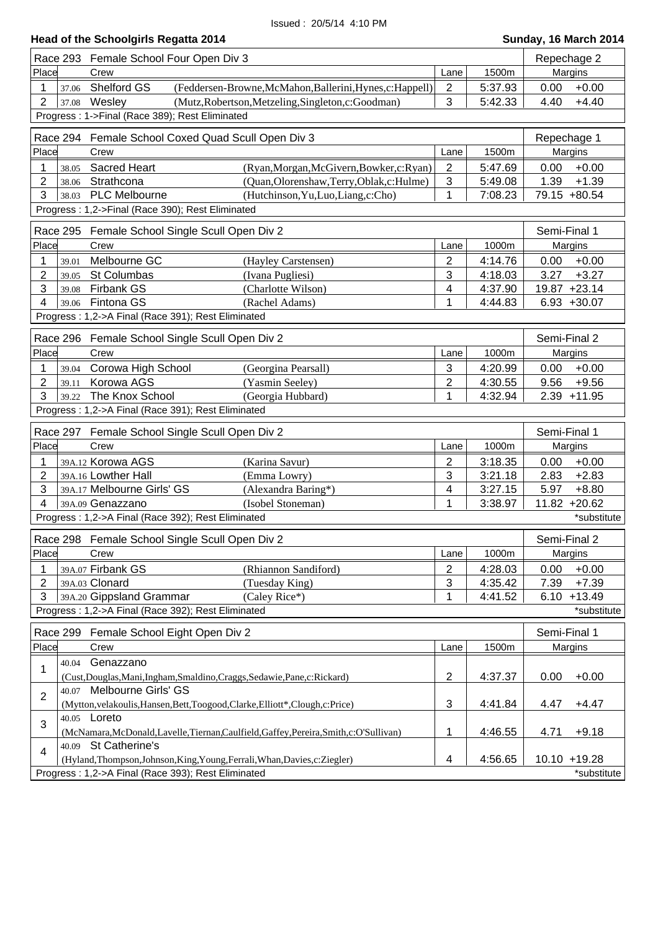# **Head of the Schoolgirls Regatta 2014 Sunday, 16 March 2014 Sunday, 16 March 2014**

|                                  | Race 293 Female School Four Open Div 3                                                                                            |                |         | Repechage 2     |                |
|----------------------------------|-----------------------------------------------------------------------------------------------------------------------------------|----------------|---------|-----------------|----------------|
| Place                            | Crew                                                                                                                              | Lane           | 1500m   | Margins         |                |
| 1<br>37.06                       | Shelford GS<br>(Feddersen-Browne, McMahon, Ballerini, Hynes, c: Happell)                                                          | $\overline{2}$ | 5:37.93 | 0.00            | $+0.00$        |
| $\overline{2}$<br>37.08          | Wesley<br>(Mutz, Robertson, Metzeling, Singleton, c: Goodman)                                                                     | 3              | 5:42.33 | 4.40            | $+4.40$        |
|                                  | Progress: 1->Final (Race 389); Rest Eliminated                                                                                    |                |         |                 |                |
| Repechage 1                      |                                                                                                                                   |                |         |                 |                |
|                                  | Race 294 Female School Coxed Quad Scull Open Div 3                                                                                |                |         |                 |                |
| Place                            | Crew                                                                                                                              | Lane           | 1500m   | Margins         |                |
| 1<br>38.05                       | <b>Sacred Heart</b><br>(Ryan, Morgan, McGivern, Bowker, c: Ryan)                                                                  | $\overline{2}$ | 5:47.69 | 0.00            | $+0.00$        |
| 2<br>38.06                       | Strathcona<br>(Quan, Olorenshaw, Terry, Oblak, c: Hulme)                                                                          | 3              | 5:49.08 | 1.39            | $+1.39$        |
| 3<br>38.03                       | PLC Melbourne<br>(Hutchinson, Yu, Luo, Liang, c: Cho)                                                                             | 1              | 7:08.23 | 79.15 +80.54    |                |
|                                  | Progress: 1,2->Final (Race 390); Rest Eliminated                                                                                  |                |         |                 |                |
|                                  | Race 295 Female School Single Scull Open Div 2                                                                                    |                |         | Semi-Final 1    |                |
| Place                            | Crew                                                                                                                              | Lane           | 1000m   | Margins         |                |
| 1<br>39.01                       | Melbourne GC<br>(Hayley Carstensen)                                                                                               | $\overline{2}$ | 4:14.76 | 0.00            | $+0.00$        |
| 2<br>39.05                       | St Columbas<br>(Ivana Pugliesi)                                                                                                   | 3              | 4:18.03 | 3.27            | $+3.27$        |
| 3<br>39.08                       | <b>Firbank GS</b><br>(Charlotte Wilson)                                                                                           | 4              | 4:37.90 | 19.87 +23.14    |                |
| 4<br>39.06                       | Fintona GS<br>(Rachel Adams)                                                                                                      | $\mathbf 1$    | 4:44.83 |                 | $6.93 + 30.07$ |
|                                  | Progress: 1,2->A Final (Race 391); Rest Eliminated                                                                                |                |         |                 |                |
|                                  |                                                                                                                                   |                |         | Semi-Final 2    |                |
| Place                            | Race 296 Female School Single Scull Open Div 2                                                                                    |                |         |                 |                |
|                                  | Crew                                                                                                                              | Lane           | 1000m   | Margins         |                |
| 1<br>39.04                       | Corowa High School<br>(Georgina Pearsall)                                                                                         | 3              | 4:20.99 | 0.00            | $+0.00$        |
| 2<br>39.11                       | Korowa AGS<br>(Yasmin Seeley)                                                                                                     | $\overline{2}$ | 4:30.55 | 9.56            | $+9.56$        |
| 3<br>39.22                       | The Knox School<br>(Georgia Hubbard)                                                                                              | 1              | 4:32.94 |                 | $2.39 + 11.95$ |
|                                  |                                                                                                                                   |                |         |                 |                |
|                                  | Progress: 1,2->A Final (Race 391); Rest Eliminated                                                                                |                |         |                 |                |
|                                  | Race 297 Female School Single Scull Open Div 2                                                                                    |                |         | Semi-Final 1    |                |
| Place                            | Crew                                                                                                                              | Lane           | 1000m   | Margins         |                |
| 1                                | 39A.12 Korowa AGS<br>(Karina Savur)                                                                                               | $\overline{2}$ | 3:18.35 | 0.00            | $+0.00$        |
| $\overline{2}$                   | 39A.16 Lowther Hall<br>(Emma Lowry)                                                                                               | 3              | 3:21.18 | 2.83            | $+2.83$        |
| 3                                | 39A.17 Melbourne Girls' GS<br>(Alexandra Baring*)                                                                                 | 4              | 3:27.15 | 5.97            | $+8.80$        |
| 4                                | 39A.09 Genazzano<br>(Isobel Stoneman)                                                                                             | 1              | 3:38.97 | $11.82 + 20.62$ |                |
|                                  | Progress: 1,2->A Final (Race 392); Rest Eliminated                                                                                |                |         |                 | *substitute    |
|                                  |                                                                                                                                   |                |         |                 |                |
|                                  | Race 298 Female School Single Scull Open Div 2                                                                                    |                |         | Semi-Final 2    |                |
| Place                            | Crew                                                                                                                              | Lane           | 1000m   | Margins         |                |
| 1                                | 39A.07 Firbank GS<br>(Rhiannon Sandiford)                                                                                         | $\overline{2}$ | 4:28.03 | 0.00            | $+0.00$        |
| 2                                | 39A.03 Clonard<br>(Tuesday King)                                                                                                  | 3              | 4:35.42 | 7.39            | $+7.39$        |
| 3                                | 39A.20 Gippsland Grammar<br>(Caley Rice*)                                                                                         | $\mathbf 1$    | 4:41.52 |                 | $6.10 + 13.49$ |
|                                  | Progress: 1,2->A Final (Race 392); Rest Eliminated                                                                                |                |         |                 | *substitute    |
| Race 299                         | Female School Eight Open Div 2                                                                                                    |                |         | Semi-Final 1    |                |
| Place                            | Crew                                                                                                                              | Lane           | 1500m   | Margins         |                |
| 40.04                            | Genazzano                                                                                                                         |                |         |                 |                |
| 1                                | (Cust, Douglas, Mani, Ingham, Smaldino, Craggs, Sedawie, Pane, c: Rickard)                                                        | $\overline{c}$ | 4:37.37 | 0.00            | $+0.00$        |
|                                  | 40.07 Melbourne Girls' GS                                                                                                         |                |         |                 |                |
| $\overline{2}$                   | (Mytton, velakoulis, Hansen, Bett, Toogood, Clarke, Elliott*, Clough, c: Price)                                                   | 3              | 4:41.84 | 4.47            | $+4.47$        |
|                                  | 40.05 Loreto                                                                                                                      |                |         |                 |                |
| 3                                | (McNamara, McDonald, Lavelle, Tiernan, Caulfield, Gaffey, Pereira, Smith, c: O'Sullivan)                                          | 1              | 4:46.55 | 4.71            | $+9.18$        |
| 40.09<br>$\overline{\mathbf{4}}$ | St Catherine's                                                                                                                    |                |         |                 |                |
|                                  | (Hyland, Thompson, Johnson, King, Young, Ferrali, Whan, Davies, c: Ziegler)<br>Progress: 1,2->A Final (Race 393); Rest Eliminated | 4              | 4:56.65 | $10.10 + 19.28$ | *substitute    |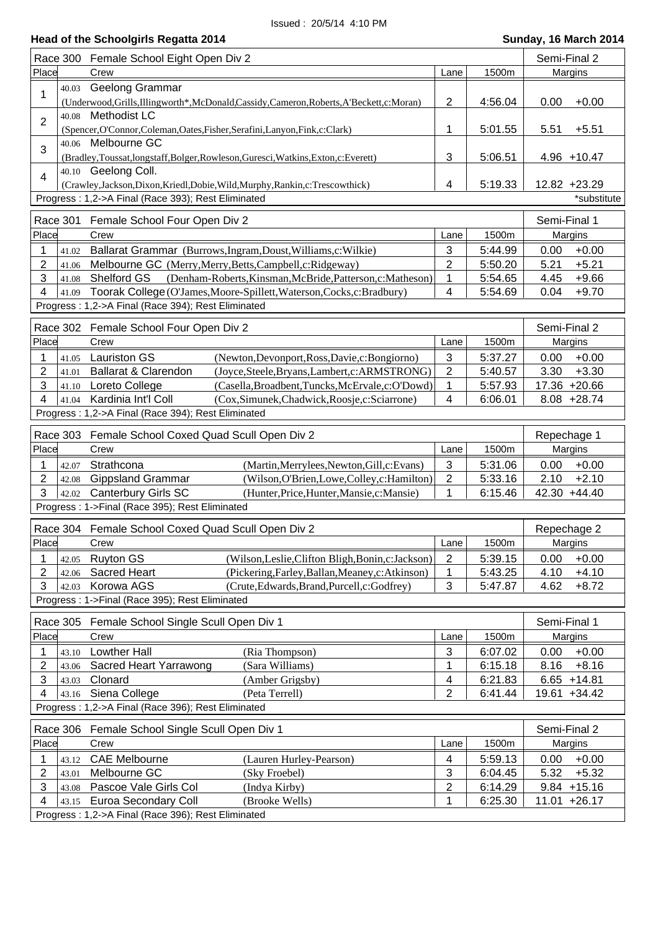|                         | Race 300 Female School Eight Open Div 2                                                             |                         |         | Semi-Final 2    |
|-------------------------|-----------------------------------------------------------------------------------------------------|-------------------------|---------|-----------------|
| Place                   | Crew                                                                                                | Lane                    | 1500m   | Margins         |
| 40.03<br>1              | Geelong Grammar                                                                                     |                         |         |                 |
|                         | (Underwood, Grills, Illingworth*, McDonald, Cassidy, Cameron, Roberts, A'Beckett, c: Moran)         | $\overline{2}$          | 4:56.04 | 0.00<br>$+0.00$ |
| $\overline{2}$          | 40.08 Methodist LC<br>(Spencer, O'Connor, Coleman, Oates, Fisher, Serafini, Lanyon, Fink, c: Clark) | 1                       | 5:01.55 | 5.51<br>$+5.51$ |
| 40.06<br>3              | Melbourne GC                                                                                        |                         |         |                 |
|                         | (Bradley,Toussat,longstaff,Bolger,Rowleson,Guresci,Watkins,Exton,c:Everett)                         | 3                       | 5:06.51 | $4.96 + 10.47$  |
| $\overline{4}$          | 40.10 Geelong Coll.                                                                                 | 4                       |         | 12.82 +23.29    |
|                         | (Crawley,Jackson,Dixon,Kriedl,Dobie,Wild,Murphy,Rankin,c:Trescowthick)                              |                         | 5:19.33 |                 |
|                         | Progress: 1,2->A Final (Race 393); Rest Eliminated                                                  |                         |         | *substitute     |
| Race 301                | Female School Four Open Div 2                                                                       |                         |         | Semi-Final 1    |
| Place                   | Crew                                                                                                | Lane                    | 1500m   | Margins         |
| 1<br>41.02              | Ballarat Grammar (Burrows, Ingram, Doust, Williams, c: Wilkie)                                      | 3                       | 5:44.99 | 0.00<br>$+0.00$ |
| 2<br>41.06              | Melbourne GC (Merry, Merry, Betts, Campbell, c: Ridgeway)                                           | $\overline{2}$          | 5:50.20 | 5.21<br>$+5.21$ |
| 3<br>41.08              | (Denham-Roberts, Kinsman, McBride, Patterson, c: Matheson)<br><b>Shelford GS</b>                    | 1                       | 5:54.65 | 4.45<br>$+9.66$ |
| 4<br>41.09              | Toorak College (O'James, Moore-Spillett, Waterson, Cocks, c: Bradbury)                              | $\overline{\mathbf{4}}$ | 5:54.69 | $+9.70$<br>0.04 |
|                         | Progress: 1,2->A Final (Race 394); Rest Eliminated                                                  |                         |         |                 |
|                         |                                                                                                     |                         |         |                 |
|                         | Race 302 Female School Four Open Div 2                                                              |                         |         | Semi-Final 2    |
| Place                   | Crew                                                                                                | Lane                    | 1500m   | Margins         |
| 1<br>41.05              | <b>Lauriston GS</b><br>(Newton, Devonport, Ross, Davie, c: Bongiorno)                               | 3                       | 5:37.27 | 0.00<br>$+0.00$ |
| 2<br>41.01              | Ballarat & Clarendon<br>(Joyce, Steele, Bryans, Lambert, c: ARMSTRONG)                              | $\overline{2}$          | 5:40.57 | 3.30<br>$+3.30$ |
| 3<br>41.10              | Loreto College<br>(Casella, Broadbent, Tuncks, McErvale, c: O'Dowd)                                 | 1                       | 5:57.93 | 17.36 +20.66    |
| 4<br>41.04              | Kardinia Int'l Coll<br>(Cox, Simunek, Chadwick, Roosje, c: Sciarrone)                               | $\overline{4}$          | 6:06.01 | $8.08 + 28.74$  |
|                         | Progress: 1,2->A Final (Race 394); Rest Eliminated                                                  |                         |         |                 |
| Race 303                | Female School Coxed Quad Scull Open Div 2                                                           |                         |         | Repechage 1     |
| Place                   | Crew                                                                                                | Lane                    | 1500m   | Margins         |
| 1<br>42.07              | Strathcona<br>(Martin, Merrylees, Newton, Gill, c: Evans)                                           | $\mathbf{3}$            | 5:31.06 | 0.00<br>$+0.00$ |
| 2<br>42.08              | <b>Gippsland Grammar</b><br>(Wilson, O'Brien, Lowe, Colley, c: Hamilton)                            | $\overline{2}$          | 5:33.16 | $+2.10$<br>2.10 |
| 3<br>42.02              | <b>Canterbury Girls SC</b><br>(Hunter, Price, Hunter, Mansie, c: Mansie)                            | $\mathbf{1}$            | 6:15.46 | 42.30 +44.40    |
|                         | Progress: 1->Final (Race 395); Rest Eliminated                                                      |                         |         |                 |
|                         |                                                                                                     |                         |         |                 |
|                         | Race 304 Female School Coxed Quad Scull Open Div 2                                                  |                         |         | Repechage 2     |
| Place                   | Crew                                                                                                | Lane                    | 1500m   | <b>Margins</b>  |
| 1<br>42.05              | <b>Ruyton GS</b><br>(Wilson, Leslie, Clifton Bligh, Bonin, c: Jackson)                              | $\overline{2}$          | 5:39.15 | 0.00<br>$+0.00$ |
| 2<br>42.06              | <b>Sacred Heart</b><br>(Pickering, Farley, Ballan, Meaney, c: Atkinson)                             | $\mathbf 1$             | 5:43.25 | 4.10<br>$+4.10$ |
| 3<br>42.03              | Korowa AGS<br>(Crute, Edwards, Brand, Purcell, c: Godfrey)                                          | 3                       | 5:47.87 | $+8.72$<br>4.62 |
|                         | Progress: 1->Final (Race 395); Rest Eliminated                                                      |                         |         |                 |
| Race 305                | Female School Single Scull Open Div 1                                                               |                         |         | Semi-Final 1    |
| Place                   | Crew                                                                                                | Lane                    | 1500m   | Margins         |
| 1<br>43.10              | Lowther Hall<br>(Ria Thompson)                                                                      | 3                       | 6:07.02 | $+0.00$<br>0.00 |
| $\overline{2}$<br>43.06 | Sacred Heart Yarrawong<br>(Sara Williams)                                                           | $\mathbf{1}$            | 6:15.18 | $+8.16$<br>8.16 |
| 3<br>43.03              | Clonard<br>(Amber Grigsby)                                                                          | 4                       | 6:21.83 | $6.65 + 14.81$  |
| 4<br>43.16              | Siena College<br>(Peta Terrell)                                                                     | $\overline{2}$          | 6:41.44 | 19.61 +34.42    |
|                         | Progress: 1,2->A Final (Race 396); Rest Eliminated                                                  |                         |         |                 |
|                         |                                                                                                     |                         |         |                 |
|                         | Race 306 Female School Single Scull Open Div 1                                                      |                         |         | Semi-Final 2    |
| Place                   | Crew                                                                                                | Lane                    | 1500m   | Margins         |
| 43.12<br>1              | <b>CAE Melbourne</b><br>(Lauren Hurley-Pearson)                                                     | 4                       | 5:59.13 | 0.00<br>$+0.00$ |
| 2<br>43.01              | Melbourne GC<br>(Sky Froebel)                                                                       | 3                       | 6:04.45 | 5.32<br>$+5.32$ |
| 3<br>43.08              | Pascoe Vale Girls Col<br>(Indya Kirby)                                                              | $\overline{c}$          | 6:14.29 | $9.84 + 15.16$  |
| 4<br>43.15              | Euroa Secondary Coll<br>(Brooke Wells)                                                              | $\mathbf 1$             | 6:25.30 | 11.01 +26.17    |
|                         | Progress: 1,2->A Final (Race 396); Rest Eliminated                                                  |                         |         |                 |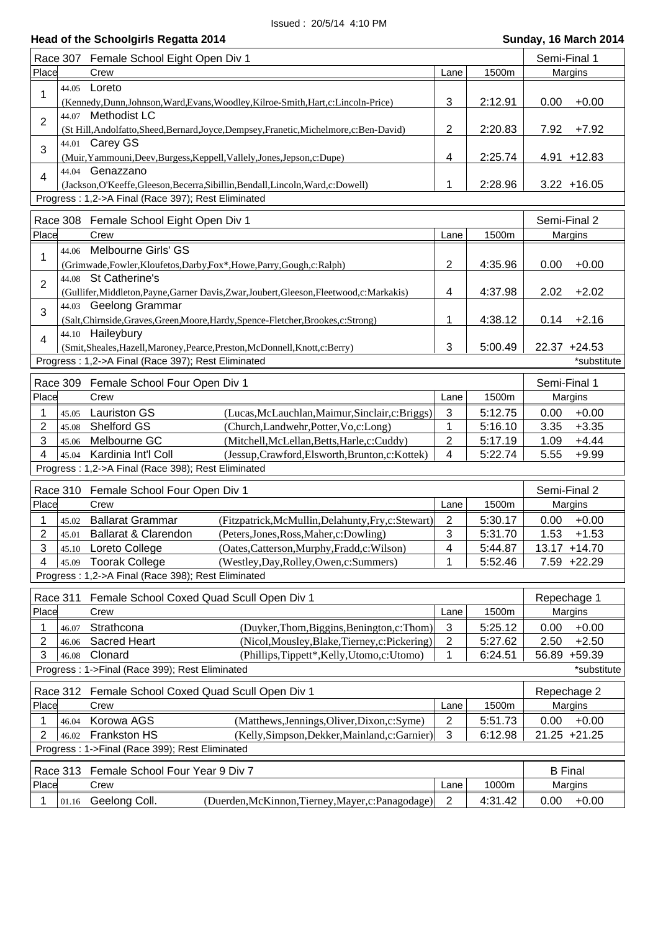| Race 307                | Female School Eight Open Div 1                                                                                                                              |                          |         | Semi-Final 1                |  |
|-------------------------|-------------------------------------------------------------------------------------------------------------------------------------------------------------|--------------------------|---------|-----------------------------|--|
| Place                   | Crew                                                                                                                                                        | Lane                     | 1500m   | Margins                     |  |
| 1                       | 44.05 Loreto<br>(Kennedy, Dunn, Johnson, Ward, Evans, Woodley, Kilroe-Smith, Hart, c: Lincoln-Price)                                                        | 3                        | 2:12.91 | $+0.00$<br>0.00             |  |
| 44.07<br>$\overline{2}$ | <b>Methodist LC</b><br>(St Hill, Andolfatto, Sheed, Bernard, Joyce, Dempsey, Franetic, Michelmore, c: Ben-David)                                            | $\overline{2}$           | 2:20.83 | 7.92<br>$+7.92$             |  |
| 44.01<br>3              | Carey GS<br>(Muir, Yammouni, Deev, Burgess, Keppell, Vallely, Jones, Jepson, c: Dupe)                                                                       | 4                        | 2:25.74 | $4.91 + 12.83$              |  |
| $\overline{4}$          | 44.04 Genazzano<br>(Jackson, O'Keeffe, Gleeson, Becerra, Sibillin, Bendall, Lincoln, Ward, c: Dowell)<br>Progress: 1,2->A Final (Race 397); Rest Eliminated | 1                        | 2:28.96 | $3.22 + 16.05$              |  |
|                         |                                                                                                                                                             |                          |         |                             |  |
|                         | Race 308 Female School Eight Open Div 1                                                                                                                     |                          |         | Semi-Final 2                |  |
| Place                   | Crew                                                                                                                                                        | Lane                     | 1500m   | Margins                     |  |
| 44.06<br>1              | Melbourne Girls' GS<br>(Grimwade,Fowler,Kloufetos,Darby,Fox*,Howe,Parry,Gough,c:Ralph)<br>44.08 St Catherine's                                              | $\overline{2}$           | 4:35.96 | 0.00<br>$+0.00$             |  |
| $\overline{2}$          | (Gullifer, Middleton, Payne, Garner Davis, Zwar, Joubert, Gleeson, Fleetwood, c: Markakis)                                                                  | 4                        | 4:37.98 | 2.02<br>$+2.02$             |  |
|                         | 44.03 Geelong Grammar                                                                                                                                       |                          |         |                             |  |
| 3                       | (Salt, Chirnside, Graves, Green, Moore, Hardy, Spence-Fletcher, Brookes, c: Strong)                                                                         | 1                        | 4:38.12 | $+2.16$<br>0.14             |  |
| $\overline{4}$          | 44.10 Haileybury<br>(Smit, Sheales, Hazell, Maroney, Pearce, Preston, McDonnell, Knott, c: Berry)<br>Progress: 1,2->A Final (Race 397); Rest Eliminated     | 3                        | 5:00.49 | 22.37 +24.53<br>*substitute |  |
| Race 309                | Female School Four Open Div 1                                                                                                                               |                          |         | Semi-Final 1                |  |
| Place                   | Crew                                                                                                                                                        | Lane                     | 1500m   | Margins                     |  |
| 1<br>45.05              | <b>Lauriston GS</b><br>(Lucas, McLauchlan, Maimur, Sinclair, c: Briggs)                                                                                     | 3                        | 5:12.75 | 0.00<br>$+0.00$             |  |
| 2<br>45.08              | Shelford GS<br>(Church,Landwehr,Potter,Vo,c:Long)                                                                                                           | $\mathbf{1}$             | 5:16.10 | 3.35<br>$+3.35$             |  |
| 3<br>45.06              | Melbourne GC<br>(Mitchell, McLellan, Betts, Harle, c: Cuddy)                                                                                                | $\overline{2}$           | 5:17.19 | $+4.44$<br>1.09             |  |
| 4<br>45.04              | Kardinia Int'l Coll<br>(Jessup, Crawford, Elsworth, Brunton, c: Kottek)                                                                                     | 4                        | 5:22.74 | 5.55<br>$+9.99$             |  |
|                         | Progress: 1,2->A Final (Race 398); Rest Eliminated                                                                                                          |                          |         |                             |  |
| Race 310                | Female School Four Open Div 1                                                                                                                               |                          |         | Semi-Final 2                |  |
| Place                   | Crew                                                                                                                                                        | Lane                     | 1500m   | Margins                     |  |
| 1<br>45.02              | <b>Ballarat Grammar</b><br>(Fitzpatrick, McMullin, Delahunty, Fry, c: Stewart)                                                                              | 2                        | 5:30.17 | $+0.00$<br>0.00             |  |
| 2<br>45.01              | <b>Ballarat &amp; Clarendon</b><br>(Peters, Jones, Ross, Maher, c: Dowling)                                                                                 | 3                        | 5:31.70 | 1.53<br>$+1.53$             |  |
| 3                       | 45.10 Loreto College<br>(Oates, Catterson, Murphy, Fradd, c: Wilson)                                                                                        | $\overline{\mathcal{A}}$ | 5:44.87 | 13.17 +14.70                |  |
| 4<br>45.09              | <b>Toorak College</b><br>(Westley, Day, Rolley, Owen, c: Summers)                                                                                           | 1                        | 5:52.46 | $7.59 +22.29$               |  |
|                         | Progress: 1,2->A Final (Race 398); Rest Eliminated                                                                                                          |                          |         |                             |  |
| Race 311                | Female School Coxed Quad Scull Open Div 1                                                                                                                   |                          |         | Repechage 1                 |  |
| Place                   | Crew                                                                                                                                                        | Lane                     | 1500m   | <b>Margins</b>              |  |
| 1<br>46.07              | Strathcona<br>(Duyker, Thom, Biggins, Benington, c: Thom)                                                                                                   | 3                        | 5:25.12 | $+0.00$<br>0.00             |  |
| 2<br>46.06              | Sacred Heart<br>(Nicol, Mousley, Blake, Tierney, c: Pickering)                                                                                              | $\overline{2}$           | 5:27.62 | 2.50<br>$+2.50$             |  |
| 3<br>46.08              | Clonard<br>(Phillips,Tippett*,Kelly,Utomo,c:Utomo)                                                                                                          | 1                        | 6:24.51 | 56.89 +59.39                |  |
|                         | Progress: 1->Final (Race 399); Rest Eliminated                                                                                                              |                          |         | *substitute                 |  |
|                         | Race 312 Female School Coxed Quad Scull Open Div 1                                                                                                          |                          |         | Repechage 2                 |  |
| Place                   | Crew                                                                                                                                                        | Lane                     | 1500m   | Margins                     |  |
| 1<br>46.04              | Korowa AGS<br>(Matthews, Jennings, Oliver, Dixon, c: Syme)                                                                                                  | 2                        | 5:51.73 | $+0.00$<br>0.00             |  |
| 2<br>46.02              | <b>Frankston HS</b><br>(Kelly, Simpson, Dekker, Mainland, c: Garnier)                                                                                       | 3                        | 6:12.98 | 21.25 +21.25                |  |
|                         | Progress: 1->Final (Race 399); Rest Eliminated                                                                                                              |                          |         |                             |  |
|                         | Race 313 Female School Four Year 9 Div 7                                                                                                                    |                          |         | <b>B</b> Final              |  |
| Place                   | Crew                                                                                                                                                        | Lane                     | 1000m   | Margins                     |  |
| 01.16                   | Geelong Coll.<br>(Duerden, McKinnon, Tierney, Mayer, c: Panagodage)                                                                                         | $\overline{2}$           | 4:31.42 | 0.00<br>$+0.00$             |  |
|                         |                                                                                                                                                             |                          |         |                             |  |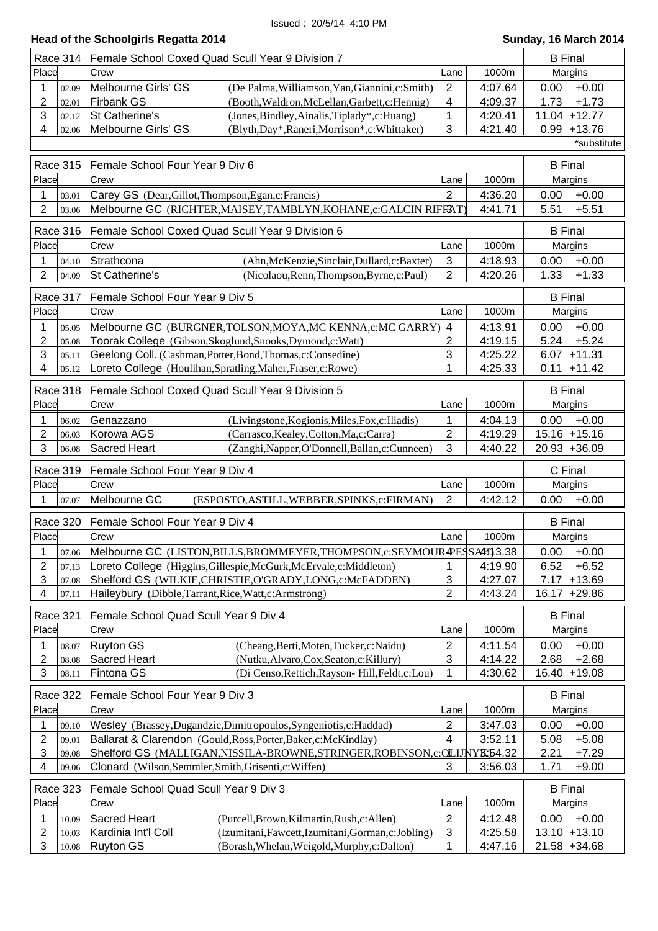|                           |                 | Race 314 Female School Coxed Quad Scull Year 9 Division 7                    |                                                                                                     |                     | <b>B</b> Final     |                |                              |
|---------------------------|-----------------|------------------------------------------------------------------------------|-----------------------------------------------------------------------------------------------------|---------------------|--------------------|----------------|------------------------------|
| Place                     |                 | Crew                                                                         |                                                                                                     | Lane                | 1000m              |                | Margins                      |
| $\mathbf{1}$              | 02.09           | Melbourne Girls' GS                                                          | (De Palma, Williamson, Yan, Giannini, c: Smith)                                                     | $\mathbf{2}$        | 4:07.64            | 0.00           | $+0.00$                      |
| 2                         | 02.01           | <b>Firbank GS</b>                                                            | (Booth, Waldron, McLellan, Garbett, c: Hennig)                                                      | 4                   | 4:09.37            | 1.73           | $+1.73$                      |
| 3                         | 02.12           | St Catherine's                                                               | (Jones, Bindley, Ainalis, Tiplady*, c: Huang)                                                       | 1                   | 4:20.41            |                | 11.04 +12.77                 |
| 4                         | 02.06           | Melbourne Girls' GS                                                          | (Blyth, Day*, Raneri, Morrison*, c: Whittaker)                                                      | 3                   | 4:21.40            |                | $0.99 + 13.76$               |
|                           |                 |                                                                              |                                                                                                     |                     |                    |                | *substitute                  |
|                           |                 |                                                                              |                                                                                                     |                     |                    |                |                              |
|                           | <b>Race 315</b> | Female School Four Year 9 Div 6                                              |                                                                                                     |                     |                    | <b>B</b> Final |                              |
| Place                     |                 | Crew                                                                         |                                                                                                     | Lane                | 1000m              |                | Margins                      |
| 1                         | 03.01           | Carey GS (Dear, Gillot, Thompson, Egan, c: Francis)                          |                                                                                                     | $\overline{2}$      | 4:36.20            | 0.00           | $+0.00$                      |
| $\overline{2}$            | 03.06           | Melbourne GC (RICHTER, MAISEY, TAMBLYN, KOHANE, c: GALCIN RIFFAT)            |                                                                                                     |                     | 4:41.71            | 5.51           | $+5.51$                      |
|                           | <b>Race 316</b> | Female School Coxed Quad Scull Year 9 Division 6                             |                                                                                                     |                     |                    | <b>B</b> Final |                              |
| Place                     |                 | Crew                                                                         |                                                                                                     | Lane                | 1000m              |                | Margins                      |
| 1                         | 04.10           | Strathcona                                                                   | (Ahn, McKenzie, Sinclair, Dullard, c: Baxter)                                                       | 3                   | 4:18.93            | 0.00           | $+0.00$                      |
| $\overline{2}$            | 04.09           | St Catherine's                                                               | (Nicolaou, Renn, Thompson, Byrne, c: Paul)                                                          | 2                   | 4:20.26            | 1.33           | $+1.33$                      |
|                           |                 |                                                                              |                                                                                                     |                     |                    |                |                              |
|                           | Race 317        | Female School Four Year 9 Div 5                                              |                                                                                                     |                     |                    | <b>B</b> Final |                              |
| Place                     |                 | Crew                                                                         |                                                                                                     | Lane                | 1000m              |                | Margins                      |
| 1                         | 05.05           | Melbourne GC (BURGNER, TOLSON, MOYA, MC KENNA, c: MC GARRY) 4                |                                                                                                     |                     | 4:13.91            | 0.00           | $+0.00$                      |
| 2                         | 05.08           | Toorak College (Gibson, Skoglund, Snooks, Dymond, c: Watt)                   |                                                                                                     | $\overline{2}$      | 4:19.15            | 5.24           | $+5.24$                      |
| 3                         | 05.11           | Geelong Coll. (Cashman, Potter, Bond, Thomas, c: Consedine)                  |                                                                                                     | 3                   | 4:25.22            |                | $6.07 + 11.31$               |
| 4                         | 05.12           | Loreto College (Houlihan, Spratling, Maher, Fraser, c: Rowe)                 |                                                                                                     | 1                   | 4:25.33            |                | $0.11 + 11.42$               |
|                           | Race 318        | Female School Coxed Quad Scull Year 9 Division 5                             |                                                                                                     |                     |                    | <b>B</b> Final |                              |
| Place                     |                 | Crew                                                                         |                                                                                                     | Lane                | 1000m              |                | Margins                      |
| 1                         | 06.02           | Genazzano                                                                    | (Livingstone, Kogionis, Miles, Fox, c: Iliadis)                                                     | 1                   | 4:04.13            | 0.00           | $+0.00$                      |
| 2                         | 06.03           | Korowa AGS<br>(Carrasco, Kealey, Cotton, Ma, c: Carra)                       |                                                                                                     | $\mathbf{2}$        | 4:19.29            |                | $15.16 + 15.16$              |
| 3                         | 06.08           | <b>Sacred Heart</b>                                                          | (Zanghi, Napper, O'Donnell, Ballan, c: Cunneen)                                                     | 3                   | 4:40.22            |                | 20.93 +36.09                 |
|                           |                 |                                                                              |                                                                                                     |                     |                    |                |                              |
|                           | <b>Race 319</b> | Female School Four Year 9 Div 4                                              |                                                                                                     |                     |                    | C Final        |                              |
| Place                     |                 | Crew                                                                         |                                                                                                     | Lane                | 1000m              |                | Margins                      |
| 1                         | 07.07           | Melbourne GC                                                                 | (ESPOSTO, ASTILL, WEBBER, SPINKS, c: FIRMAN)                                                        | $\overline{2}$      | 4:42.12            | 0.00           | $+0.00$                      |
|                           | <b>Race 320</b> | Female School Four Year 9 Div 4                                              |                                                                                                     |                     |                    | <b>B</b> Final |                              |
| Place                     |                 | Crew                                                                         |                                                                                                     | Lane                | 1000m              |                | Margins                      |
| 1                         | 07.06           | Melbourne GC (LISTON, BILLS, BROMMEYER, THOMPSON, c: SEYMOUR PESSAH13.38     |                                                                                                     |                     |                    | 0.00           | $+0.00$                      |
| 2                         | 07.13           | Loreto College (Higgins, Gillespie, McGurk, McErvale, c: Middleton)          |                                                                                                     | 1                   | 4:19.90            | 6.52           | $+6.52$                      |
| $\ensuremath{\mathsf{3}}$ | 07.08           | Shelford GS (WILKIE, CHRISTIE, O'GRADY, LONG, c: McFADDEN)                   |                                                                                                     | 3                   | 4:27.07            | 7.17           | $+13.69$                     |
| 4                         | 07.11           | Haileybury (Dibble, Tarrant, Rice, Watt, c: Armstrong)                       |                                                                                                     | 2                   | 4:43.24            |                | 16.17 +29.86                 |
|                           |                 |                                                                              |                                                                                                     |                     |                    |                |                              |
|                           | Race 321        | Female School Quad Scull Year 9 Div 4                                        |                                                                                                     |                     |                    | <b>B</b> Final |                              |
| Place                     |                 | Crew                                                                         |                                                                                                     | Lane                | 1000m              |                | Margins                      |
| 1<br>2                    | 08.07           | <b>Ruyton GS</b><br>Sacred Heart                                             | (Cheang, Berti, Moten, Tucker, c: Naidu)<br>(Nutku, Alvaro, Cox, Seaton, c: Killury)                | $\overline{2}$<br>3 | 4:11.54            | 0.00<br>2.68   | $+0.00$                      |
| 3                         | 08.08           | Fintona GS                                                                   |                                                                                                     | 1                   | 4:14.22<br>4:30.62 |                | $+2.68$                      |
|                           | 08.11           |                                                                              | (Di Censo, Rettich, Rayson-Hill, Feldt, c: Lou)                                                     |                     |                    |                | 16.40 +19.08                 |
|                           | Race 322        | Female School Four Year 9 Div 3                                              |                                                                                                     |                     |                    | <b>B</b> Final |                              |
| Place                     |                 | Crew                                                                         |                                                                                                     | Lane                | 1000m              |                | Margins                      |
| 1                         | 09.10           | Wesley (Brassey, Dugandzic, Dimitropoulos, Syngeniotis, c: Haddad)           |                                                                                                     | $\overline{c}$      | 3:47.03            | 0.00           | $+0.00$                      |
| 2                         | 09.01           | Ballarat & Clarendon (Gould, Ross, Porter, Baker, c: McKindlay)              |                                                                                                     | 4                   | 3:52.11            | 5.08           | $+5.08$                      |
| $\sqrt{3}$                | 09.08           | Shelford GS (MALLIGAN, NISSILA-BROWNE, STRINGER, ROBINSON, c: OLIJNY & 54.32 |                                                                                                     |                     |                    | 2.21           | $+7.29$                      |
| 4                         | 09.06           | Clonard (Wilson, Semmler, Smith, Grisenti, c: Wiffen)                        |                                                                                                     | 3                   | 3:56.03            | 1.71           | $+9.00$                      |
|                           |                 |                                                                              |                                                                                                     |                     |                    |                |                              |
| Place                     | Race 323        | Female School Quad Scull Year 9 Div 3                                        |                                                                                                     |                     |                    | <b>B</b> Final |                              |
|                           |                 | Crew                                                                         |                                                                                                     | Lane                | 1000m              |                | Margins                      |
| 1                         | 10.09           | <b>Sacred Heart</b><br>(Purcell, Brown, Kilmartin, Rush, c: Allen)           |                                                                                                     | 2                   | 4:12.48            | 0.00           | $+0.00$                      |
| $\boldsymbol{2}$<br>3     | 10.03           | Kardinia Int'l Coll<br><b>Ruyton GS</b>                                      | (Izumitani, Fawcett, Izumitani, Gorman, c: Jobling)<br>(Borash, Whelan, Weigold, Murphy, c: Dalton) | $\mathfrak{S}$<br>1 | 4:25.58<br>4:47.16 |                | 13.10 +13.10<br>21.58 +34.68 |
|                           | 10.08           |                                                                              |                                                                                                     |                     |                    |                |                              |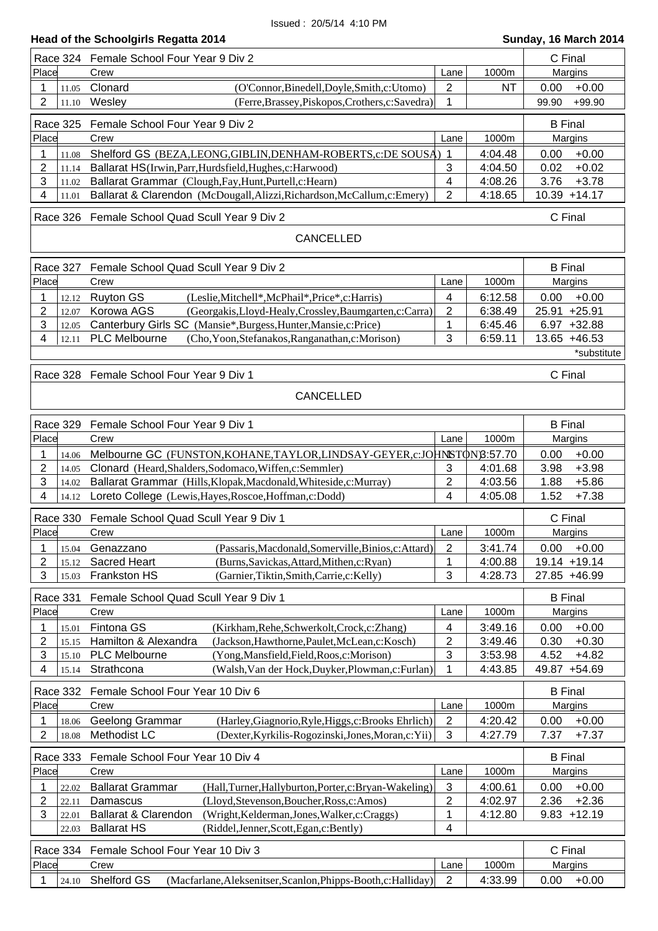|                                       | Race 324 Female School Four Year 9 Div 2                                                                                              |                         |                    | C Final                            |
|---------------------------------------|---------------------------------------------------------------------------------------------------------------------------------------|-------------------------|--------------------|------------------------------------|
| Place                                 | Crew                                                                                                                                  | Lane                    | 1000m              | Margins                            |
| 1<br>11.05                            | Clonard<br>(O'Connor, Binedell, Doyle, Smith, c: Utomo)                                                                               | $\overline{2}$          | <b>NT</b>          | 0.00<br>$+0.00$                    |
| $\overline{2}$<br>11.10               | Wesley<br>(Ferre, Brassey, Piskopos, Crothers, c: Savedra)                                                                            | 1                       |                    | +99.90<br>99.90                    |
| Race 325                              | Female School Four Year 9 Div 2                                                                                                       |                         |                    | <b>B</b> Final                     |
| Place                                 | Crew                                                                                                                                  | Lane                    | 1000m              | Margins                            |
| 1<br>11.08                            | Shelford GS (BEZA, LEONG, GIBLIN, DENHAM-ROBERTS, c: DE SOUSA)                                                                        | -1                      | 4:04.48            | 0.00<br>$+0.00$                    |
| $\overline{c}$<br>11.14               | Ballarat HS(Irwin, Parr, Hurdsfield, Hughes, c: Harwood)                                                                              | 3                       | 4:04.50            | 0.02<br>$+0.02$                    |
| 3<br>11.02                            | Ballarat Grammar (Clough, Fay, Hunt, Purtell, c: Hearn)                                                                               | 4                       | 4:08.26            | 3.76<br>$+3.78$                    |
| 4<br>11.01                            | Ballarat & Clarendon (McDougall, Alizzi, Richardson, McCallum, c: Emery)                                                              | 2                       | 4:18.65            | 10.39 +14.17                       |
|                                       | Race 326 Female School Quad Scull Year 9 Div 2                                                                                        |                         |                    | C Final                            |
|                                       | <b>CANCELLED</b>                                                                                                                      |                         |                    |                                    |
|                                       |                                                                                                                                       |                         |                    |                                    |
| Race 327                              | Female School Quad Scull Year 9 Div 2                                                                                                 |                         |                    | <b>B</b> Final                     |
| Place                                 | Crew                                                                                                                                  | Lane                    | 1000m              | Margins                            |
| 1<br>12.12                            | <b>Ruyton GS</b><br>(Leslie, Mitchell*, McPhail*, Price*, c: Harris)                                                                  | 4                       | 6:12.58            | 0.00<br>$+0.00$                    |
| $\overline{2}$<br>12.07               | Korowa AGS<br>(Georgakis, Lloyd-Healy, Crossley, Baumgarten, c: Carra)                                                                | 2                       | 6:38.49            | 25.91 +25.91                       |
| 3<br>12.05<br>4                       | Canterbury Girls SC (Mansie*, Burgess, Hunter, Mansie, c: Price)<br>PLC Melbourne                                                     | 1                       | 6:45.46<br>6:59.11 | $6.97 + 32.88$<br>13.65 +46.53     |
| 12.11                                 | (Cho, Yoon, Stefanakos, Ranganathan, c: Morison)                                                                                      | 3                       |                    | *substitute                        |
|                                       |                                                                                                                                       |                         |                    |                                    |
|                                       | Race 328 Female School Four Year 9 Div 1                                                                                              |                         |                    | C Final                            |
|                                       | <b>CANCELLED</b>                                                                                                                      |                         |                    |                                    |
|                                       |                                                                                                                                       |                         |                    |                                    |
| Race 329                              | Female School Four Year 9 Div 1                                                                                                       |                         |                    | <b>B</b> Final                     |
| Place                                 | Crew                                                                                                                                  | Lane                    | 1000m              | Margins                            |
| 1<br>14.06                            | Melbourne GC (FUNSTON, KOHANE, TAYLOR, LINDSAY-GEYER, c: JOHNSTON 8:57.70                                                             |                         |                    | $+0.00$<br>0.00                    |
| $\overline{2}$<br>14.05               | Clonard (Heard, Shalders, Sodomaco, Wiffen, c: Semmler)                                                                               | 3                       | 4:01.68            | 3.98<br>$+3.98$                    |
| 3<br>14.02<br>4<br>14.12              | Ballarat Grammar (Hills, Klopak, Macdonald, Whiteside, c: Murray)<br>Loreto College (Lewis, Hayes, Roscoe, Hoffman, c: Dodd)          | $\overline{c}$<br>4     | 4:03.56<br>4:05.08 | $+5.86$<br>1.88<br>1.52<br>$+7.38$ |
|                                       |                                                                                                                                       |                         |                    |                                    |
| <b>Race 330</b>                       | Female School Quad Scull Year 9 Div 1                                                                                                 |                         |                    | C Final                            |
| Place                                 | Crew                                                                                                                                  | Lane                    | 1000m              | Margins                            |
| 1<br>15.04                            | (Passaris, Macdonald, Somerville, Binios, c: Attard)<br>Genazzano                                                                     | 2                       | 3:41.74            | $+0.00$<br>0.00                    |
| $\overline{2}$<br>15.12<br>3<br>15.03 | <b>Sacred Heart</b><br>(Burns, Savickas, Attard, Mithen, c: Ryan)<br>Frankston HS<br>(Garnier, Tiktin, Smith, Carrie, c: Kelly)       | 1<br>3                  | 4:00.88<br>4:28.73 | 19.14 +19.14<br>27.85 +46.99       |
|                                       |                                                                                                                                       |                         |                    |                                    |
| <b>Race 331</b>                       | Female School Quad Scull Year 9 Div 1                                                                                                 |                         |                    | <b>B</b> Final                     |
| Place                                 | Crew                                                                                                                                  | Lane                    | 1000m              | Margins                            |
| 1<br>15.01                            | Fintona GS<br>(Kirkham, Rehe, Schwerkolt, Crock, c: Zhang)                                                                            | 4                       | 3:49.16            | 0.00<br>$+0.00$                    |
| $\overline{c}$<br>15.15               | Hamilton & Alexandra<br>(Jackson, Hawthorne, Paulet, McLean, c: Kosch)                                                                | 2                       | 3:49.46            | $+0.30$<br>0.30                    |
| 3<br>15.10<br>4                       | <b>PLC Melbourne</b><br>(Yong, Mansfield, Field, Roos, c: Morison)<br>Strathcona<br>(Walsh, Van der Hock, Duyker, Plowman, c: Furlan) | 3<br>1                  | 3:53.98<br>4:43.85 | 4.52<br>$+4.82$<br>49.87 +54.69    |
| 15.14                                 |                                                                                                                                       |                         |                    |                                    |
| Race 332                              | Female School Four Year 10 Div 6                                                                                                      |                         |                    | <b>B</b> Final                     |
| Place                                 | Crew                                                                                                                                  | Lane                    | 1000m              | Margins                            |
| 1<br>18.06                            | Geelong Grammar<br>(Harley, Giagnorio, Ryle, Higgs, c: Brooks Ehrlich)                                                                | 2                       | 4:20.42            | 0.00<br>$+0.00$                    |
| $\overline{2}$<br>18.08               | Methodist LC<br>(Dexter, Kyrkilis-Rogozinski, Jones, Moran, c: Yii)                                                                   | 3                       | 4:27.79            | 7.37<br>$+7.37$                    |
| Race 333                              | Female School Four Year 10 Div 4                                                                                                      |                         |                    | <b>B</b> Final                     |
| Place                                 | Crew                                                                                                                                  | Lane                    | 1000m              | Margins                            |
| 1<br>22.02                            | <b>Ballarat Grammar</b><br>(Hall, Turner, Hallyburton, Porter, c: Bryan-Wakeling)                                                     | 3                       | 4:00.61            | $+0.00$<br>0.00                    |
| $\overline{c}$<br>22.11               | (Lloyd, Stevenson, Boucher, Ross, c: Amos)<br>Damascus                                                                                | $\overline{\mathbf{c}}$ | 4:02.97            | $+2.36$<br>2.36                    |
| 3<br>22.01                            | Ballarat & Clarendon<br>(Wright, Kelderman, Jones, Walker, c: Craggs)                                                                 | $\mathbf 1$             | 4:12.80            | 9.83<br>$+12.19$                   |
| 22.03                                 | <b>Ballarat HS</b><br>(Riddel, Jenner, Scott, Egan, c: Bently)                                                                        | 4                       |                    |                                    |
| Race 334                              | Female School Four Year 10 Div 3                                                                                                      |                         |                    | C Final                            |
| Place                                 | Crew                                                                                                                                  | Lane                    | 1000m              | Margins                            |
| 1<br>24.10                            | Shelford GS<br>(Macfarlane, Aleksenitser, Scanlon, Phipps-Booth, c: Halliday)                                                         | 2                       | 4:33.99            | 0.00<br>$+0.00$                    |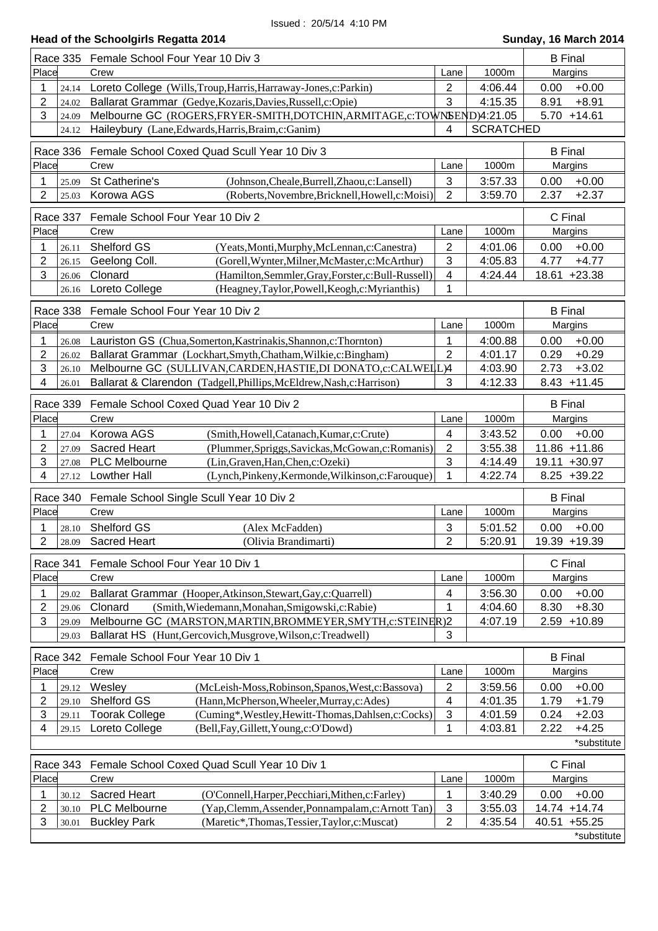|                         | <b>B</b> Final<br>Race 335 Female School Four Year 10 Div 3                   |                |                  |                 |
|-------------------------|-------------------------------------------------------------------------------|----------------|------------------|-----------------|
| Place                   | Crew                                                                          | Lane           | 1000m            | Margins         |
| 1<br>24.14              | Loreto College (Wills, Troup, Harris, Harraway-Jones, c: Parkin)              | $\overline{2}$ | 4:06.44          | $+0.00$<br>0.00 |
| 2<br>24.02              | Ballarat Grammar (Gedye, Kozaris, Davies, Russell, c: Opie)                   | 3              | 4:15.35          | $+8.91$<br>8.91 |
| 3<br>24.09              | Melbourne GC (ROGERS, FRYER-SMITH, DOTCHIN, ARMITAGE, c: TOWNSEND)4:21.05     |                |                  | $5.70 + 14.61$  |
| 24.12                   | Haileybury (Lane, Edwards, Harris, Braim, c: Ganim)                           | 4              | <b>SCRATCHED</b> |                 |
|                         |                                                                               |                |                  |                 |
| Race 336                | Female School Coxed Quad Scull Year 10 Div 3                                  |                |                  | <b>B</b> Final  |
| Place                   | Crew                                                                          | Lane           | 1000m            | Margins         |
| 1<br>25.09              | St Catherine's<br>(Johnson, Cheale, Burrell, Zhaou, c: Lansell)               | $\mathbf{3}$   | 3:57.33          | $+0.00$<br>0.00 |
| $\overline{2}$<br>25.03 | Korowa AGS<br>(Roberts, Novembre, Bricknell, Howell, c: Moisi)                | $\overline{2}$ | 3:59.70          | 2.37<br>$+2.37$ |
| Race 337                | Female School Four Year 10 Div 2                                              |                |                  | C Final         |
| Place                   | Crew                                                                          | Lane           | 1000m            | Margins         |
| 1<br>26.11              | Shelford GS<br>(Yeats, Monti, Murphy, McLennan, c: Canestra)                  | 2              | 4:01.06          | $+0.00$<br>0.00 |
| 2<br>26.15              | Geelong Coll.<br>(Gorell, Wynter, Milner, McMaster, c: McArthur)              | 3              | 4:05.83          | 4.77<br>$+4.77$ |
| 3<br>26.06              | Clonard<br>(Hamilton, Semmler, Gray, Forster, c: Bull-Russell)                | 4              | 4:24.44          | 18.61 +23.38    |
| 26.16                   | Loreto College<br>(Heagney,Taylor,Powell,Keogh,c:Myrianthis)                  | 1              |                  |                 |
|                         |                                                                               |                |                  |                 |
| <b>Race 338</b>         | Female School Four Year 10 Div 2                                              |                |                  | <b>B</b> Final  |
| Place                   | Crew                                                                          | Lane           | 1000m            | Margins         |
| 1<br>26.08              | Lauriston GS (Chua, Somerton, Kastrinakis, Shannon, c: Thornton)              | 1              | 4:00.88          | $+0.00$<br>0.00 |
| 2<br>26.02              | Ballarat Grammar (Lockhart, Smyth, Chatham, Wilkie, c: Bingham)               | $\overline{2}$ | 4:01.17          | 0.29<br>$+0.29$ |
| 3<br>26.10              | Melbourne GC (SULLIVAN, CARDEN, HASTIE, DI DONATO, c: CALWELL)4               |                | 4:03.90          | 2.73<br>$+3.02$ |
| 4<br>26.01              | Ballarat & Clarendon (Tadgell, Phillips, McEldrew, Nash, c: Harrison)         | 3              | 4:12.33          | $8.43 + 11.45$  |
|                         |                                                                               |                |                  |                 |
| Race 339                | Female School Coxed Quad Year 10 Div 2                                        |                |                  | <b>B</b> Final  |
| Place                   | Crew                                                                          | Lane           | 1000m            | Margins         |
| 1<br>27.04              | Korowa AGS<br>(Smith, Howell, Catanach, Kumar, c: Crute)                      | 4              | 3:43.52          | $+0.00$<br>0.00 |
| 2<br>27.09              | <b>Sacred Heart</b><br>(Plummer, Spriggs, Savickas, McGowan, c: Romanis)      | $\overline{2}$ | 3:55.38          | 11.86 +11.86    |
| 3<br>27.08              | PLC Melbourne<br>(Lin, Graven, Han, Chen, c: Ozeki)                           | 3              | 4:14.49          | 19.11 +30.97    |
| 4<br>27.12              | <b>Lowther Hall</b><br>(Lynch, Pinkeny, Kermonde, Wilkinson, c: Farouque)     | 1              | 4:22.74          | $8.25 + 39.22$  |
| Race 340                | Female School Single Scull Year 10 Div 2                                      |                |                  | <b>B</b> Final  |
| Place                   | Crew                                                                          | Lane           | 1000m            | Margins         |
| 28.10                   | Shelford GS<br>(Alex McFadden)                                                | 3              | 5:01.52          | 0.00<br>$+0.00$ |
| $\overline{2}$<br>28.09 | <b>Sacred Heart</b><br>(Olivia Brandimarti)                                   | $\overline{2}$ | 5:20.91          | 19.39 +19.39    |
|                         |                                                                               |                |                  |                 |
| Race 341                | Female School Four Year 10 Div 1                                              |                |                  | C Final         |
| Place                   | Crew                                                                          | Lane           | 1000m            | Margins         |
| 1<br>29.02              | Ballarat Grammar (Hooper, Atkinson, Stewart, Gay, c: Quarrell)                | 4              | 3:56.30          | 0.00<br>$+0.00$ |
| 2<br>29.06              | Clonard<br>(Smith, Wiedemann, Monahan, Smigowski, c: Rabie)                   | 1              | 4:04.60          | $+8.30$<br>8.30 |
| 3<br>29.09              | Melbourne GC (MARSTON, MARTIN, BROMMEYER, SMYTH, c: STEINER) 2                |                | 4:07.19          | $2.59 + 10.89$  |
| 29.03                   | Ballarat HS (Hunt, Gercovich, Musgrove, Wilson, c: Treadwell)                 | 3              |                  |                 |
| Race 342                | Female School Four Year 10 Div 1                                              |                |                  | <b>B</b> Final  |
| Place                   | Crew                                                                          | Lane           | 1000m            | Margins         |
| 1<br>29.12              | Wesley<br>(McLeish-Moss, Robinson, Spanos, West, c: Bassova)                  | $\overline{c}$ | 3:59.56          | $+0.00$<br>0.00 |
| 2<br>29.10              | Shelford GS<br>(Hann, McPherson, Wheeler, Murray, c: Ades)                    | 4              | 4:01.35          | 1.79<br>$+1.79$ |
| 3<br>29.11              | <b>Toorak College</b><br>(Cuming*, Westley, Hewitt-Thomas, Dahlsen, c: Cocks) | 3              | 4:01.59          | 0.24<br>$+2.03$ |
| 4<br>29.15              | Loreto College<br>(Bell, Fay, Gillett, Young, c: O'Dowd)                      | 1              | 4:03.81          | 2.22<br>$+4.25$ |
|                         |                                                                               |                |                  | *substitute     |
|                         |                                                                               |                |                  |                 |
| <b>Race 343</b>         | Female School Coxed Quad Scull Year 10 Div 1                                  |                |                  | C Final         |
| Place                   | Crew                                                                          | Lane           | 1000m            | Margins         |
| 1<br>30.12              | <b>Sacred Heart</b><br>(O'Connell, Harper, Pecchiari, Mithen, c: Farley)      | 1              | 3:40.29          | 0.00<br>$+0.00$ |
| 2<br>30.10              | <b>PLC Melbourne</b><br>(Yap,Clemm,Assender,Ponnampalam,c:Arnott Tan)         | 3              | 3:55.03          | 14.74 +14.74    |
| 3<br>30.01              | <b>Buckley Park</b><br>(Maretic*,Thomas,Tessier,Taylor,c:Muscat)              | 2              | 4:35.54          | 40.51 +55.25    |
|                         |                                                                               |                |                  | *substitute     |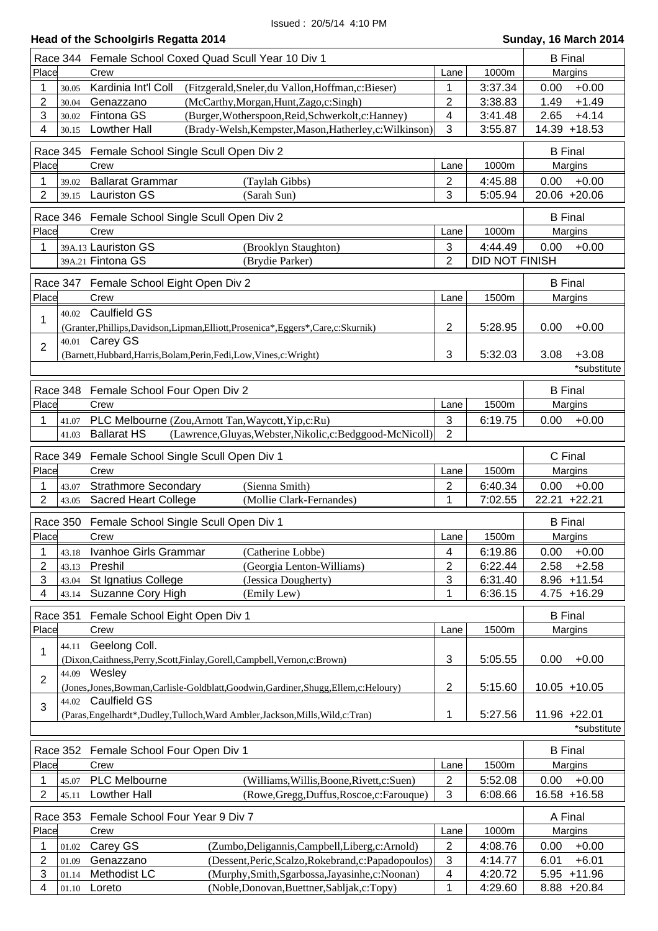|  |  | Head of the Schoolgirls Regatta 2014 |
|--|--|--------------------------------------|
|  |  |                                      |

| Place<br>Crew<br>1000m<br>Margins<br>Lane<br>3:37.34<br>$+0.00$<br>1<br>Kardinia Int'l Coll<br>1<br>0.00<br>(Fitzgerald, Sneler, du Vallon, Hoffman, c: Bieser)<br>30.05<br>$\overline{2}$<br>$+1.49$<br>$\overline{2}$<br>(McCarthy, Morgan, Hunt, Zago, c: Singh)<br>1.49<br>3:38.83<br>Genazzano<br>30.04<br>3<br>$+4.14$<br>Fintona GS<br>(Burger, Wotherspoon, Reid, Schwerkolt, c: Hanney)<br>4<br>3:41.48<br>2.65<br>30.02<br>3<br>4<br><b>Lowther Hall</b><br>(Brady-Welsh, Kempster, Mason, Hatherley, c: Wilkinson)<br>3:55.87<br>14.39 +18.53<br>30.15<br>Race 345<br>Female School Single Scull Open Div 2<br><b>B</b> Final<br>Place<br>Crew<br>Lane<br>1000m<br>Margins<br><b>Ballarat Grammar</b><br>$\overline{2}$<br>(Taylah Gibbs)<br>4:45.88<br>0.00<br>$+0.00$<br>1<br>39.02<br>$\overline{2}$<br>3<br>20.06 +20.06<br>5:05.94<br>39.15 Lauriston GS<br>(Sarah Sun)<br><b>B</b> Final<br>Race 346<br>Female School Single Scull Open Div 2<br>Place<br>Crew<br>1000m<br>Margins<br>Lane<br>39A.13 Lauriston GS<br>$\sqrt{3}$<br>4:44.49<br>$+0.00$<br>1<br>(Brooklyn Staughton)<br>0.00<br>$\overline{2}$<br><b>DID NOT FINISH</b><br>39A.21 Fintona GS<br>(Brydie Parker)<br><b>B</b> Final<br>Race 347 Female School Eight Open Div 2<br>Place<br>Crew<br>Lane<br>1500m<br>Margins<br>40.02 Caulfield GS<br>1<br>2<br>$+0.00$<br>5:28.95<br>0.00<br>(Granter, Phillips, Davidson, Lipman, Elliott, Prosenica*, Eggers*, Care, c: Skurnik)<br>40.01 Carey GS<br>$\overline{2}$<br>3<br>5:32.03<br>3.08<br>$+3.08$<br>(Barnett, Hubbard, Harris, Bolam, Perin, Fedi, Low, Vines, c: Wright)<br>*substitute<br>Race 348<br>Female School Four Open Div 2<br><b>B</b> Final<br>Place<br>Crew<br>1500m<br>Margins<br>Lane<br>$\mathbf{3}$<br>PLC Melbourne (Zou, Arnott Tan, Waycott, Yip,c:Ru)<br>6:19.75<br>1<br>0.00<br>$+0.00$<br>41.07<br>$\overline{2}$<br><b>Ballarat HS</b><br>(Lawrence, Gluyas, Webster, Nikolic, c: Bedggood-McNicoll)<br>41.03<br>Race 349<br>C Final<br>Female School Single Scull Open Div 1<br>Place<br>Crew<br>1500m<br>Margins<br>Lane<br><b>Strathmore Secondary</b><br>(Sienna Smith)<br>$\overline{2}$<br>6:40.34<br>0.00<br>$+0.00$<br>1<br>43.07<br>$\overline{2}$<br>22.21 +22.21<br>1<br>7:02.55<br><b>Sacred Heart College</b><br>(Mollie Clark-Fernandes)<br>43.05<br><b>B</b> Final<br><b>Race 350</b><br>Female School Single Scull Open Div 1<br>1500m<br>Place<br>Crew<br>Lane<br>Margins<br>6:19.86<br>$+0.00$<br>1<br>Ivanhoe Girls Grammar<br>4<br>0.00<br>(Catherine Lobbe)<br>43.18<br>2<br>$\overline{2}$<br>6:22.44<br>2.58<br>$+2.58$<br>Preshil<br>(Georgia Lenton-Williams)<br>43.13<br>3<br>St Ignatius College<br>3<br>6:31.40<br>8.96<br>$+11.54$<br>(Jessica Dougherty)<br>43.04<br>1<br>Suzanne Cory High<br>6:36.15<br>$4.75 + 16.29$<br>4<br>(Emily Lew)<br>43.14<br>Race 351<br>Female School Eight Open Div 1<br><b>B</b> Final<br>Place<br>Crew<br>1500m<br>Lane<br>Margins<br>Geelong Coll.<br>44.11<br>1<br>3<br>5:05.55<br>0.00<br>$+0.00$<br>(Dixon, Caithness, Perry, Scott, Finlay, Gorell, Campbell, Vernon, c: Brown)<br>44.09 Wesley<br>$\overline{2}$<br>2<br>(Jones, Jones, Bowman, Carlisle-Goldblatt, Goodwin, Gardiner, Shugg, Ellem, c: Heloury)<br>5:15.60<br>$10.05 + 10.05$<br>44.02 Caulfield GS<br>3<br>1<br>11.96 +22.01<br>5:27.56<br>(Paras, Engelhardt*, Dudley, Tulloch, Ward Ambler, Jackson, Mills, Wild, c: Tran)<br>*substitute<br>Female School Four Open Div 1<br><b>B</b> Final<br>Race 352<br>Place<br>Crew<br>1500m<br>Margins<br>Lane<br>PLC Melbourne<br>5:52.08<br>0.00<br>$+0.00$<br>1<br>(Williams, Willis, Boone, Rivett, c: Suen)<br>2<br>45.07<br>2<br><b>Lowther Hall</b><br>3<br>16.58 +16.58<br>(Rowe, Gregg, Duffus, Roscoe, c: Farouque)<br>6:08.66<br>45.11<br>Female School Four Year 9 Div 7<br>Race 353<br>A Final<br>Place<br>1000m<br>Crew<br>Lane<br>Margins<br>Carey GS<br>$+0.00$<br>(Zumbo, Deligannis, Campbell, Liberg, c: Arnold)<br>2<br>4:08.76<br>0.00<br>1<br>01.02<br>3<br>$+6.01$<br>2<br>Genazzano<br>(Dessent, Peric, Scalzo, Rokebrand, c: Papadopoulos)<br>4:14.77<br>6.01<br>01.09<br>3<br>Methodist LC<br>(Murphy,Smith,Sgarbossa,Jayasinhe,c:Noonan)<br>$+11.96$<br>4<br>4:20.72<br>5.95<br>01.14<br>4:29.60<br>Loreto<br>(Noble,Donovan,Buettner,Sabljak,c:Topy)<br>1<br>8.88 +20.84<br>4<br>01.10 | Race 344 | Female School Coxed Quad Scull Year 10 Div 1 | <b>B</b> Final |  |  |
|-----------------------------------------------------------------------------------------------------------------------------------------------------------------------------------------------------------------------------------------------------------------------------------------------------------------------------------------------------------------------------------------------------------------------------------------------------------------------------------------------------------------------------------------------------------------------------------------------------------------------------------------------------------------------------------------------------------------------------------------------------------------------------------------------------------------------------------------------------------------------------------------------------------------------------------------------------------------------------------------------------------------------------------------------------------------------------------------------------------------------------------------------------------------------------------------------------------------------------------------------------------------------------------------------------------------------------------------------------------------------------------------------------------------------------------------------------------------------------------------------------------------------------------------------------------------------------------------------------------------------------------------------------------------------------------------------------------------------------------------------------------------------------------------------------------------------------------------------------------------------------------------------------------------------------------------------------------------------------------------------------------------------------------------------------------------------------------------------------------------------------------------------------------------------------------------------------------------------------------------------------------------------------------------------------------------------------------------------------------------------------------------------------------------------------------------------------------------------------------------------------------------------------------------------------------------------------------------------------------------------------------------------------------------------------------------------------------------------------------------------------------------------------------------------------------------------------------------------------------------------------------------------------------------------------------------------------------------------------------------------------------------------------------------------------------------------------------------------------------------------------------------------------------------------------------------------------------------------------------------------------------------------------------------------------------------------------------------------------------------------------------------------------------------------------------------------------------------------------------------------------------------------------------------------------------------------------------------------------------------------------------------------------------------------------------------------------------------------------------------------------------------------------------------------------------------------------------------------------------------------------------------------------------------------------------------------------------------------------------------------------------------------------------------------------------------------------------------------------------------------------------------------------------------------------------------------------------------------------------------------------------------------------------------------------------------------------------------------------------------|----------|----------------------------------------------|----------------|--|--|
|                                                                                                                                                                                                                                                                                                                                                                                                                                                                                                                                                                                                                                                                                                                                                                                                                                                                                                                                                                                                                                                                                                                                                                                                                                                                                                                                                                                                                                                                                                                                                                                                                                                                                                                                                                                                                                                                                                                                                                                                                                                                                                                                                                                                                                                                                                                                                                                                                                                                                                                                                                                                                                                                                                                                                                                                                                                                                                                                                                                                                                                                                                                                                                                                                                                                                                                                                                                                                                                                                                                                                                                                                                                                                                                                                                                                                                                                                                                                                                                                                                                                                                                                                                                                                                                                                                                                                                 |          |                                              |                |  |  |
|                                                                                                                                                                                                                                                                                                                                                                                                                                                                                                                                                                                                                                                                                                                                                                                                                                                                                                                                                                                                                                                                                                                                                                                                                                                                                                                                                                                                                                                                                                                                                                                                                                                                                                                                                                                                                                                                                                                                                                                                                                                                                                                                                                                                                                                                                                                                                                                                                                                                                                                                                                                                                                                                                                                                                                                                                                                                                                                                                                                                                                                                                                                                                                                                                                                                                                                                                                                                                                                                                                                                                                                                                                                                                                                                                                                                                                                                                                                                                                                                                                                                                                                                                                                                                                                                                                                                                                 |          |                                              |                |  |  |
|                                                                                                                                                                                                                                                                                                                                                                                                                                                                                                                                                                                                                                                                                                                                                                                                                                                                                                                                                                                                                                                                                                                                                                                                                                                                                                                                                                                                                                                                                                                                                                                                                                                                                                                                                                                                                                                                                                                                                                                                                                                                                                                                                                                                                                                                                                                                                                                                                                                                                                                                                                                                                                                                                                                                                                                                                                                                                                                                                                                                                                                                                                                                                                                                                                                                                                                                                                                                                                                                                                                                                                                                                                                                                                                                                                                                                                                                                                                                                                                                                                                                                                                                                                                                                                                                                                                                                                 |          |                                              |                |  |  |
|                                                                                                                                                                                                                                                                                                                                                                                                                                                                                                                                                                                                                                                                                                                                                                                                                                                                                                                                                                                                                                                                                                                                                                                                                                                                                                                                                                                                                                                                                                                                                                                                                                                                                                                                                                                                                                                                                                                                                                                                                                                                                                                                                                                                                                                                                                                                                                                                                                                                                                                                                                                                                                                                                                                                                                                                                                                                                                                                                                                                                                                                                                                                                                                                                                                                                                                                                                                                                                                                                                                                                                                                                                                                                                                                                                                                                                                                                                                                                                                                                                                                                                                                                                                                                                                                                                                                                                 |          |                                              |                |  |  |
|                                                                                                                                                                                                                                                                                                                                                                                                                                                                                                                                                                                                                                                                                                                                                                                                                                                                                                                                                                                                                                                                                                                                                                                                                                                                                                                                                                                                                                                                                                                                                                                                                                                                                                                                                                                                                                                                                                                                                                                                                                                                                                                                                                                                                                                                                                                                                                                                                                                                                                                                                                                                                                                                                                                                                                                                                                                                                                                                                                                                                                                                                                                                                                                                                                                                                                                                                                                                                                                                                                                                                                                                                                                                                                                                                                                                                                                                                                                                                                                                                                                                                                                                                                                                                                                                                                                                                                 |          |                                              |                |  |  |
|                                                                                                                                                                                                                                                                                                                                                                                                                                                                                                                                                                                                                                                                                                                                                                                                                                                                                                                                                                                                                                                                                                                                                                                                                                                                                                                                                                                                                                                                                                                                                                                                                                                                                                                                                                                                                                                                                                                                                                                                                                                                                                                                                                                                                                                                                                                                                                                                                                                                                                                                                                                                                                                                                                                                                                                                                                                                                                                                                                                                                                                                                                                                                                                                                                                                                                                                                                                                                                                                                                                                                                                                                                                                                                                                                                                                                                                                                                                                                                                                                                                                                                                                                                                                                                                                                                                                                                 |          |                                              |                |  |  |
|                                                                                                                                                                                                                                                                                                                                                                                                                                                                                                                                                                                                                                                                                                                                                                                                                                                                                                                                                                                                                                                                                                                                                                                                                                                                                                                                                                                                                                                                                                                                                                                                                                                                                                                                                                                                                                                                                                                                                                                                                                                                                                                                                                                                                                                                                                                                                                                                                                                                                                                                                                                                                                                                                                                                                                                                                                                                                                                                                                                                                                                                                                                                                                                                                                                                                                                                                                                                                                                                                                                                                                                                                                                                                                                                                                                                                                                                                                                                                                                                                                                                                                                                                                                                                                                                                                                                                                 |          |                                              |                |  |  |
|                                                                                                                                                                                                                                                                                                                                                                                                                                                                                                                                                                                                                                                                                                                                                                                                                                                                                                                                                                                                                                                                                                                                                                                                                                                                                                                                                                                                                                                                                                                                                                                                                                                                                                                                                                                                                                                                                                                                                                                                                                                                                                                                                                                                                                                                                                                                                                                                                                                                                                                                                                                                                                                                                                                                                                                                                                                                                                                                                                                                                                                                                                                                                                                                                                                                                                                                                                                                                                                                                                                                                                                                                                                                                                                                                                                                                                                                                                                                                                                                                                                                                                                                                                                                                                                                                                                                                                 |          |                                              |                |  |  |
|                                                                                                                                                                                                                                                                                                                                                                                                                                                                                                                                                                                                                                                                                                                                                                                                                                                                                                                                                                                                                                                                                                                                                                                                                                                                                                                                                                                                                                                                                                                                                                                                                                                                                                                                                                                                                                                                                                                                                                                                                                                                                                                                                                                                                                                                                                                                                                                                                                                                                                                                                                                                                                                                                                                                                                                                                                                                                                                                                                                                                                                                                                                                                                                                                                                                                                                                                                                                                                                                                                                                                                                                                                                                                                                                                                                                                                                                                                                                                                                                                                                                                                                                                                                                                                                                                                                                                                 |          |                                              |                |  |  |
|                                                                                                                                                                                                                                                                                                                                                                                                                                                                                                                                                                                                                                                                                                                                                                                                                                                                                                                                                                                                                                                                                                                                                                                                                                                                                                                                                                                                                                                                                                                                                                                                                                                                                                                                                                                                                                                                                                                                                                                                                                                                                                                                                                                                                                                                                                                                                                                                                                                                                                                                                                                                                                                                                                                                                                                                                                                                                                                                                                                                                                                                                                                                                                                                                                                                                                                                                                                                                                                                                                                                                                                                                                                                                                                                                                                                                                                                                                                                                                                                                                                                                                                                                                                                                                                                                                                                                                 |          |                                              |                |  |  |
|                                                                                                                                                                                                                                                                                                                                                                                                                                                                                                                                                                                                                                                                                                                                                                                                                                                                                                                                                                                                                                                                                                                                                                                                                                                                                                                                                                                                                                                                                                                                                                                                                                                                                                                                                                                                                                                                                                                                                                                                                                                                                                                                                                                                                                                                                                                                                                                                                                                                                                                                                                                                                                                                                                                                                                                                                                                                                                                                                                                                                                                                                                                                                                                                                                                                                                                                                                                                                                                                                                                                                                                                                                                                                                                                                                                                                                                                                                                                                                                                                                                                                                                                                                                                                                                                                                                                                                 |          |                                              |                |  |  |
|                                                                                                                                                                                                                                                                                                                                                                                                                                                                                                                                                                                                                                                                                                                                                                                                                                                                                                                                                                                                                                                                                                                                                                                                                                                                                                                                                                                                                                                                                                                                                                                                                                                                                                                                                                                                                                                                                                                                                                                                                                                                                                                                                                                                                                                                                                                                                                                                                                                                                                                                                                                                                                                                                                                                                                                                                                                                                                                                                                                                                                                                                                                                                                                                                                                                                                                                                                                                                                                                                                                                                                                                                                                                                                                                                                                                                                                                                                                                                                                                                                                                                                                                                                                                                                                                                                                                                                 |          |                                              |                |  |  |
|                                                                                                                                                                                                                                                                                                                                                                                                                                                                                                                                                                                                                                                                                                                                                                                                                                                                                                                                                                                                                                                                                                                                                                                                                                                                                                                                                                                                                                                                                                                                                                                                                                                                                                                                                                                                                                                                                                                                                                                                                                                                                                                                                                                                                                                                                                                                                                                                                                                                                                                                                                                                                                                                                                                                                                                                                                                                                                                                                                                                                                                                                                                                                                                                                                                                                                                                                                                                                                                                                                                                                                                                                                                                                                                                                                                                                                                                                                                                                                                                                                                                                                                                                                                                                                                                                                                                                                 |          |                                              |                |  |  |
|                                                                                                                                                                                                                                                                                                                                                                                                                                                                                                                                                                                                                                                                                                                                                                                                                                                                                                                                                                                                                                                                                                                                                                                                                                                                                                                                                                                                                                                                                                                                                                                                                                                                                                                                                                                                                                                                                                                                                                                                                                                                                                                                                                                                                                                                                                                                                                                                                                                                                                                                                                                                                                                                                                                                                                                                                                                                                                                                                                                                                                                                                                                                                                                                                                                                                                                                                                                                                                                                                                                                                                                                                                                                                                                                                                                                                                                                                                                                                                                                                                                                                                                                                                                                                                                                                                                                                                 |          |                                              |                |  |  |
|                                                                                                                                                                                                                                                                                                                                                                                                                                                                                                                                                                                                                                                                                                                                                                                                                                                                                                                                                                                                                                                                                                                                                                                                                                                                                                                                                                                                                                                                                                                                                                                                                                                                                                                                                                                                                                                                                                                                                                                                                                                                                                                                                                                                                                                                                                                                                                                                                                                                                                                                                                                                                                                                                                                                                                                                                                                                                                                                                                                                                                                                                                                                                                                                                                                                                                                                                                                                                                                                                                                                                                                                                                                                                                                                                                                                                                                                                                                                                                                                                                                                                                                                                                                                                                                                                                                                                                 |          |                                              |                |  |  |
|                                                                                                                                                                                                                                                                                                                                                                                                                                                                                                                                                                                                                                                                                                                                                                                                                                                                                                                                                                                                                                                                                                                                                                                                                                                                                                                                                                                                                                                                                                                                                                                                                                                                                                                                                                                                                                                                                                                                                                                                                                                                                                                                                                                                                                                                                                                                                                                                                                                                                                                                                                                                                                                                                                                                                                                                                                                                                                                                                                                                                                                                                                                                                                                                                                                                                                                                                                                                                                                                                                                                                                                                                                                                                                                                                                                                                                                                                                                                                                                                                                                                                                                                                                                                                                                                                                                                                                 |          |                                              |                |  |  |
|                                                                                                                                                                                                                                                                                                                                                                                                                                                                                                                                                                                                                                                                                                                                                                                                                                                                                                                                                                                                                                                                                                                                                                                                                                                                                                                                                                                                                                                                                                                                                                                                                                                                                                                                                                                                                                                                                                                                                                                                                                                                                                                                                                                                                                                                                                                                                                                                                                                                                                                                                                                                                                                                                                                                                                                                                                                                                                                                                                                                                                                                                                                                                                                                                                                                                                                                                                                                                                                                                                                                                                                                                                                                                                                                                                                                                                                                                                                                                                                                                                                                                                                                                                                                                                                                                                                                                                 |          |                                              |                |  |  |
|                                                                                                                                                                                                                                                                                                                                                                                                                                                                                                                                                                                                                                                                                                                                                                                                                                                                                                                                                                                                                                                                                                                                                                                                                                                                                                                                                                                                                                                                                                                                                                                                                                                                                                                                                                                                                                                                                                                                                                                                                                                                                                                                                                                                                                                                                                                                                                                                                                                                                                                                                                                                                                                                                                                                                                                                                                                                                                                                                                                                                                                                                                                                                                                                                                                                                                                                                                                                                                                                                                                                                                                                                                                                                                                                                                                                                                                                                                                                                                                                                                                                                                                                                                                                                                                                                                                                                                 |          |                                              |                |  |  |
|                                                                                                                                                                                                                                                                                                                                                                                                                                                                                                                                                                                                                                                                                                                                                                                                                                                                                                                                                                                                                                                                                                                                                                                                                                                                                                                                                                                                                                                                                                                                                                                                                                                                                                                                                                                                                                                                                                                                                                                                                                                                                                                                                                                                                                                                                                                                                                                                                                                                                                                                                                                                                                                                                                                                                                                                                                                                                                                                                                                                                                                                                                                                                                                                                                                                                                                                                                                                                                                                                                                                                                                                                                                                                                                                                                                                                                                                                                                                                                                                                                                                                                                                                                                                                                                                                                                                                                 |          |                                              |                |  |  |
|                                                                                                                                                                                                                                                                                                                                                                                                                                                                                                                                                                                                                                                                                                                                                                                                                                                                                                                                                                                                                                                                                                                                                                                                                                                                                                                                                                                                                                                                                                                                                                                                                                                                                                                                                                                                                                                                                                                                                                                                                                                                                                                                                                                                                                                                                                                                                                                                                                                                                                                                                                                                                                                                                                                                                                                                                                                                                                                                                                                                                                                                                                                                                                                                                                                                                                                                                                                                                                                                                                                                                                                                                                                                                                                                                                                                                                                                                                                                                                                                                                                                                                                                                                                                                                                                                                                                                                 |          |                                              |                |  |  |
|                                                                                                                                                                                                                                                                                                                                                                                                                                                                                                                                                                                                                                                                                                                                                                                                                                                                                                                                                                                                                                                                                                                                                                                                                                                                                                                                                                                                                                                                                                                                                                                                                                                                                                                                                                                                                                                                                                                                                                                                                                                                                                                                                                                                                                                                                                                                                                                                                                                                                                                                                                                                                                                                                                                                                                                                                                                                                                                                                                                                                                                                                                                                                                                                                                                                                                                                                                                                                                                                                                                                                                                                                                                                                                                                                                                                                                                                                                                                                                                                                                                                                                                                                                                                                                                                                                                                                                 |          |                                              |                |  |  |
|                                                                                                                                                                                                                                                                                                                                                                                                                                                                                                                                                                                                                                                                                                                                                                                                                                                                                                                                                                                                                                                                                                                                                                                                                                                                                                                                                                                                                                                                                                                                                                                                                                                                                                                                                                                                                                                                                                                                                                                                                                                                                                                                                                                                                                                                                                                                                                                                                                                                                                                                                                                                                                                                                                                                                                                                                                                                                                                                                                                                                                                                                                                                                                                                                                                                                                                                                                                                                                                                                                                                                                                                                                                                                                                                                                                                                                                                                                                                                                                                                                                                                                                                                                                                                                                                                                                                                                 |          |                                              |                |  |  |
|                                                                                                                                                                                                                                                                                                                                                                                                                                                                                                                                                                                                                                                                                                                                                                                                                                                                                                                                                                                                                                                                                                                                                                                                                                                                                                                                                                                                                                                                                                                                                                                                                                                                                                                                                                                                                                                                                                                                                                                                                                                                                                                                                                                                                                                                                                                                                                                                                                                                                                                                                                                                                                                                                                                                                                                                                                                                                                                                                                                                                                                                                                                                                                                                                                                                                                                                                                                                                                                                                                                                                                                                                                                                                                                                                                                                                                                                                                                                                                                                                                                                                                                                                                                                                                                                                                                                                                 |          |                                              |                |  |  |
|                                                                                                                                                                                                                                                                                                                                                                                                                                                                                                                                                                                                                                                                                                                                                                                                                                                                                                                                                                                                                                                                                                                                                                                                                                                                                                                                                                                                                                                                                                                                                                                                                                                                                                                                                                                                                                                                                                                                                                                                                                                                                                                                                                                                                                                                                                                                                                                                                                                                                                                                                                                                                                                                                                                                                                                                                                                                                                                                                                                                                                                                                                                                                                                                                                                                                                                                                                                                                                                                                                                                                                                                                                                                                                                                                                                                                                                                                                                                                                                                                                                                                                                                                                                                                                                                                                                                                                 |          |                                              |                |  |  |
|                                                                                                                                                                                                                                                                                                                                                                                                                                                                                                                                                                                                                                                                                                                                                                                                                                                                                                                                                                                                                                                                                                                                                                                                                                                                                                                                                                                                                                                                                                                                                                                                                                                                                                                                                                                                                                                                                                                                                                                                                                                                                                                                                                                                                                                                                                                                                                                                                                                                                                                                                                                                                                                                                                                                                                                                                                                                                                                                                                                                                                                                                                                                                                                                                                                                                                                                                                                                                                                                                                                                                                                                                                                                                                                                                                                                                                                                                                                                                                                                                                                                                                                                                                                                                                                                                                                                                                 |          |                                              |                |  |  |
|                                                                                                                                                                                                                                                                                                                                                                                                                                                                                                                                                                                                                                                                                                                                                                                                                                                                                                                                                                                                                                                                                                                                                                                                                                                                                                                                                                                                                                                                                                                                                                                                                                                                                                                                                                                                                                                                                                                                                                                                                                                                                                                                                                                                                                                                                                                                                                                                                                                                                                                                                                                                                                                                                                                                                                                                                                                                                                                                                                                                                                                                                                                                                                                                                                                                                                                                                                                                                                                                                                                                                                                                                                                                                                                                                                                                                                                                                                                                                                                                                                                                                                                                                                                                                                                                                                                                                                 |          |                                              |                |  |  |
|                                                                                                                                                                                                                                                                                                                                                                                                                                                                                                                                                                                                                                                                                                                                                                                                                                                                                                                                                                                                                                                                                                                                                                                                                                                                                                                                                                                                                                                                                                                                                                                                                                                                                                                                                                                                                                                                                                                                                                                                                                                                                                                                                                                                                                                                                                                                                                                                                                                                                                                                                                                                                                                                                                                                                                                                                                                                                                                                                                                                                                                                                                                                                                                                                                                                                                                                                                                                                                                                                                                                                                                                                                                                                                                                                                                                                                                                                                                                                                                                                                                                                                                                                                                                                                                                                                                                                                 |          |                                              |                |  |  |
|                                                                                                                                                                                                                                                                                                                                                                                                                                                                                                                                                                                                                                                                                                                                                                                                                                                                                                                                                                                                                                                                                                                                                                                                                                                                                                                                                                                                                                                                                                                                                                                                                                                                                                                                                                                                                                                                                                                                                                                                                                                                                                                                                                                                                                                                                                                                                                                                                                                                                                                                                                                                                                                                                                                                                                                                                                                                                                                                                                                                                                                                                                                                                                                                                                                                                                                                                                                                                                                                                                                                                                                                                                                                                                                                                                                                                                                                                                                                                                                                                                                                                                                                                                                                                                                                                                                                                                 |          |                                              |                |  |  |
|                                                                                                                                                                                                                                                                                                                                                                                                                                                                                                                                                                                                                                                                                                                                                                                                                                                                                                                                                                                                                                                                                                                                                                                                                                                                                                                                                                                                                                                                                                                                                                                                                                                                                                                                                                                                                                                                                                                                                                                                                                                                                                                                                                                                                                                                                                                                                                                                                                                                                                                                                                                                                                                                                                                                                                                                                                                                                                                                                                                                                                                                                                                                                                                                                                                                                                                                                                                                                                                                                                                                                                                                                                                                                                                                                                                                                                                                                                                                                                                                                                                                                                                                                                                                                                                                                                                                                                 |          |                                              |                |  |  |
|                                                                                                                                                                                                                                                                                                                                                                                                                                                                                                                                                                                                                                                                                                                                                                                                                                                                                                                                                                                                                                                                                                                                                                                                                                                                                                                                                                                                                                                                                                                                                                                                                                                                                                                                                                                                                                                                                                                                                                                                                                                                                                                                                                                                                                                                                                                                                                                                                                                                                                                                                                                                                                                                                                                                                                                                                                                                                                                                                                                                                                                                                                                                                                                                                                                                                                                                                                                                                                                                                                                                                                                                                                                                                                                                                                                                                                                                                                                                                                                                                                                                                                                                                                                                                                                                                                                                                                 |          |                                              |                |  |  |
|                                                                                                                                                                                                                                                                                                                                                                                                                                                                                                                                                                                                                                                                                                                                                                                                                                                                                                                                                                                                                                                                                                                                                                                                                                                                                                                                                                                                                                                                                                                                                                                                                                                                                                                                                                                                                                                                                                                                                                                                                                                                                                                                                                                                                                                                                                                                                                                                                                                                                                                                                                                                                                                                                                                                                                                                                                                                                                                                                                                                                                                                                                                                                                                                                                                                                                                                                                                                                                                                                                                                                                                                                                                                                                                                                                                                                                                                                                                                                                                                                                                                                                                                                                                                                                                                                                                                                                 |          |                                              |                |  |  |
|                                                                                                                                                                                                                                                                                                                                                                                                                                                                                                                                                                                                                                                                                                                                                                                                                                                                                                                                                                                                                                                                                                                                                                                                                                                                                                                                                                                                                                                                                                                                                                                                                                                                                                                                                                                                                                                                                                                                                                                                                                                                                                                                                                                                                                                                                                                                                                                                                                                                                                                                                                                                                                                                                                                                                                                                                                                                                                                                                                                                                                                                                                                                                                                                                                                                                                                                                                                                                                                                                                                                                                                                                                                                                                                                                                                                                                                                                                                                                                                                                                                                                                                                                                                                                                                                                                                                                                 |          |                                              |                |  |  |
|                                                                                                                                                                                                                                                                                                                                                                                                                                                                                                                                                                                                                                                                                                                                                                                                                                                                                                                                                                                                                                                                                                                                                                                                                                                                                                                                                                                                                                                                                                                                                                                                                                                                                                                                                                                                                                                                                                                                                                                                                                                                                                                                                                                                                                                                                                                                                                                                                                                                                                                                                                                                                                                                                                                                                                                                                                                                                                                                                                                                                                                                                                                                                                                                                                                                                                                                                                                                                                                                                                                                                                                                                                                                                                                                                                                                                                                                                                                                                                                                                                                                                                                                                                                                                                                                                                                                                                 |          |                                              |                |  |  |
|                                                                                                                                                                                                                                                                                                                                                                                                                                                                                                                                                                                                                                                                                                                                                                                                                                                                                                                                                                                                                                                                                                                                                                                                                                                                                                                                                                                                                                                                                                                                                                                                                                                                                                                                                                                                                                                                                                                                                                                                                                                                                                                                                                                                                                                                                                                                                                                                                                                                                                                                                                                                                                                                                                                                                                                                                                                                                                                                                                                                                                                                                                                                                                                                                                                                                                                                                                                                                                                                                                                                                                                                                                                                                                                                                                                                                                                                                                                                                                                                                                                                                                                                                                                                                                                                                                                                                                 |          |                                              |                |  |  |
|                                                                                                                                                                                                                                                                                                                                                                                                                                                                                                                                                                                                                                                                                                                                                                                                                                                                                                                                                                                                                                                                                                                                                                                                                                                                                                                                                                                                                                                                                                                                                                                                                                                                                                                                                                                                                                                                                                                                                                                                                                                                                                                                                                                                                                                                                                                                                                                                                                                                                                                                                                                                                                                                                                                                                                                                                                                                                                                                                                                                                                                                                                                                                                                                                                                                                                                                                                                                                                                                                                                                                                                                                                                                                                                                                                                                                                                                                                                                                                                                                                                                                                                                                                                                                                                                                                                                                                 |          |                                              |                |  |  |
|                                                                                                                                                                                                                                                                                                                                                                                                                                                                                                                                                                                                                                                                                                                                                                                                                                                                                                                                                                                                                                                                                                                                                                                                                                                                                                                                                                                                                                                                                                                                                                                                                                                                                                                                                                                                                                                                                                                                                                                                                                                                                                                                                                                                                                                                                                                                                                                                                                                                                                                                                                                                                                                                                                                                                                                                                                                                                                                                                                                                                                                                                                                                                                                                                                                                                                                                                                                                                                                                                                                                                                                                                                                                                                                                                                                                                                                                                                                                                                                                                                                                                                                                                                                                                                                                                                                                                                 |          |                                              |                |  |  |
|                                                                                                                                                                                                                                                                                                                                                                                                                                                                                                                                                                                                                                                                                                                                                                                                                                                                                                                                                                                                                                                                                                                                                                                                                                                                                                                                                                                                                                                                                                                                                                                                                                                                                                                                                                                                                                                                                                                                                                                                                                                                                                                                                                                                                                                                                                                                                                                                                                                                                                                                                                                                                                                                                                                                                                                                                                                                                                                                                                                                                                                                                                                                                                                                                                                                                                                                                                                                                                                                                                                                                                                                                                                                                                                                                                                                                                                                                                                                                                                                                                                                                                                                                                                                                                                                                                                                                                 |          |                                              |                |  |  |
|                                                                                                                                                                                                                                                                                                                                                                                                                                                                                                                                                                                                                                                                                                                                                                                                                                                                                                                                                                                                                                                                                                                                                                                                                                                                                                                                                                                                                                                                                                                                                                                                                                                                                                                                                                                                                                                                                                                                                                                                                                                                                                                                                                                                                                                                                                                                                                                                                                                                                                                                                                                                                                                                                                                                                                                                                                                                                                                                                                                                                                                                                                                                                                                                                                                                                                                                                                                                                                                                                                                                                                                                                                                                                                                                                                                                                                                                                                                                                                                                                                                                                                                                                                                                                                                                                                                                                                 |          |                                              |                |  |  |
|                                                                                                                                                                                                                                                                                                                                                                                                                                                                                                                                                                                                                                                                                                                                                                                                                                                                                                                                                                                                                                                                                                                                                                                                                                                                                                                                                                                                                                                                                                                                                                                                                                                                                                                                                                                                                                                                                                                                                                                                                                                                                                                                                                                                                                                                                                                                                                                                                                                                                                                                                                                                                                                                                                                                                                                                                                                                                                                                                                                                                                                                                                                                                                                                                                                                                                                                                                                                                                                                                                                                                                                                                                                                                                                                                                                                                                                                                                                                                                                                                                                                                                                                                                                                                                                                                                                                                                 |          |                                              |                |  |  |
|                                                                                                                                                                                                                                                                                                                                                                                                                                                                                                                                                                                                                                                                                                                                                                                                                                                                                                                                                                                                                                                                                                                                                                                                                                                                                                                                                                                                                                                                                                                                                                                                                                                                                                                                                                                                                                                                                                                                                                                                                                                                                                                                                                                                                                                                                                                                                                                                                                                                                                                                                                                                                                                                                                                                                                                                                                                                                                                                                                                                                                                                                                                                                                                                                                                                                                                                                                                                                                                                                                                                                                                                                                                                                                                                                                                                                                                                                                                                                                                                                                                                                                                                                                                                                                                                                                                                                                 |          |                                              |                |  |  |
|                                                                                                                                                                                                                                                                                                                                                                                                                                                                                                                                                                                                                                                                                                                                                                                                                                                                                                                                                                                                                                                                                                                                                                                                                                                                                                                                                                                                                                                                                                                                                                                                                                                                                                                                                                                                                                                                                                                                                                                                                                                                                                                                                                                                                                                                                                                                                                                                                                                                                                                                                                                                                                                                                                                                                                                                                                                                                                                                                                                                                                                                                                                                                                                                                                                                                                                                                                                                                                                                                                                                                                                                                                                                                                                                                                                                                                                                                                                                                                                                                                                                                                                                                                                                                                                                                                                                                                 |          |                                              |                |  |  |
|                                                                                                                                                                                                                                                                                                                                                                                                                                                                                                                                                                                                                                                                                                                                                                                                                                                                                                                                                                                                                                                                                                                                                                                                                                                                                                                                                                                                                                                                                                                                                                                                                                                                                                                                                                                                                                                                                                                                                                                                                                                                                                                                                                                                                                                                                                                                                                                                                                                                                                                                                                                                                                                                                                                                                                                                                                                                                                                                                                                                                                                                                                                                                                                                                                                                                                                                                                                                                                                                                                                                                                                                                                                                                                                                                                                                                                                                                                                                                                                                                                                                                                                                                                                                                                                                                                                                                                 |          |                                              |                |  |  |
|                                                                                                                                                                                                                                                                                                                                                                                                                                                                                                                                                                                                                                                                                                                                                                                                                                                                                                                                                                                                                                                                                                                                                                                                                                                                                                                                                                                                                                                                                                                                                                                                                                                                                                                                                                                                                                                                                                                                                                                                                                                                                                                                                                                                                                                                                                                                                                                                                                                                                                                                                                                                                                                                                                                                                                                                                                                                                                                                                                                                                                                                                                                                                                                                                                                                                                                                                                                                                                                                                                                                                                                                                                                                                                                                                                                                                                                                                                                                                                                                                                                                                                                                                                                                                                                                                                                                                                 |          |                                              |                |  |  |
|                                                                                                                                                                                                                                                                                                                                                                                                                                                                                                                                                                                                                                                                                                                                                                                                                                                                                                                                                                                                                                                                                                                                                                                                                                                                                                                                                                                                                                                                                                                                                                                                                                                                                                                                                                                                                                                                                                                                                                                                                                                                                                                                                                                                                                                                                                                                                                                                                                                                                                                                                                                                                                                                                                                                                                                                                                                                                                                                                                                                                                                                                                                                                                                                                                                                                                                                                                                                                                                                                                                                                                                                                                                                                                                                                                                                                                                                                                                                                                                                                                                                                                                                                                                                                                                                                                                                                                 |          |                                              |                |  |  |
|                                                                                                                                                                                                                                                                                                                                                                                                                                                                                                                                                                                                                                                                                                                                                                                                                                                                                                                                                                                                                                                                                                                                                                                                                                                                                                                                                                                                                                                                                                                                                                                                                                                                                                                                                                                                                                                                                                                                                                                                                                                                                                                                                                                                                                                                                                                                                                                                                                                                                                                                                                                                                                                                                                                                                                                                                                                                                                                                                                                                                                                                                                                                                                                                                                                                                                                                                                                                                                                                                                                                                                                                                                                                                                                                                                                                                                                                                                                                                                                                                                                                                                                                                                                                                                                                                                                                                                 |          |                                              |                |  |  |
|                                                                                                                                                                                                                                                                                                                                                                                                                                                                                                                                                                                                                                                                                                                                                                                                                                                                                                                                                                                                                                                                                                                                                                                                                                                                                                                                                                                                                                                                                                                                                                                                                                                                                                                                                                                                                                                                                                                                                                                                                                                                                                                                                                                                                                                                                                                                                                                                                                                                                                                                                                                                                                                                                                                                                                                                                                                                                                                                                                                                                                                                                                                                                                                                                                                                                                                                                                                                                                                                                                                                                                                                                                                                                                                                                                                                                                                                                                                                                                                                                                                                                                                                                                                                                                                                                                                                                                 |          |                                              |                |  |  |
|                                                                                                                                                                                                                                                                                                                                                                                                                                                                                                                                                                                                                                                                                                                                                                                                                                                                                                                                                                                                                                                                                                                                                                                                                                                                                                                                                                                                                                                                                                                                                                                                                                                                                                                                                                                                                                                                                                                                                                                                                                                                                                                                                                                                                                                                                                                                                                                                                                                                                                                                                                                                                                                                                                                                                                                                                                                                                                                                                                                                                                                                                                                                                                                                                                                                                                                                                                                                                                                                                                                                                                                                                                                                                                                                                                                                                                                                                                                                                                                                                                                                                                                                                                                                                                                                                                                                                                 |          |                                              |                |  |  |
|                                                                                                                                                                                                                                                                                                                                                                                                                                                                                                                                                                                                                                                                                                                                                                                                                                                                                                                                                                                                                                                                                                                                                                                                                                                                                                                                                                                                                                                                                                                                                                                                                                                                                                                                                                                                                                                                                                                                                                                                                                                                                                                                                                                                                                                                                                                                                                                                                                                                                                                                                                                                                                                                                                                                                                                                                                                                                                                                                                                                                                                                                                                                                                                                                                                                                                                                                                                                                                                                                                                                                                                                                                                                                                                                                                                                                                                                                                                                                                                                                                                                                                                                                                                                                                                                                                                                                                 |          |                                              |                |  |  |
|                                                                                                                                                                                                                                                                                                                                                                                                                                                                                                                                                                                                                                                                                                                                                                                                                                                                                                                                                                                                                                                                                                                                                                                                                                                                                                                                                                                                                                                                                                                                                                                                                                                                                                                                                                                                                                                                                                                                                                                                                                                                                                                                                                                                                                                                                                                                                                                                                                                                                                                                                                                                                                                                                                                                                                                                                                                                                                                                                                                                                                                                                                                                                                                                                                                                                                                                                                                                                                                                                                                                                                                                                                                                                                                                                                                                                                                                                                                                                                                                                                                                                                                                                                                                                                                                                                                                                                 |          |                                              |                |  |  |
|                                                                                                                                                                                                                                                                                                                                                                                                                                                                                                                                                                                                                                                                                                                                                                                                                                                                                                                                                                                                                                                                                                                                                                                                                                                                                                                                                                                                                                                                                                                                                                                                                                                                                                                                                                                                                                                                                                                                                                                                                                                                                                                                                                                                                                                                                                                                                                                                                                                                                                                                                                                                                                                                                                                                                                                                                                                                                                                                                                                                                                                                                                                                                                                                                                                                                                                                                                                                                                                                                                                                                                                                                                                                                                                                                                                                                                                                                                                                                                                                                                                                                                                                                                                                                                                                                                                                                                 |          |                                              |                |  |  |
|                                                                                                                                                                                                                                                                                                                                                                                                                                                                                                                                                                                                                                                                                                                                                                                                                                                                                                                                                                                                                                                                                                                                                                                                                                                                                                                                                                                                                                                                                                                                                                                                                                                                                                                                                                                                                                                                                                                                                                                                                                                                                                                                                                                                                                                                                                                                                                                                                                                                                                                                                                                                                                                                                                                                                                                                                                                                                                                                                                                                                                                                                                                                                                                                                                                                                                                                                                                                                                                                                                                                                                                                                                                                                                                                                                                                                                                                                                                                                                                                                                                                                                                                                                                                                                                                                                                                                                 |          |                                              |                |  |  |
|                                                                                                                                                                                                                                                                                                                                                                                                                                                                                                                                                                                                                                                                                                                                                                                                                                                                                                                                                                                                                                                                                                                                                                                                                                                                                                                                                                                                                                                                                                                                                                                                                                                                                                                                                                                                                                                                                                                                                                                                                                                                                                                                                                                                                                                                                                                                                                                                                                                                                                                                                                                                                                                                                                                                                                                                                                                                                                                                                                                                                                                                                                                                                                                                                                                                                                                                                                                                                                                                                                                                                                                                                                                                                                                                                                                                                                                                                                                                                                                                                                                                                                                                                                                                                                                                                                                                                                 |          |                                              |                |  |  |
|                                                                                                                                                                                                                                                                                                                                                                                                                                                                                                                                                                                                                                                                                                                                                                                                                                                                                                                                                                                                                                                                                                                                                                                                                                                                                                                                                                                                                                                                                                                                                                                                                                                                                                                                                                                                                                                                                                                                                                                                                                                                                                                                                                                                                                                                                                                                                                                                                                                                                                                                                                                                                                                                                                                                                                                                                                                                                                                                                                                                                                                                                                                                                                                                                                                                                                                                                                                                                                                                                                                                                                                                                                                                                                                                                                                                                                                                                                                                                                                                                                                                                                                                                                                                                                                                                                                                                                 |          |                                              |                |  |  |
|                                                                                                                                                                                                                                                                                                                                                                                                                                                                                                                                                                                                                                                                                                                                                                                                                                                                                                                                                                                                                                                                                                                                                                                                                                                                                                                                                                                                                                                                                                                                                                                                                                                                                                                                                                                                                                                                                                                                                                                                                                                                                                                                                                                                                                                                                                                                                                                                                                                                                                                                                                                                                                                                                                                                                                                                                                                                                                                                                                                                                                                                                                                                                                                                                                                                                                                                                                                                                                                                                                                                                                                                                                                                                                                                                                                                                                                                                                                                                                                                                                                                                                                                                                                                                                                                                                                                                                 |          |                                              |                |  |  |
|                                                                                                                                                                                                                                                                                                                                                                                                                                                                                                                                                                                                                                                                                                                                                                                                                                                                                                                                                                                                                                                                                                                                                                                                                                                                                                                                                                                                                                                                                                                                                                                                                                                                                                                                                                                                                                                                                                                                                                                                                                                                                                                                                                                                                                                                                                                                                                                                                                                                                                                                                                                                                                                                                                                                                                                                                                                                                                                                                                                                                                                                                                                                                                                                                                                                                                                                                                                                                                                                                                                                                                                                                                                                                                                                                                                                                                                                                                                                                                                                                                                                                                                                                                                                                                                                                                                                                                 |          |                                              |                |  |  |
|                                                                                                                                                                                                                                                                                                                                                                                                                                                                                                                                                                                                                                                                                                                                                                                                                                                                                                                                                                                                                                                                                                                                                                                                                                                                                                                                                                                                                                                                                                                                                                                                                                                                                                                                                                                                                                                                                                                                                                                                                                                                                                                                                                                                                                                                                                                                                                                                                                                                                                                                                                                                                                                                                                                                                                                                                                                                                                                                                                                                                                                                                                                                                                                                                                                                                                                                                                                                                                                                                                                                                                                                                                                                                                                                                                                                                                                                                                                                                                                                                                                                                                                                                                                                                                                                                                                                                                 |          |                                              |                |  |  |
|                                                                                                                                                                                                                                                                                                                                                                                                                                                                                                                                                                                                                                                                                                                                                                                                                                                                                                                                                                                                                                                                                                                                                                                                                                                                                                                                                                                                                                                                                                                                                                                                                                                                                                                                                                                                                                                                                                                                                                                                                                                                                                                                                                                                                                                                                                                                                                                                                                                                                                                                                                                                                                                                                                                                                                                                                                                                                                                                                                                                                                                                                                                                                                                                                                                                                                                                                                                                                                                                                                                                                                                                                                                                                                                                                                                                                                                                                                                                                                                                                                                                                                                                                                                                                                                                                                                                                                 |          |                                              |                |  |  |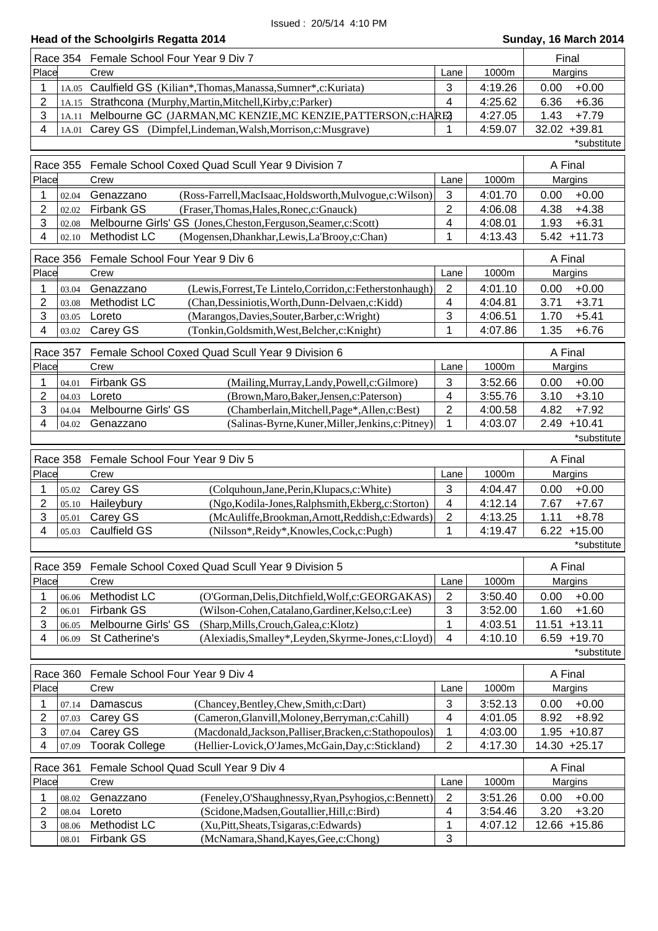|                                    | Race 354 Female School Four Year 9 Div 7                                                                              | Final                   |                    |                                    |
|------------------------------------|-----------------------------------------------------------------------------------------------------------------------|-------------------------|--------------------|------------------------------------|
| Place                              | Crew                                                                                                                  | Lane                    | 1000m              | Margins                            |
| 1<br>1A.05                         | Caulfield GS (Kilian*, Thomas, Manassa, Sumner*, c: Kuriata)                                                          | 3                       | 4:19.26            | 0.00<br>$+0.00$                    |
| 2<br>1A.15                         | Strathcona (Murphy, Martin, Mitchell, Kirby, c: Parker)                                                               | $\overline{4}$          | 4:25.62            | 6.36<br>$+6.36$                    |
| 3<br>1A.11                         | Melbourne GC (JARMAN, MC KENZIE, MC KENZIE, PATTERSON, c: HARE2                                                       |                         | 4:27.05            | 1.43<br>$+7.79$                    |
| 4<br>1A.01                         | Carey GS (Dimpfel, Lindeman, Walsh, Morrison, c: Musgrave)                                                            | 1                       | 4:59.07            | 32.02 +39.81                       |
|                                    |                                                                                                                       |                         |                    | *substitute                        |
| <b>Race 355</b>                    | Female School Coxed Quad Scull Year 9 Division 7                                                                      |                         |                    | A Final                            |
| Place                              | Crew                                                                                                                  | Lane                    | 1000m              | Margins                            |
| 02.04<br>1                         | (Ross-Farrell, MacIsaac, Holdsworth, Mulvogue, c: Wilson)<br>Genazzano                                                | 3                       | 4:01.70            | 0.00<br>$+0.00$                    |
| 2<br>02.02                         | <b>Firbank GS</b><br>(Fraser, Thomas, Hales, Ronec, c: Gnauck)                                                        | $\overline{2}$          | 4:06.08            | $+4.38$<br>4.38                    |
| 3<br>02.08                         | Melbourne Girls' GS (Jones, Cheston, Ferguson, Seamer, c: Scott)                                                      | 4                       | 4:08.01            | $+6.31$<br>1.93                    |
| 4<br>02.10                         | Methodist LC<br>(Mogensen, Dhankhar, Lewis, La'Brooy, c: Chan)                                                        | 1                       | 4:13.43            | $5.42 + 11.73$                     |
| <b>Race 356</b>                    | Female School Four Year 9 Div 6                                                                                       |                         |                    | A Final                            |
| Place                              | Crew                                                                                                                  | Lane                    | 1000m              | Margins                            |
| 1<br>03.04                         | (Lewis, Forrest, Te Lintelo, Corridon, c: Fetherstonhaugh)<br>Genazzano                                               | $\overline{2}$          | 4:01.10            | $+0.00$<br>0.00                    |
| 2<br>03.08                         | Methodist LC<br>(Chan, Dessiniotis, Worth, Dunn-Delvaen, c: Kidd)                                                     | 4                       | 4:04.81            | $+3.71$<br>3.71                    |
| 3<br>03.05                         | Loreto<br>(Marangos, Davies, Souter, Barber, c: Wright)                                                               | 3                       | 4:06.51            | $+5.41$<br>1.70                    |
| 4<br>03.02                         | Carey GS<br>(Tonkin, Goldsmith, West, Belcher, c: Knight)                                                             | 1                       | 4:07.86            | 1.35<br>$+6.76$                    |
|                                    |                                                                                                                       |                         |                    |                                    |
| <b>Race 357</b>                    | Female School Coxed Quad Scull Year 9 Division 6                                                                      |                         |                    | A Final                            |
| Place                              | Crew                                                                                                                  | Lane                    | 1000m              | Margins                            |
| 1<br>04.01                         | Firbank GS<br>(Mailing, Murray, Landy, Powell, c: Gilmore)                                                            | 3                       | 3:52.66            | $+0.00$<br>0.00                    |
| 2<br>04.03                         | Loreto<br>(Brown, Maro, Baker, Jensen, c: Paterson)                                                                   | $\overline{\mathbf{4}}$ | 3:55.76            | $+3.10$<br>3.10                    |
| 3<br>04.04                         | Melbourne Girls' GS<br>(Chamberlain, Mitchell, Page*, Allen, c: Best)                                                 | $\overline{2}$          | 4:00.58            | 4.82<br>$+7.92$                    |
| 4<br>04.02                         | (Salinas-Byrne, Kuner, Miller, Jenkins, c: Pitney)<br>Genazzano                                                       | 1                       | 4:03.07            | $2.49 + 10.41$                     |
|                                    |                                                                                                                       |                         |                    | *substitute                        |
|                                    |                                                                                                                       |                         |                    |                                    |
| Race 358                           | Female School Four Year 9 Div 5                                                                                       |                         |                    | A Final                            |
| Place                              | Crew                                                                                                                  | Lane                    | 1000m              | Margins                            |
| 1<br>05.02                         | Carey GS<br>(Colquhoun, Jane, Perin, Klupacs, c: White)                                                               | 3                       | 4:04.47            | 0.00<br>$+0.00$                    |
| 2<br>05.10                         | Haileybury<br>(Ngo, Kodila-Jones, Ralphsmith, Ekberg, c: Storton)                                                     | 4                       | 4:12.14            | 7.67<br>$+7.67$                    |
| 3<br>05.01                         | Carey GS<br>(McAuliffe, Brookman, Arnott, Reddish, c: Edwards)                                                        | $\mathbf{2}$            | 4:13.25            | 1.11<br>$+8.78$                    |
| 4<br>05.03                         | <b>Caulfield GS</b><br>(Nilsson*, Reidy*, Knowles, Cock, c: Pugh)                                                     | 1                       | 4:19.47            | $6.22 + 15.00$                     |
|                                    |                                                                                                                       |                         |                    | *substitute                        |
| Race 359                           | Female School Coxed Quad Scull Year 9 Division 5                                                                      |                         |                    | A Final                            |
| Place                              | Crew                                                                                                                  | Lane                    | 1000m              | Margins                            |
| 1<br>06.06                         | Methodist LC<br>(O'Gorman, Delis, Ditchfield, Wolf, c: GEORGAKAS)                                                     | $\overline{2}$          | 3:50.40            | $+0.00$<br>0.00                    |
| 2<br>06.01                         | Firbank GS<br>(Wilson-Cohen, Catalano, Gardiner, Kelso, c: Lee)                                                       | $\sqrt{3}$              | 3:52.00            | 1.60<br>$+1.60$                    |
| $\ensuremath{\mathsf{3}}$<br>06.05 | Melbourne Girls' GS<br>(Sharp, Mills, Crouch, Galea, c: Klotz)                                                        | 1                       | 4:03.51            | 11.51<br>$+13.11$                  |
| 4<br>06.09                         | St Catherine's<br>(Alexiadis, Smalley*, Leyden, Skyrme-Jones, c: Lloyd)                                               | 4                       | 4:10.10            | $6.59 + 19.70$                     |
|                                    |                                                                                                                       |                         |                    | *substitute                        |
| Race 360                           | Female School Four Year 9 Div 4                                                                                       |                         |                    | A Final                            |
| Place                              | Crew                                                                                                                  | Lane                    | 1000m              | Margins                            |
|                                    |                                                                                                                       |                         |                    |                                    |
| 07.14<br>2<br>07.03                | (Chancey, Bentley, Chew, Smith, c: Dart)<br>Damascus<br>Carey GS<br>(Cameron, Glanvill, Moloney, Berryman, c: Cahill) | $\sqrt{3}$<br>4         | 3:52.13<br>4:01.05 | $+0.00$<br>0.00<br>8.92<br>$+8.92$ |
| 3<br>07.04                         | Carey GS<br>(Macdonald, Jackson, Palliser, Bracken, c: Stathopoulos)                                                  | 1                       | 4:03.00            | 1.95 +10.87                        |
| 4<br>07.09                         | <b>Toorak College</b><br>(Hellier-Lovick, O'James, McGain, Day, c: Stickland)                                         | $\mathbf{2}$            | 4:17.30            | 14.30 +25.17                       |
|                                    |                                                                                                                       |                         |                    |                                    |
| Race 361                           | Female School Quad Scull Year 9 Div 4                                                                                 |                         |                    | A Final                            |
| Place                              | Crew                                                                                                                  | Lane                    | 1000m              | Margins                            |
| 1<br>08.02                         | (Feneley, O'Shaughnessy, Ryan, Psyhogios, c: Bennett)<br>Genazzano                                                    | $\sqrt{2}$              | 3:51.26            | 0.00<br>$+0.00$                    |
| 2<br>08.04                         | (Scidone, Madsen, Goutallier, Hill, c: Bird)<br>Loreto                                                                | 4                       | 3:54.46            | 3.20<br>$+3.20$                    |
| 3<br>08.06<br>08.01                | Methodist LC<br>(Xu, Pitt, Sheats, Tsigaras, c: Edwards)<br>Firbank GS<br>(McNamara, Shand, Kayes, Gee, c: Chong)     | 1<br>3                  | 4:07.12            | 12.66 +15.86                       |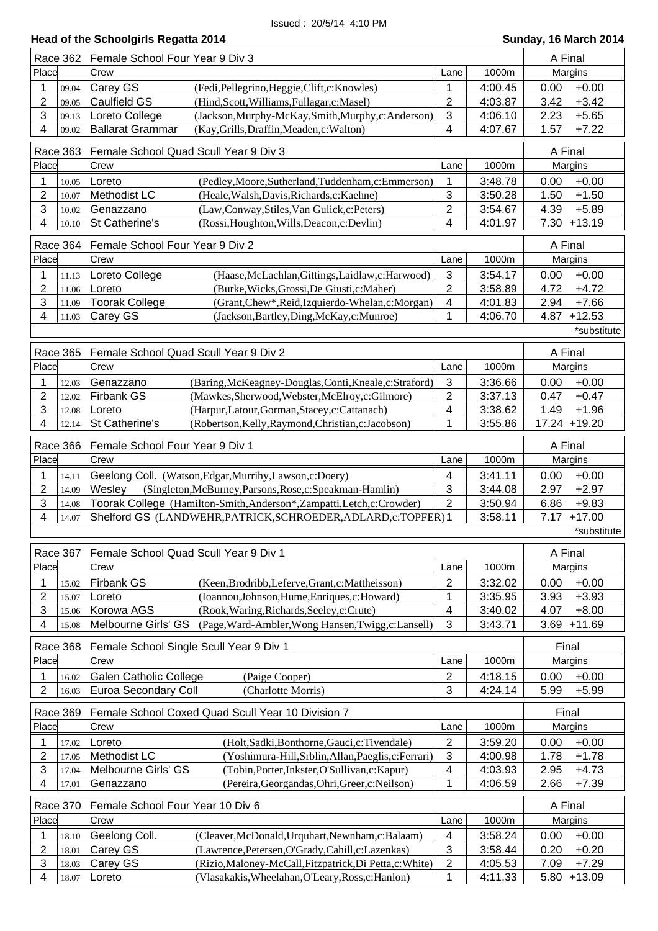| Head of the Schoolgirls Regatta 2014 | Sunday, 16 March 2014 |
|--------------------------------------|-----------------------|
|                                      |                       |

|                 |          | Race 362 Female School Four Year 9 Div 3                                   |                           | A Final |                  |  |
|-----------------|----------|----------------------------------------------------------------------------|---------------------------|---------|------------------|--|
| Place           |          | Crew                                                                       | 1000m                     | Margins |                  |  |
| 1               | 09.04    | Carey GS<br>(Fedi, Pellegrino, Heggie, Clift, c: Knowles)                  | 1                         | 4:00.45 | $+0.00$<br>0.00  |  |
| 2               | 09.05    | <b>Caulfield GS</b><br>(Hind, Scott, Williams, Fullagar, c: Masel)         | $\overline{2}$            | 4:03.87 | $+3.42$<br>3.42  |  |
| 3               | 09.13    | Loreto College<br>(Jackson, Murphy-McKay, Smith, Murphy, c: Anderson)      | 3                         | 4:06.10 | 2.23<br>$+5.65$  |  |
| 4               | 09.02    | <b>Ballarat Grammar</b><br>(Kay, Grills, Draffin, Meaden, c: Walton)       | 4                         | 4:07.67 | 1.57<br>$+7.22$  |  |
|                 |          |                                                                            |                           |         |                  |  |
|                 | Race 363 | Female School Quad Scull Year 9 Div 3                                      |                           |         | A Final          |  |
| Place           |          | Crew                                                                       | Lane                      | 1000m   | Margins          |  |
| 1               | 10.05    | Loreto<br>(Pedley, Moore, Sutherland, Tuddenham, c: Emmerson)              | 1                         | 3:48.78 | $+0.00$<br>0.00  |  |
| 2               | 10.07    | Methodist LC<br>(Heale, Walsh, Davis, Richards, c: Kaehne)                 | 3                         | 3:50.28 | $+1.50$<br>1.50  |  |
| 3               | 10.02    | (Law,Conway,Stiles,Van Gulick,c:Peters)<br>Genazzano                       | $\overline{\mathbf{c}}$   | 3:54.67 | $+5.89$<br>4.39  |  |
| 4               | 10.10    | St Catherine's<br>(Rossi, Houghton, Wills, Deacon, c: Devlin)              | 4                         | 4:01.97 | $7.30 + 13.19$   |  |
|                 |          |                                                                            |                           |         |                  |  |
|                 | Race 364 | Female School Four Year 9 Div 2                                            |                           |         | A Final          |  |
| Place           |          | Crew                                                                       | Lane                      | 1000m   | Margins          |  |
| 1               | 11.13    | Loreto College<br>(Haase, McLachlan, Gittings, Laidlaw, c: Harwood)        | $\ensuremath{\mathsf{3}}$ | 3:54.17 | $+0.00$<br>0.00  |  |
| $\overline{c}$  | 11.06    | (Burke, Wicks, Grossi, De Giusti, c: Maher)<br>Loreto                      | $\overline{\mathbf{c}}$   | 3:58.89 | 4.72<br>$+4.72$  |  |
| 3               | 11.09    | <b>Toorak College</b><br>(Grant, Chew*, Reid, Izquierdo-Whelan, c: Morgan) | 4                         | 4:01.83 | 2.94<br>$+7.66$  |  |
| 4               | 11.03    | Carey GS<br>(Jackson, Bartley, Ding, McKay, c: Munroe)                     | 1                         | 4:06.70 | $+12.53$<br>4.87 |  |
|                 |          |                                                                            |                           |         | *substitute      |  |
|                 |          |                                                                            |                           |         |                  |  |
| <b>Race 365</b> |          | Female School Quad Scull Year 9 Div 2                                      |                           |         | A Final          |  |
| Place           |          | Crew                                                                       | Lane                      | 1000m   | Margins          |  |
| 1               | 12.03    | Genazzano<br>(Baring, McKeagney-Douglas, Conti, Kneale, c: Straford)       | $\mathbf{3}$              | 3:36.66 | 0.00<br>$+0.00$  |  |
| 2               | 12.02    | <b>Firbank GS</b><br>(Mawkes, Sherwood, Webster, McElroy, c: Gilmore)      | $\overline{2}$            | 3:37.13 | $+0.47$<br>0.47  |  |
| 3               | 12.08    | (Harpur,Latour,Gorman,Stacey,c:Cattanach)<br>Loreto                        | 4                         | 3:38.62 | 1.49<br>$+1.96$  |  |
| 4               | 12.14    | St Catherine's<br>(Robertson, Kelly, Raymond, Christian, c: Jacobson)      | 1                         | 3:55.86 | 17.24 +19.20     |  |
|                 |          |                                                                            |                           |         |                  |  |
| Race 366        |          | Female School Four Year 9 Div 1                                            |                           |         | A Final          |  |
| Place           |          | Crew                                                                       | Lane                      | 1000m   | Margins          |  |
|                 |          |                                                                            |                           |         |                  |  |
|                 |          |                                                                            |                           |         |                  |  |
| 1               | 14.11    | Geelong Coll. (Watson, Edgar, Murrihy, Lawson, c: Doery)                   | 4                         | 3:41.11 | 0.00<br>$+0.00$  |  |
| $\overline{c}$  | 14.09    | Wesley<br>(Singleton, McBurney, Parsons, Rose, c: Speakman-Hamlin)         | 3                         | 3:44.08 | 2.97<br>$+2.97$  |  |
| 3               | 14.08    | Toorak College (Hamilton-Smith,Anderson*,Zampatti,Letch,c:Crowder)         | $\overline{2}$            | 3:50.94 | $+9.83$<br>6.86  |  |
| 4               | 14.07    | Shelford GS (LANDWEHR, PATRICK, SCHROEDER, ADLARD, c: TOPFER) 1            |                           | 3:58.11 | $+17.00$<br>7.17 |  |
|                 |          |                                                                            |                           |         | *substitute      |  |
| Race 367        |          | Female School Quad Scull Year 9 Div 1                                      |                           |         | A Final          |  |
| Place           |          | Crew                                                                       | Lane                      | 1000m   | Margins          |  |
| 1               |          |                                                                            |                           |         |                  |  |
|                 | 15.02    | <b>Firbank GS</b><br>(Keen, Brodribb, Leferve, Grant, c: Mattheisson)      | 2                         | 3:32.02 | $+0.00$<br>0.00  |  |
| 2               | 15.07    | (Ioannou, Johnson, Hume, Enriques, c: Howard)<br>Loreto                    | 1                         | 3:35.95 | $+3.93$<br>3.93  |  |
| 3<br>4          | 15.06    | Korowa AGS<br>(Rook, Waring, Richards, Seeley, c: Crute)                   | 4                         | 3:40.02 | 4.07<br>$+8.00$  |  |
|                 | 15.08    | Melbourne Girls' GS<br>(Page, Ward-Ambler, Wong Hansen, Twigg, c: Lansell) | 3                         | 3:43.71 | $+11.69$<br>3.69 |  |
|                 | Race 368 | Female School Single Scull Year 9 Div 1                                    |                           |         | Final            |  |
| Place           |          | Crew                                                                       | Lane                      | 1000m   | Margins          |  |
| 1               | 16.02    | <b>Galen Catholic College</b><br>(Paige Cooper)                            |                           | 4:18.15 | $+0.00$<br>0.00  |  |
|                 |          |                                                                            | $\overline{c}$            |         |                  |  |
| 2               | 16.03    | <b>Euroa Secondary Coll</b><br>(Charlotte Morris)                          | 3                         | 4:24.14 | $+5.99$<br>5.99  |  |
| Race 369        |          | Female School Coxed Quad Scull Year 10 Division 7                          |                           |         | Final            |  |
| Place           |          | Crew                                                                       | Lane                      | 1000m   | Margins          |  |
| 1               | 17.02    | Loreto<br>(Holt, Sadki, Bonthorne, Gauci, c: Tivendale)                    | $\overline{\mathbf{c}}$   | 3:59.20 | $+0.00$<br>0.00  |  |
| 2               | 17.05    | Methodist LC<br>(Yoshimura-Hill, Srblin, Allan, Paeglis, c: Ferrari)       | 3                         | 4:00.98 | 1.78<br>$+1.78$  |  |
| 3               | 17.04    | Melbourne Girls' GS<br>(Tobin, Porter, Inkster, O'Sullivan, c: Kapur)      | 4                         | 4:03.93 | 2.95<br>$+4.73$  |  |
| 4               | 17.01    | Genazzano<br>(Pereira, Georgandas, Ohri, Greer, c: Neilson)                | 1                         | 4:06.59 | 2.66<br>$+7.39$  |  |
|                 |          |                                                                            |                           |         |                  |  |
| Race 370        |          | Female School Four Year 10 Div 6                                           |                           |         | A Final          |  |
| Place           |          | Crew                                                                       | Lane                      | 1000m   | Margins          |  |
| 1               | 18.10    | Geelong Coll.<br>(Cleaver, McDonald, Urquhart, Newnham, c: Balaam)         | 4                         | 3:58.24 | $+0.00$<br>0.00  |  |
| 2               | 18.01    | Carey GS<br>(Lawrence, Petersen, O'Grady, Cahill, c: Lazenkas)             | 3                         | 3:58.44 | 0.20<br>$+0.20$  |  |
| 3               | 18.03    | Carey GS<br>(Rizio, Maloney-McCall, Fitzpatrick, Di Petta, c: White)       | $\overline{\mathbf{c}}$   | 4:05.53 | 7.09<br>$+7.29$  |  |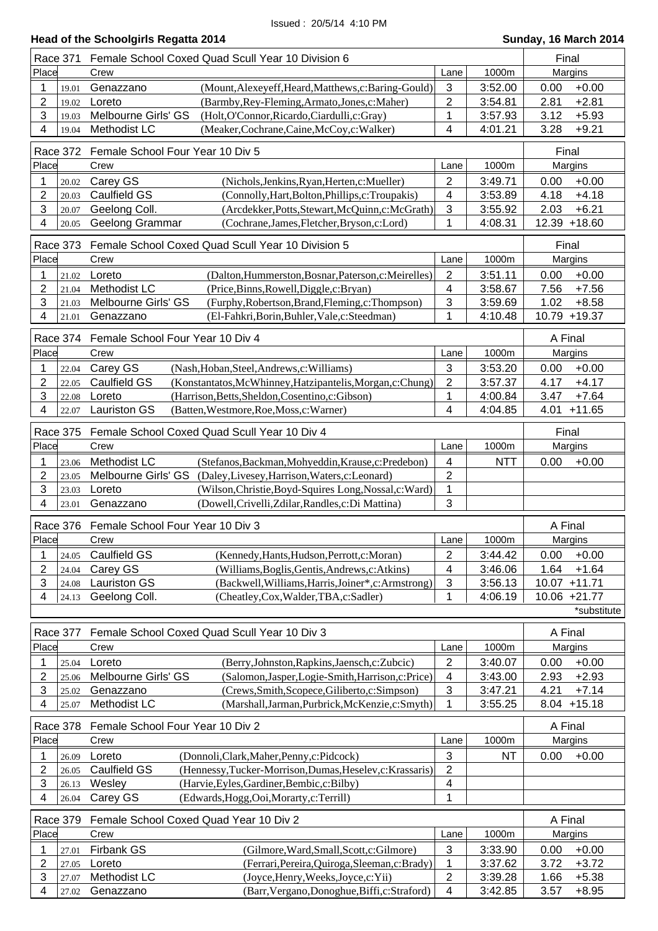|                           | Race 371        | Female School Coxed Quad Scull Year 10 Division 6                                                                  | Final                        |                    |                                    |  |
|---------------------------|-----------------|--------------------------------------------------------------------------------------------------------------------|------------------------------|--------------------|------------------------------------|--|
| Place                     |                 | Crew                                                                                                               | Lane                         | 1000m              | Margins                            |  |
| 1                         | 19.01           | Genazzano<br>(Mount, Alexeyeff, Heard, Matthews, c: Baring-Gould)                                                  | $\mathbf{3}$                 | 3:52.00            | 0.00<br>$+0.00$                    |  |
| $\overline{2}$            | 19.02           | (Barmby, Rey-Fleming, Armato, Jones, c: Maher)<br>Loreto                                                           | $\overline{2}$               | 3:54.81            | 2.81<br>$+2.81$                    |  |
| 3                         | 19.03           | Melbourne Girls' GS<br>(Holt, O'Connor, Ricardo, Ciardulli, c: Gray)                                               | 1                            | 3:57.93            | 3.12<br>$+5.93$                    |  |
| 4                         | 19.04           | Methodist LC<br>(Meaker, Cochrane, Caine, McCoy, c: Walker)                                                        | 4                            | 4:01.21            | $+9.21$<br>3.28                    |  |
|                           | Race 372        | Female School Four Year 10 Div 5                                                                                   | Final                        |                    |                                    |  |
| Place                     |                 | Crew<br>1000m                                                                                                      |                              |                    |                                    |  |
|                           |                 |                                                                                                                    | Lane                         |                    | Margins                            |  |
| 1                         | 20.02           | Carey GS<br>(Nichols, Jenkins, Ryan, Herten, c: Mueller)                                                           | $\overline{2}$               | 3:49.71            | $+0.00$<br>0.00                    |  |
| 2                         | 20.03           | <b>Caulfield GS</b><br>(Connolly, Hart, Bolton, Phillips, c: Troupakis)                                            | 4                            | 3:53.89            | 4.18<br>$+4.18$                    |  |
| 3                         | 20.07           | Geelong Coll.<br>(Arcdekker, Potts, Stewart, McQuinn, c: McGrath)                                                  | 3                            | 3:55.92            | $+6.21$<br>2.03                    |  |
| 4                         | 20.05           | Geelong Grammar<br>(Cochrane, James, Fletcher, Bryson, c: Lord)                                                    | 1                            | 4:08.31            | 12.39 +18.60                       |  |
|                           | Race 373        | Female School Coxed Quad Scull Year 10 Division 5                                                                  |                              |                    | Final                              |  |
| Place                     |                 | Crew                                                                                                               | Lane                         | 1000m              | Margins                            |  |
| 1                         | 21.02           | Loreto<br>(Dalton, Hummerston, Bosnar, Paterson, c: Meirelles)                                                     | $\overline{2}$               | 3:51.11            | $+0.00$<br>0.00                    |  |
| 2                         | 21.04           | Methodist LC<br>(Price, Binns, Rowell, Diggle, c: Bryan)                                                           | 4                            | 3:58.67            | 7.56<br>$+7.56$                    |  |
| 3                         | 21.03           | Melbourne Girls' GS<br>(Furphy, Robertson, Brand, Fleming, c: Thompson)                                            | 3                            | 3:59.69            | 1.02<br>$+8.58$                    |  |
| 4                         | 21.01           | Genazzano<br>(El-Fahkri, Borin, Buhler, Vale, c: Steedman)                                                         | 1                            | 4:10.48            | 10.79 +19.37                       |  |
|                           |                 |                                                                                                                    |                              |                    |                                    |  |
|                           | Race 374        | Female School Four Year 10 Div 4                                                                                   |                              |                    | A Final                            |  |
| Place                     |                 | Crew                                                                                                               | Lane                         | 1000m              | Margins                            |  |
| 1                         | 22.04           | Carey GS<br>(Nash, Hoban, Steel, Andrews, c: Williams)                                                             | 3                            | 3:53.20            | $+0.00$<br>0.00                    |  |
| $\overline{2}$            | 22.05           | <b>Caulfield GS</b><br>(Konstantatos, McWhinney, Hatzipantelis, Morgan, c: Chung)                                  | $\overline{2}$               | 3:57.37            | 4.17<br>$+4.17$                    |  |
| 3                         | 22.08           | Loreto<br>(Harrison, Betts, Sheldon, Cosentino, c: Gibson)                                                         | 1                            | 4:00.84            | $+7.64$<br>3.47                    |  |
| 4                         | 22.07           | <b>Lauriston GS</b><br>(Batten, Westmore, Roe, Moss, c: Warner)                                                    | 4                            | 4:04.85            | 4.01<br>$+11.65$                   |  |
|                           | <b>Race 375</b> | Female School Coxed Quad Scull Year 10 Div 4                                                                       |                              |                    | Final                              |  |
| Place                     |                 | Crew                                                                                                               | Lane                         | 1000m              | Margins                            |  |
|                           |                 |                                                                                                                    |                              |                    |                                    |  |
| 1                         | 23.06           | Methodist LC<br>(Stefanos, Backman, Mohyeddin, Krause, c: Predebon)                                                | $\overline{\mathbf{4}}$      | <b>NTT</b>         | 0.00<br>$+0.00$                    |  |
| 2                         | 23.05           | Melbourne Girls' GS<br>(Daley, Livesey, Harrison, Waters, c: Leonard)                                              | $\sqrt{2}$                   |                    |                                    |  |
| 3                         | 23.03           | Loreto<br>(Wilson, Christie, Boyd-Squires Long, Nossal, c: Ward)                                                   | 1                            |                    |                                    |  |
| 4                         | 23.01           | (Dowell, Crivelli, Zdilar, Randles, c: Di Mattina)<br>Genazzano                                                    | 3                            |                    |                                    |  |
|                           |                 |                                                                                                                    |                              |                    |                                    |  |
|                           | Race 376        | Female School Four Year 10 Div 3                                                                                   |                              |                    | A Final                            |  |
| Place                     |                 | Crew                                                                                                               | Lane                         | 1000m              | Margins                            |  |
| 1                         | 24.05           | <b>Caulfield GS</b><br>(Kennedy, Hants, Hudson, Perrott, c: Moran)                                                 | $\overline{2}$               | 3:44.42            | $+0.00$<br>0.00                    |  |
| 2                         | 24.04           | Carey GS<br>(Williams, Boglis, Gentis, Andrews, c: Atkins)                                                         | 4                            | 3:46.06            | 1.64<br>$+1.64$                    |  |
| 3                         | 24.08           | <b>Lauriston GS</b><br>(Backwell, Williams, Harris, Joiner*, c: Armstrong)                                         | 3                            | 3:56.13            | 10.07 +11.71                       |  |
| 4                         | 24.13           | Geelong Coll.<br>(Cheatley,Cox,Walder,TBA,c:Sadler)                                                                | 1                            | 4:06.19            | 10.06 +21.77                       |  |
|                           |                 |                                                                                                                    |                              |                    | *substitute                        |  |
|                           |                 |                                                                                                                    |                              |                    |                                    |  |
|                           | Race 377        | Female School Coxed Quad Scull Year 10 Div 3                                                                       |                              |                    | A Final                            |  |
| Place                     |                 | Crew                                                                                                               | Lane                         | 1000m              | Margins                            |  |
| 1                         | 25.04           | Loreto<br>(Berry, Johnston, Rapkins, Jaensch, c: Zubcic)                                                           | $\overline{2}$               | 3:40.07            | $+0.00$<br>0.00                    |  |
| 2                         | 25.06           | Melbourne Girls' GS<br>(Salomon, Jasper, Logie-Smith, Harrison, c: Price)                                          | 4                            | 3:43.00            | 2.93<br>$+2.93$                    |  |
| $\ensuremath{\mathsf{3}}$ | 25.02           | (Crews, Smith, Scopece, Giliberto, c: Simpson)<br>Genazzano                                                        | 3                            | 3:47.21            | 4.21<br>$+7.14$                    |  |
| 4                         | 25.07           | Methodist LC<br>(Marshall, Jarman, Purbrick, McKenzie, c: Smyth)                                                   | 1                            | 3:55.25            | $8.04 + 15.18$                     |  |
|                           | Race 378        | Female School Four Year 10 Div 2                                                                                   |                              |                    | A Final                            |  |
| Place                     |                 | Crew                                                                                                               | Lane                         | 1000m              | Margins                            |  |
| 1                         | 26.09           | Loreto<br>(Donnoli, Clark, Maher, Penny, c: Pidcock)                                                               | 3                            | <b>NT</b>          | 0.00<br>$+0.00$                    |  |
| $\overline{2}$            | 26.05           | Caulfield GS<br>(Hennessy, Tucker-Morrison, Dumas, Heselev, c: Krassaris)                                          | $\overline{2}$               |                    |                                    |  |
| $\ensuremath{\mathsf{3}}$ | 26.13           | (Harvie, Eyles, Gardiner, Bembic, c: Bilby)                                                                        | 4                            |                    |                                    |  |
| 4                         | 26.04           | Wesley                                                                                                             | 1                            |                    |                                    |  |
|                           |                 | Carey GS<br>(Edwards, Hogg, Ooi, Morarty, c: Terrill)                                                              |                              |                    |                                    |  |
|                           | <b>Race 379</b> | Female School Coxed Quad Year 10 Div 2                                                                             |                              |                    | A Final                            |  |
| Place                     |                 | Crew                                                                                                               | Lane                         | 1000m              | Margins                            |  |
| 1                         | 27.01           | Firbank GS<br>(Gilmore, Ward, Small, Scott, c: Gilmore)                                                            | $\mathbf{3}$                 | 3:33.90            | 0.00<br>$+0.00$                    |  |
| $\overline{2}$            | 27.05           | Loreto<br>(Ferrari, Pereira, Quiroga, Sleeman, c: Brady)                                                           | 1                            | 3:37.62            | 3.72<br>$+3.72$                    |  |
| 3<br>4                    | 27.07<br>27.02  | Methodist LC<br>(Joyce, Henry, Weeks, Joyce, c: Yii)<br>Genazzano<br>(Barr, Vergano, Donoghue, Biffi, c: Straford) | $\sqrt{2}$<br>$\overline{4}$ | 3:39.28<br>3:42.85 | 1.66<br>$+5.38$<br>3.57<br>$+8.95$ |  |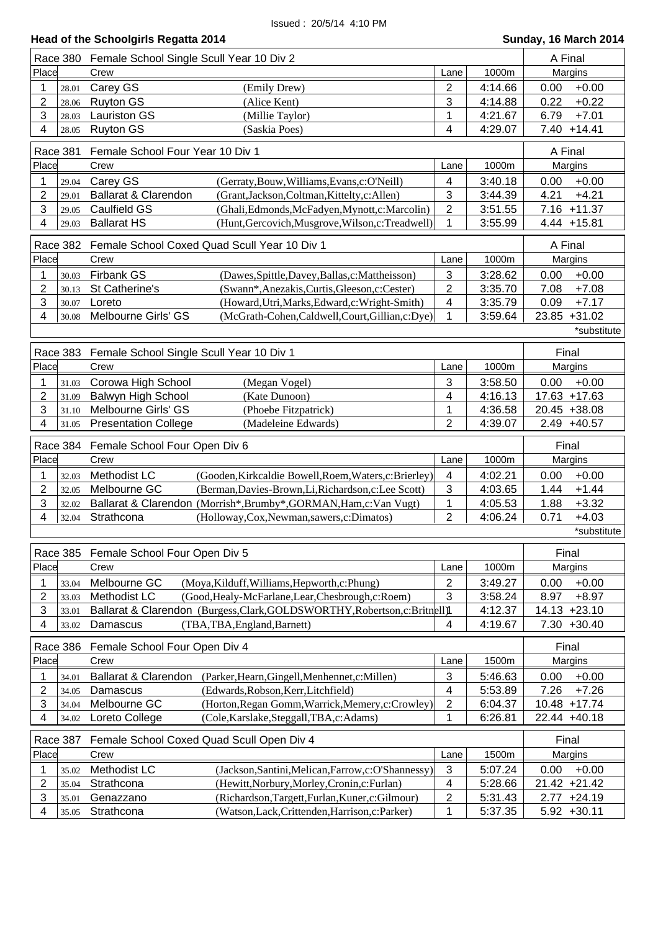|                           | Head of the Schoolgirls Regatta 2014<br>Sunday, 16 March 2014 |                                                                                  |                |         |                   |  |  |
|---------------------------|---------------------------------------------------------------|----------------------------------------------------------------------------------|----------------|---------|-------------------|--|--|
|                           |                                                               | Race 380 Female School Single Scull Year 10 Div 2                                |                |         | A Final           |  |  |
| Place                     |                                                               | Crew                                                                             | Lane           | 1000m   | Margins           |  |  |
| 1                         | 28.01                                                         | Carey GS<br>(Emily Drew)                                                         | $\overline{2}$ | 4:14.66 | $+0.00$<br>0.00   |  |  |
| $\overline{c}$            | 28.06                                                         | <b>Ruyton GS</b><br>(Alice Kent)                                                 | 3              | 4:14.88 | $+0.22$<br>0.22   |  |  |
| 3                         | 28.03                                                         | <b>Lauriston GS</b><br>(Millie Taylor)                                           | 1              | 4:21.67 | 6.79<br>$+7.01$   |  |  |
| 4                         | 28.05                                                         | <b>Ruyton GS</b><br>(Saskia Poes)                                                | 4              | 4:29.07 | $7.40 + 14.41$    |  |  |
|                           | Race 381                                                      | Female School Four Year 10 Div 1                                                 |                |         | A Final           |  |  |
| Place                     |                                                               | Crew                                                                             | Lane           | 1000m   | Margins           |  |  |
| 1                         | 29.04                                                         | Carey GS<br>(Gerraty, Bouw, Williams, Evans, c: O'Neill)                         | 4              | 3:40.18 | 0.00<br>$+0.00$   |  |  |
| $\overline{2}$            | 29.01                                                         | <b>Ballarat &amp; Clarendon</b><br>(Grant, Jackson, Coltman, Kittelty, c: Allen) | 3              | 3:44.39 | 4.21<br>$+4.21$   |  |  |
| 3                         | 29.05                                                         | <b>Caulfield GS</b><br>(Ghali, Edmonds, McFadyen, Mynott, c: Marcolin)           | $\overline{2}$ | 3:51.55 | 7.16 +11.37       |  |  |
| 4                         | 29.03                                                         | <b>Ballarat HS</b><br>(Hunt, Gercovich, Musgrove, Wilson, c: Treadwell)          | 1              | 3:55.99 | 4.44 +15.81       |  |  |
|                           | Race 382                                                      | Female School Coxed Quad Scull Year 10 Div 1                                     |                |         | A Final           |  |  |
| Place                     |                                                               | Crew                                                                             | Lane           | 1000m   | Margins           |  |  |
| 1                         | 30.03                                                         | <b>Firbank GS</b><br>(Dawes, Spittle, Davey, Ballas, c: Mattheisson)             | 3              | 3:28.62 | 0.00<br>$+0.00$   |  |  |
| $\overline{c}$            | 30.13                                                         | St Catherine's<br>(Swann*, Anezakis, Curtis, Gleeson, c: Cester)                 | $\overline{2}$ | 3:35.70 | $+7.08$<br>7.08   |  |  |
| 3                         | 30.07                                                         | Loreto<br>(Howard, Utri, Marks, Edward, c: Wright-Smith)                         | 4              | 3:35.79 | 0.09<br>$+7.17$   |  |  |
| $\overline{\mathbf{4}}$   | 30.08                                                         | Melbourne Girls' GS<br>(McGrath-Cohen,Caldwell,Court,Gillian,c:Dye)              | 1              | 3:59.64 | 23.85<br>$+31.02$ |  |  |
|                           |                                                               |                                                                                  |                |         | *substitute       |  |  |
|                           | Race 383                                                      | Female School Single Scull Year 10 Div 1                                         |                |         | Final             |  |  |
| Place                     |                                                               | Crew                                                                             | Lane           | 1000m   | Margins           |  |  |
| 1                         | 31.03                                                         | Corowa High School<br>(Megan Vogel)                                              | 3              | 3:58.50 | $+0.00$<br>0.00   |  |  |
| $\overline{c}$            | 31.09                                                         | Balwyn High School<br>(Kate Dunoon)                                              | 4              | 4:16.13 | 17.63 +17.63      |  |  |
| 3                         | 31.10                                                         | Melbourne Girls' GS<br>(Phoebe Fitzpatrick)                                      | 1              | 4:36.58 | 20.45 +38.08      |  |  |
| 4                         | 31.05                                                         | <b>Presentation College</b><br>(Madeleine Edwards)                               | 2              | 4:39.07 | 2.49 +40.57       |  |  |
|                           | Race 384                                                      | Female School Four Open Div 6                                                    |                | Final   |                   |  |  |
| Place                     |                                                               | Crew                                                                             | Lane           | 1000m   | Margins           |  |  |
| 1                         | 32.03                                                         | Methodist LC<br>(Gooden, Kirkcaldie Bowell, Roem, Waters, c: Brierley)           | 4              | 4:02.21 | $+0.00$<br>0.00   |  |  |
| $\overline{2}$            | 32.05                                                         | Melbourne GC<br>(Berman, Davies-Brown, Li, Richardson, c: Lee Scott)             | 3              | 4:03.65 | 1.44<br>$+1.44$   |  |  |
| 3                         | 32.02                                                         | Ballarat & Clarendon (Morrish*, Brumby*, GORMAN, Ham, c: Van Vugt)               | 1              | 4:05.53 | 1.88<br>$+3.32$   |  |  |
| 4                         | 32.04                                                         | Strathcona<br>(Holloway, Cox, Newman, sawers, c: Dimatos)                        | $\overline{2}$ | 4:06.24 | 0.71<br>$+4.03$   |  |  |
|                           |                                                               |                                                                                  |                |         | *substitute       |  |  |
|                           | Race 385                                                      | Female School Four Open Div 5                                                    |                |         | Final             |  |  |
| Place                     |                                                               | Crew                                                                             | Lane           | 1000m   | Margins           |  |  |
| 1                         | 33.04                                                         | Melbourne GC<br>(Moya, Kilduff, Williams, Hepworth, c: Phung)                    | 2              | 3:49.27 | 0.00<br>$+0.00$   |  |  |
| 2                         | 33.03                                                         | Methodist LC<br>(Good, Healy-McFarlane, Lear, Chesbrough, c: Roem)               | 3              | 3:58.24 | 8.97<br>$+8.97$   |  |  |
| $\ensuremath{\mathsf{3}}$ | 33.01                                                         | Ballarat & Clarendon (Burgess, Clark, GOLDSWORTHY, Robertson, c: Britnell)       |                | 4:12.37 | $14.13 + 23.10$   |  |  |
| 4                         | 33.02                                                         | Damascus<br>(TBA,TBA,England,Barnett)                                            | 4              | 4:19.67 | $7.30 + 30.40$    |  |  |
|                           | Race 386                                                      | Female School Four Open Div 4                                                    |                |         | Final             |  |  |
| Place                     |                                                               | Crew                                                                             | Lane           | 1500m   | Margins           |  |  |
| 1                         | 34.01                                                         | Ballarat & Clarendon<br>(Parker, Hearn, Gingell, Menhennet, c: Millen)           | 3              | 5:46.63 | 0.00<br>$+0.00$   |  |  |
| 2                         | 34.05                                                         | (Edwards, Robson, Kerr, Litchfield)<br>Damascus                                  | 4              | 5:53.89 | 7.26<br>$+7.26$   |  |  |
| 3                         | 34.04                                                         | Melbourne GC<br>(Horton, Regan Gomm, Warrick, Memery, c: Crowley)                | 2              | 6:04.37 | 10.48 +17.74      |  |  |
| 4                         | 34.02                                                         | Loreto College<br>(Cole, Karslake, Steggall, TBA, c: Adams)                      | 1              | 6:26.81 | 22.44 +40.18      |  |  |
|                           | Race 387                                                      | Female School Coxed Quad Scull Open Div 4                                        |                |         | Final             |  |  |
| Place                     |                                                               | Crew                                                                             | Lane           | 1500m   | Margins           |  |  |
| 1                         | 35.02                                                         | Methodist LC<br>(Jackson, Santini, Melican, Farrow, c: O'Shannessy)              | $\sqrt{3}$     | 5:07.24 | 0.00<br>$+0.00$   |  |  |
| $\overline{c}$            | 35.04                                                         | Strathcona<br>(Hewitt, Norbury, Morley, Cronin, c: Furlan)                       | 4              | 5:28.66 | 21.42 +21.42      |  |  |
| 3                         | 35.01                                                         | Genazzano<br>(Richardson, Targett, Furlan, Kuner, c: Gilmour)                    | $\overline{2}$ | 5:31.43 | $+24.19$<br>2.77  |  |  |
| $\overline{\mathbf{4}}$   | 35.05                                                         | Strathcona<br>(Watson,Lack,Crittenden,Harrison,c:Parker)                         | 1              | 5:37.35 | $5.92 + 30.11$    |  |  |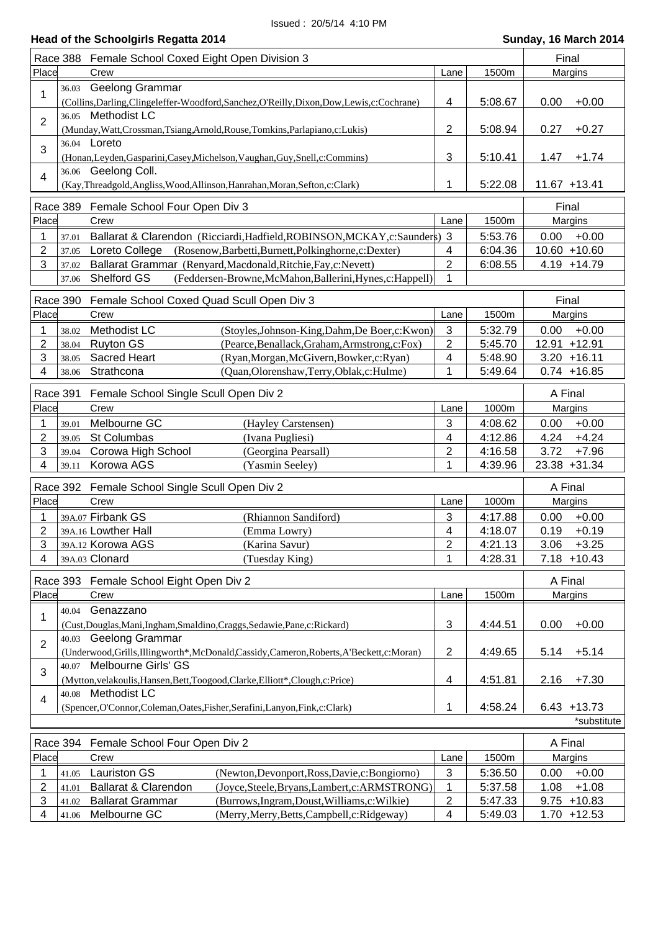### **Head of the Schoolgirls Regatta 2014 Sunday, 16 March 2014 Sunday, 16 March 2014**

|                | Race 388 Female School Coxed Eight Open Division 3                                            |                                                                                              |                | Final   |                 |  |  |
|----------------|-----------------------------------------------------------------------------------------------|----------------------------------------------------------------------------------------------|----------------|---------|-----------------|--|--|
| Place          |                                                                                               | Crew                                                                                         | Lane           | 1500m   | Margins         |  |  |
|                | 36.03                                                                                         | Geelong Grammar                                                                              |                |         |                 |  |  |
| 1              |                                                                                               | (Collins, Darling, Clingeleffer-Woodford, Sanchez, O'Reilly, Dixon, Dow, Lewis, c: Cochrane) | 4              | 5:08.67 | 0.00<br>$+0.00$ |  |  |
|                |                                                                                               | 36.05 Methodist LC                                                                           |                |         |                 |  |  |
| 2              |                                                                                               | (Munday, Watt, Crossman, Tsiang, Arnold, Rouse, Tomkins, Parlapiano, c: Lukis)               | 2              | 5:08.94 | $+0.27$<br>0.27 |  |  |
|                |                                                                                               | 36.04 <b>Loreto</b>                                                                          |                |         |                 |  |  |
| 3              |                                                                                               |                                                                                              |                |         |                 |  |  |
|                |                                                                                               | (Honan, Leyden, Gasparini, Casey, Michelson, Vaughan, Guy, Snell, c: Commins)                | 3              | 5:10.41 | $+1.74$<br>1.47 |  |  |
| $\overline{4}$ |                                                                                               | 36.06 Geelong Coll.                                                                          |                |         | $11.67 + 13.41$ |  |  |
|                | 1<br>5:22.08<br>(Kay, Threadgold, Angliss, Wood, Allinson, Hanrahan, Moran, Sefton, c: Clark) |                                                                                              |                |         |                 |  |  |
| Race 389       | Final                                                                                         |                                                                                              |                |         |                 |  |  |
| Place          |                                                                                               | Female School Four Open Div 3<br>Crew                                                        | Lane           | 1500m   | Margins         |  |  |
|                |                                                                                               |                                                                                              |                |         |                 |  |  |
|                | 37.01                                                                                         | Ballarat & Clarendon (Ricciardi, Hadfield, ROBINSON, MCKAY, c: Saunders) 3                   |                | 5:53.76 | 0.00<br>$+0.00$ |  |  |
| 2              | 37.05                                                                                         | Loreto College<br>(Rosenow, Barbetti, Burnett, Polkinghorne, c: Dexter)                      | 4              | 6:04.36 | 10.60 +10.60    |  |  |
| 3              | 37.02                                                                                         | Ballarat Grammar (Renyard, Macdonald, Ritchie, Fay, c: Nevett)                               | $\overline{2}$ | 6:08.55 | $4.19 + 14.79$  |  |  |
|                | 37.06                                                                                         | Shelford GS<br>(Feddersen-Browne, McMahon, Ballerini, Hynes, c: Happell)                     | 1              |         |                 |  |  |
|                |                                                                                               |                                                                                              |                |         |                 |  |  |
|                | Race 390                                                                                      | Female School Coxed Quad Scull Open Div 3                                                    |                |         | Final           |  |  |
| Place          |                                                                                               | Crew                                                                                         | Lane           | 1500m   | Margins         |  |  |
| 1              | 38.02                                                                                         | Methodist LC<br>(Stoyles, Johnson-King, Dahm, De Boer, c: Kwon)                              | 3              | 5:32.79 | $+0.00$<br>0.00 |  |  |
| 2              | 38.04                                                                                         | <b>Ruyton GS</b><br>(Pearce, Benallack, Graham, Armstrong, c: Fox)                           | 2              | 5:45.70 | 12.91 +12.91    |  |  |
| 3              | 38.05                                                                                         | Sacred Heart<br>(Ryan, Morgan, McGivern, Bowker, c: Ryan)                                    | 4              | 5:48.90 | $3.20 + 16.11$  |  |  |
| 4              | 38.06                                                                                         | Strathcona<br>(Quan, Olorenshaw, Terry, Oblak, c: Hulme)                                     | 1              | 5:49.64 | $0.74 + 16.85$  |  |  |
|                |                                                                                               |                                                                                              |                |         |                 |  |  |
|                | Race 391                                                                                      | Female School Single Scull Open Div 2                                                        |                |         | A Final         |  |  |
| Place          |                                                                                               | Crew                                                                                         | Lane           | 1000m   | Margins         |  |  |
|                | 39.01                                                                                         | Melbourne GC<br>(Hayley Carstensen)                                                          | 3              | 4:08.62 | 0.00<br>$+0.00$ |  |  |
| 2              | 39.05                                                                                         | St Columbas<br>(Ivana Pugliesi)                                                              | 4              | 4:12.86 | $+4.24$<br>4.24 |  |  |
| 3              | 39.04                                                                                         | Corowa High School<br>(Georgina Pearsall)                                                    | 2              | 4:16.58 | 3.72<br>$+7.96$ |  |  |
| 4              | 39.11                                                                                         | Korowa AGS<br>(Yasmin Seeley)                                                                | 1              | 4:39.96 | 23.38 +31.34    |  |  |
|                |                                                                                               |                                                                                              |                |         |                 |  |  |
|                |                                                                                               | Race 392 Female School Single Scull Open Div 2                                               |                |         | A Final         |  |  |
| Place          |                                                                                               | Crew                                                                                         | Lane           | 1000m   | Margins         |  |  |
| 1              |                                                                                               | 39A.07 Firbank GS<br>(Rhiannon Sandiford)                                                    | 3              | 4:17.88 | 0.00<br>$+0.00$ |  |  |
| 2              |                                                                                               | 39A.16 Lowther Hall<br>(Emma Lowry)                                                          | 4              | 4:18.07 | 0.19<br>$+0.19$ |  |  |
| 3              |                                                                                               | 39A.12 Korowa AGS<br>(Karina Savur)                                                          | $\overline{2}$ | 4:21.13 | 3.06<br>$+3.25$ |  |  |
| 4              |                                                                                               | 39A.03 Clonard<br>(Tuesday King)                                                             | 1              | 4:28.31 | $7.18 + 10.43$  |  |  |
|                |                                                                                               |                                                                                              |                |         |                 |  |  |
|                |                                                                                               | Race 393 Female School Eight Open Div 2                                                      |                |         | A Final         |  |  |
| Place          |                                                                                               | Crew                                                                                         | Lane           | 1500m   | Margins         |  |  |
|                | 40.04                                                                                         | Genazzano                                                                                    |                |         |                 |  |  |
| 1              |                                                                                               | (Cust, Douglas, Mani, Ingham, Smaldino, Craggs, Sedawie, Pane, c: Rickard)                   | 3              | 4:44.51 | $+0.00$<br>0.00 |  |  |
|                |                                                                                               | 40.03 Geelong Grammar                                                                        |                |         |                 |  |  |
| $\overline{2}$ |                                                                                               | (Underwood, Grills, Illingworth*, McDonald, Cassidy, Cameron, Roberts, A'Beckett, c: Moran)  | 2              | 4:49.65 | 5.14<br>$+5.14$ |  |  |
|                |                                                                                               | 40.07 Melbourne Girls' GS                                                                    |                |         |                 |  |  |
| 3              |                                                                                               |                                                                                              |                |         |                 |  |  |
|                |                                                                                               | (Mytton, velakoulis, Hansen, Bett, Toogood, Clarke, Elliott*, Clough, c: Price)              | 4              | 4:51.81 | $+7.30$<br>2.16 |  |  |
| 4              |                                                                                               | 40.08 Methodist LC                                                                           |                |         |                 |  |  |
|                |                                                                                               | (Spencer, O'Connor, Coleman, Oates, Fisher, Serafini, Lanyon, Fink, c: Clark)                | 1              | 4:58.24 | $6.43 + 13.73$  |  |  |
|                |                                                                                               |                                                                                              |                |         | *substitute     |  |  |
|                | Race 394                                                                                      | Female School Four Open Div 2                                                                |                |         | A Final         |  |  |
| Place          |                                                                                               | Crew                                                                                         | Lane           | 1500m   | Margins         |  |  |
|                |                                                                                               |                                                                                              |                |         |                 |  |  |
| 1              | 41.05                                                                                         | <b>Lauriston GS</b><br>(Newton, Devonport, Ross, Davie, c: Bongiorno)                        | $\mathbf{3}$   | 5:36.50 | $+0.00$<br>0.00 |  |  |
| $\overline{c}$ | 41.01                                                                                         | (Joyce, Steele, Bryans, Lambert, c: ARMSTRONG)<br>Ballarat & Clarendon                       | 1              | 5:37.58 | 1.08<br>$+1.08$ |  |  |
| 3              | 41.02                                                                                         | (Burrows, Ingram, Doust, Williams, c: Wilkie)<br><b>Ballarat Grammar</b>                     | $\mathbf{2}$   | 5:47.33 | $9.75 + 10.83$  |  |  |

4 41.06 Melbourne GC (Merry, Merry, Betts, Campbell, c: Ridgeway) 4 5:49.03 1.70 +12.53